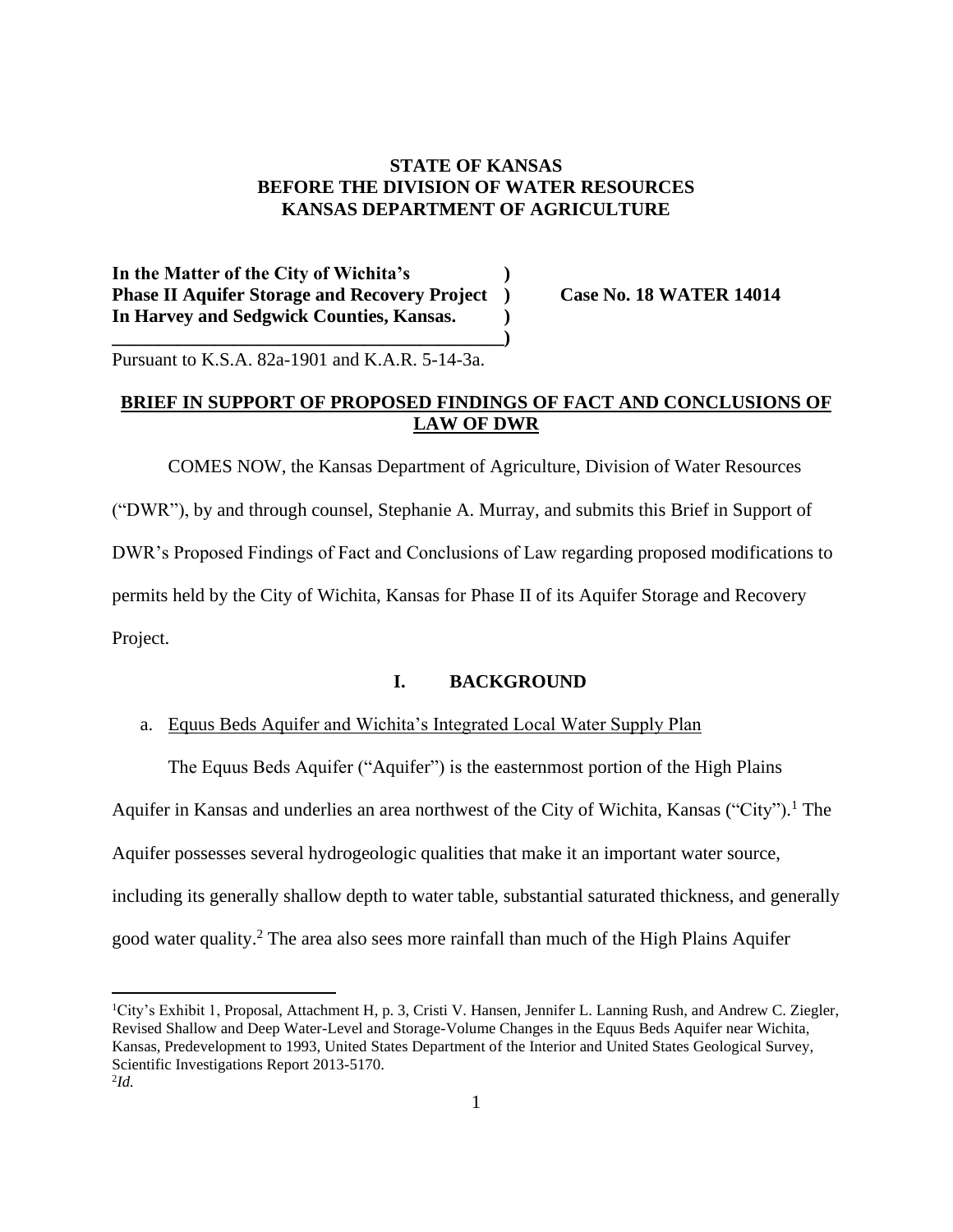# **STATE OF KANSAS BEFORE THE DIVISION OF WATER RESOURCES KANSAS DEPARTMENT OF AGRICULTURE**

**In the Matter of the City of Wichita's ) Phase II Aquifer Storage and Recovery Project ) Case No. 18 WATER 14014 In Harvey and Sedgwick Counties, Kansas. )**

**\_\_\_\_\_\_\_\_\_\_\_\_\_\_\_\_\_\_\_\_\_\_\_\_\_\_\_\_\_\_\_\_\_\_\_\_\_\_\_\_\_\_)**

Pursuant to K.S.A. 82a-1901 and K.A.R. 5-14-3a.

# **BRIEF IN SUPPORT OF PROPOSED FINDINGS OF FACT AND CONCLUSIONS OF LAW OF DWR**

COMES NOW, the Kansas Department of Agriculture, Division of Water Resources ("DWR"), by and through counsel, Stephanie A. Murray, and submits this Brief in Support of DWR's Proposed Findings of Fact and Conclusions of Law regarding proposed modifications to permits held by the City of Wichita, Kansas for Phase II of its Aquifer Storage and Recovery Project.

#### **I. BACKGROUND**

#### a. Equus Beds Aquifer and Wichita's Integrated Local Water Supply Plan

The Equus Beds Aquifer ("Aquifer") is the easternmost portion of the High Plains Aquifer in Kansas and underlies an area northwest of the City of Wichita, Kansas ("City").<sup>1</sup> The Aquifer possesses several hydrogeologic qualities that make it an important water source, including its generally shallow depth to water table, substantial saturated thickness, and generally good water quality.<sup>2</sup> The area also sees more rainfall than much of the High Plains Aquifer

<sup>1</sup>City's Exhibit 1, Proposal, Attachment H, p. 3, Cristi V. Hansen, Jennifer L. Lanning Rush, and Andrew C. Ziegler, Revised Shallow and Deep Water-Level and Storage-Volume Changes in the Equus Beds Aquifer near Wichita, Kansas, Predevelopment to 1993, United States Department of the Interior and United States Geological Survey, Scientific Investigations Report 2013-5170. 2 *Id.*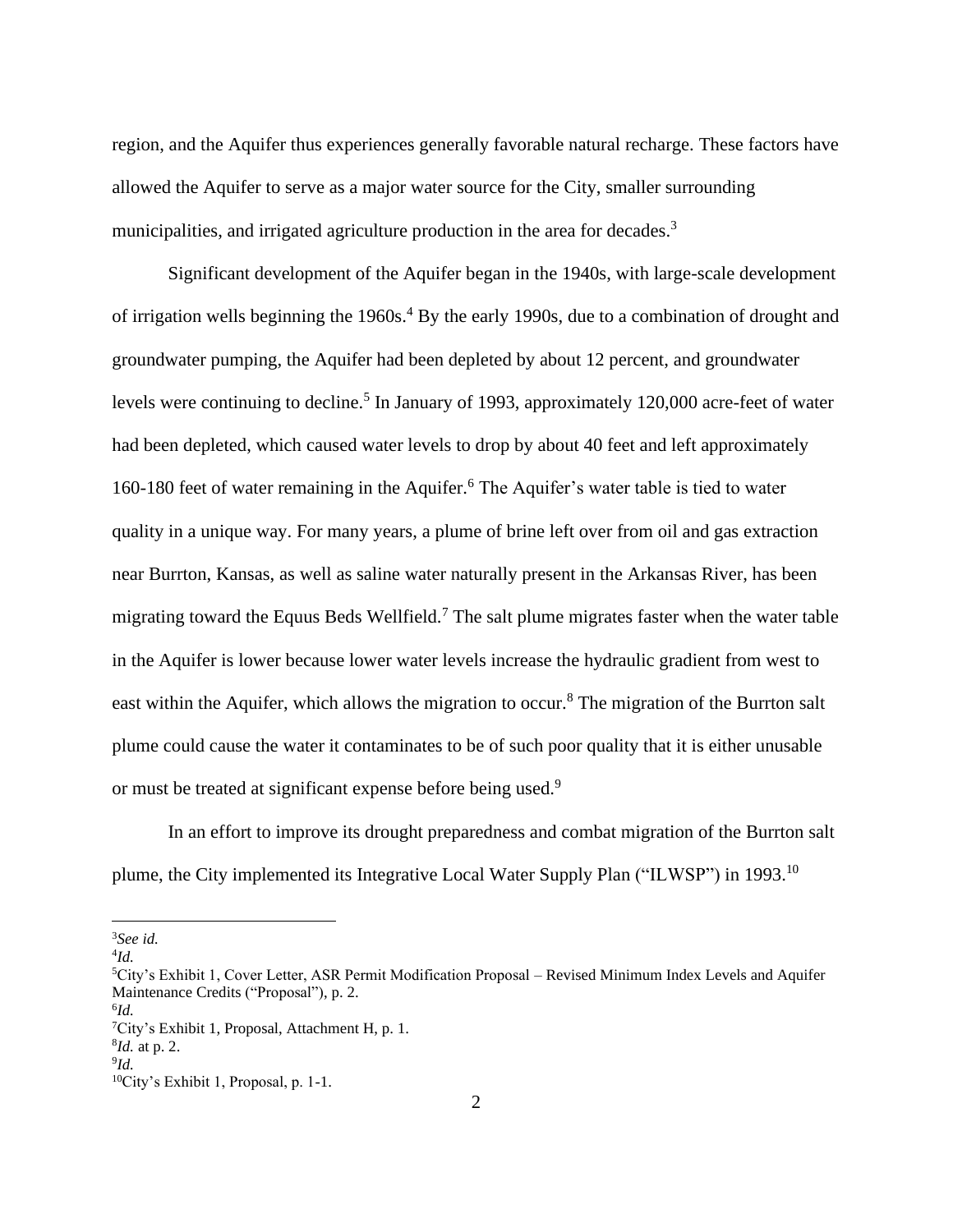region, and the Aquifer thus experiences generally favorable natural recharge. These factors have allowed the Aquifer to serve as a major water source for the City, smaller surrounding municipalities, and irrigated agriculture production in the area for decades.<sup>3</sup>

Significant development of the Aquifer began in the 1940s, with large-scale development of irrigation wells beginning the 1960s.<sup>4</sup> By the early 1990s, due to a combination of drought and groundwater pumping, the Aquifer had been depleted by about 12 percent, and groundwater levels were continuing to decline.<sup>5</sup> In January of 1993, approximately 120,000 acre-feet of water had been depleted, which caused water levels to drop by about 40 feet and left approximately 160-180 feet of water remaining in the Aquifer.<sup>6</sup> The Aquifer's water table is tied to water quality in a unique way. For many years, a plume of brine left over from oil and gas extraction near Burrton, Kansas, as well as saline water naturally present in the Arkansas River, has been migrating toward the Equus Beds Wellfield.<sup>7</sup> The salt plume migrates faster when the water table in the Aquifer is lower because lower water levels increase the hydraulic gradient from west to east within the Aquifer, which allows the migration to occur.<sup>8</sup> The migration of the Burrton salt plume could cause the water it contaminates to be of such poor quality that it is either unusable or must be treated at significant expense before being used.<sup>9</sup>

In an effort to improve its drought preparedness and combat migration of the Burrton salt plume, the City implemented its Integrative Local Water Supply Plan ("ILWSP") in 1993.<sup>10</sup>

<sup>3</sup>*See id.*

<sup>4</sup> *Id.*

<sup>&</sup>lt;sup>5</sup>City's Exhibit 1, Cover Letter, ASR Permit Modification Proposal – Revised Minimum Index Levels and Aquifer Maintenance Credits ("Proposal"), p. 2.

<sup>6</sup> *Id.*

<sup>7</sup>City's Exhibit 1, Proposal, Attachment H, p. 1.

<sup>8</sup> *Id.* at p. 2.

<sup>9</sup> *Id.*

<sup>10</sup>City's Exhibit 1, Proposal, p. 1-1.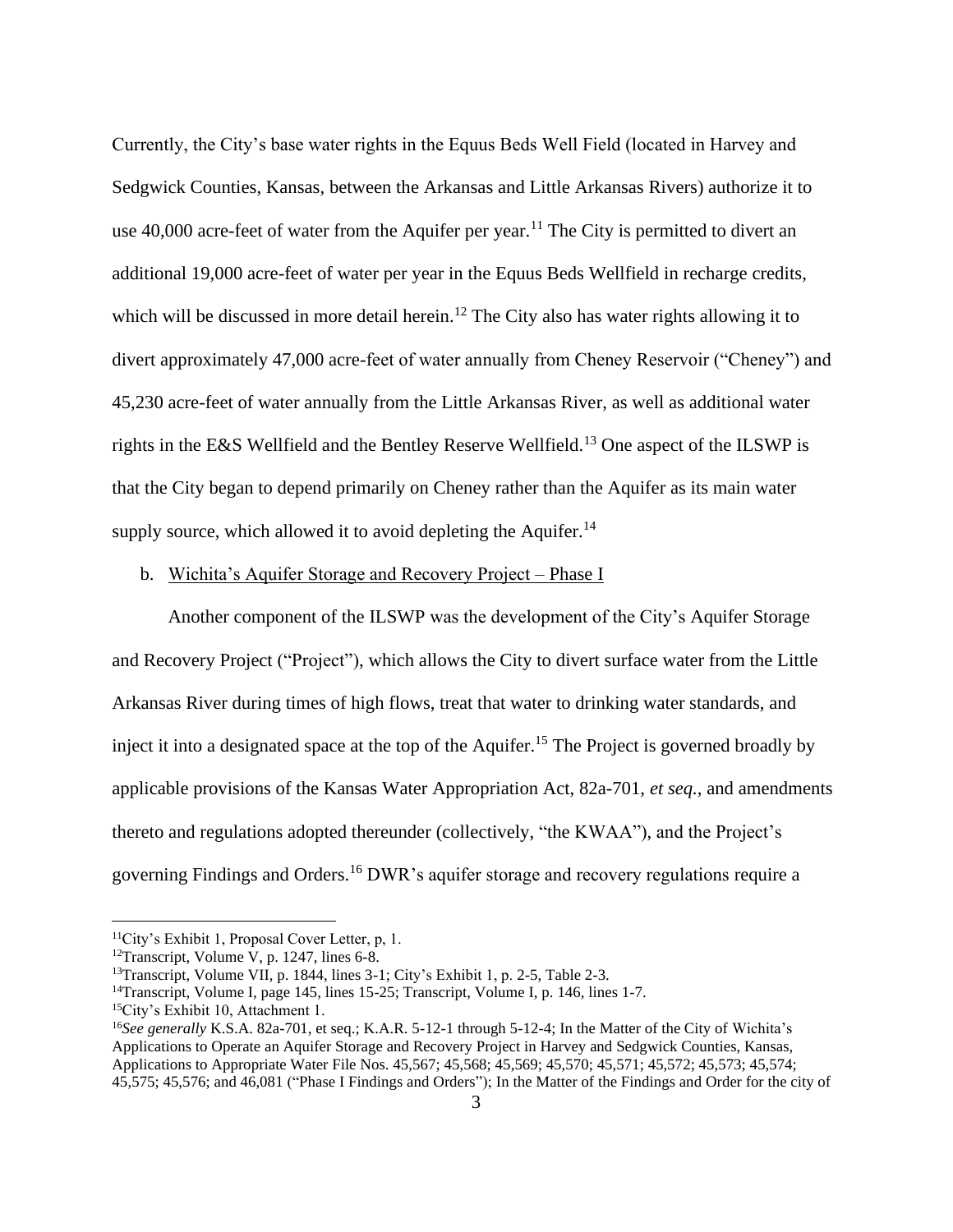Currently, the City's base water rights in the Equus Beds Well Field (located in Harvey and Sedgwick Counties, Kansas, between the Arkansas and Little Arkansas Rivers) authorize it to use  $40,000$  acre-feet of water from the Aquifer per year.<sup>11</sup> The City is permitted to divert an additional 19,000 acre-feet of water per year in the Equus Beds Wellfield in recharge credits, which will be discussed in more detail herein.<sup>12</sup> The City also has water rights allowing it to divert approximately 47,000 acre-feet of water annually from Cheney Reservoir ("Cheney") and 45,230 acre-feet of water annually from the Little Arkansas River, as well as additional water rights in the E&S Wellfield and the Bentley Reserve Wellfield.<sup>13</sup> One aspect of the ILSWP is that the City began to depend primarily on Cheney rather than the Aquifer as its main water supply source, which allowed it to avoid depleting the Aquifer.<sup>14</sup>

#### b. Wichita's Aquifer Storage and Recovery Project – Phase I

Another component of the ILSWP was the development of the City's Aquifer Storage and Recovery Project ("Project"), which allows the City to divert surface water from the Little Arkansas River during times of high flows, treat that water to drinking water standards, and inject it into a designated space at the top of the Aquifer. <sup>15</sup> The Project is governed broadly by applicable provisions of the Kansas Water Appropriation Act, 82a-701, *et seq.*, and amendments thereto and regulations adopted thereunder (collectively, "the KWAA"), and the Project's governing Findings and Orders.<sup>16</sup> DWR's aquifer storage and recovery regulations require a

<sup>11</sup>City's Exhibit 1, Proposal Cover Letter, p, 1.

<sup>&</sup>lt;sup>12</sup>Transcript, Volume V, p. 1247, lines  $6-8$ .

<sup>&</sup>lt;sup>13</sup>Transcript, Volume VII, p. 1844, lines 3-1; City's Exhibit 1, p. 2-5, Table 2-3.

<sup>&</sup>lt;sup>14</sup>Transcript, Volume I, page 145, lines 15-25; Transcript, Volume I, p. 146, lines 1-7.

<sup>15</sup>City's Exhibit 10, Attachment 1.

<sup>&</sup>lt;sup>16</sup>See generally K.S.A. 82a-701, et seq.; K.A.R. 5-12-1 through 5-12-4; In the Matter of the City of Wichita's Applications to Operate an Aquifer Storage and Recovery Project in Harvey and Sedgwick Counties, Kansas, Applications to Appropriate Water File Nos. 45,567; 45,568; 45,569; 45,570; 45,571; 45,572; 45,573; 45,574; 45,575; 45,576; and 46,081 ("Phase I Findings and Orders"); In the Matter of the Findings and Order for the city of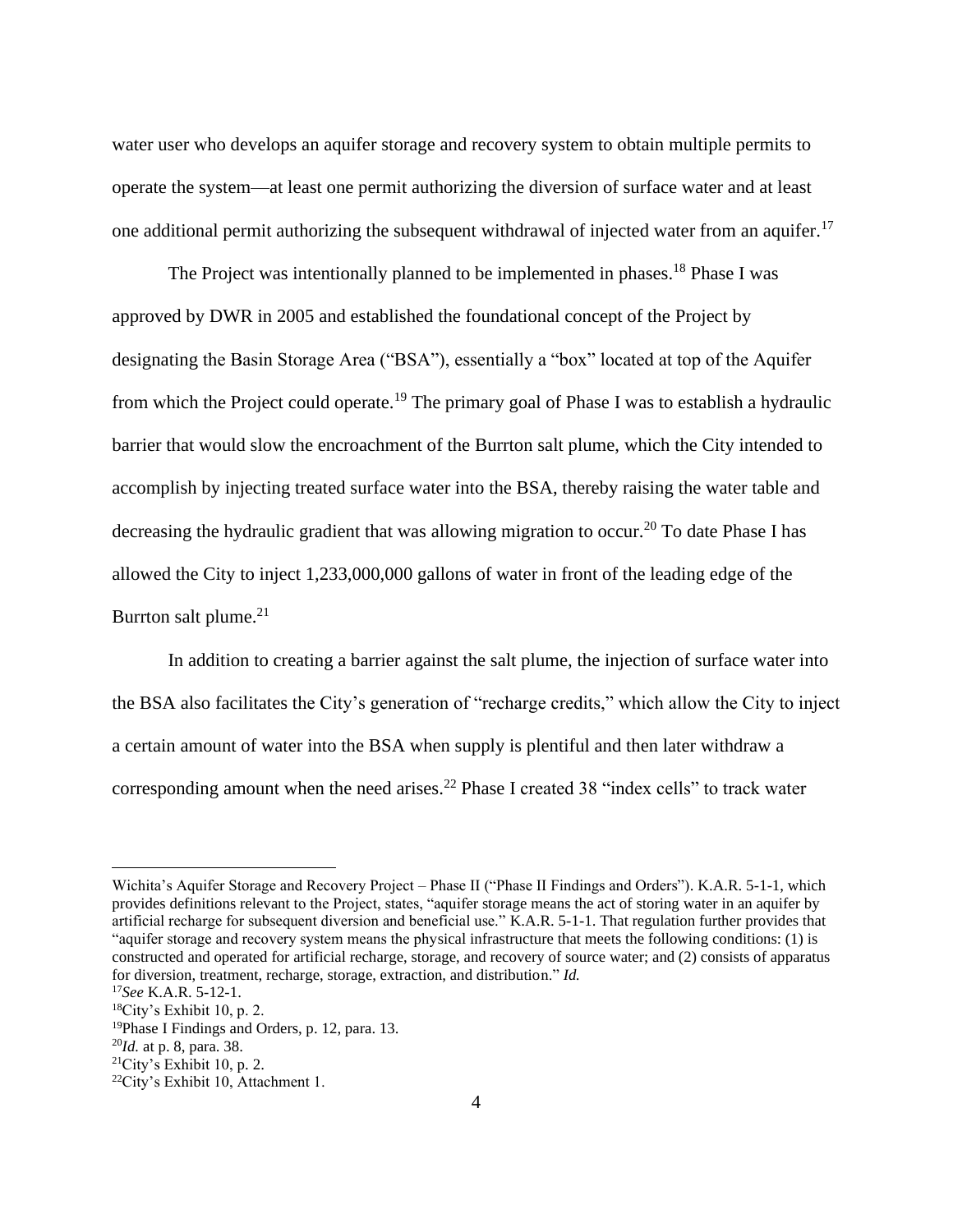water user who develops an aquifer storage and recovery system to obtain multiple permits to operate the system—at least one permit authorizing the diversion of surface water and at least one additional permit authorizing the subsequent withdrawal of injected water from an aquifer.<sup>17</sup>

The Project was intentionally planned to be implemented in phases.<sup>18</sup> Phase I was approved by DWR in 2005 and established the foundational concept of the Project by designating the Basin Storage Area ("BSA"), essentially a "box" located at top of the Aquifer from which the Project could operate.<sup>19</sup> The primary goal of Phase I was to establish a hydraulic barrier that would slow the encroachment of the Burrton salt plume, which the City intended to accomplish by injecting treated surface water into the BSA, thereby raising the water table and decreasing the hydraulic gradient that was allowing migration to occur.<sup>20</sup> To date Phase I has allowed the City to inject 1,233,000,000 gallons of water in front of the leading edge of the Burrton salt plume. $21$ 

In addition to creating a barrier against the salt plume, the injection of surface water into the BSA also facilitates the City's generation of "recharge credits," which allow the City to inject a certain amount of water into the BSA when supply is plentiful and then later withdraw a corresponding amount when the need arises.<sup>22</sup> Phase I created 38 "index cells" to track water

Wichita's Aquifer Storage and Recovery Project – Phase II ("Phase II Findings and Orders"). K.A.R. 5-1-1, which provides definitions relevant to the Project, states, "aquifer storage means the act of storing water in an aquifer by artificial recharge for subsequent diversion and beneficial use." K.A.R. 5-1-1. That regulation further provides that "aquifer storage and recovery system means the physical infrastructure that meets the following conditions: (1) is constructed and operated for artificial recharge, storage, and recovery of source water; and (2) consists of apparatus for diversion, treatment, recharge, storage, extraction, and distribution." *Id.*

<sup>17</sup>*See* K.A.R. 5-12-1.

<sup>18</sup>City's Exhibit 10, p. 2.

<sup>19</sup>Phase I Findings and Orders, p. 12, para. 13.

<sup>20</sup>*Id.* at p. 8, para. 38.

 $21$ City's Exhibit 10, p. 2.

<sup>22</sup>City's Exhibit 10, Attachment 1.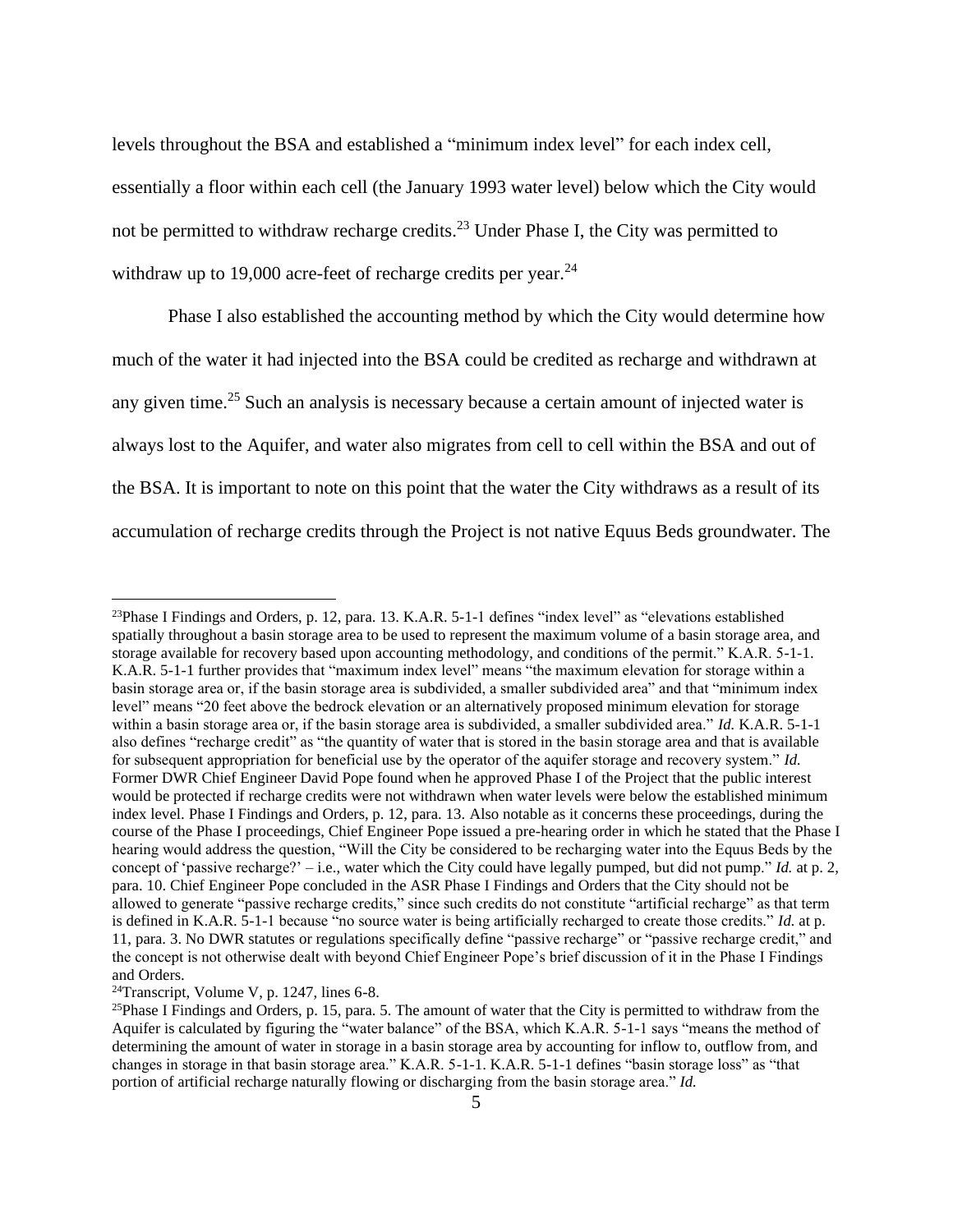levels throughout the BSA and established a "minimum index level" for each index cell, essentially a floor within each cell (the January 1993 water level) below which the City would not be permitted to withdraw recharge credits.<sup>23</sup> Under Phase I, the City was permitted to withdraw up to 19,000 acre-feet of recharge credits per year. $^{24}$ 

Phase I also established the accounting method by which the City would determine how much of the water it had injected into the BSA could be credited as recharge and withdrawn at any given time.<sup>25</sup> Such an analysis is necessary because a certain amount of injected water is always lost to the Aquifer, and water also migrates from cell to cell within the BSA and out of the BSA. It is important to note on this point that the water the City withdraws as a result of its accumulation of recharge credits through the Project is not native Equus Beds groundwater. The

<sup>&</sup>lt;sup>23</sup>Phase I Findings and Orders, p. 12, para. 13. K.A.R.  $5$ -1-1 defines "index level" as "elevations established spatially throughout a basin storage area to be used to represent the maximum volume of a basin storage area, and storage available for recovery based upon accounting methodology, and conditions of the permit." K.A.R. 5-1-1. K.A.R. 5-1-1 further provides that "maximum index level" means "the maximum elevation for storage within a basin storage area or, if the basin storage area is subdivided, a smaller subdivided area" and that "minimum index level" means "20 feet above the bedrock elevation or an alternatively proposed minimum elevation for storage within a basin storage area or, if the basin storage area is subdivided, a smaller subdivided area." *Id.* K.A.R. 5-1-1 also defines "recharge credit" as "the quantity of water that is stored in the basin storage area and that is available for subsequent appropriation for beneficial use by the operator of the aquifer storage and recovery system." *Id.* Former DWR Chief Engineer David Pope found when he approved Phase I of the Project that the public interest would be protected if recharge credits were not withdrawn when water levels were below the established minimum index level. Phase I Findings and Orders, p. 12, para. 13. Also notable as it concerns these proceedings, during the course of the Phase I proceedings, Chief Engineer Pope issued a pre-hearing order in which he stated that the Phase I hearing would address the question, "Will the City be considered to be recharging water into the Equus Beds by the concept of 'passive recharge?' – i.e., water which the City could have legally pumped, but did not pump." *Id.* at p. 2, para. 10. Chief Engineer Pope concluded in the ASR Phase I Findings and Orders that the City should not be allowed to generate "passive recharge credits," since such credits do not constitute "artificial recharge" as that term is defined in K.A.R. 5-1-1 because "no source water is being artificially recharged to create those credits." *Id.* at p. 11, para. 3. No DWR statutes or regulations specifically define "passive recharge" or "passive recharge credit," and the concept is not otherwise dealt with beyond Chief Engineer Pope's brief discussion of it in the Phase I Findings and Orders.

 $24$ Transcript, Volume V, p. 1247, lines 6-8.

<sup>&</sup>lt;sup>25</sup>Phase I Findings and Orders, p. 15, para. 5. The amount of water that the City is permitted to withdraw from the Aquifer is calculated by figuring the "water balance" of the BSA, which K.A.R. 5-1-1 says "means the method of determining the amount of water in storage in a basin storage area by accounting for inflow to, outflow from, and changes in storage in that basin storage area." K.A.R. 5-1-1. K.A.R. 5-1-1 defines "basin storage loss" as "that portion of artificial recharge naturally flowing or discharging from the basin storage area." *Id.*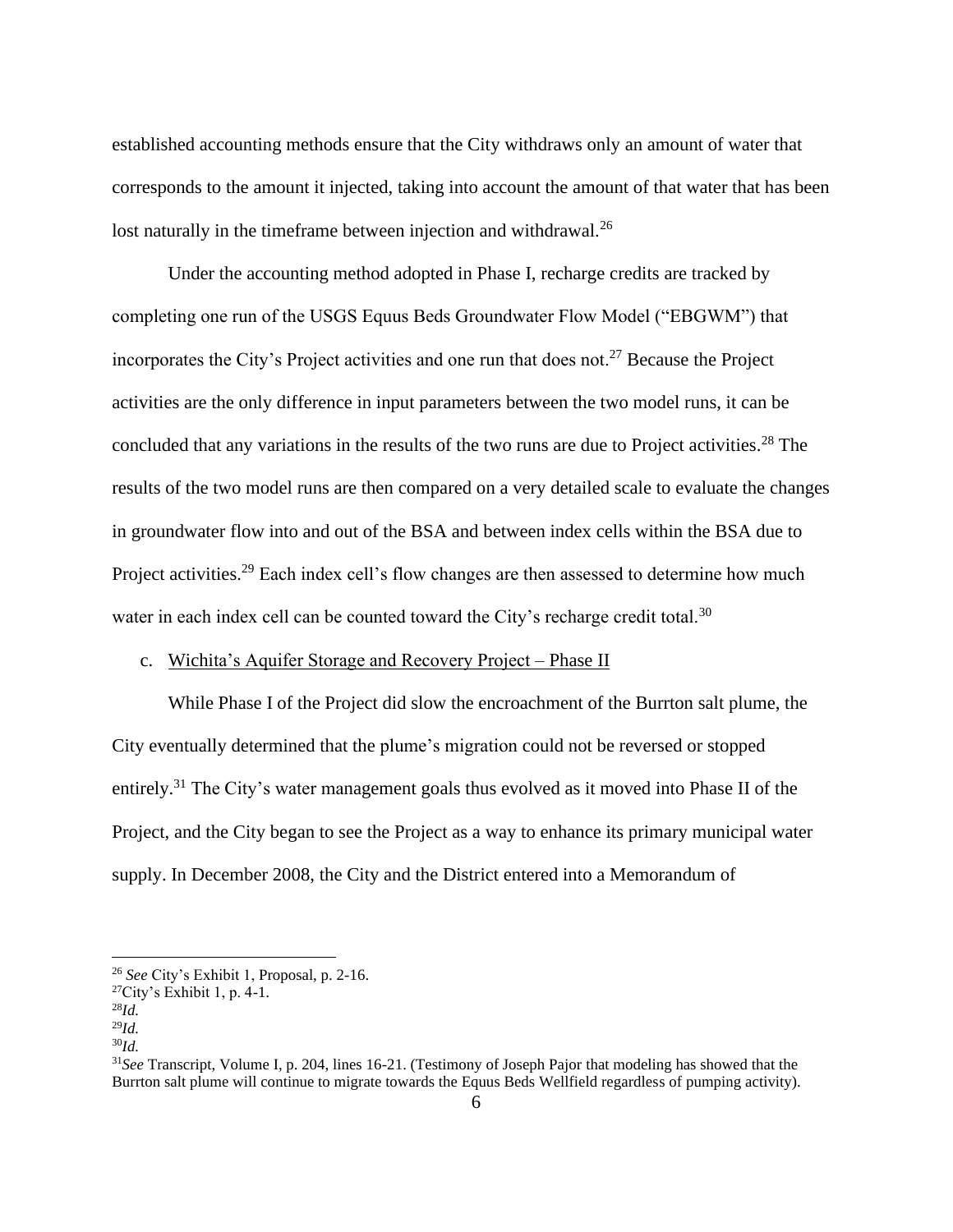established accounting methods ensure that the City withdraws only an amount of water that corresponds to the amount it injected, taking into account the amount of that water that has been lost naturally in the timeframe between injection and withdrawal.<sup>26</sup>

Under the accounting method adopted in Phase I, recharge credits are tracked by completing one run of the USGS Equus Beds Groundwater Flow Model ("EBGWM") that incorporates the City's Project activities and one run that does not.<sup>27</sup> Because the Project activities are the only difference in input parameters between the two model runs, it can be concluded that any variations in the results of the two runs are due to Project activities.<sup>28</sup> The results of the two model runs are then compared on a very detailed scale to evaluate the changes in groundwater flow into and out of the BSA and between index cells within the BSA due to Project activities.<sup>29</sup> Each index cell's flow changes are then assessed to determine how much water in each index cell can be counted toward the City's recharge credit total.<sup>30</sup>

## c. Wichita's Aquifer Storage and Recovery Project – Phase II

While Phase I of the Project did slow the encroachment of the Burrton salt plume, the City eventually determined that the plume's migration could not be reversed or stopped entirely.<sup>31</sup> The City's water management goals thus evolved as it moved into Phase II of the Project, and the City began to see the Project as a way to enhance its primary municipal water supply. In December 2008, the City and the District entered into a Memorandum of

<sup>26</sup> *See* City's Exhibit 1, Proposal, p. 2-16.

 $^{27}$ City's Exhibit 1, p. 4-1.

<sup>28</sup>*Id.*

<sup>29</sup>*Id.*

<sup>30</sup>*Id.*

<sup>31</sup>*See* Transcript, Volume I, p. 204, lines 16-21. (Testimony of Joseph Pajor that modeling has showed that the Burrton salt plume will continue to migrate towards the Equus Beds Wellfield regardless of pumping activity).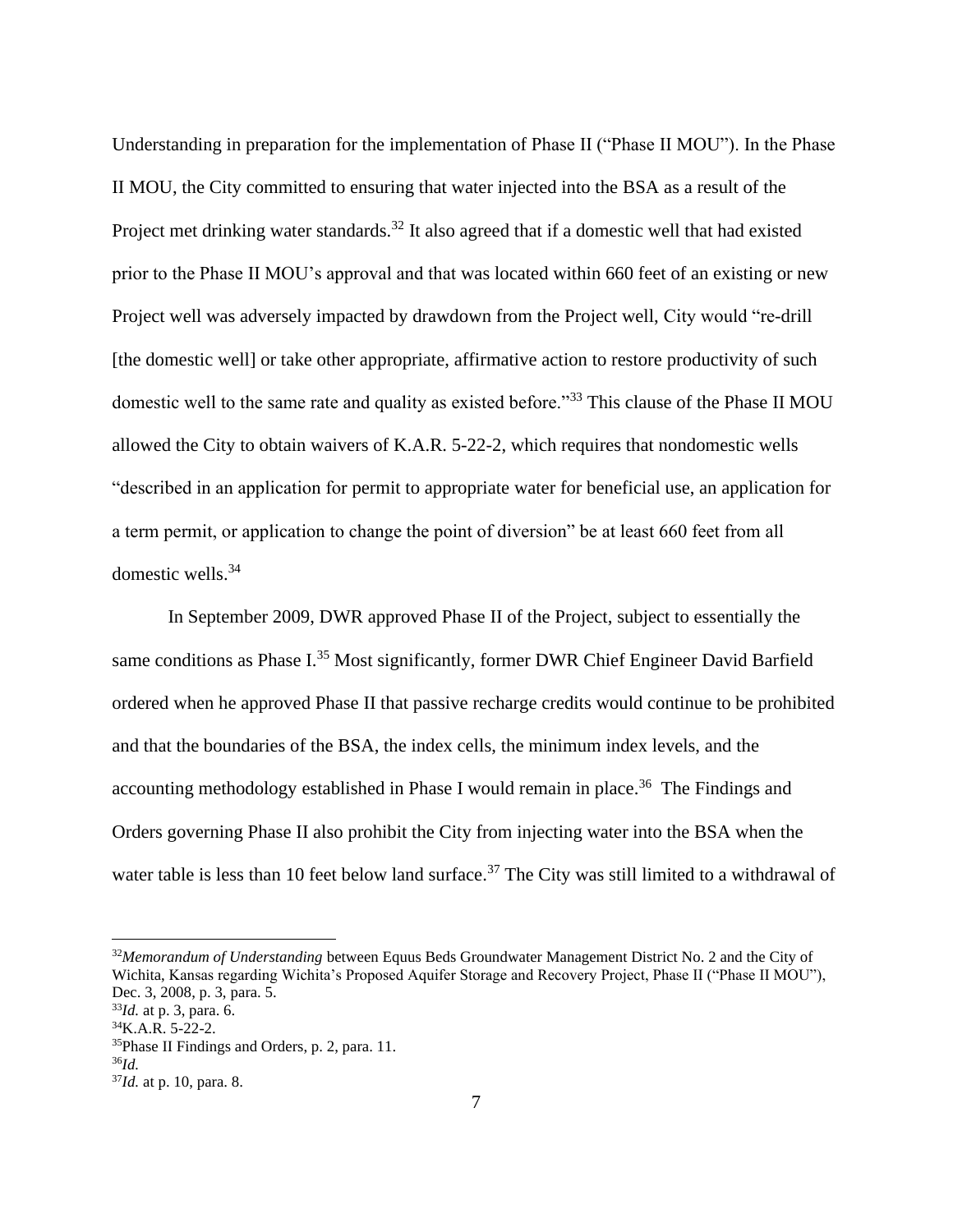Understanding in preparation for the implementation of Phase II ("Phase II MOU"). In the Phase II MOU, the City committed to ensuring that water injected into the BSA as a result of the Project met drinking water standards.<sup>32</sup> It also agreed that if a domestic well that had existed prior to the Phase II MOU's approval and that was located within 660 feet of an existing or new Project well was adversely impacted by drawdown from the Project well, City would "re-drill [the domestic well] or take other appropriate, affirmative action to restore productivity of such domestic well to the same rate and quality as existed before."<sup>33</sup> This clause of the Phase II MOU allowed the City to obtain waivers of K.A.R. 5-22-2, which requires that nondomestic wells "described in an application for permit to appropriate water for beneficial use, an application for a term permit, or application to change the point of diversion" be at least 660 feet from all domestic wells.<sup>34</sup>

In September 2009, DWR approved Phase II of the Project, subject to essentially the same conditions as Phase I.<sup>35</sup> Most significantly, former DWR Chief Engineer David Barfield ordered when he approved Phase II that passive recharge credits would continue to be prohibited and that the boundaries of the BSA, the index cells, the minimum index levels, and the accounting methodology established in Phase I would remain in place.<sup>36</sup> The Findings and Orders governing Phase II also prohibit the City from injecting water into the BSA when the water table is less than 10 feet below land surface.<sup>37</sup> The City was still limited to a withdrawal of

<sup>32</sup>*Memorandum of Understanding* between Equus Beds Groundwater Management District No. 2 and the City of Wichita, Kansas regarding Wichita's Proposed Aquifer Storage and Recovery Project, Phase II ("Phase II MOU"), Dec. 3, 2008, p. 3, para. 5.

<sup>33</sup>*Id.* at p. 3, para. 6.

 $34$ K.A.R. 5-22-2.

<sup>35</sup>Phase II Findings and Orders, p. 2, para. 11.

<sup>36</sup>*Id.*

<sup>37</sup>*Id.* at p. 10, para. 8.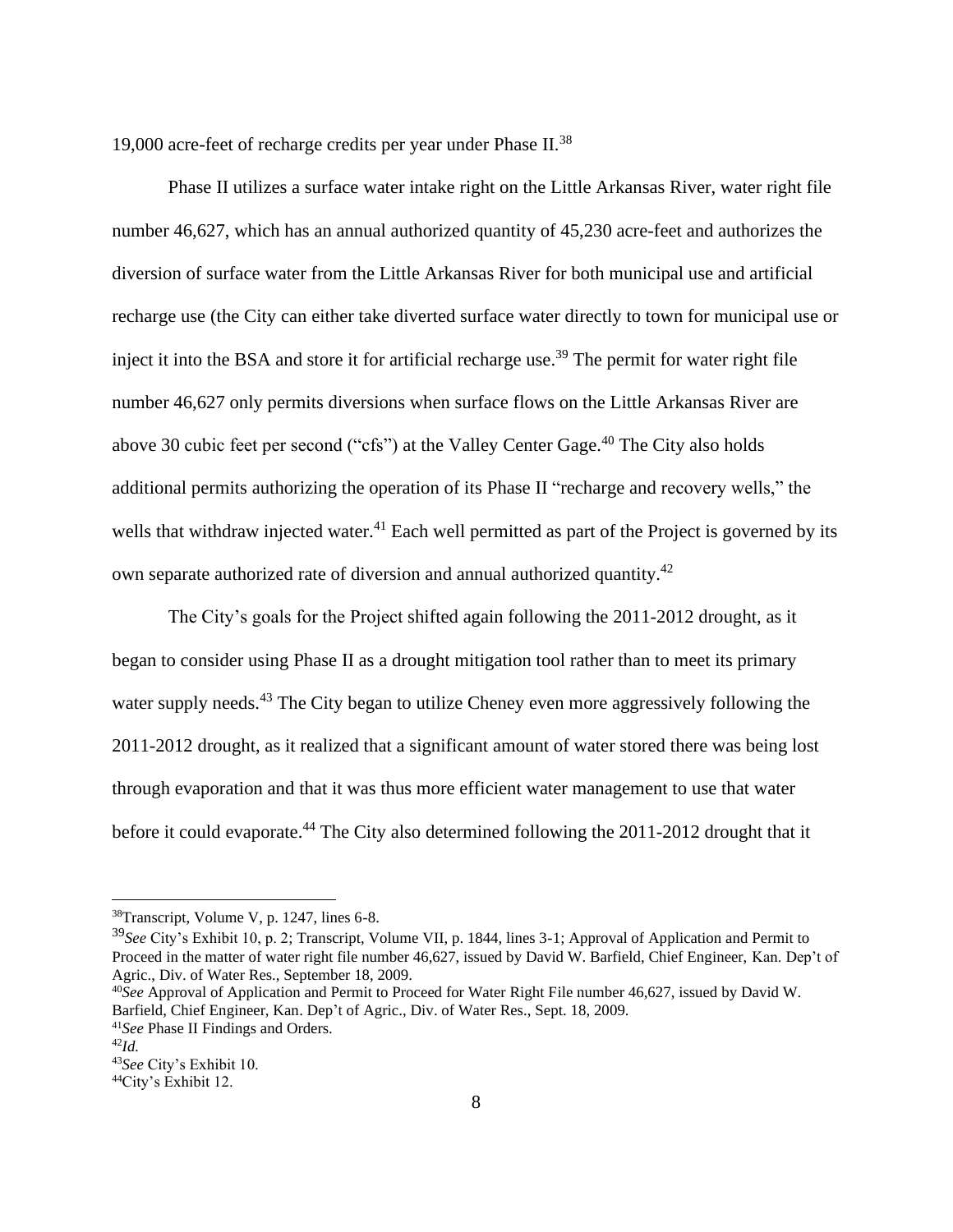19,000 acre-feet of recharge credits per year under Phase  $II^{38}$ .

Phase II utilizes a surface water intake right on the Little Arkansas River, water right file number 46,627, which has an annual authorized quantity of 45,230 acre-feet and authorizes the diversion of surface water from the Little Arkansas River for both municipal use and artificial recharge use (the City can either take diverted surface water directly to town for municipal use or inject it into the BSA and store it for artificial recharge use.<sup>39</sup> The permit for water right file number 46,627 only permits diversions when surface flows on the Little Arkansas River are above 30 cubic feet per second ("cfs") at the Valley Center Gage.<sup>40</sup> The City also holds additional permits authorizing the operation of its Phase II "recharge and recovery wells," the wells that withdraw injected water.<sup>41</sup> Each well permitted as part of the Project is governed by its own separate authorized rate of diversion and annual authorized quantity.<sup>42</sup>

The City's goals for the Project shifted again following the 2011-2012 drought, as it began to consider using Phase II as a drought mitigation tool rather than to meet its primary water supply needs.<sup>43</sup> The City began to utilize Cheney even more aggressively following the 2011-2012 drought, as it realized that a significant amount of water stored there was being lost through evaporation and that it was thus more efficient water management to use that water before it could evaporate.<sup>44</sup> The City also determined following the 2011-2012 drought that it

<sup>38</sup>Transcript, Volume V, p. 1247, lines 6-8.

<sup>39</sup>*See* City's Exhibit 10, p. 2; Transcript, Volume VII, p. 1844, lines 3-1; Approval of Application and Permit to Proceed in the matter of water right file number 46,627, issued by David W. Barfield, Chief Engineer, Kan. Dep't of Agric., Div. of Water Res., September 18, 2009.

<sup>40</sup>*See* Approval of Application and Permit to Proceed for Water Right File number 46,627, issued by David W. Barfield, Chief Engineer, Kan. Dep't of Agric., Div. of Water Res., Sept. 18, 2009.

<sup>41</sup>*See* Phase II Findings and Orders.

<sup>42</sup>*Id.*

<sup>43</sup>*See* City's Exhibit 10.

<sup>44</sup>City's Exhibit 12.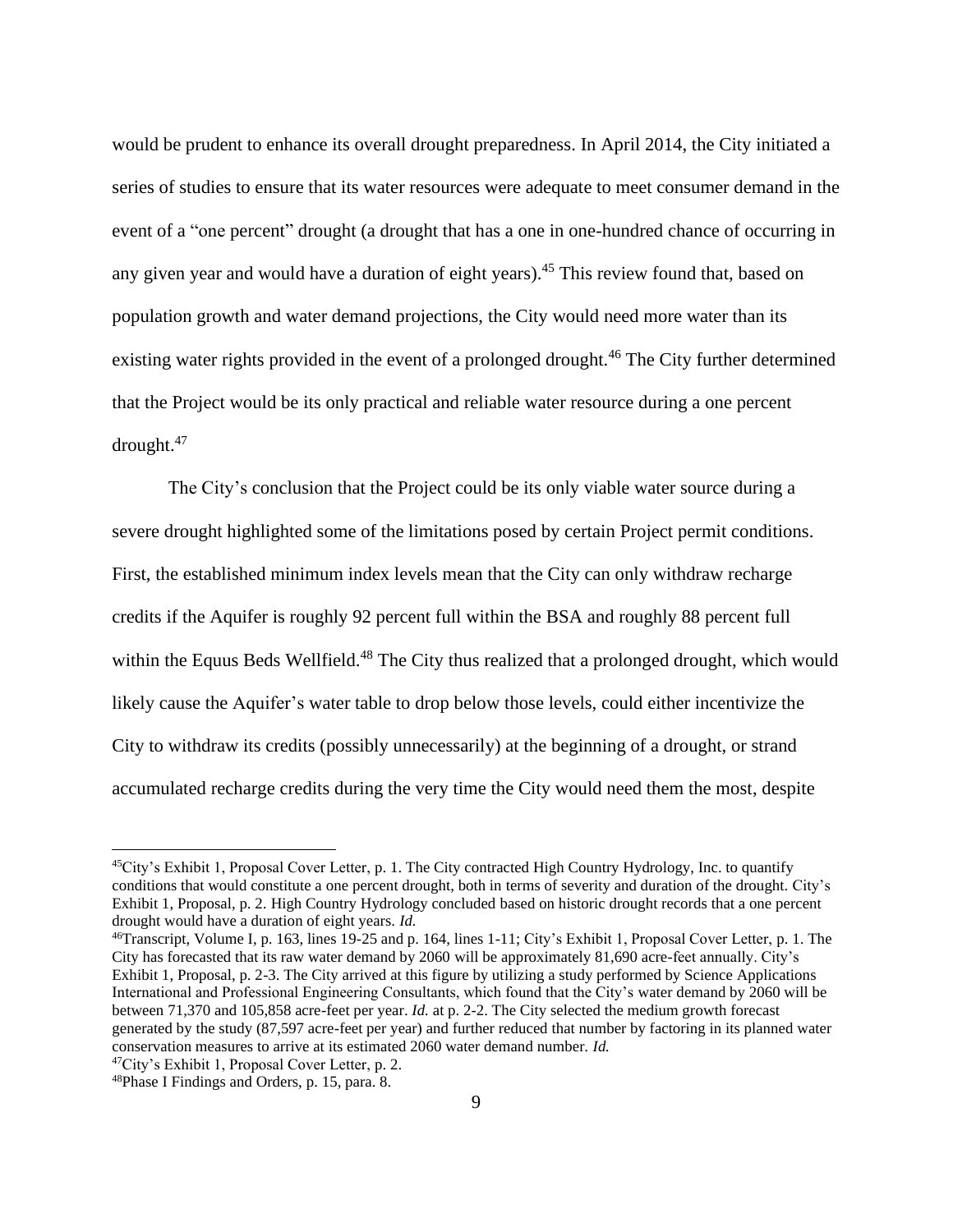would be prudent to enhance its overall drought preparedness. In April 2014, the City initiated a series of studies to ensure that its water resources were adequate to meet consumer demand in the event of a "one percent" drought (a drought that has a one in one-hundred chance of occurring in any given year and would have a duration of eight years). <sup>45</sup> This review found that, based on population growth and water demand projections, the City would need more water than its existing water rights provided in the event of a prolonged drought.<sup>46</sup> The City further determined that the Project would be its only practical and reliable water resource during a one percent drought.<sup>47</sup>

The City's conclusion that the Project could be its only viable water source during a severe drought highlighted some of the limitations posed by certain Project permit conditions. First, the established minimum index levels mean that the City can only withdraw recharge credits if the Aquifer is roughly 92 percent full within the BSA and roughly 88 percent full within the Equus Beds Wellfield.<sup>48</sup> The City thus realized that a prolonged drought, which would likely cause the Aquifer's water table to drop below those levels, could either incentivize the City to withdraw its credits (possibly unnecessarily) at the beginning of a drought, or strand accumulated recharge credits during the very time the City would need them the most, despite

<sup>45</sup>City's Exhibit 1, Proposal Cover Letter, p. 1. The City contracted High Country Hydrology, Inc. to quantify conditions that would constitute a one percent drought, both in terms of severity and duration of the drought. City's Exhibit 1, Proposal, p. 2. High Country Hydrology concluded based on historic drought records that a one percent drought would have a duration of eight years. *Id.*

<sup>46</sup>Transcript, Volume I, p. 163, lines 19-25 and p. 164, lines 1-11; City's Exhibit 1, Proposal Cover Letter, p. 1. The City has forecasted that its raw water demand by 2060 will be approximately 81,690 acre-feet annually. City's Exhibit 1, Proposal, p. 2-3. The City arrived at this figure by utilizing a study performed by Science Applications International and Professional Engineering Consultants, which found that the City's water demand by 2060 will be between 71,370 and 105,858 acre-feet per year. *Id.* at p. 2-2. The City selected the medium growth forecast generated by the study (87,597 acre-feet per year) and further reduced that number by factoring in its planned water conservation measures to arrive at its estimated 2060 water demand number. *Id.*

<sup>47</sup>City's Exhibit 1, Proposal Cover Letter, p. 2.

<sup>48</sup>Phase I Findings and Orders, p. 15, para. 8.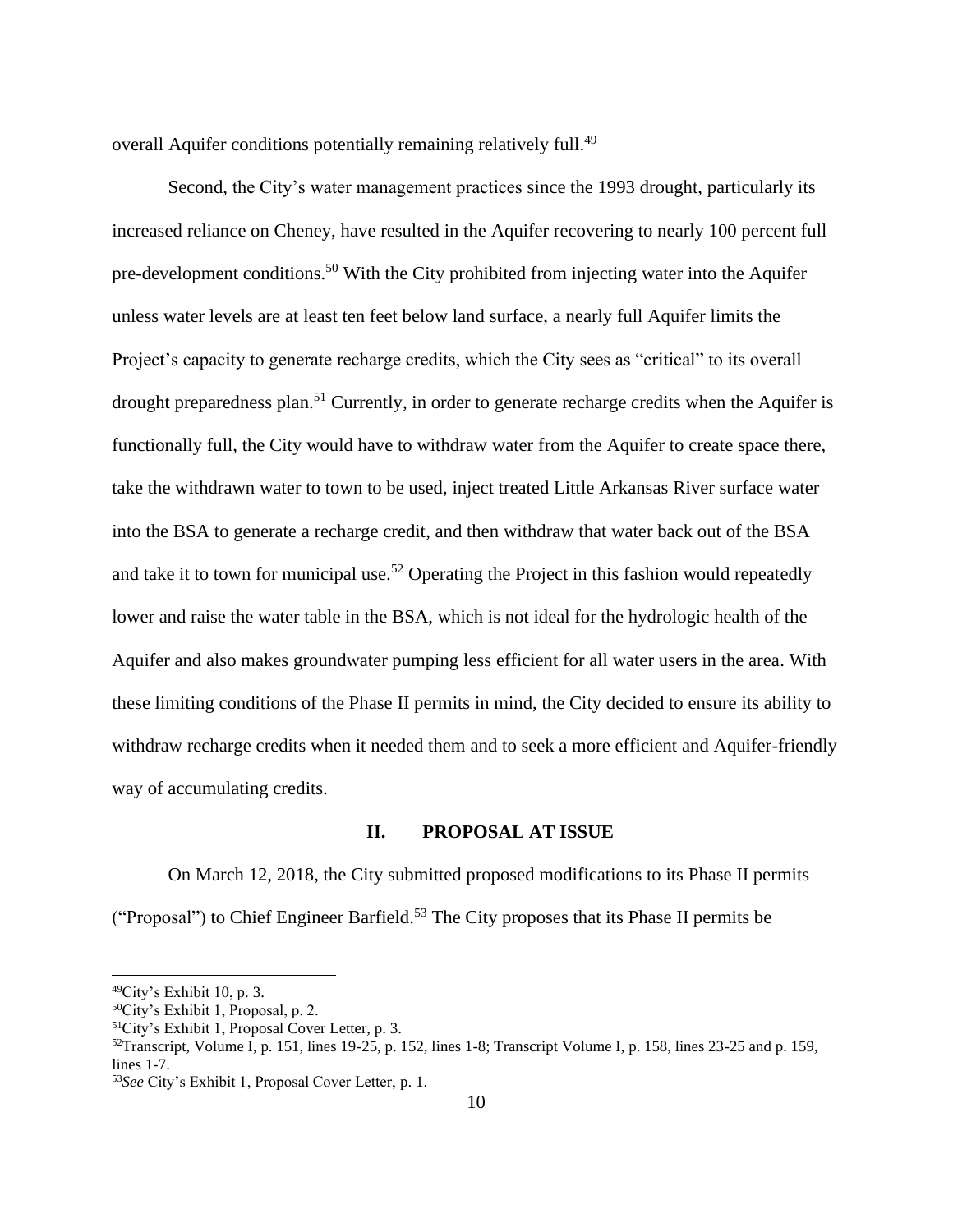overall Aquifer conditions potentially remaining relatively full.<sup>49</sup>

Second, the City's water management practices since the 1993 drought, particularly its increased reliance on Cheney, have resulted in the Aquifer recovering to nearly 100 percent full pre-development conditions.<sup>50</sup> With the City prohibited from injecting water into the Aquifer unless water levels are at least ten feet below land surface, a nearly full Aquifer limits the Project's capacity to generate recharge credits, which the City sees as "critical" to its overall drought preparedness plan.<sup>51</sup> Currently, in order to generate recharge credits when the Aquifer is functionally full, the City would have to withdraw water from the Aquifer to create space there, take the withdrawn water to town to be used, inject treated Little Arkansas River surface water into the BSA to generate a recharge credit, and then withdraw that water back out of the BSA and take it to town for municipal use.<sup>52</sup> Operating the Project in this fashion would repeatedly lower and raise the water table in the BSA, which is not ideal for the hydrologic health of the Aquifer and also makes groundwater pumping less efficient for all water users in the area. With these limiting conditions of the Phase II permits in mind, the City decided to ensure its ability to withdraw recharge credits when it needed them and to seek a more efficient and Aquifer-friendly way of accumulating credits.

### **II. PROPOSAL AT ISSUE**

On March 12, 2018, the City submitted proposed modifications to its Phase II permits ("Proposal") to Chief Engineer Barfield.<sup>53</sup> The City proposes that its Phase II permits be

<sup>49</sup>City's Exhibit 10, p. 3.

<sup>50</sup>City's Exhibit 1, Proposal, p. 2.

<sup>51</sup>City's Exhibit 1, Proposal Cover Letter, p. 3.

 $52$ Transcript, Volume I, p. 151, lines 19-25, p. 152, lines 1-8; Transcript Volume I, p. 158, lines 23-25 and p. 159, lines 1-7.

<sup>53</sup>*See* City's Exhibit 1, Proposal Cover Letter, p. 1.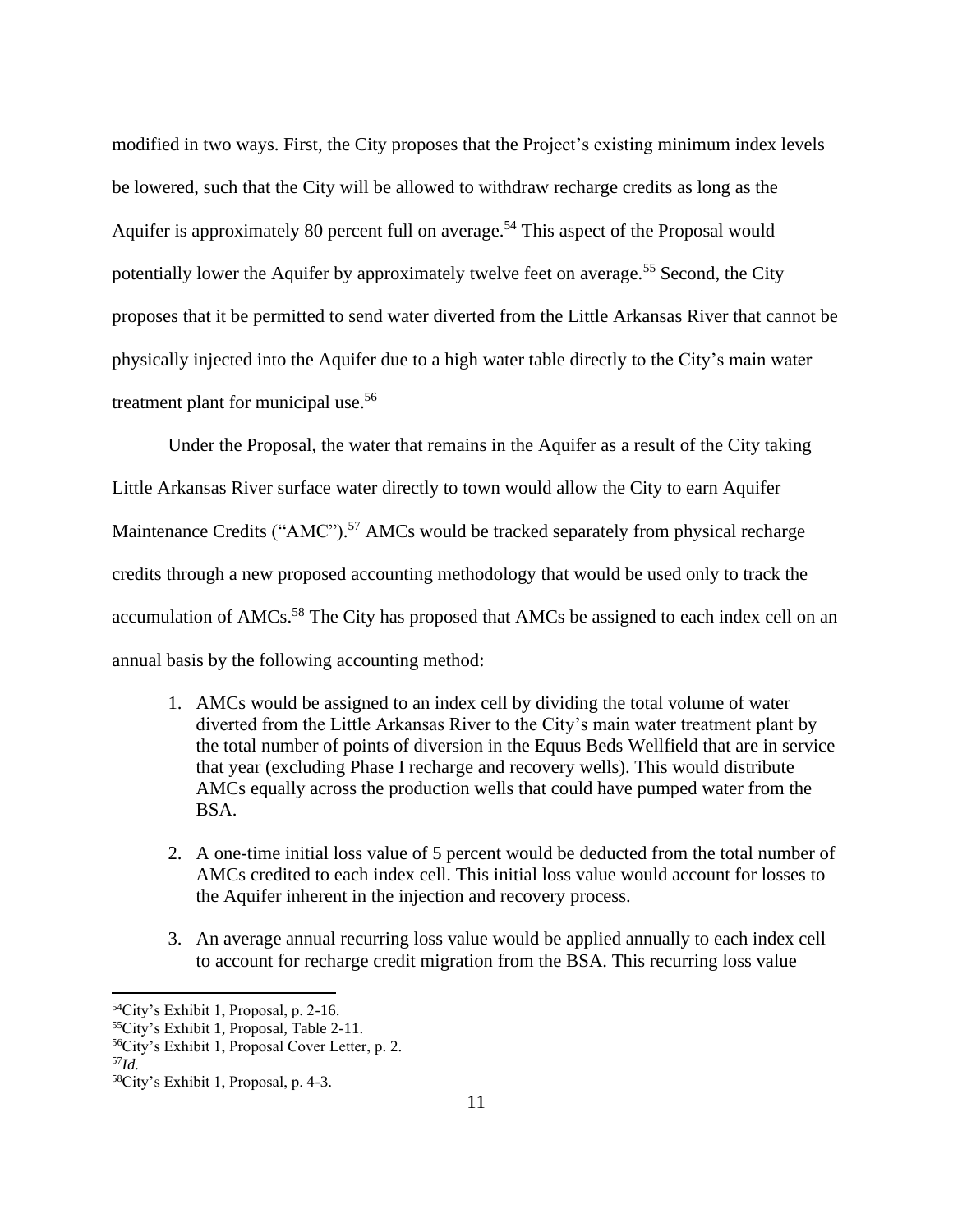modified in two ways. First, the City proposes that the Project's existing minimum index levels be lowered, such that the City will be allowed to withdraw recharge credits as long as the Aquifer is approximately 80 percent full on average.<sup>54</sup> This aspect of the Proposal would potentially lower the Aquifer by approximately twelve feet on average.<sup>55</sup> Second, the City proposes that it be permitted to send water diverted from the Little Arkansas River that cannot be physically injected into the Aquifer due to a high water table directly to the City's main water treatment plant for municipal use.<sup>56</sup>

Under the Proposal, the water that remains in the Aquifer as a result of the City taking Little Arkansas River surface water directly to town would allow the City to earn Aquifer Maintenance Credits ("AMC").<sup>57</sup> AMCs would be tracked separately from physical recharge credits through a new proposed accounting methodology that would be used only to track the accumulation of AMCs.<sup>58</sup> The City has proposed that AMCs be assigned to each index cell on an annual basis by the following accounting method:

- 1. AMCs would be assigned to an index cell by dividing the total volume of water diverted from the Little Arkansas River to the City's main water treatment plant by the total number of points of diversion in the Equus Beds Wellfield that are in service that year (excluding Phase I recharge and recovery wells). This would distribute AMCs equally across the production wells that could have pumped water from the BSA.
- 2. A one-time initial loss value of 5 percent would be deducted from the total number of AMCs credited to each index cell. This initial loss value would account for losses to the Aquifer inherent in the injection and recovery process.
- 3. An average annual recurring loss value would be applied annually to each index cell to account for recharge credit migration from the BSA. This recurring loss value

<sup>54</sup>City's Exhibit 1, Proposal, p. 2-16.

<sup>55</sup>City's Exhibit 1, Proposal, Table 2-11.

<sup>56</sup>City's Exhibit 1, Proposal Cover Letter, p. 2.

<sup>57</sup>*Id.*

<sup>58</sup>City's Exhibit 1, Proposal, p. 4-3.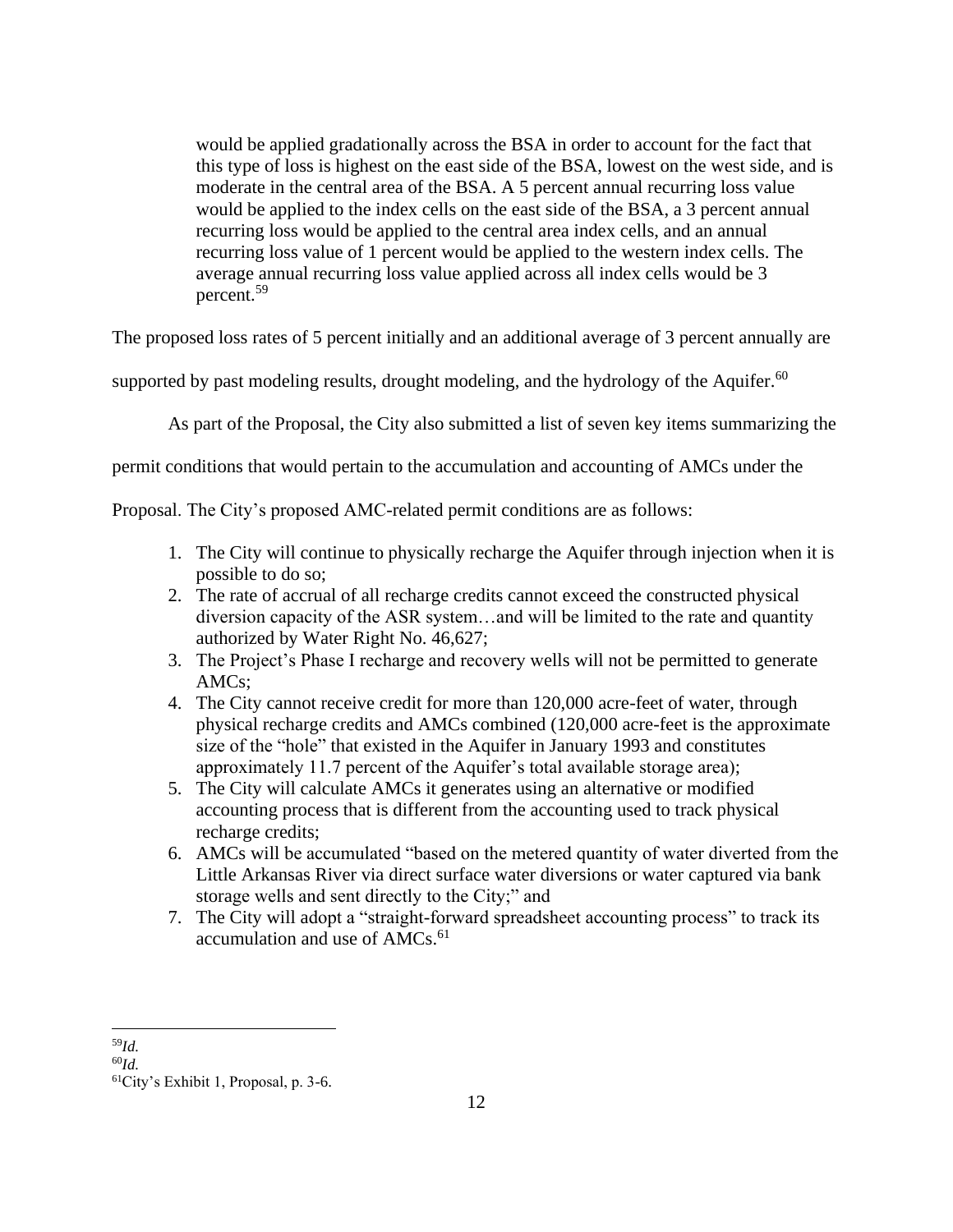would be applied gradationally across the BSA in order to account for the fact that this type of loss is highest on the east side of the BSA, lowest on the west side, and is moderate in the central area of the BSA. A 5 percent annual recurring loss value would be applied to the index cells on the east side of the BSA, a 3 percent annual recurring loss would be applied to the central area index cells, and an annual recurring loss value of 1 percent would be applied to the western index cells. The average annual recurring loss value applied across all index cells would be 3 percent.<sup>59</sup>

The proposed loss rates of 5 percent initially and an additional average of 3 percent annually are

supported by past modeling results, drought modeling, and the hydrology of the Aquifer.<sup>60</sup>

As part of the Proposal, the City also submitted a list of seven key items summarizing the

permit conditions that would pertain to the accumulation and accounting of AMCs under the

Proposal. The City's proposed AMC-related permit conditions are as follows:

- 1. The City will continue to physically recharge the Aquifer through injection when it is possible to do so;
- 2. The rate of accrual of all recharge credits cannot exceed the constructed physical diversion capacity of the ASR system…and will be limited to the rate and quantity authorized by Water Right No. 46,627;
- 3. The Project's Phase I recharge and recovery wells will not be permitted to generate AMCs;
- 4. The City cannot receive credit for more than 120,000 acre-feet of water, through physical recharge credits and AMCs combined (120,000 acre-feet is the approximate size of the "hole" that existed in the Aquifer in January 1993 and constitutes approximately 11.7 percent of the Aquifer's total available storage area);
- 5. The City will calculate AMCs it generates using an alternative or modified accounting process that is different from the accounting used to track physical recharge credits;
- 6. AMCs will be accumulated "based on the metered quantity of water diverted from the Little Arkansas River via direct surface water diversions or water captured via bank storage wells and sent directly to the City;" and
- 7. The City will adopt a "straight-forward spreadsheet accounting process" to track its accumulation and use of  $AMCs.<sup>61</sup>$

<sup>59</sup>*Id.*

<sup>60</sup>*Id.*

<sup>61</sup>City's Exhibit 1, Proposal, p. 3-6.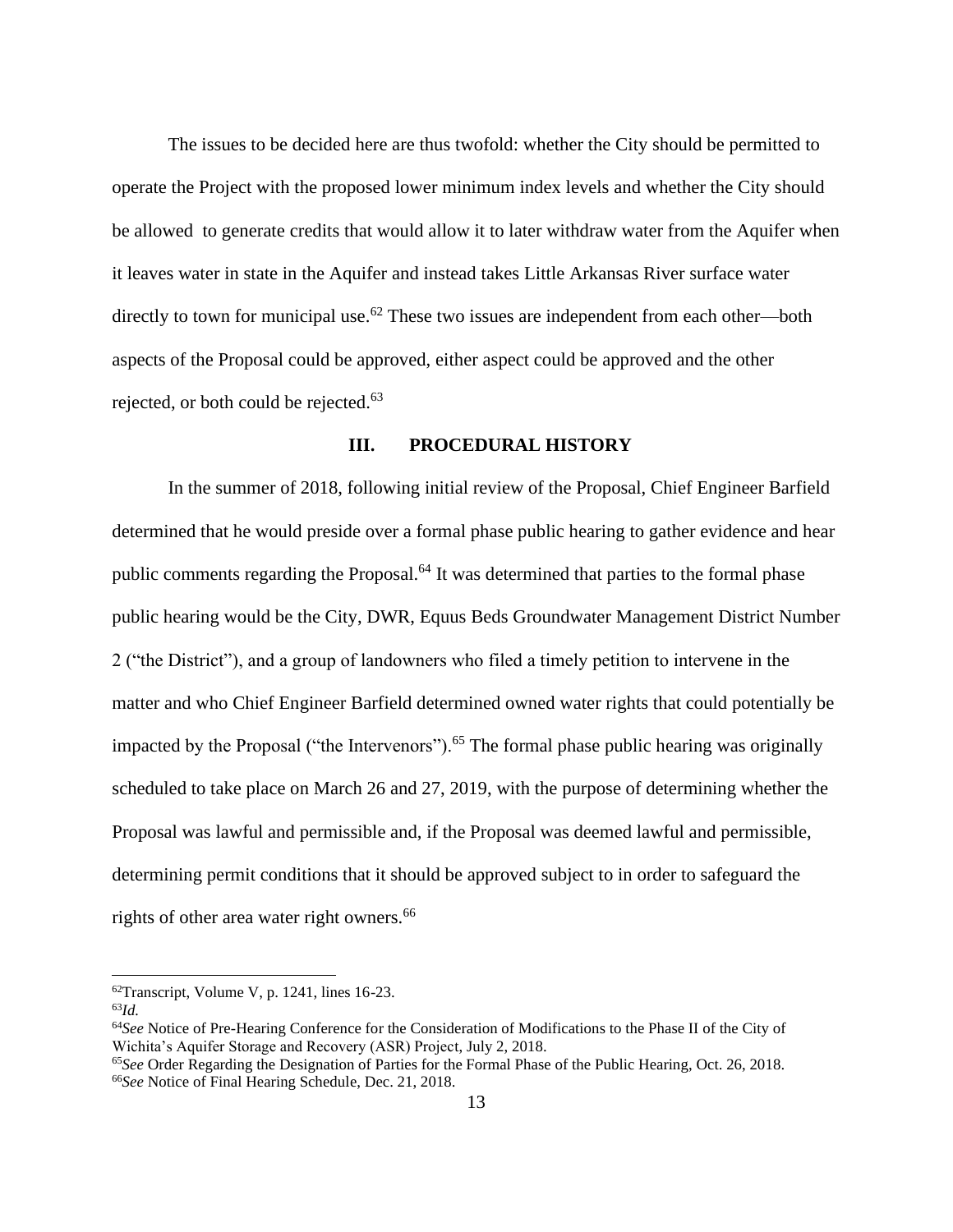The issues to be decided here are thus twofold: whether the City should be permitted to operate the Project with the proposed lower minimum index levels and whether the City should be allowed to generate credits that would allow it to later withdraw water from the Aquifer when it leaves water in state in the Aquifer and instead takes Little Arkansas River surface water directly to town for municipal use.<sup>62</sup> These two issues are independent from each other—both aspects of the Proposal could be approved, either aspect could be approved and the other rejected, or both could be rejected.<sup>63</sup>

### **III. PROCEDURAL HISTORY**

In the summer of 2018, following initial review of the Proposal, Chief Engineer Barfield determined that he would preside over a formal phase public hearing to gather evidence and hear public comments regarding the Proposal.<sup>64</sup> It was determined that parties to the formal phase public hearing would be the City, DWR, Equus Beds Groundwater Management District Number 2 ("the District"), and a group of landowners who filed a timely petition to intervene in the matter and who Chief Engineer Barfield determined owned water rights that could potentially be impacted by the Proposal ("the Intervenors").<sup>65</sup> The formal phase public hearing was originally scheduled to take place on March 26 and 27, 2019, with the purpose of determining whether the Proposal was lawful and permissible and, if the Proposal was deemed lawful and permissible, determining permit conditions that it should be approved subject to in order to safeguard the rights of other area water right owners.<sup>66</sup>

 $62$ Transcript, Volume V, p. 1241, lines 16-23.

<sup>63</sup>*Id.*

<sup>64</sup>*See* Notice of Pre-Hearing Conference for the Consideration of Modifications to the Phase II of the City of Wichita's Aquifer Storage and Recovery (ASR) Project, July 2, 2018.

<sup>65</sup>*See* Order Regarding the Designation of Parties for the Formal Phase of the Public Hearing, Oct. 26, 2018. 66*See* Notice of Final Hearing Schedule, Dec. 21, 2018.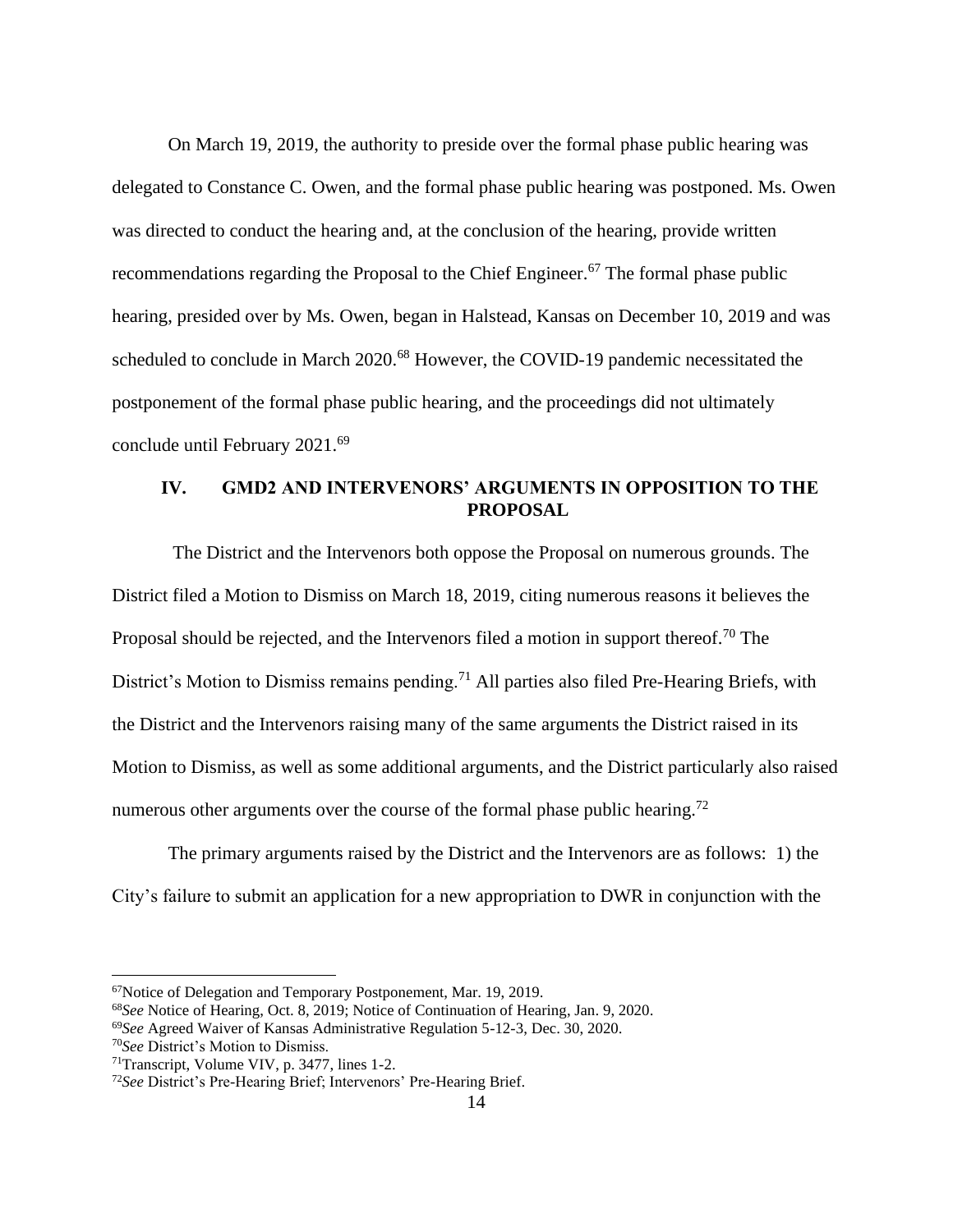On March 19, 2019, the authority to preside over the formal phase public hearing was delegated to Constance C. Owen, and the formal phase public hearing was postponed. Ms. Owen was directed to conduct the hearing and, at the conclusion of the hearing, provide written recommendations regarding the Proposal to the Chief Engineer.<sup>67</sup> The formal phase public hearing, presided over by Ms. Owen, began in Halstead, Kansas on December 10, 2019 and was scheduled to conclude in March 2020.<sup>68</sup> However, the COVID-19 pandemic necessitated the postponement of the formal phase public hearing, and the proceedings did not ultimately conclude until February 2021.<sup>69</sup>

## **IV. GMD2 AND INTERVENORS' ARGUMENTS IN OPPOSITION TO THE PROPOSAL**

The District and the Intervenors both oppose the Proposal on numerous grounds. The District filed a Motion to Dismiss on March 18, 2019, citing numerous reasons it believes the Proposal should be rejected, and the Intervenors filed a motion in support thereof.<sup>70</sup> The District's Motion to Dismiss remains pending.<sup>71</sup> All parties also filed Pre-Hearing Briefs, with the District and the Intervenors raising many of the same arguments the District raised in its Motion to Dismiss, as well as some additional arguments, and the District particularly also raised numerous other arguments over the course of the formal phase public hearing.<sup>72</sup>

The primary arguments raised by the District and the Intervenors are as follows: 1) the City's failure to submit an application for a new appropriation to DWR in conjunction with the

<sup>67</sup>Notice of Delegation and Temporary Postponement, Mar. 19, 2019.

<sup>68</sup>*See* Notice of Hearing, Oct. 8, 2019; Notice of Continuation of Hearing, Jan. 9, 2020.

<sup>69</sup>*See* Agreed Waiver of Kansas Administrative Regulation 5-12-3, Dec. 30, 2020.

<sup>70</sup>*See* District's Motion to Dismiss.

<sup>71</sup>Transcript, Volume VIV, p. 3477, lines 1-2.

<sup>72</sup>*See* District's Pre-Hearing Brief; Intervenors' Pre-Hearing Brief.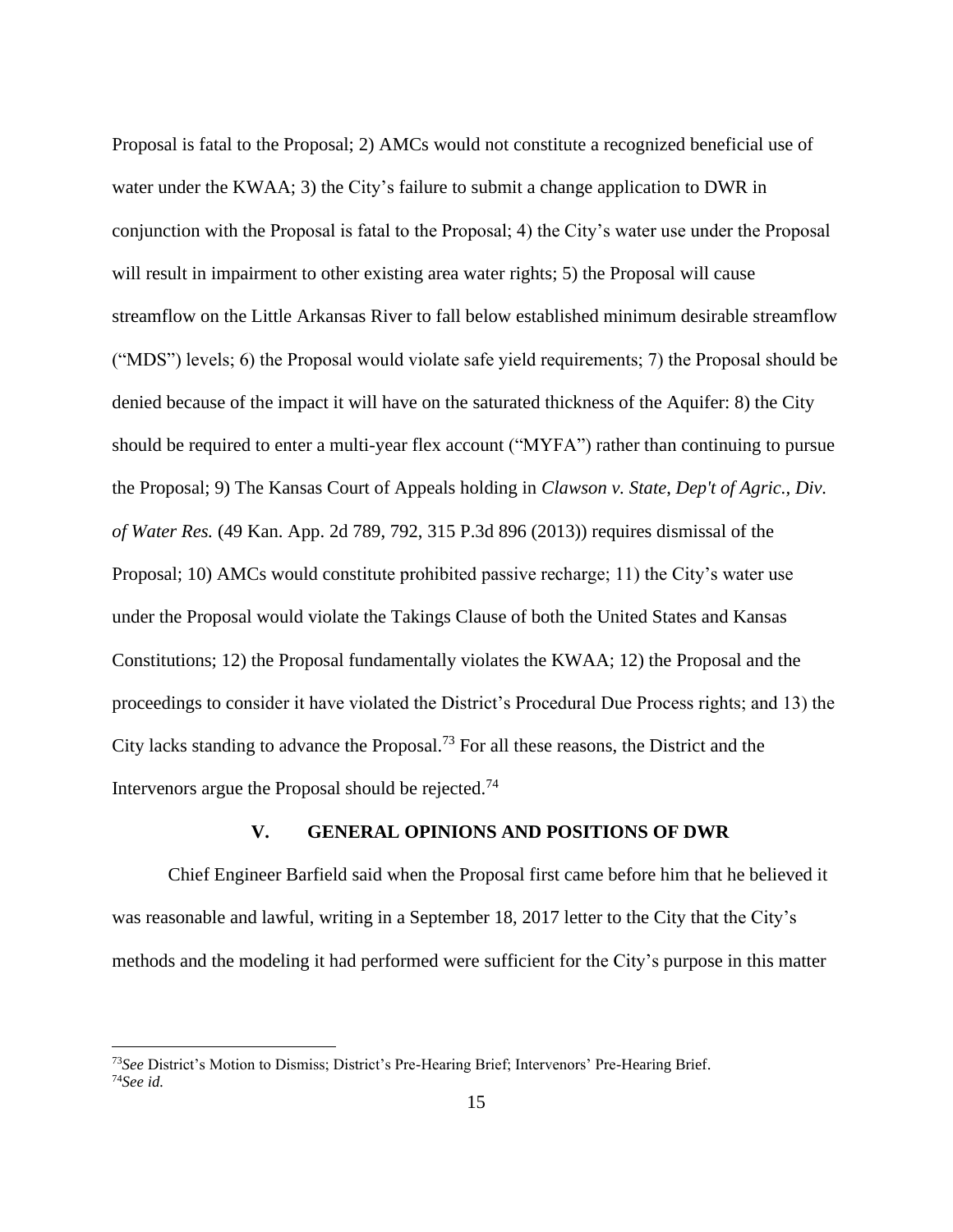Proposal is fatal to the Proposal; 2) AMCs would not constitute a recognized beneficial use of water under the KWAA; 3) the City's failure to submit a change application to DWR in conjunction with the Proposal is fatal to the Proposal; 4) the City's water use under the Proposal will result in impairment to other existing area water rights; 5) the Proposal will cause streamflow on the Little Arkansas River to fall below established minimum desirable streamflow ("MDS") levels; 6) the Proposal would violate safe yield requirements; 7) the Proposal should be denied because of the impact it will have on the saturated thickness of the Aquifer: 8) the City should be required to enter a multi-year flex account ("MYFA") rather than continuing to pursue the Proposal; 9) The Kansas Court of Appeals holding in *Clawson v. State*, *Dep't of Agric., Div. of Water Res.* (49 Kan. App. 2d 789, 792, 315 P.3d 896 (2013)) requires dismissal of the Proposal; 10) AMCs would constitute prohibited passive recharge; 11) the City's water use under the Proposal would violate the Takings Clause of both the United States and Kansas Constitutions; 12) the Proposal fundamentally violates the KWAA; 12) the Proposal and the proceedings to consider it have violated the District's Procedural Due Process rights; and 13) the City lacks standing to advance the Proposal.<sup>73</sup> For all these reasons, the District and the Intervenors argue the Proposal should be rejected.<sup>74</sup>

### **V. GENERAL OPINIONS AND POSITIONS OF DWR**

Chief Engineer Barfield said when the Proposal first came before him that he believed it was reasonable and lawful, writing in a September 18, 2017 letter to the City that the City's methods and the modeling it had performed were sufficient for the City's purpose in this matter

<sup>73</sup>*See* District's Motion to Dismiss; District's Pre-Hearing Brief; Intervenors' Pre-Hearing Brief. 74*See id.*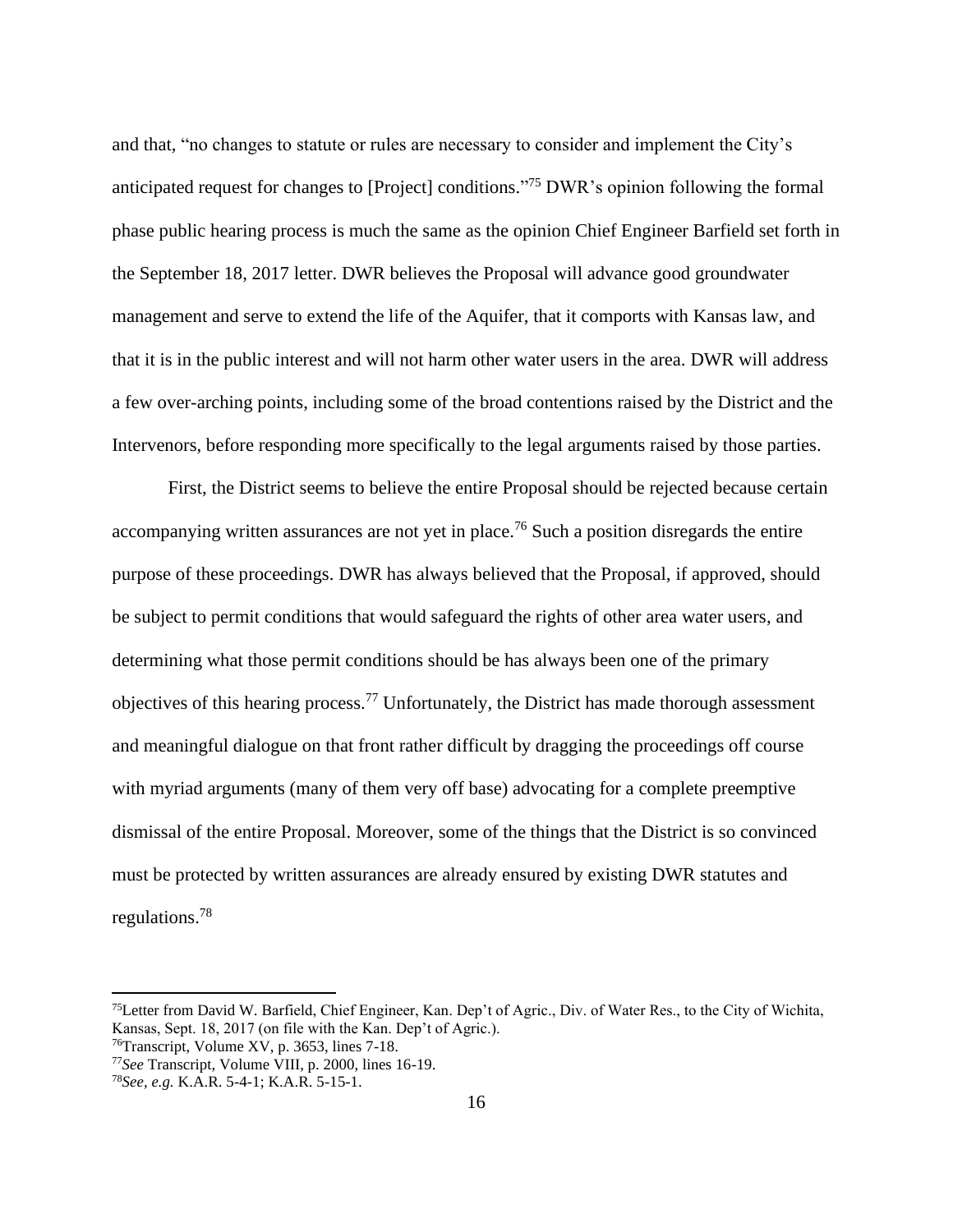and that, "no changes to statute or rules are necessary to consider and implement the City's anticipated request for changes to [Project] conditions." <sup>75</sup> DWR's opinion following the formal phase public hearing process is much the same as the opinion Chief Engineer Barfield set forth in the September 18, 2017 letter. DWR believes the Proposal will advance good groundwater management and serve to extend the life of the Aquifer, that it comports with Kansas law, and that it is in the public interest and will not harm other water users in the area. DWR will address a few over-arching points, including some of the broad contentions raised by the District and the Intervenors, before responding more specifically to the legal arguments raised by those parties.

First, the District seems to believe the entire Proposal should be rejected because certain accompanying written assurances are not yet in place.<sup>76</sup> Such a position disregards the entire purpose of these proceedings. DWR has always believed that the Proposal, if approved, should be subject to permit conditions that would safeguard the rights of other area water users, and determining what those permit conditions should be has always been one of the primary objectives of this hearing process.<sup>77</sup> Unfortunately, the District has made thorough assessment and meaningful dialogue on that front rather difficult by dragging the proceedings off course with myriad arguments (many of them very off base) advocating for a complete preemptive dismissal of the entire Proposal. Moreover, some of the things that the District is so convinced must be protected by written assurances are already ensured by existing DWR statutes and regulations.<sup>78</sup>

<sup>75</sup>Letter from David W. Barfield, Chief Engineer, Kan. Dep't of Agric., Div. of Water Res., to the City of Wichita, Kansas, Sept. 18, 2017 (on file with the Kan. Dep't of Agric.).

<sup>76</sup>Transcript, Volume XV, p. 3653, lines 7-18.

<sup>77</sup>*See* Transcript, Volume VIII, p. 2000, lines 16-19.

<sup>78</sup>*See, e.g.* K.A.R. 5-4-1; K.A.R. 5-15-1.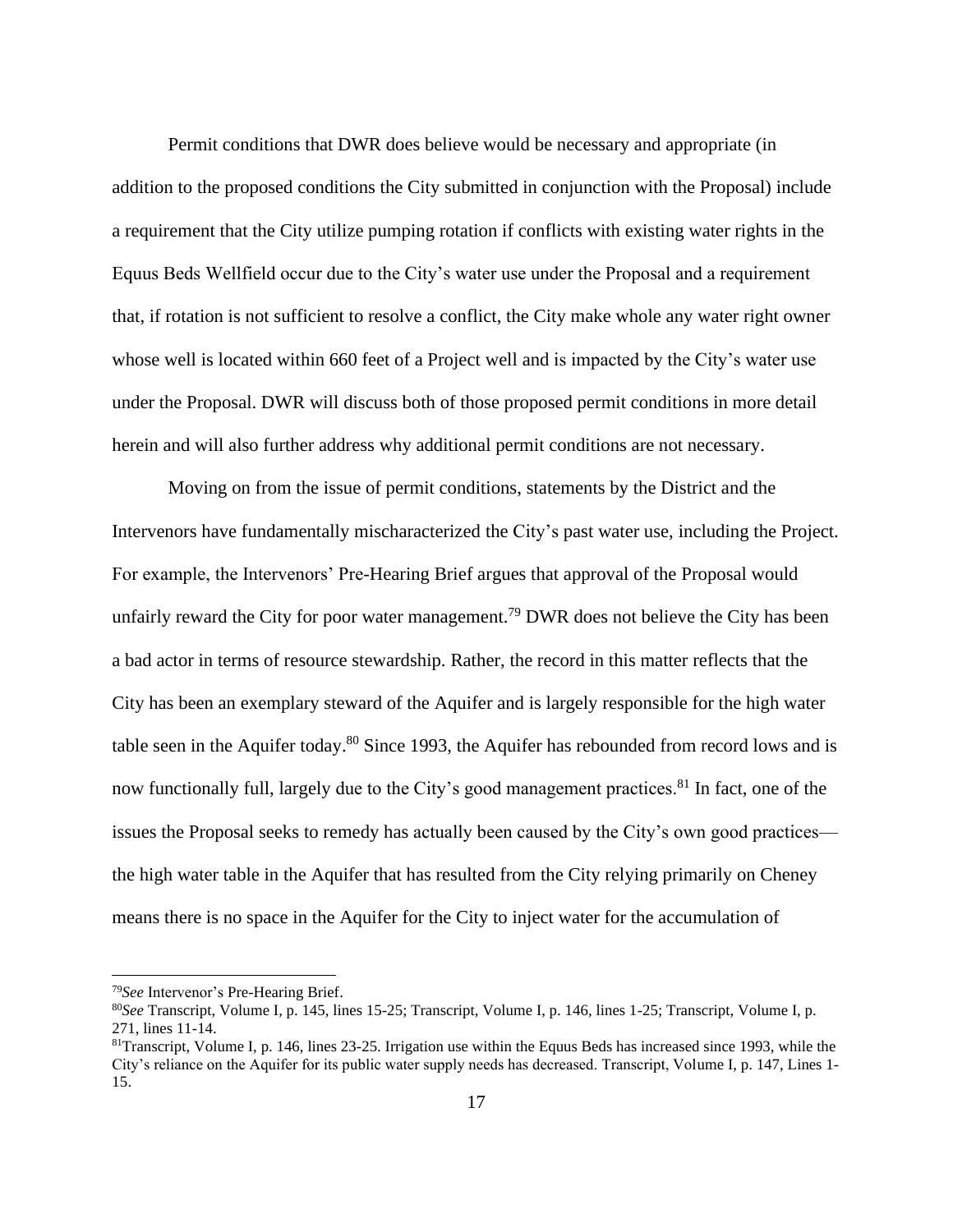Permit conditions that DWR does believe would be necessary and appropriate (in addition to the proposed conditions the City submitted in conjunction with the Proposal) include a requirement that the City utilize pumping rotation if conflicts with existing water rights in the Equus Beds Wellfield occur due to the City's water use under the Proposal and a requirement that, if rotation is not sufficient to resolve a conflict, the City make whole any water right owner whose well is located within 660 feet of a Project well and is impacted by the City's water use under the Proposal. DWR will discuss both of those proposed permit conditions in more detail herein and will also further address why additional permit conditions are not necessary.

Moving on from the issue of permit conditions, statements by the District and the Intervenors have fundamentally mischaracterized the City's past water use, including the Project. For example, the Intervenors' Pre-Hearing Brief argues that approval of the Proposal would unfairly reward the City for poor water management.<sup>79</sup> DWR does not believe the City has been a bad actor in terms of resource stewardship. Rather, the record in this matter reflects that the City has been an exemplary steward of the Aquifer and is largely responsible for the high water table seen in the Aquifer today.<sup>80</sup> Since 1993, the Aquifer has rebounded from record lows and is now functionally full, largely due to the City's good management practices.<sup>81</sup> In fact, one of the issues the Proposal seeks to remedy has actually been caused by the City's own good practices the high water table in the Aquifer that has resulted from the City relying primarily on Cheney means there is no space in the Aquifer for the City to inject water for the accumulation of

<sup>79</sup>*See* Intervenor's Pre-Hearing Brief.

<sup>80</sup>*See* Transcript, Volume I, p. 145, lines 15-25; Transcript, Volume I, p. 146, lines 1-25; Transcript, Volume I, p. 271, lines 11-14.

 $81$ Transcript, Volume I, p. 146, lines 23-25. Irrigation use within the Equus Beds has increased since 1993, while the City's reliance on the Aquifer for its public water supply needs has decreased. Transcript, Volume I, p. 147, Lines 1- 15.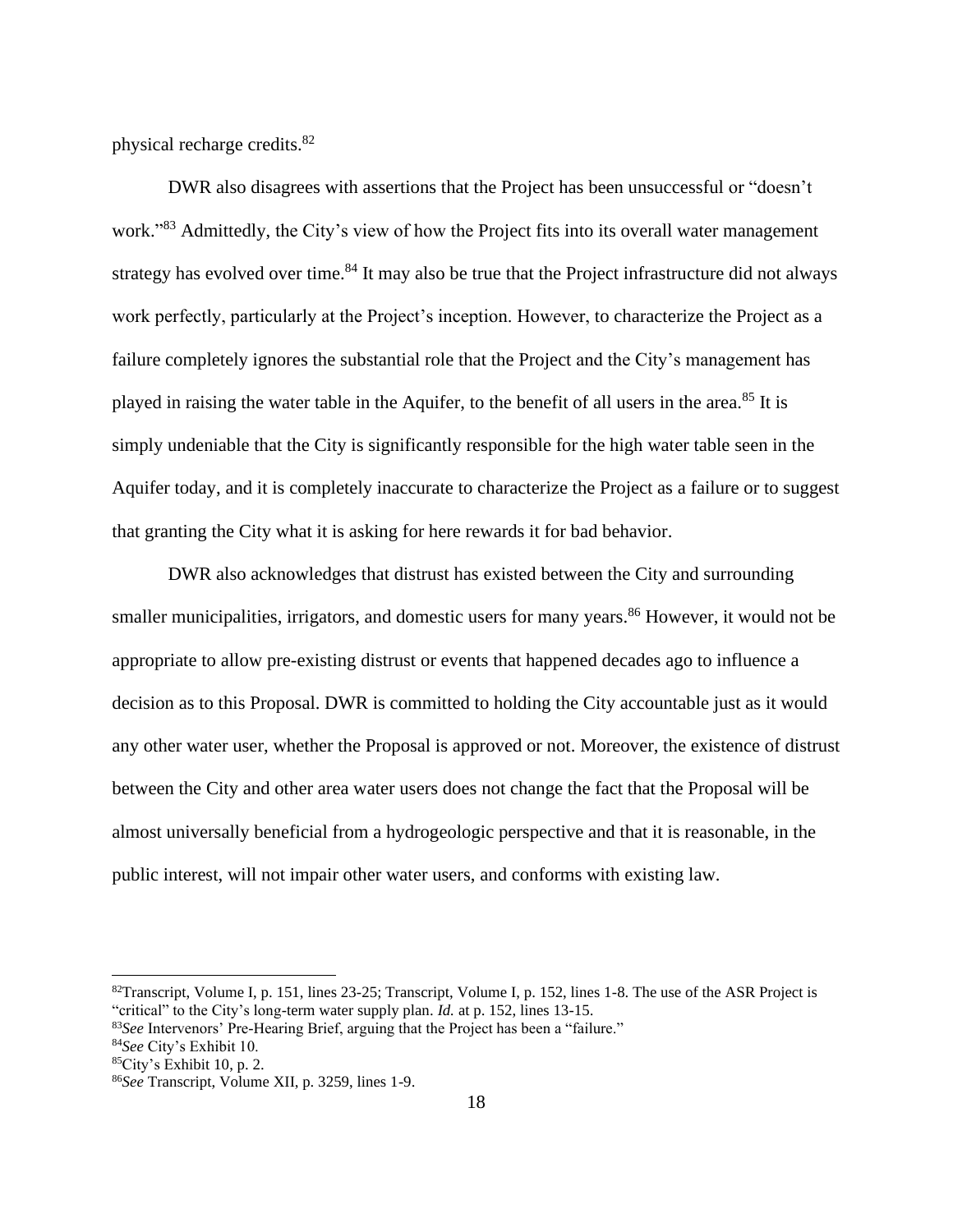physical recharge credits.<sup>82</sup>

DWR also disagrees with assertions that the Project has been unsuccessful or "doesn't work."<sup>83</sup> Admittedly, the City's view of how the Project fits into its overall water management strategy has evolved over time.<sup>84</sup> It may also be true that the Project infrastructure did not always work perfectly, particularly at the Project's inception. However, to characterize the Project as a failure completely ignores the substantial role that the Project and the City's management has played in raising the water table in the Aquifer, to the benefit of all users in the area. <sup>85</sup> It is simply undeniable that the City is significantly responsible for the high water table seen in the Aquifer today, and it is completely inaccurate to characterize the Project as a failure or to suggest that granting the City what it is asking for here rewards it for bad behavior.

DWR also acknowledges that distrust has existed between the City and surrounding smaller municipalities, irrigators, and domestic users for many years.<sup>86</sup> However, it would not be appropriate to allow pre-existing distrust or events that happened decades ago to influence a decision as to this Proposal. DWR is committed to holding the City accountable just as it would any other water user, whether the Proposal is approved or not. Moreover, the existence of distrust between the City and other area water users does not change the fact that the Proposal will be almost universally beneficial from a hydrogeologic perspective and that it is reasonable, in the public interest, will not impair other water users, and conforms with existing law.

<sup>&</sup>lt;sup>82</sup>Transcript, Volume I, p. 151, lines 23-25; Transcript, Volume I, p. 152, lines 1-8. The use of the ASR Project is "critical" to the City's long-term water supply plan. *Id.* at p. 152, lines 13-15.

<sup>83</sup>*See* Intervenors' Pre-Hearing Brief, arguing that the Project has been a "failure."

<sup>84</sup>*See* City's Exhibit 10.

 $85$ City's Exhibit 10, p. 2.

<sup>86</sup>*See* Transcript, Volume XII, p. 3259, lines 1-9.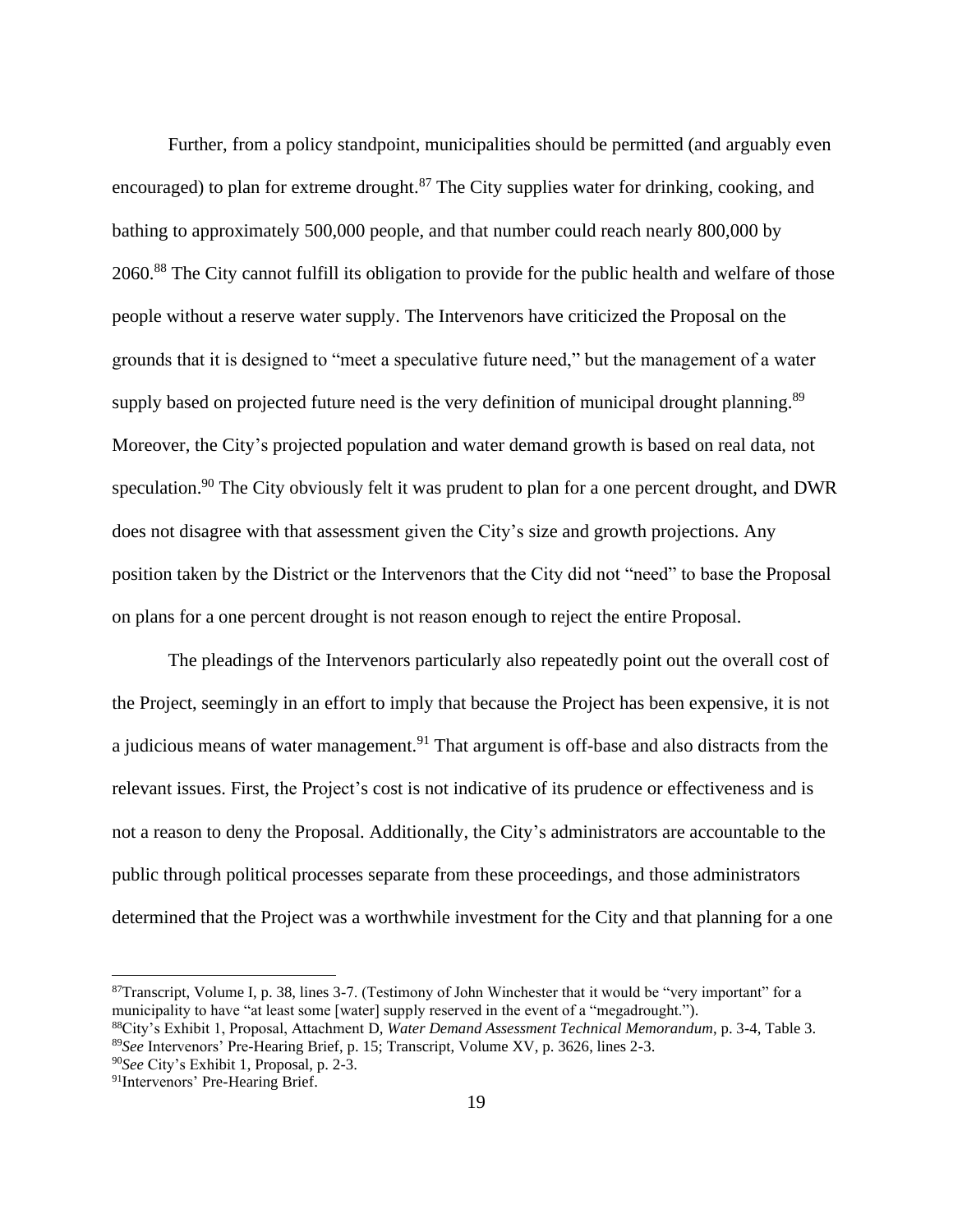Further, from a policy standpoint, municipalities should be permitted (and arguably even encouraged) to plan for extreme drought.<sup>87</sup> The City supplies water for drinking, cooking, and bathing to approximately 500,000 people, and that number could reach nearly 800,000 by 2060.<sup>88</sup> The City cannot fulfill its obligation to provide for the public health and welfare of those people without a reserve water supply. The Intervenors have criticized the Proposal on the grounds that it is designed to "meet a speculative future need," but the management of a water supply based on projected future need is the very definition of municipal drought planning.<sup>89</sup> Moreover, the City's projected population and water demand growth is based on real data, not speculation.<sup>90</sup> The City obviously felt it was prudent to plan for a one percent drought, and DWR does not disagree with that assessment given the City's size and growth projections. Any position taken by the District or the Intervenors that the City did not "need" to base the Proposal on plans for a one percent drought is not reason enough to reject the entire Proposal.

The pleadings of the Intervenors particularly also repeatedly point out the overall cost of the Project, seemingly in an effort to imply that because the Project has been expensive, it is not a judicious means of water management.<sup>91</sup> That argument is off-base and also distracts from the relevant issues. First, the Project's cost is not indicative of its prudence or effectiveness and is not a reason to deny the Proposal. Additionally, the City's administrators are accountable to the public through political processes separate from these proceedings, and those administrators determined that the Project was a worthwhile investment for the City and that planning for a one

 $87$ Transcript, Volume I, p. 38, lines 3-7. (Testimony of John Winchester that it would be "very important" for a municipality to have "at least some [water] supply reserved in the event of a "megadrought.").

<sup>88</sup>City's Exhibit 1, Proposal, Attachment D, *Water Demand Assessment Technical Memorandum*, p. 3-4, Table 3. <sup>89</sup>*See* Intervenors' Pre-Hearing Brief, p. 15; Transcript, Volume XV, p. 3626, lines 2-3.

<sup>90</sup>*See* City's Exhibit 1, Proposal, p. 2-3.

<sup>91</sup>Intervenors' Pre-Hearing Brief.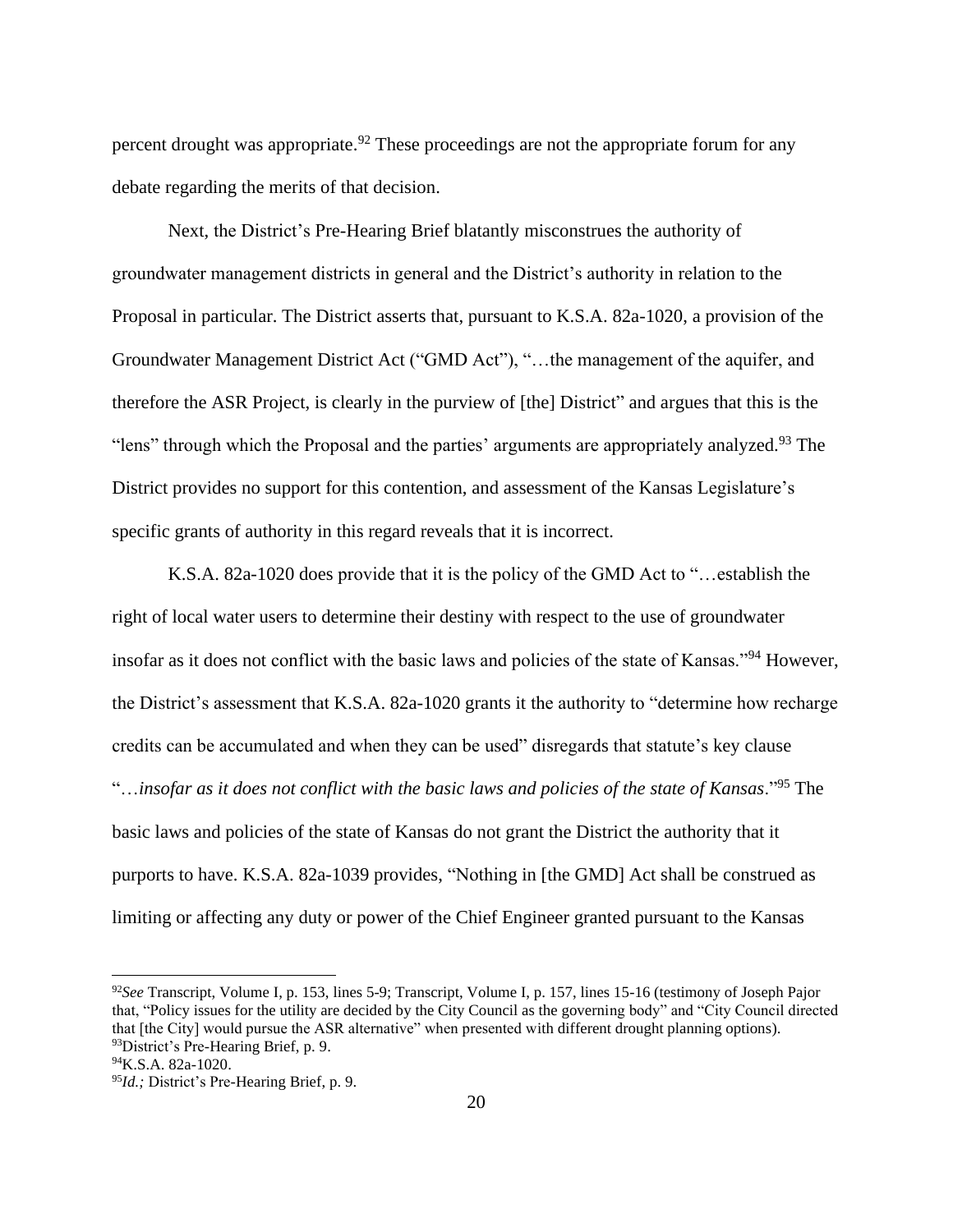percent drought was appropriate.<sup>92</sup> These proceedings are not the appropriate forum for any debate regarding the merits of that decision.

Next, the District's Pre-Hearing Brief blatantly misconstrues the authority of groundwater management districts in general and the District's authority in relation to the Proposal in particular. The District asserts that, pursuant to K.S.A. 82a-1020, a provision of the Groundwater Management District Act ("GMD Act"), "…the management of the aquifer, and therefore the ASR Project, is clearly in the purview of [the] District" and argues that this is the "lens" through which the Proposal and the parties' arguments are appropriately analyzed.<sup>93</sup> The District provides no support for this contention, and assessment of the Kansas Legislature's specific grants of authority in this regard reveals that it is incorrect.

K.S.A. 82a-1020 does provide that it is the policy of the GMD Act to "…establish the right of local water users to determine their destiny with respect to the use of groundwater insofar as it does not conflict with the basic laws and policies of the state of Kansas."<sup>94</sup> However, the District's assessment that K.S.A. 82a-1020 grants it the authority to "determine how recharge credits can be accumulated and when they can be used" disregards that statute's key clause "…*insofar as it does not conflict with the basic laws and policies of the state of Kansas*."<sup>95</sup> The basic laws and policies of the state of Kansas do not grant the District the authority that it purports to have. K.S.A. 82a-1039 provides, "Nothing in [the GMD] Act shall be construed as limiting or affecting any duty or power of the Chief Engineer granted pursuant to the Kansas

<sup>92</sup>*See* Transcript, Volume I, p. 153, lines 5-9; Transcript, Volume I, p. 157, lines 15-16 (testimony of Joseph Pajor that, "Policy issues for the utility are decided by the City Council as the governing body" and "City Council directed that [the City] would pursue the ASR alternative" when presented with different drought planning options). <sup>93</sup>District's Pre-Hearing Brief, p. 9.

<sup>94</sup>K.S.A. 82a-1020.

<sup>95</sup>*Id.;* District's Pre-Hearing Brief, p. 9.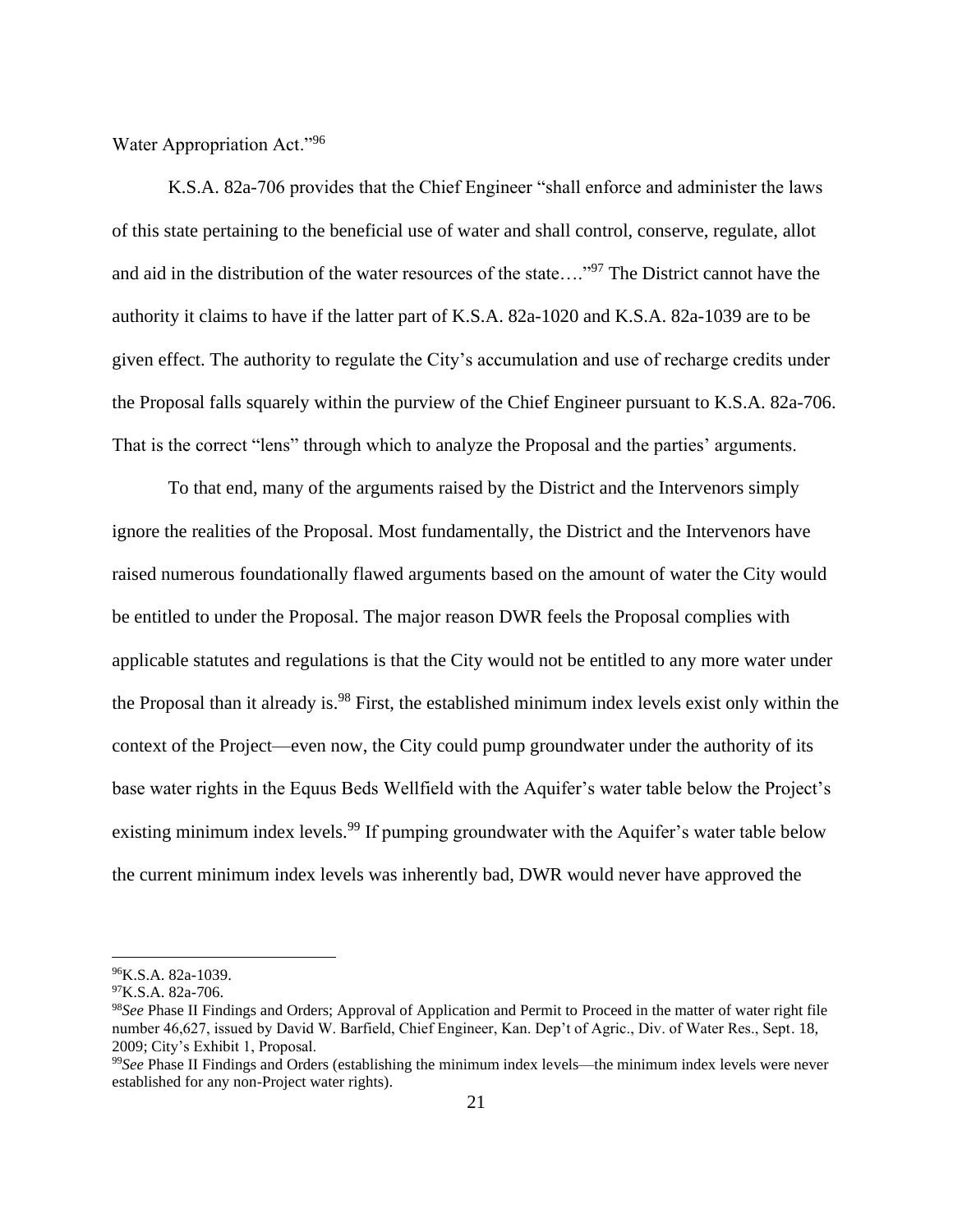Water Appropriation Act."<sup>96</sup>

K.S.A. 82a-706 provides that the Chief Engineer "shall enforce and administer the laws of this state pertaining to the beneficial use of water and shall control, conserve, regulate, allot and aid in the distribution of the water resources of the state…."<sup>97</sup> The District cannot have the authority it claims to have if the latter part of K.S.A. 82a-1020 and K.S.A. 82a-1039 are to be given effect. The authority to regulate the City's accumulation and use of recharge credits under the Proposal falls squarely within the purview of the Chief Engineer pursuant to K.S.A. 82a-706. That is the correct "lens" through which to analyze the Proposal and the parties' arguments.

To that end, many of the arguments raised by the District and the Intervenors simply ignore the realities of the Proposal. Most fundamentally, the District and the Intervenors have raised numerous foundationally flawed arguments based on the amount of water the City would be entitled to under the Proposal. The major reason DWR feels the Proposal complies with applicable statutes and regulations is that the City would not be entitled to any more water under the Proposal than it already is.<sup>98</sup> First, the established minimum index levels exist only within the context of the Project—even now, the City could pump groundwater under the authority of its base water rights in the Equus Beds Wellfield with the Aquifer's water table below the Project's existing minimum index levels.<sup>99</sup> If pumping groundwater with the Aquifer's water table below the current minimum index levels was inherently bad, DWR would never have approved the

<sup>96</sup>K.S.A. 82a-1039.

 $^{97}$ K.S.A. 82a-706.

<sup>98</sup>*See* Phase II Findings and Orders; Approval of Application and Permit to Proceed in the matter of water right file number 46,627, issued by David W. Barfield, Chief Engineer, Kan. Dep't of Agric., Div. of Water Res., Sept. 18, 2009; City's Exhibit 1, Proposal.

<sup>99</sup>*See* Phase II Findings and Orders (establishing the minimum index levels—the minimum index levels were never established for any non-Project water rights).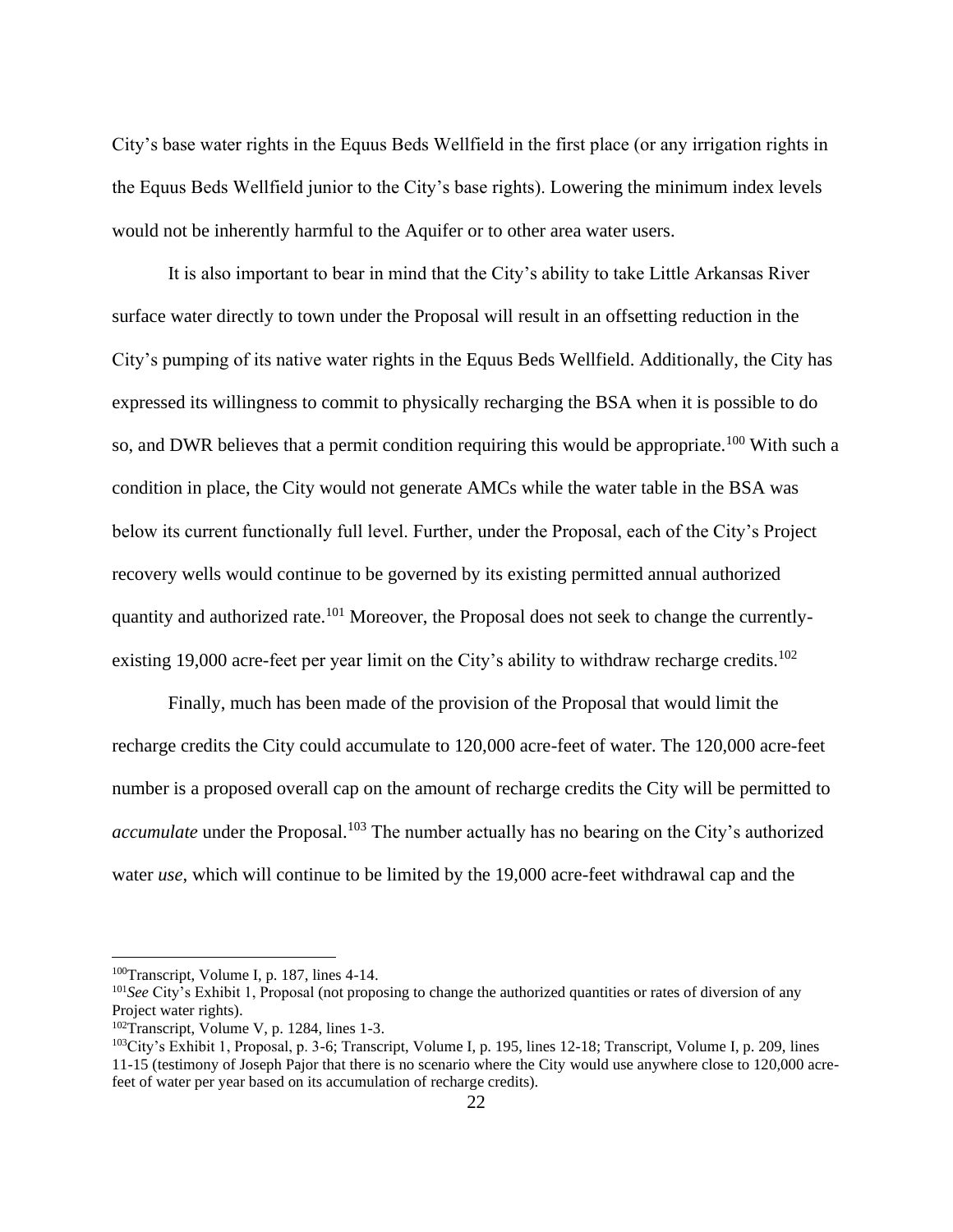City's base water rights in the Equus Beds Wellfield in the first place (or any irrigation rights in the Equus Beds Wellfield junior to the City's base rights). Lowering the minimum index levels would not be inherently harmful to the Aquifer or to other area water users.

It is also important to bear in mind that the City's ability to take Little Arkansas River surface water directly to town under the Proposal will result in an offsetting reduction in the City's pumping of its native water rights in the Equus Beds Wellfield. Additionally, the City has expressed its willingness to commit to physically recharging the BSA when it is possible to do so, and DWR believes that a permit condition requiring this would be appropriate.<sup>100</sup> With such a condition in place, the City would not generate AMCs while the water table in the BSA was below its current functionally full level. Further, under the Proposal, each of the City's Project recovery wells would continue to be governed by its existing permitted annual authorized quantity and authorized rate.<sup>101</sup> Moreover, the Proposal does not seek to change the currentlyexisting 19,000 acre-feet per year limit on the City's ability to withdraw recharge credits.<sup>102</sup>

Finally, much has been made of the provision of the Proposal that would limit the recharge credits the City could accumulate to 120,000 acre-feet of water. The 120,000 acre-feet number is a proposed overall cap on the amount of recharge credits the City will be permitted to *accumulate* under the Proposal.<sup>103</sup> The number actually has no bearing on the City's authorized water *use*, which will continue to be limited by the 19,000 acre-feet withdrawal cap and the

<sup>100</sup>Transcript, Volume I, p. 187, lines 4-14.

<sup>&</sup>lt;sup>101</sup>See City's Exhibit 1, Proposal (not proposing to change the authorized quantities or rates of diversion of any Project water rights).

<sup>102</sup>Transcript, Volume V, p. 1284, lines 1-3.

<sup>103</sup>City's Exhibit 1, Proposal, p. 3-6; Transcript, Volume I, p. 195, lines 12-18; Transcript, Volume I, p. 209, lines 11-15 (testimony of Joseph Pajor that there is no scenario where the City would use anywhere close to 120,000 acrefeet of water per year based on its accumulation of recharge credits).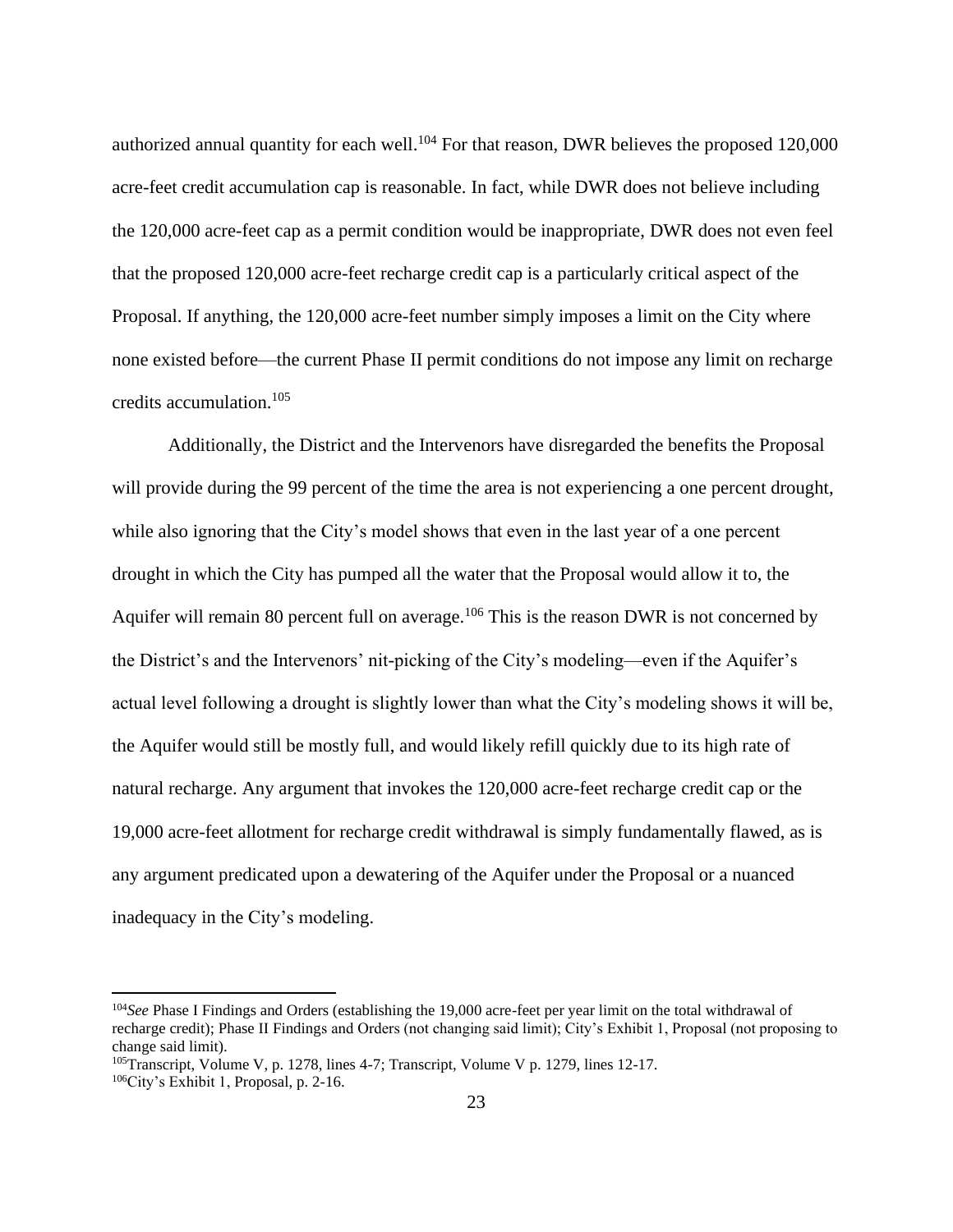authorized annual quantity for each well.<sup>104</sup> For that reason, DWR believes the proposed  $120,000$ acre-feet credit accumulation cap is reasonable. In fact, while DWR does not believe including the 120,000 acre-feet cap as a permit condition would be inappropriate, DWR does not even feel that the proposed 120,000 acre-feet recharge credit cap is a particularly critical aspect of the Proposal. If anything, the 120,000 acre-feet number simply imposes a limit on the City where none existed before—the current Phase II permit conditions do not impose any limit on recharge credits accumulation.<sup>105</sup>

Additionally, the District and the Intervenors have disregarded the benefits the Proposal will provide during the 99 percent of the time the area is not experiencing a one percent drought, while also ignoring that the City's model shows that even in the last year of a one percent drought in which the City has pumped all the water that the Proposal would allow it to, the Aquifer will remain 80 percent full on average.<sup>106</sup> This is the reason DWR is not concerned by the District's and the Intervenors' nit-picking of the City's modeling—even if the Aquifer's actual level following a drought is slightly lower than what the City's modeling shows it will be, the Aquifer would still be mostly full, and would likely refill quickly due to its high rate of natural recharge. Any argument that invokes the 120,000 acre-feet recharge credit cap or the 19,000 acre-feet allotment for recharge credit withdrawal is simply fundamentally flawed, as is any argument predicated upon a dewatering of the Aquifer under the Proposal or a nuanced inadequacy in the City's modeling.

<sup>&</sup>lt;sup>104</sup>See Phase I Findings and Orders (establishing the 19,000 acre-feet per year limit on the total withdrawal of recharge credit); Phase II Findings and Orders (not changing said limit); City's Exhibit 1, Proposal (not proposing to change said limit).

<sup>105</sup>Transcript, Volume V, p. 1278, lines 4-7; Transcript, Volume V p. 1279, lines 12-17.

<sup>106</sup>City's Exhibit 1, Proposal, p. 2-16.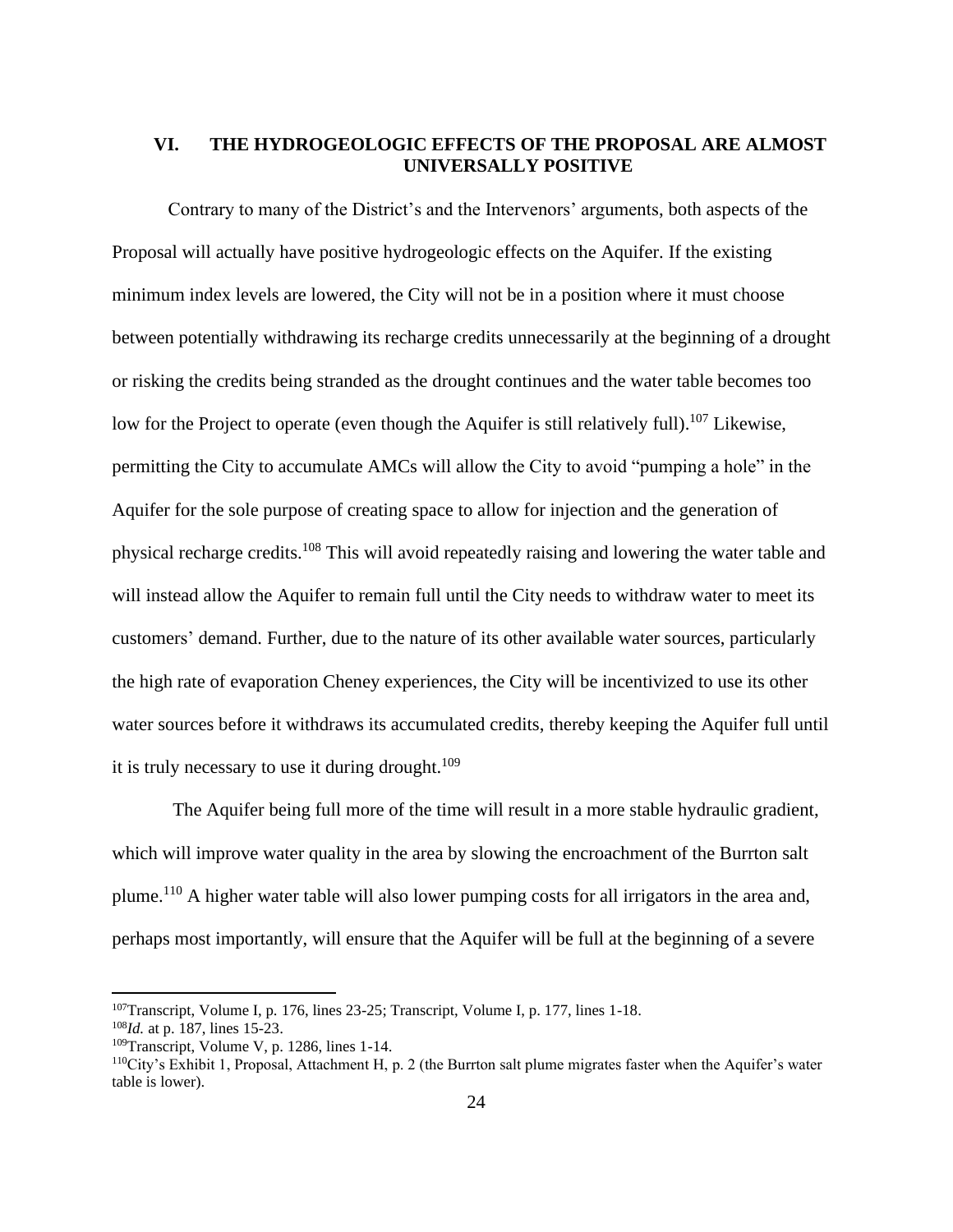## **VI. THE HYDROGEOLOGIC EFFECTS OF THE PROPOSAL ARE ALMOST UNIVERSALLY POSITIVE**

Contrary to many of the District's and the Intervenors' arguments, both aspects of the Proposal will actually have positive hydrogeologic effects on the Aquifer. If the existing minimum index levels are lowered, the City will not be in a position where it must choose between potentially withdrawing its recharge credits unnecessarily at the beginning of a drought or risking the credits being stranded as the drought continues and the water table becomes too low for the Project to operate (even though the Aquifer is still relatively full).<sup>107</sup> Likewise, permitting the City to accumulate AMCs will allow the City to avoid "pumping a hole" in the Aquifer for the sole purpose of creating space to allow for injection and the generation of physical recharge credits.<sup>108</sup> This will avoid repeatedly raising and lowering the water table and will instead allow the Aquifer to remain full until the City needs to withdraw water to meet its customers' demand. Further, due to the nature of its other available water sources, particularly the high rate of evaporation Cheney experiences, the City will be incentivized to use its other water sources before it withdraws its accumulated credits, thereby keeping the Aquifer full until it is truly necessary to use it during drought.<sup>109</sup>

The Aquifer being full more of the time will result in a more stable hydraulic gradient, which will improve water quality in the area by slowing the encroachment of the Burrton salt plume.<sup>110</sup> A higher water table will also lower pumping costs for all irrigators in the area and, perhaps most importantly, will ensure that the Aquifer will be full at the beginning of a severe

<sup>107</sup>Transcript, Volume I, p. 176, lines 23-25; Transcript, Volume I, p. 177, lines 1-18.

<sup>108</sup>*Id.* at p. 187, lines 15-23.

 $109$ Transcript, Volume V, p. 1286, lines 1-14.

<sup>110</sup>City's Exhibit 1, Proposal, Attachment H, p. 2 (the Burrton salt plume migrates faster when the Aquifer's water table is lower).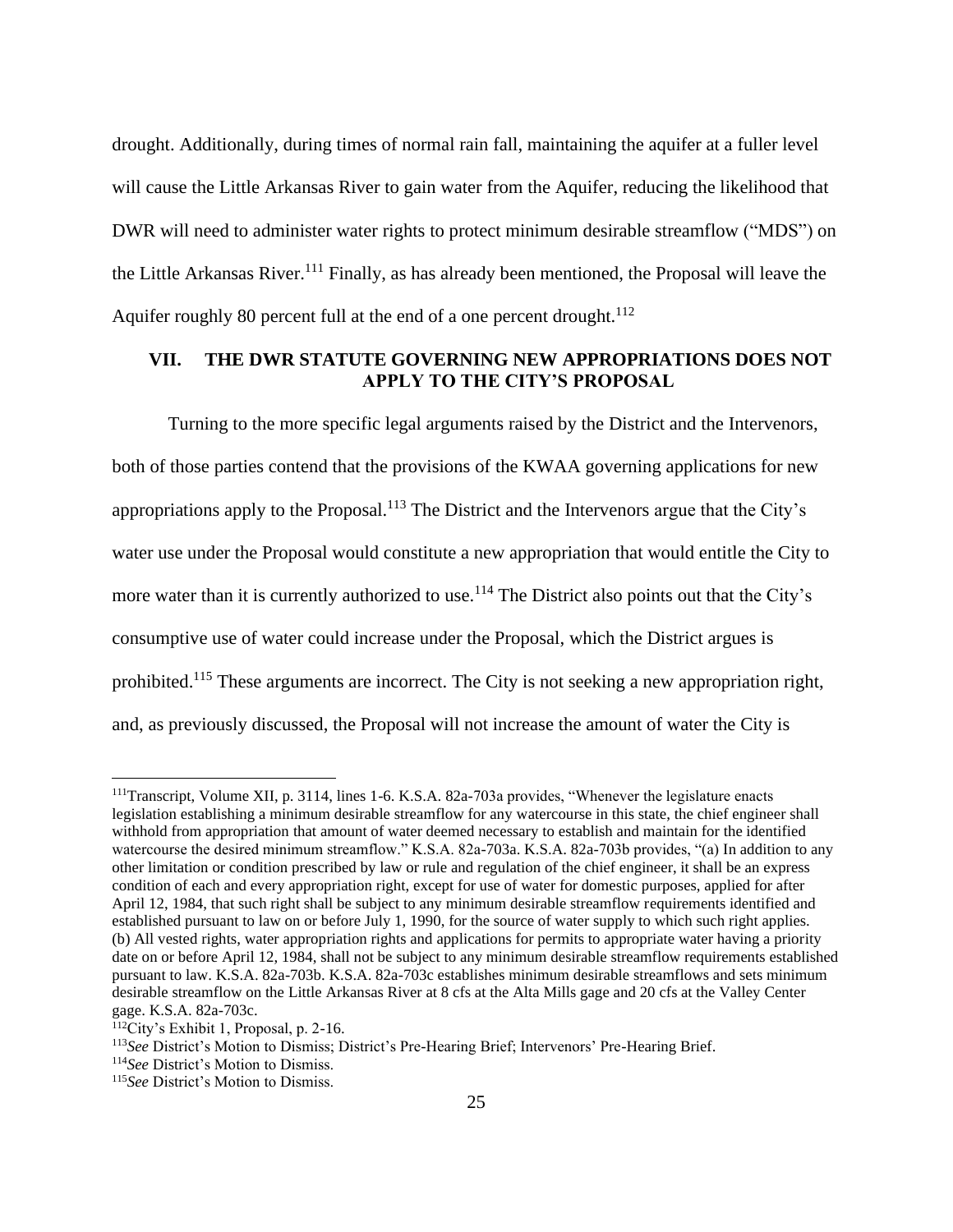drought. Additionally, during times of normal rain fall, maintaining the aquifer at a fuller level will cause the Little Arkansas River to gain water from the Aquifer, reducing the likelihood that DWR will need to administer water rights to protect minimum desirable streamflow ("MDS") on the Little Arkansas River. <sup>111</sup> Finally, as has already been mentioned, the Proposal will leave the Aquifer roughly 80 percent full at the end of a one percent drought.<sup>112</sup>

# **VII. THE DWR STATUTE GOVERNING NEW APPROPRIATIONS DOES NOT APPLY TO THE CITY'S PROPOSAL**

Turning to the more specific legal arguments raised by the District and the Intervenors, both of those parties contend that the provisions of the KWAA governing applications for new appropriations apply to the Proposal.<sup>113</sup> The District and the Intervenors argue that the City's water use under the Proposal would constitute a new appropriation that would entitle the City to more water than it is currently authorized to use.<sup>114</sup> The District also points out that the City's consumptive use of water could increase under the Proposal, which the District argues is prohibited.<sup>115</sup> These arguments are incorrect. The City is not seeking a new appropriation right, and, as previously discussed, the Proposal will not increase the amount of water the City is

<sup>111</sup>Transcript, Volume XII, p. 3114, lines 1-6. K.S.A. 82a-703a provides, "Whenever the legislature enacts legislation establishing a minimum desirable streamflow for any watercourse in this state, the chief engineer shall withhold from appropriation that amount of water deemed necessary to establish and maintain for the identified watercourse the desired minimum streamflow." K.S.A. 82a-703a. K.S.A. 82a-703b provides, "(a) In addition to any other limitation or condition prescribed by law or rule and regulation of the chief engineer, it shall be an express condition of each and every appropriation right, except for use of water for domestic purposes, applied for after April 12, 1984, that such right shall be subject to any minimum desirable streamflow requirements identified and established pursuant to law on or before July 1, 1990, for the source of water supply to which such right applies. (b) All vested rights, water appropriation rights and applications for permits to appropriate water having a priority date on or before April 12, 1984, shall not be subject to any minimum desirable streamflow requirements established pursuant to law. K.S.A. 82a-703b. K.S.A. 82a-703c establishes minimum desirable streamflows and sets minimum desirable streamflow on the Little Arkansas River at 8 cfs at the Alta Mills gage and 20 cfs at the Valley Center gage. K.S.A. 82a-703c.

<sup>112</sup>City's Exhibit 1, Proposal, p. 2-16.

<sup>113</sup>*See* District's Motion to Dismiss; District's Pre-Hearing Brief; Intervenors' Pre-Hearing Brief.

<sup>114</sup>*See* District's Motion to Dismiss.

<sup>115</sup>*See* District's Motion to Dismiss.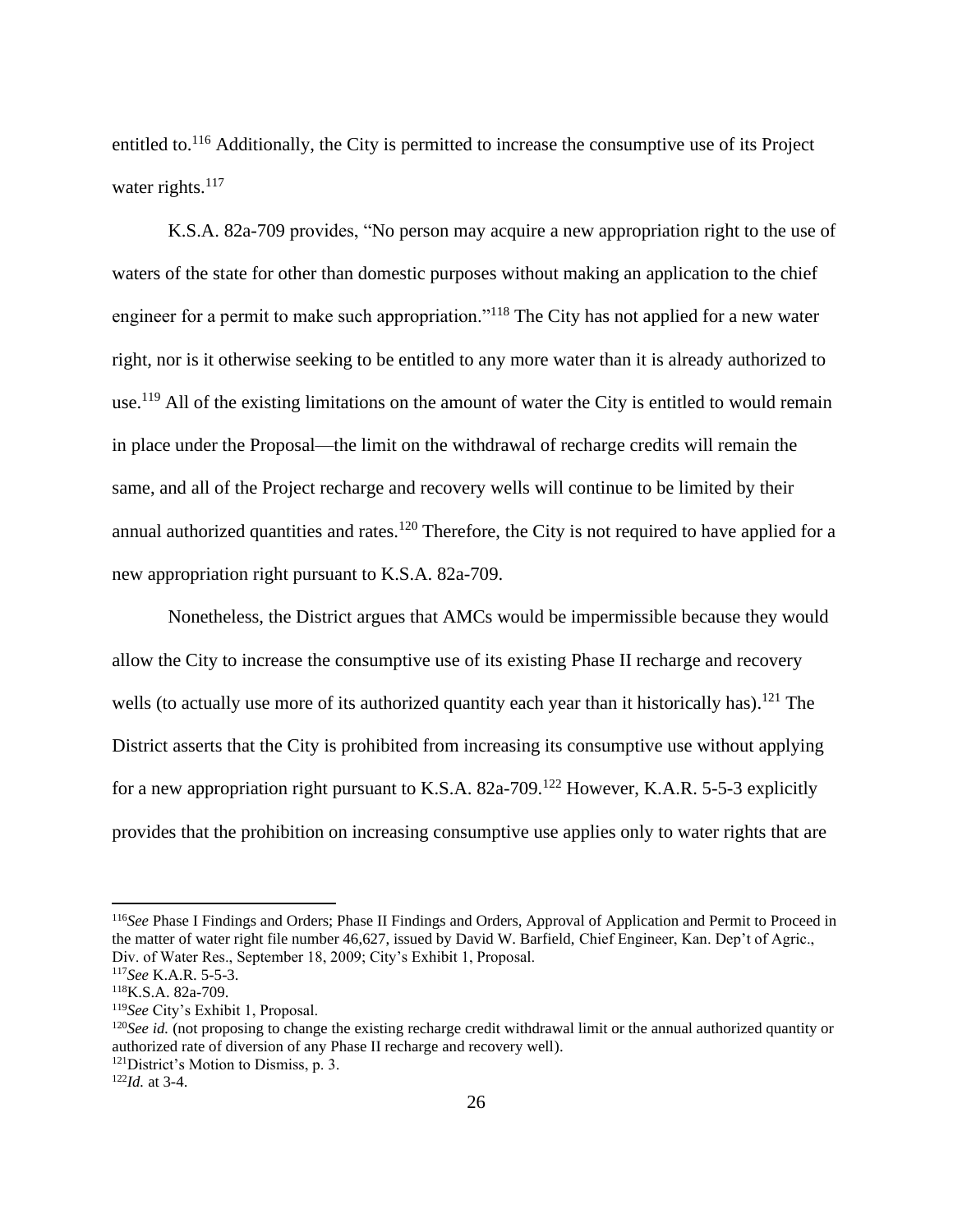entitled to.<sup>116</sup> Additionally, the City is permitted to increase the consumptive use of its Project water rights.<sup>117</sup>

K.S.A. 82a-709 provides, "No person may acquire a new appropriation right to the use of waters of the state for other than domestic purposes without making an application to the chief engineer for a permit to make such appropriation."<sup>118</sup> The City has not applied for a new water right, nor is it otherwise seeking to be entitled to any more water than it is already authorized to use.<sup>119</sup> All of the existing limitations on the amount of water the City is entitled to would remain in place under the Proposal—the limit on the withdrawal of recharge credits will remain the same, and all of the Project recharge and recovery wells will continue to be limited by their annual authorized quantities and rates.<sup>120</sup> Therefore, the City is not required to have applied for a new appropriation right pursuant to K.S.A. 82a-709.

Nonetheless, the District argues that AMCs would be impermissible because they would allow the City to increase the consumptive use of its existing Phase II recharge and recovery wells (to actually use more of its authorized quantity each year than it historically has).<sup>121</sup> The District asserts that the City is prohibited from increasing its consumptive use without applying for a new appropriation right pursuant to K.S.A. 82a-709.<sup>122</sup> However, K.A.R. 5-5-3 explicitly provides that the prohibition on increasing consumptive use applies only to water rights that are

<sup>116</sup>*See* Phase I Findings and Orders; Phase II Findings and Orders, Approval of Application and Permit to Proceed in the matter of water right file number 46,627, issued by David W. Barfield, Chief Engineer, Kan. Dep't of Agric., Div. of Water Res., September 18, 2009; City's Exhibit 1, Proposal.

<sup>117</sup>*See* K.A.R. 5-5-3.

<sup>118</sup>K.S.A. 82a-709.

<sup>119</sup>*See* City's Exhibit 1, Proposal.

<sup>&</sup>lt;sup>120</sup>See id. (not proposing to change the existing recharge credit withdrawal limit or the annual authorized quantity or authorized rate of diversion of any Phase II recharge and recovery well).

<sup>&</sup>lt;sup>121</sup>District's Motion to Dismiss, p. 3.

<sup>122</sup>*Id.* at 3-4.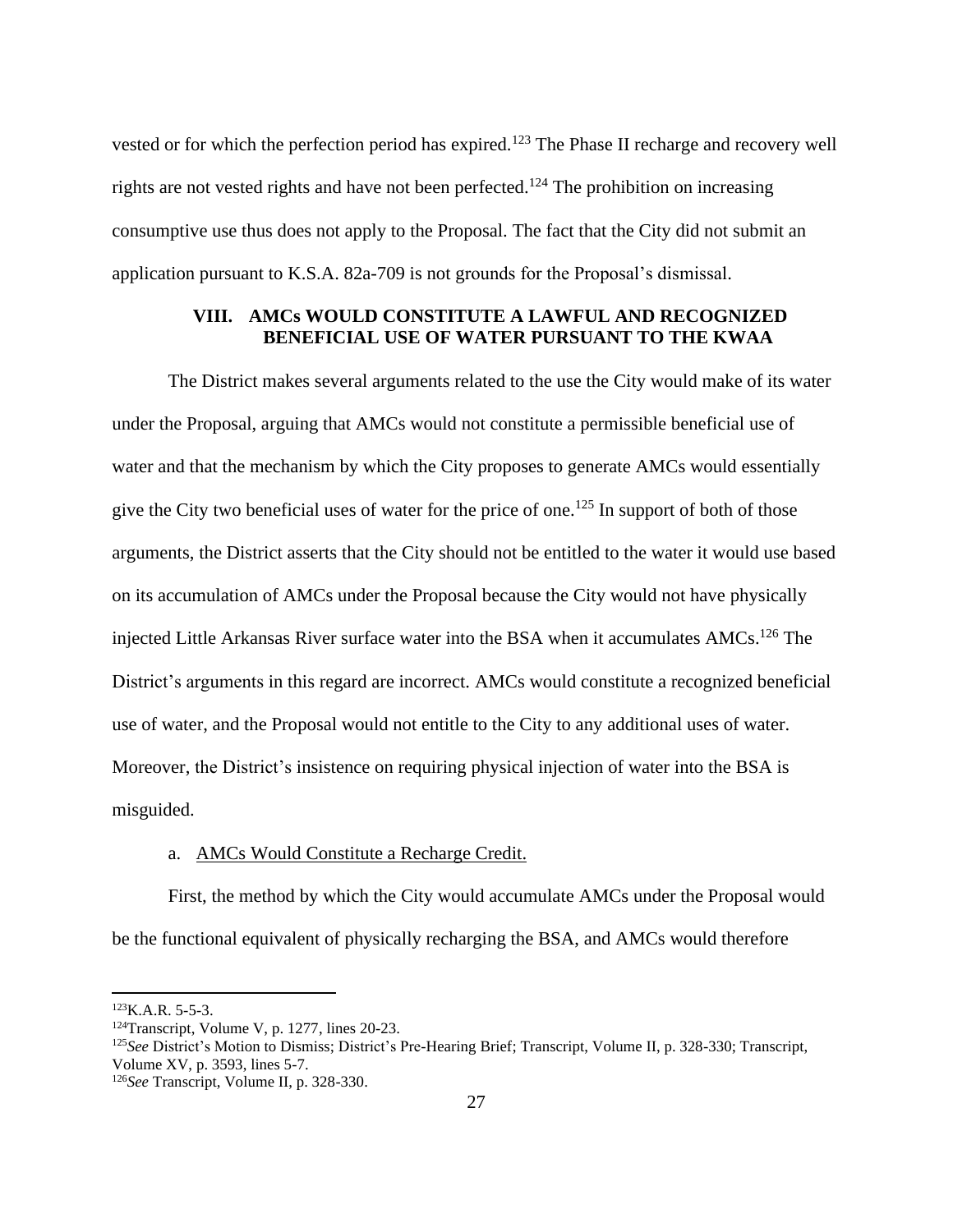vested or for which the perfection period has expired.<sup>123</sup> The Phase II recharge and recovery well rights are not vested rights and have not been perfected.<sup>124</sup> The prohibition on increasing consumptive use thus does not apply to the Proposal. The fact that the City did not submit an application pursuant to K.S.A. 82a-709 is not grounds for the Proposal's dismissal.

## **VIII. AMCs WOULD CONSTITUTE A LAWFUL AND RECOGNIZED BENEFICIAL USE OF WATER PURSUANT TO THE KWAA**

The District makes several arguments related to the use the City would make of its water under the Proposal, arguing that AMCs would not constitute a permissible beneficial use of water and that the mechanism by which the City proposes to generate AMCs would essentially give the City two beneficial uses of water for the price of one.<sup>125</sup> In support of both of those arguments, the District asserts that the City should not be entitled to the water it would use based on its accumulation of AMCs under the Proposal because the City would not have physically injected Little Arkansas River surface water into the BSA when it accumulates AMCs. <sup>126</sup> The District's arguments in this regard are incorrect. AMCs would constitute a recognized beneficial use of water, and the Proposal would not entitle to the City to any additional uses of water. Moreover, the District's insistence on requiring physical injection of water into the BSA is misguided.

#### a. AMCs Would Constitute a Recharge Credit.

First, the method by which the City would accumulate AMCs under the Proposal would be the functional equivalent of physically recharging the BSA, and AMCs would therefore

 $123K.A.R. 5-5-3.$ 

<sup>124</sup>Transcript, Volume V, p. 1277, lines 20-23.

<sup>125</sup>*See* District's Motion to Dismiss; District's Pre-Hearing Brief; Transcript, Volume II, p. 328-330; Transcript, Volume XV, p. 3593, lines 5-7.

<sup>126</sup>*See* Transcript, Volume II, p. 328-330.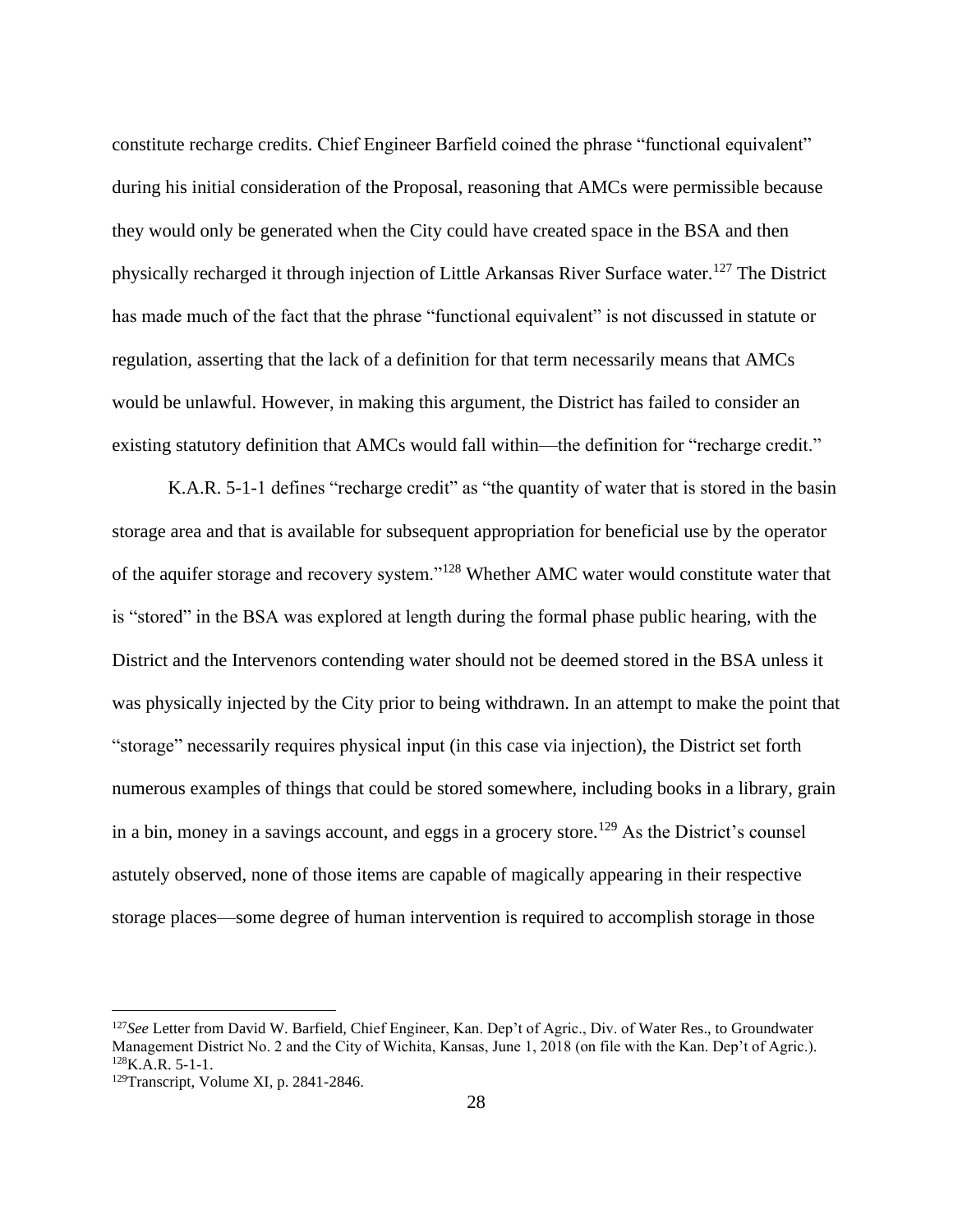constitute recharge credits. Chief Engineer Barfield coined the phrase "functional equivalent" during his initial consideration of the Proposal, reasoning that AMCs were permissible because they would only be generated when the City could have created space in the BSA and then physically recharged it through injection of Little Arkansas River Surface water.<sup>127</sup> The District has made much of the fact that the phrase "functional equivalent" is not discussed in statute or regulation, asserting that the lack of a definition for that term necessarily means that AMCs would be unlawful. However, in making this argument, the District has failed to consider an existing statutory definition that AMCs would fall within—the definition for "recharge credit."

K.A.R. 5-1-1 defines "recharge credit" as "the quantity of water that is stored in the basin storage area and that is available for subsequent appropriation for beneficial use by the operator of the aquifer storage and recovery system."<sup>128</sup> Whether AMC water would constitute water that is "stored" in the BSA was explored at length during the formal phase public hearing, with the District and the Intervenors contending water should not be deemed stored in the BSA unless it was physically injected by the City prior to being withdrawn. In an attempt to make the point that "storage" necessarily requires physical input (in this case via injection), the District set forth numerous examples of things that could be stored somewhere, including books in a library, grain in a bin, money in a savings account, and eggs in a grocery store.<sup>129</sup> As the District's counsel astutely observed, none of those items are capable of magically appearing in their respective storage places—some degree of human intervention is required to accomplish storage in those

<sup>127</sup>*See* Letter from David W. Barfield, Chief Engineer, Kan. Dep't of Agric., Div. of Water Res., to Groundwater Management District No. 2 and the City of Wichita, Kansas, June 1, 2018 (on file with the Kan. Dep't of Agric.).  $128$ K.A.R. 5-1-1.

<sup>129</sup>Transcript, Volume XI, p. 2841-2846.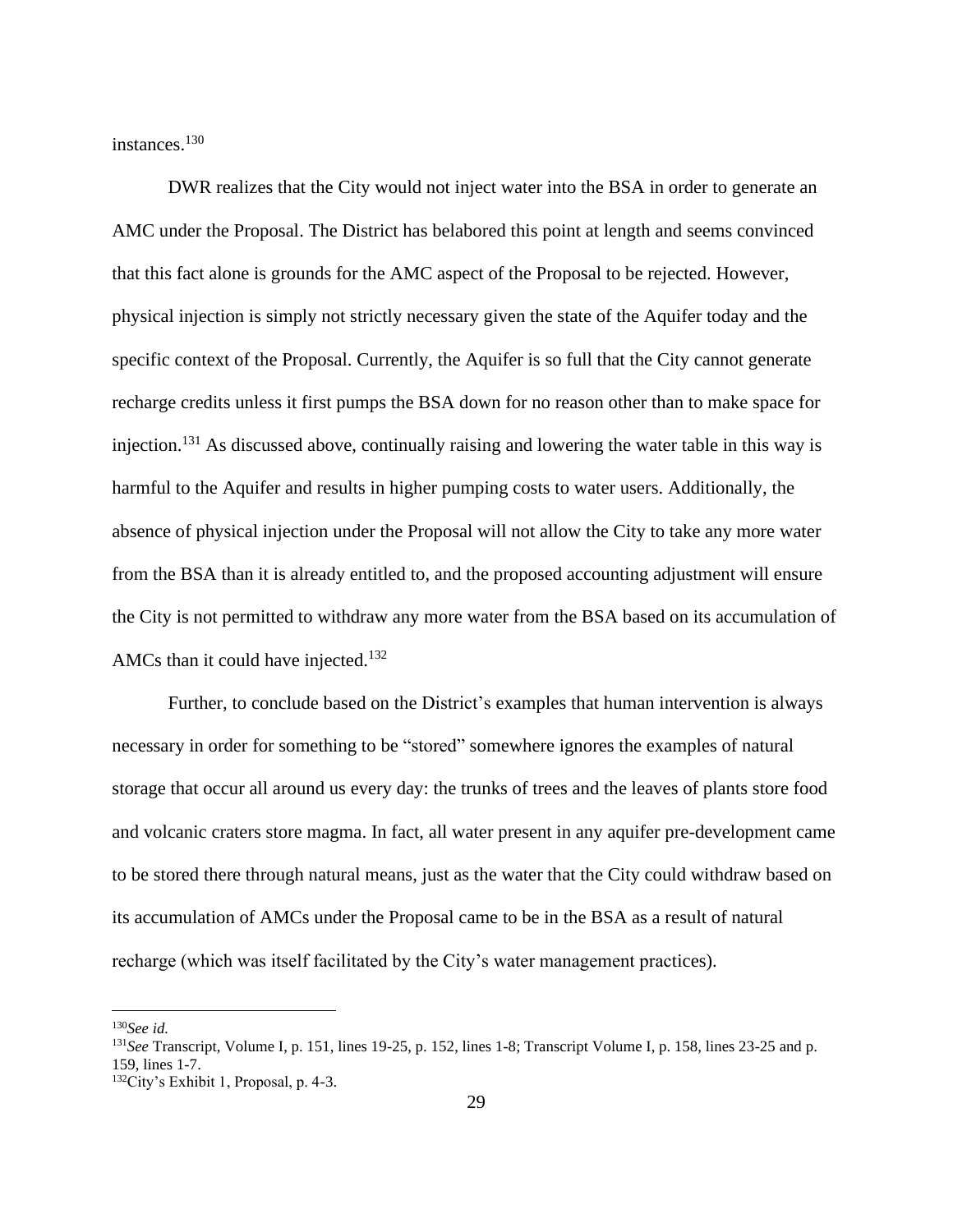instances.<sup>130</sup>

DWR realizes that the City would not inject water into the BSA in order to generate an AMC under the Proposal. The District has belabored this point at length and seems convinced that this fact alone is grounds for the AMC aspect of the Proposal to be rejected. However, physical injection is simply not strictly necessary given the state of the Aquifer today and the specific context of the Proposal. Currently, the Aquifer is so full that the City cannot generate recharge credits unless it first pumps the BSA down for no reason other than to make space for injection.<sup>131</sup> As discussed above, continually raising and lowering the water table in this way is harmful to the Aquifer and results in higher pumping costs to water users. Additionally, the absence of physical injection under the Proposal will not allow the City to take any more water from the BSA than it is already entitled to, and the proposed accounting adjustment will ensure the City is not permitted to withdraw any more water from the BSA based on its accumulation of AMCs than it could have injected.<sup>132</sup>

Further, to conclude based on the District's examples that human intervention is always necessary in order for something to be "stored" somewhere ignores the examples of natural storage that occur all around us every day: the trunks of trees and the leaves of plants store food and volcanic craters store magma. In fact, all water present in any aquifer pre-development came to be stored there through natural means, just as the water that the City could withdraw based on its accumulation of AMCs under the Proposal came to be in the BSA as a result of natural recharge (which was itself facilitated by the City's water management practices).

<sup>130</sup>*See id.*

<sup>131</sup>*See* Transcript, Volume I, p. 151, lines 19-25, p. 152, lines 1-8; Transcript Volume I, p. 158, lines 23-25 and p. 159, lines 1-7.

<sup>132</sup>City's Exhibit 1, Proposal, p. 4-3.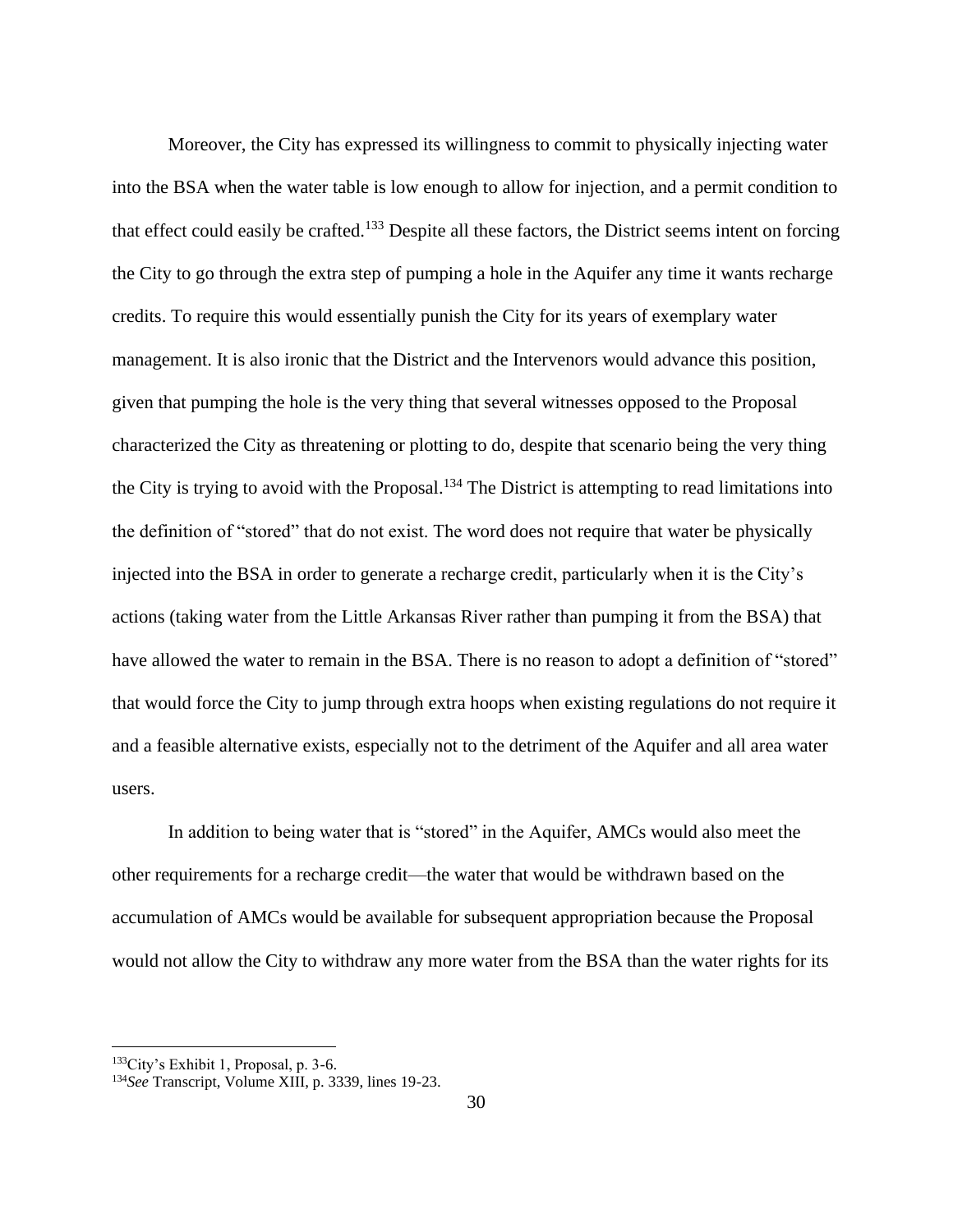Moreover, the City has expressed its willingness to commit to physically injecting water into the BSA when the water table is low enough to allow for injection, and a permit condition to that effect could easily be crafted.<sup>133</sup> Despite all these factors, the District seems intent on forcing the City to go through the extra step of pumping a hole in the Aquifer any time it wants recharge credits. To require this would essentially punish the City for its years of exemplary water management. It is also ironic that the District and the Intervenors would advance this position, given that pumping the hole is the very thing that several witnesses opposed to the Proposal characterized the City as threatening or plotting to do, despite that scenario being the very thing the City is trying to avoid with the Proposal.<sup>134</sup> The District is attempting to read limitations into the definition of "stored" that do not exist. The word does not require that water be physically injected into the BSA in order to generate a recharge credit, particularly when it is the City's actions (taking water from the Little Arkansas River rather than pumping it from the BSA) that have allowed the water to remain in the BSA. There is no reason to adopt a definition of "stored" that would force the City to jump through extra hoops when existing regulations do not require it and a feasible alternative exists, especially not to the detriment of the Aquifer and all area water users.

In addition to being water that is "stored" in the Aquifer, AMCs would also meet the other requirements for a recharge credit—the water that would be withdrawn based on the accumulation of AMCs would be available for subsequent appropriation because the Proposal would not allow the City to withdraw any more water from the BSA than the water rights for its

<sup>133</sup>City's Exhibit 1, Proposal, p. 3-6.

<sup>134</sup>*See* Transcript, Volume XIII, p. 3339, lines 19-23.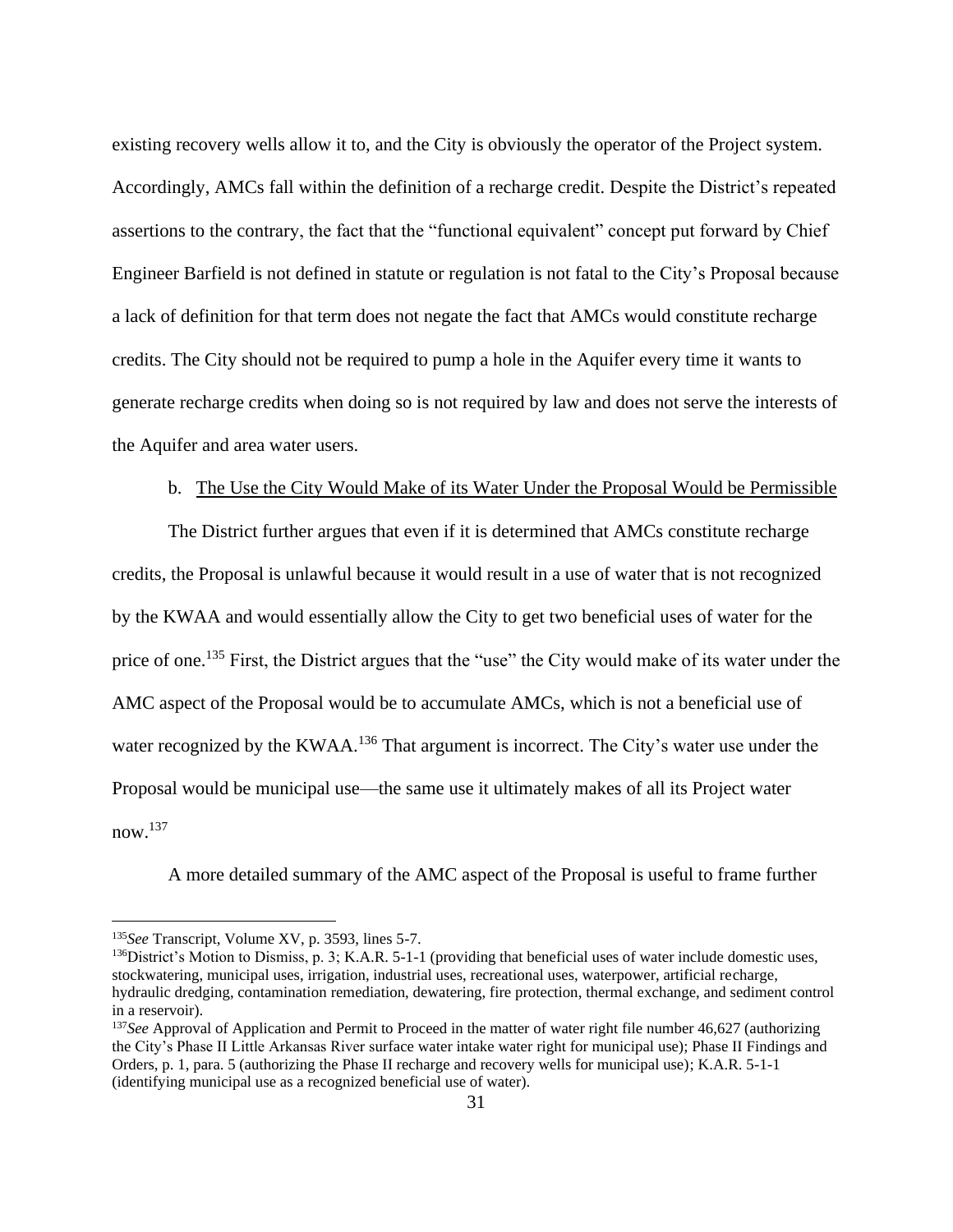existing recovery wells allow it to, and the City is obviously the operator of the Project system. Accordingly, AMCs fall within the definition of a recharge credit. Despite the District's repeated assertions to the contrary, the fact that the "functional equivalent" concept put forward by Chief Engineer Barfield is not defined in statute or regulation is not fatal to the City's Proposal because a lack of definition for that term does not negate the fact that AMCs would constitute recharge credits. The City should not be required to pump a hole in the Aquifer every time it wants to generate recharge credits when doing so is not required by law and does not serve the interests of the Aquifer and area water users.

### b. The Use the City Would Make of its Water Under the Proposal Would be Permissible

The District further argues that even if it is determined that AMCs constitute recharge credits, the Proposal is unlawful because it would result in a use of water that is not recognized by the KWAA and would essentially allow the City to get two beneficial uses of water for the price of one.<sup>135</sup> First, the District argues that the "use" the City would make of its water under the AMC aspect of the Proposal would be to accumulate AMCs, which is not a beneficial use of water recognized by the KWAA.<sup>136</sup> That argument is incorrect. The City's water use under the Proposal would be municipal use—the same use it ultimately makes of all its Project water now.<sup>137</sup>

A more detailed summary of the AMC aspect of the Proposal is useful to frame further

<sup>135</sup>*See* Transcript, Volume XV, p. 3593, lines 5-7.

 $^{136}$ District's Motion to Dismiss, p. 3; K.A.R. 5-1-1 (providing that beneficial uses of water include domestic uses, stockwatering, municipal uses, irrigation, industrial uses, recreational uses, waterpower, artificial recharge, hydraulic dredging, contamination remediation, dewatering, fire protection, thermal exchange, and sediment control in a reservoir).

<sup>&</sup>lt;sup>137</sup>See Approval of Application and Permit to Proceed in the matter of water right file number 46,627 (authorizing the City's Phase II Little Arkansas River surface water intake water right for municipal use); Phase II Findings and Orders, p. 1, para. 5 (authorizing the Phase II recharge and recovery wells for municipal use); K.A.R. 5-1-1 (identifying municipal use as a recognized beneficial use of water).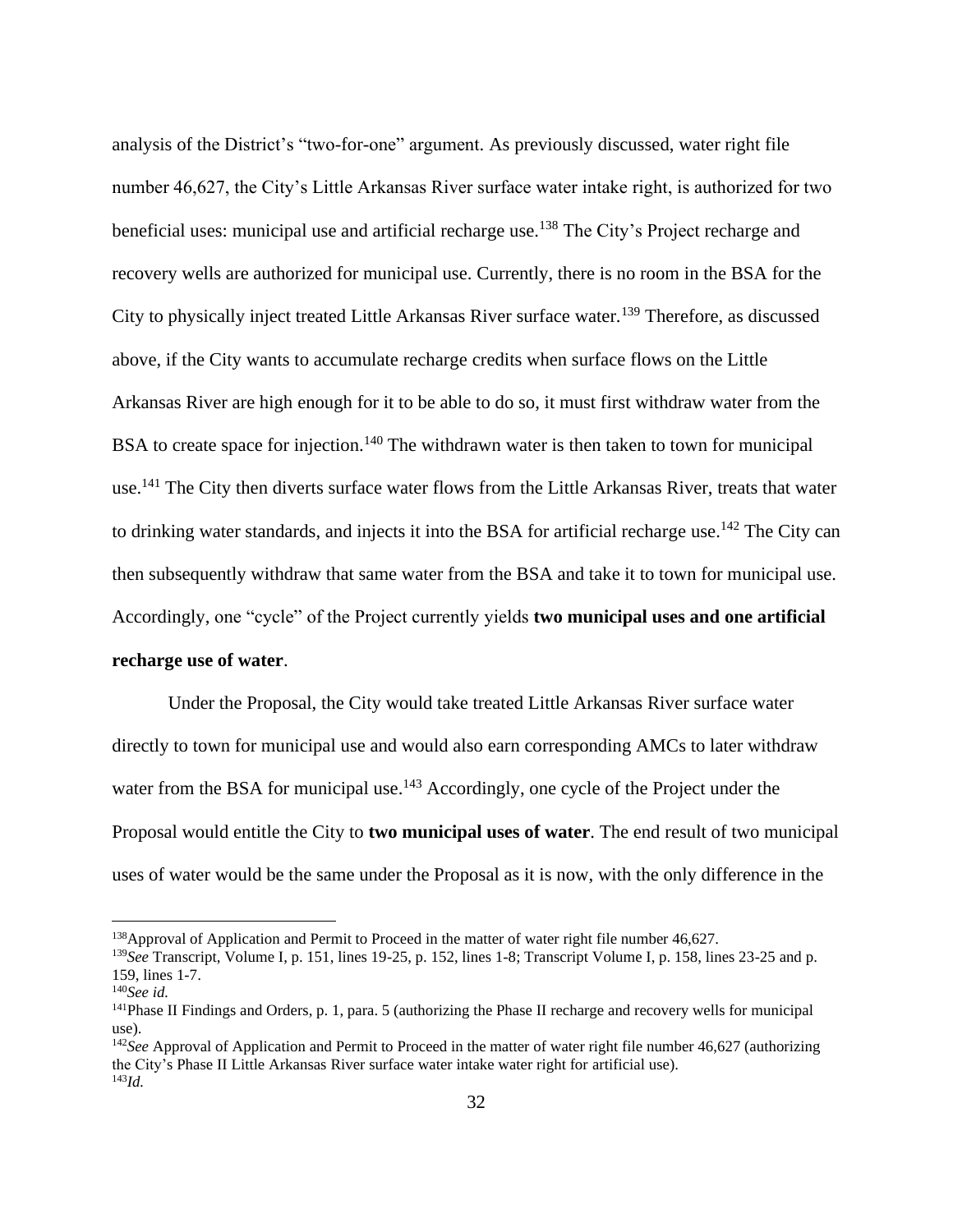analysis of the District's "two-for-one" argument. As previously discussed, water right file number 46,627, the City's Little Arkansas River surface water intake right, is authorized for two beneficial uses: municipal use and artificial recharge use.<sup>138</sup> The City's Project recharge and recovery wells are authorized for municipal use. Currently, there is no room in the BSA for the City to physically inject treated Little Arkansas River surface water.<sup>139</sup> Therefore, as discussed above, if the City wants to accumulate recharge credits when surface flows on the Little Arkansas River are high enough for it to be able to do so, it must first withdraw water from the BSA to create space for injection.<sup>140</sup> The withdrawn water is then taken to town for municipal use.<sup>141</sup> The City then diverts surface water flows from the Little Arkansas River, treats that water to drinking water standards, and injects it into the BSA for artificial recharge use.<sup>142</sup> The City can then subsequently withdraw that same water from the BSA and take it to town for municipal use. Accordingly, one "cycle" of the Project currently yields **two municipal uses and one artificial recharge use of water**.

Under the Proposal, the City would take treated Little Arkansas River surface water directly to town for municipal use and would also earn corresponding AMCs to later withdraw water from the BSA for municipal use.<sup>143</sup> Accordingly, one cycle of the Project under the Proposal would entitle the City to **two municipal uses of water**. The end result of two municipal uses of water would be the same under the Proposal as it is now, with the only difference in the

<sup>&</sup>lt;sup>138</sup>Approval of Application and Permit to Proceed in the matter of water right file number 46,627.

<sup>139</sup>*See* Transcript, Volume I, p. 151, lines 19-25, p. 152, lines 1-8; Transcript Volume I, p. 158, lines 23-25 and p. 159, lines 1-7.

<sup>140</sup>*See id.*

<sup>&</sup>lt;sup>141</sup>Phase II Findings and Orders, p. 1, para. 5 (authorizing the Phase II recharge and recovery wells for municipal use).

<sup>142</sup>*See* Approval of Application and Permit to Proceed in the matter of water right file number 46,627 (authorizing the City's Phase II Little Arkansas River surface water intake water right for artificial use). 143*Id.*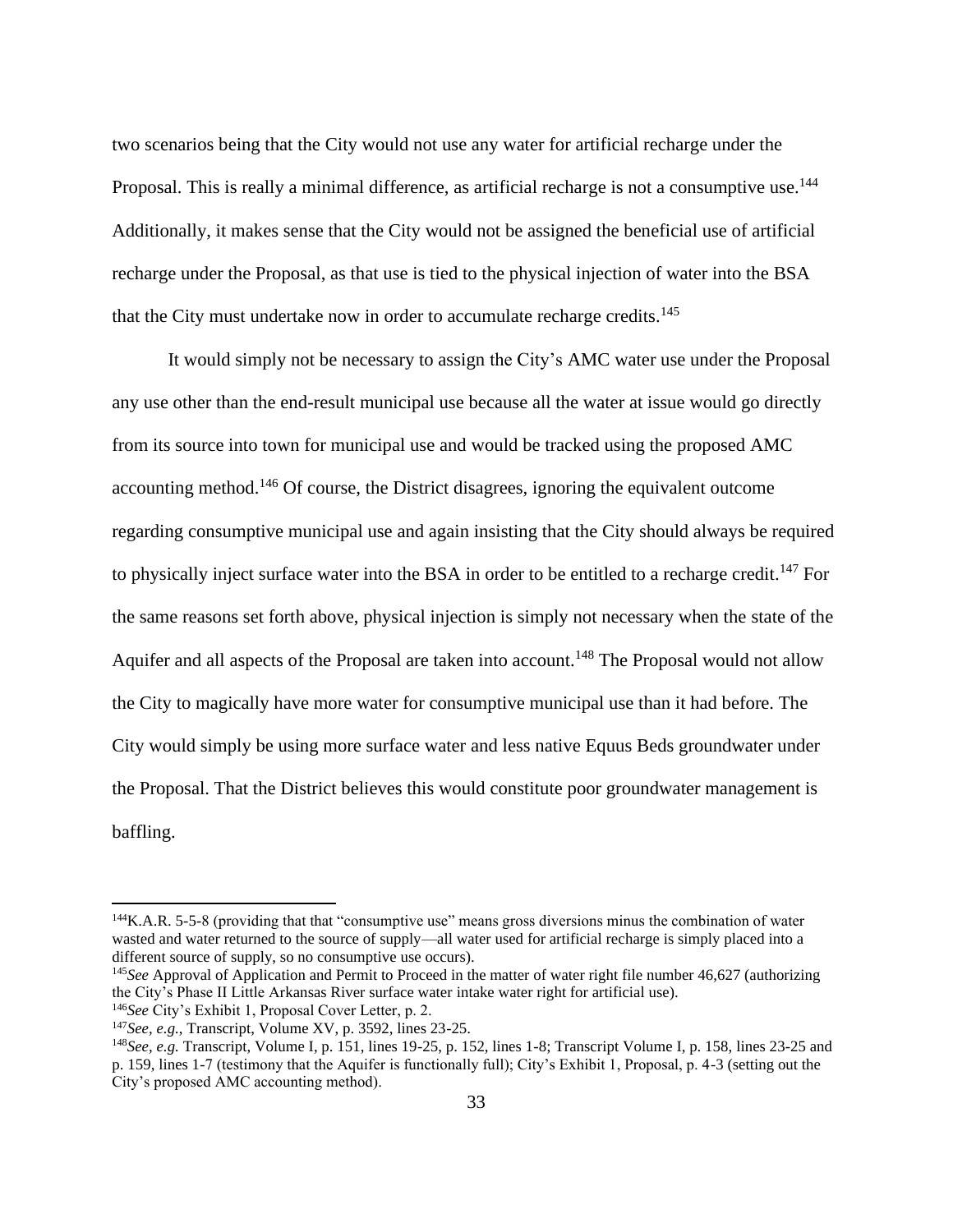two scenarios being that the City would not use any water for artificial recharge under the Proposal. This is really a minimal difference, as artificial recharge is not a consumptive use.<sup>144</sup> Additionally, it makes sense that the City would not be assigned the beneficial use of artificial recharge under the Proposal, as that use is tied to the physical injection of water into the BSA that the City must undertake now in order to accumulate recharge credits.<sup>145</sup>

It would simply not be necessary to assign the City's AMC water use under the Proposal any use other than the end-result municipal use because all the water at issue would go directly from its source into town for municipal use and would be tracked using the proposed AMC accounting method.<sup>146</sup> Of course, the District disagrees, ignoring the equivalent outcome regarding consumptive municipal use and again insisting that the City should always be required to physically inject surface water into the BSA in order to be entitled to a recharge credit.<sup>147</sup> For the same reasons set forth above, physical injection is simply not necessary when the state of the Aquifer and all aspects of the Proposal are taken into account.<sup>148</sup> The Proposal would not allow the City to magically have more water for consumptive municipal use than it had before. The City would simply be using more surface water and less native Equus Beds groundwater under the Proposal. That the District believes this would constitute poor groundwater management is baffling.

<sup>144</sup>K.A.R. 5-5-8 (providing that that "consumptive use" means gross diversions minus the combination of water wasted and water returned to the source of supply—all water used for artificial recharge is simply placed into a different source of supply, so no consumptive use occurs).

<sup>145</sup>*See* Approval of Application and Permit to Proceed in the matter of water right file number 46,627 (authorizing the City's Phase II Little Arkansas River surface water intake water right for artificial use).

<sup>146</sup>*See* City's Exhibit 1, Proposal Cover Letter, p. 2.

<sup>147</sup>*See, e.g.*, Transcript, Volume XV, p. 3592, lines 23-25.

<sup>148</sup>*See, e.g.* Transcript, Volume I, p. 151, lines 19-25, p. 152, lines 1-8; Transcript Volume I, p. 158, lines 23-25 and p. 159, lines 1-7 (testimony that the Aquifer is functionally full); City's Exhibit 1, Proposal, p. 4-3 (setting out the City's proposed AMC accounting method).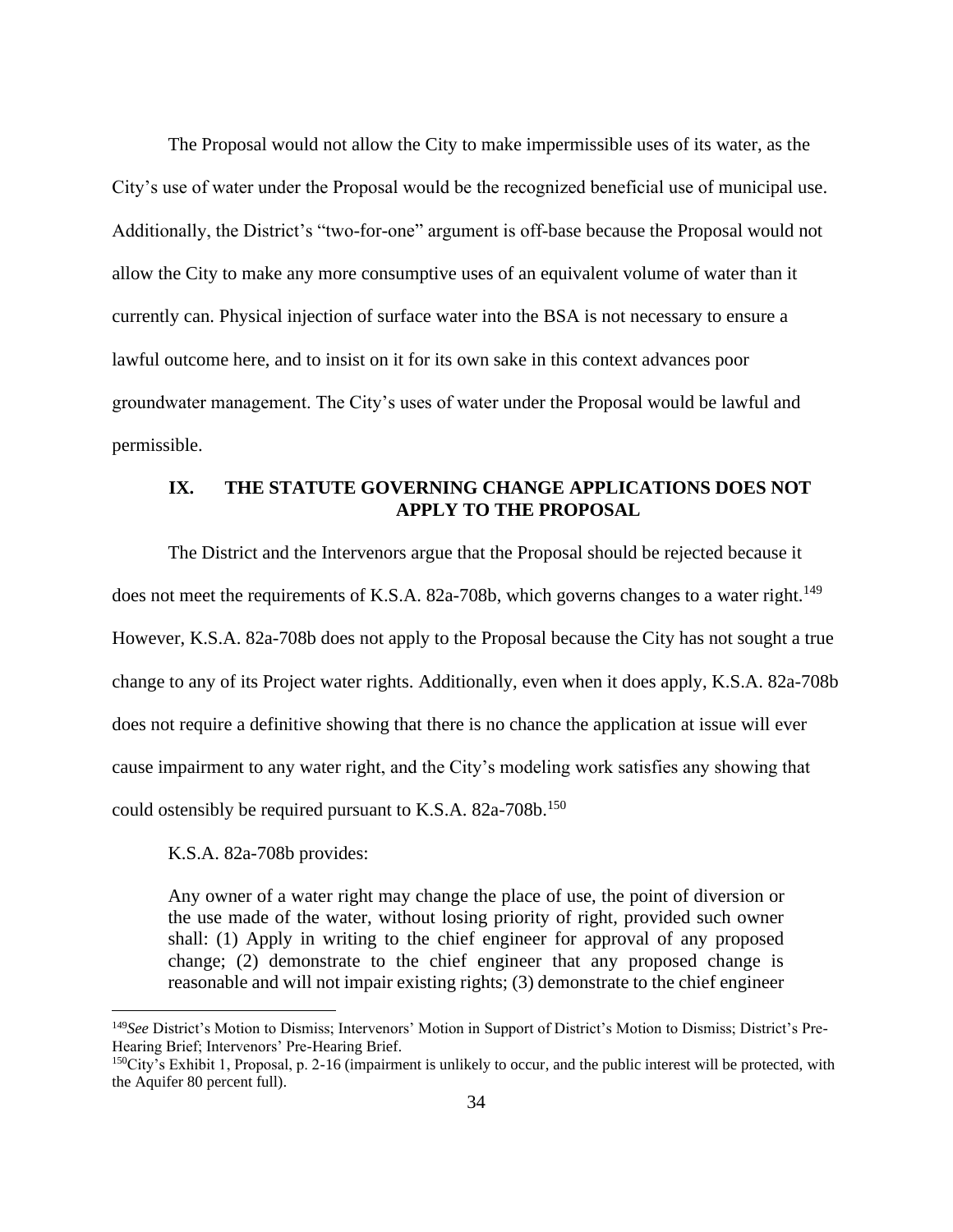The Proposal would not allow the City to make impermissible uses of its water, as the City's use of water under the Proposal would be the recognized beneficial use of municipal use. Additionally, the District's "two-for-one" argument is off-base because the Proposal would not allow the City to make any more consumptive uses of an equivalent volume of water than it currently can. Physical injection of surface water into the BSA is not necessary to ensure a lawful outcome here, and to insist on it for its own sake in this context advances poor groundwater management. The City's uses of water under the Proposal would be lawful and permissible.

# **IX. THE STATUTE GOVERNING CHANGE APPLICATIONS DOES NOT APPLY TO THE PROPOSAL**

The District and the Intervenors argue that the Proposal should be rejected because it does not meet the requirements of K.S.A. 82a-708b, which governs changes to a water right.<sup>149</sup> However, K.S.A. 82a-708b does not apply to the Proposal because the City has not sought a true change to any of its Project water rights. Additionally, even when it does apply, K.S.A. 82a-708b does not require a definitive showing that there is no chance the application at issue will ever cause impairment to any water right, and the City's modeling work satisfies any showing that could ostensibly be required pursuant to K.S.A. 82a-708b.<sup>150</sup>

K.S.A. 82a-708b provides:

Any owner of a water right may change the place of use, the point of diversion or the use made of the water, without losing priority of right, provided such owner shall: (1) Apply in writing to the chief engineer for approval of any proposed change; (2) demonstrate to the chief engineer that any proposed change is reasonable and will not impair existing rights; (3) demonstrate to the chief engineer

<sup>149</sup>*See* District's Motion to Dismiss; Intervenors' Motion in Support of District's Motion to Dismiss; District's Pre-Hearing Brief; Intervenors' Pre-Hearing Brief.

 $150$ City's Exhibit 1, Proposal, p. 2-16 (impairment is unlikely to occur, and the public interest will be protected, with the Aquifer 80 percent full).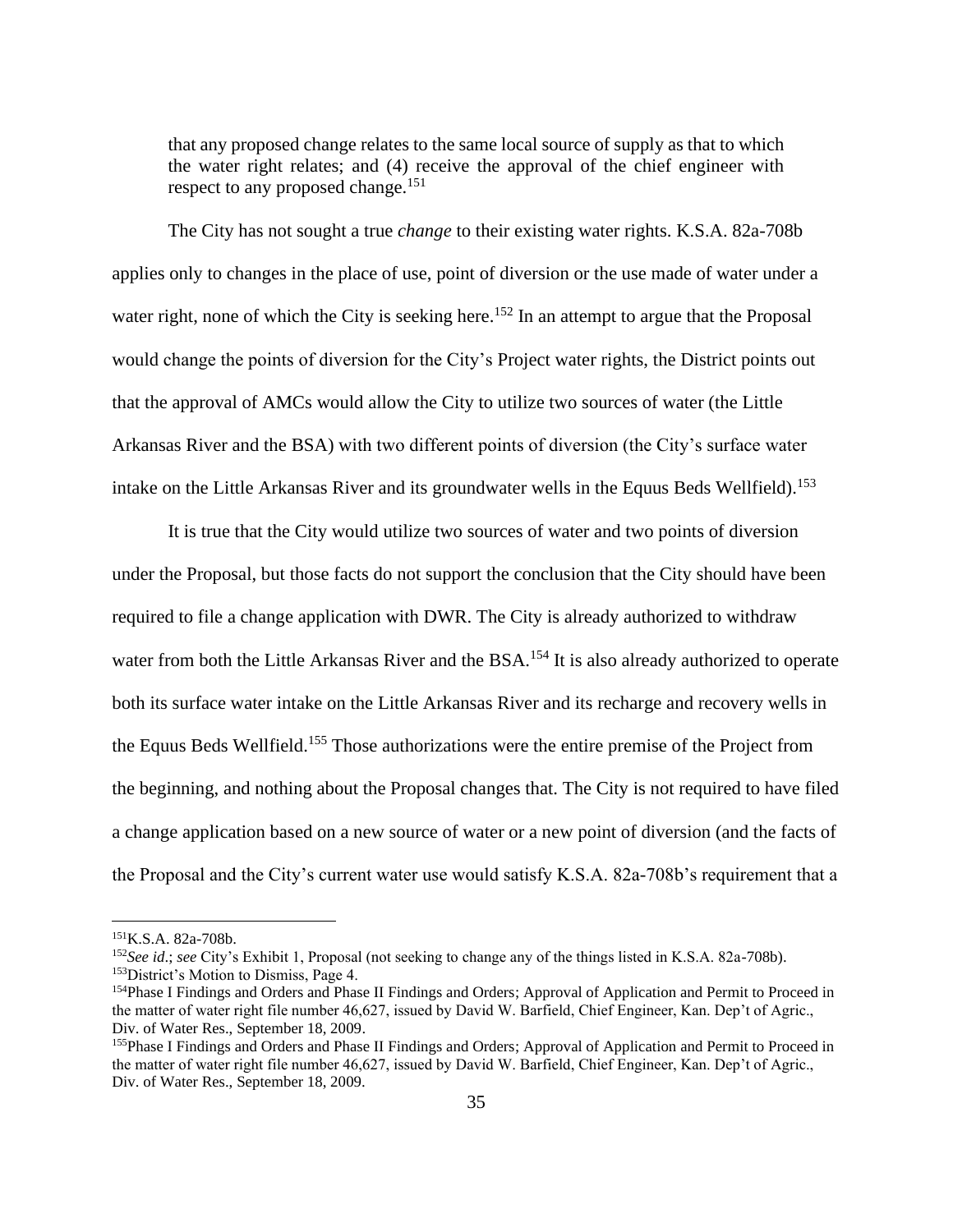that any proposed change relates to the same local source of supply as that to which the water right relates; and (4) receive the approval of the chief engineer with respect to any proposed change.<sup>151</sup>

The City has not sought a true *change* to their existing water rights. K.S.A. 82a-708b applies only to changes in the place of use, point of diversion or the use made of water under a water right, none of which the City is seeking here.<sup>152</sup> In an attempt to argue that the Proposal would change the points of diversion for the City's Project water rights, the District points out that the approval of AMCs would allow the City to utilize two sources of water (the Little Arkansas River and the BSA) with two different points of diversion (the City's surface water intake on the Little Arkansas River and its groundwater wells in the Equus Beds Wellfield).<sup>153</sup>

It is true that the City would utilize two sources of water and two points of diversion under the Proposal, but those facts do not support the conclusion that the City should have been required to file a change application with DWR. The City is already authorized to withdraw water from both the Little Arkansas River and the BSA.<sup>154</sup> It is also already authorized to operate both its surface water intake on the Little Arkansas River and its recharge and recovery wells in the Equus Beds Wellfield.<sup>155</sup> Those authorizations were the entire premise of the Project from the beginning, and nothing about the Proposal changes that. The City is not required to have filed a change application based on a new source of water or a new point of diversion (and the facts of the Proposal and the City's current water use would satisfy K.S.A. 82a-708b's requirement that a

<sup>151</sup>K.S.A. 82a-708b.

<sup>152</sup>*See id*.; *see* City's Exhibit 1, Proposal (not seeking to change any of the things listed in K.S.A. 82a-708b). <sup>153</sup>District's Motion to Dismiss, Page 4.

<sup>&</sup>lt;sup>154</sup>Phase I Findings and Orders and Phase II Findings and Orders; Approval of Application and Permit to Proceed in the matter of water right file number 46,627, issued by David W. Barfield, Chief Engineer, Kan. Dep't of Agric., Div. of Water Res., September 18, 2009.

<sup>&</sup>lt;sup>155</sup>Phase I Findings and Orders and Phase II Findings and Orders; Approval of Application and Permit to Proceed in the matter of water right file number 46,627, issued by David W. Barfield, Chief Engineer, Kan. Dep't of Agric., Div. of Water Res., September 18, 2009.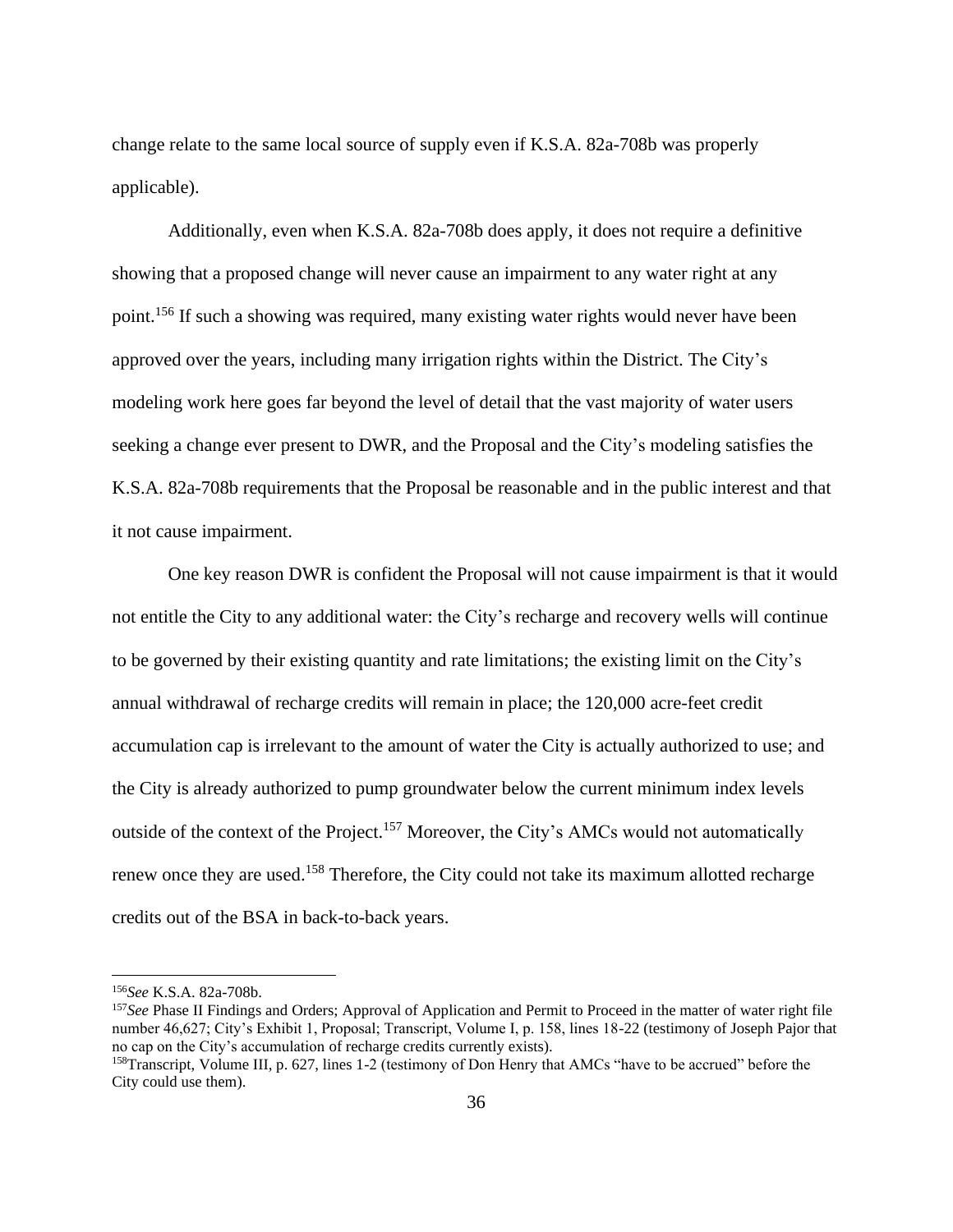change relate to the same local source of supply even if K.S.A. 82a-708b was properly applicable).

Additionally, even when K.S.A. 82a-708b does apply, it does not require a definitive showing that a proposed change will never cause an impairment to any water right at any point.<sup>156</sup> If such a showing was required, many existing water rights would never have been approved over the years, including many irrigation rights within the District. The City's modeling work here goes far beyond the level of detail that the vast majority of water users seeking a change ever present to DWR, and the Proposal and the City's modeling satisfies the K.S.A. 82a-708b requirements that the Proposal be reasonable and in the public interest and that it not cause impairment.

One key reason DWR is confident the Proposal will not cause impairment is that it would not entitle the City to any additional water: the City's recharge and recovery wells will continue to be governed by their existing quantity and rate limitations; the existing limit on the City's annual withdrawal of recharge credits will remain in place; the 120,000 acre-feet credit accumulation cap is irrelevant to the amount of water the City is actually authorized to use; and the City is already authorized to pump groundwater below the current minimum index levels outside of the context of the Project.<sup>157</sup> Moreover, the City's AMCs would not automatically renew once they are used.<sup>158</sup> Therefore, the City could not take its maximum allotted recharge credits out of the BSA in back-to-back years.

<sup>156</sup>*See* K.S.A. 82a-708b.

<sup>157</sup>*See* Phase II Findings and Orders; Approval of Application and Permit to Proceed in the matter of water right file number 46,627; City's Exhibit 1, Proposal; Transcript, Volume I, p. 158, lines 18-22 (testimony of Joseph Pajor that no cap on the City's accumulation of recharge credits currently exists).

<sup>158</sup>Transcript, Volume III, p. 627, lines 1-2 (testimony of Don Henry that AMCs "have to be accrued" before the City could use them).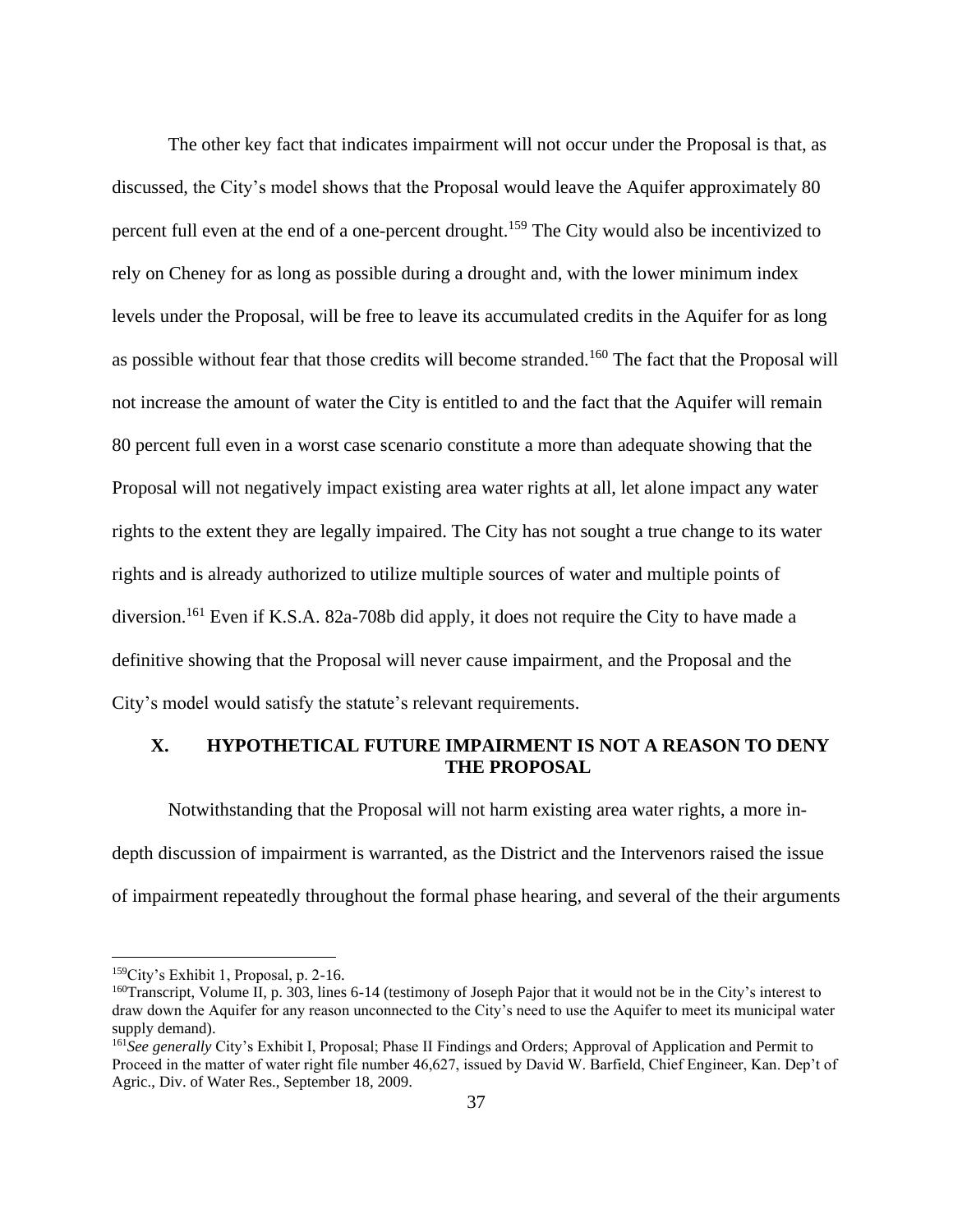The other key fact that indicates impairment will not occur under the Proposal is that, as discussed, the City's model shows that the Proposal would leave the Aquifer approximately 80 percent full even at the end of a one-percent drought.<sup>159</sup> The City would also be incentivized to rely on Cheney for as long as possible during a drought and, with the lower minimum index levels under the Proposal, will be free to leave its accumulated credits in the Aquifer for as long as possible without fear that those credits will become stranded.<sup>160</sup> The fact that the Proposal will not increase the amount of water the City is entitled to and the fact that the Aquifer will remain 80 percent full even in a worst case scenario constitute a more than adequate showing that the Proposal will not negatively impact existing area water rights at all, let alone impact any water rights to the extent they are legally impaired. The City has not sought a true change to its water rights and is already authorized to utilize multiple sources of water and multiple points of diversion.<sup>161</sup> Even if K.S.A. 82a-708b did apply, it does not require the City to have made a definitive showing that the Proposal will never cause impairment, and the Proposal and the City's model would satisfy the statute's relevant requirements.

# **X. HYPOTHETICAL FUTURE IMPAIRMENT IS NOT A REASON TO DENY THE PROPOSAL**

Notwithstanding that the Proposal will not harm existing area water rights, a more indepth discussion of impairment is warranted, as the District and the Intervenors raised the issue of impairment repeatedly throughout the formal phase hearing, and several of the their arguments

<sup>159</sup>City's Exhibit 1, Proposal, p. 2-16.

<sup>&</sup>lt;sup>160</sup>Transcript, Volume II, p. 303, lines 6-14 (testimony of Joseph Pajor that it would not be in the City's interest to draw down the Aquifer for any reason unconnected to the City's need to use the Aquifer to meet its municipal water supply demand).

<sup>161</sup>*See generally* City's Exhibit I, Proposal; Phase II Findings and Orders; Approval of Application and Permit to Proceed in the matter of water right file number 46,627, issued by David W. Barfield, Chief Engineer, Kan. Dep't of Agric., Div. of Water Res., September 18, 2009.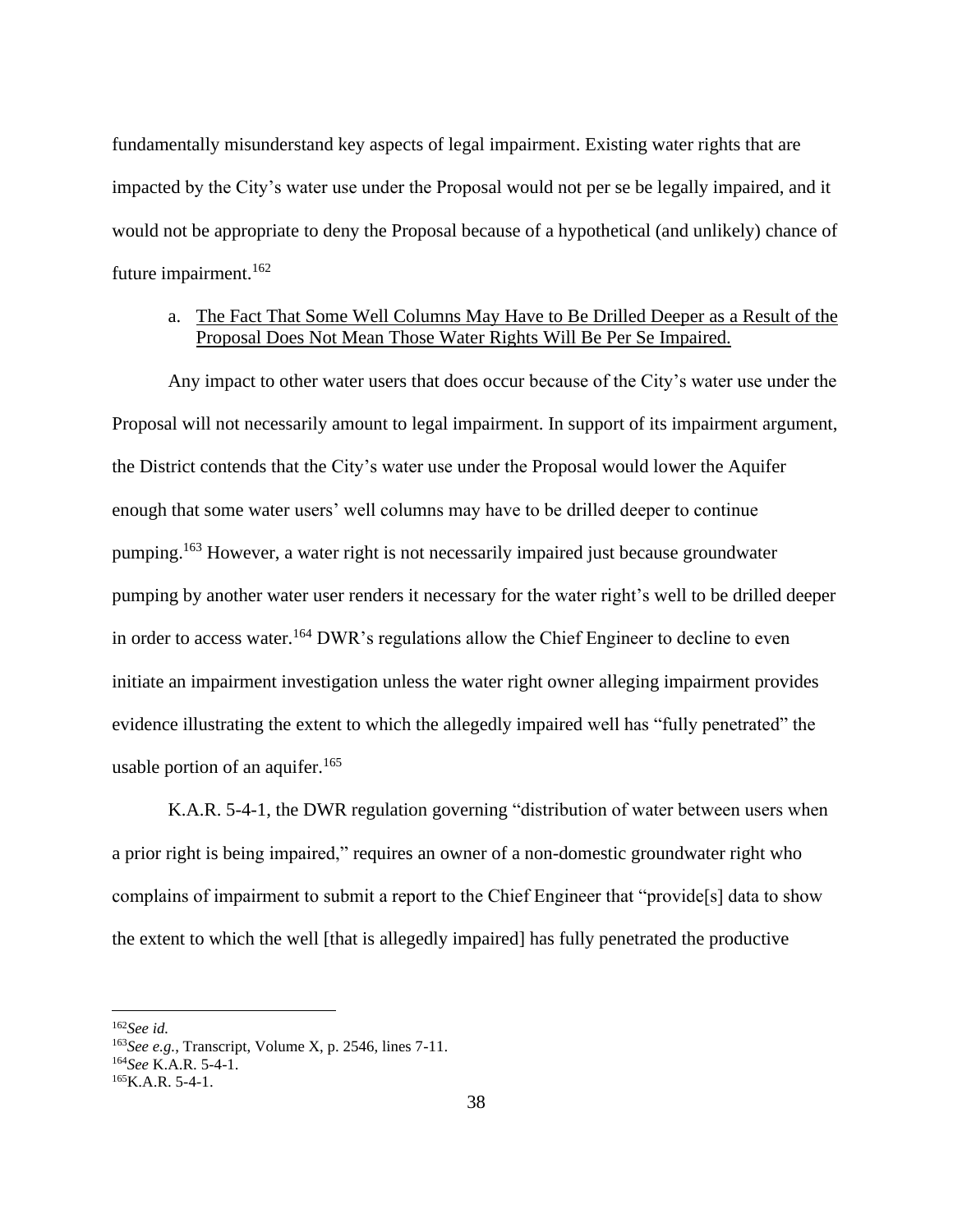fundamentally misunderstand key aspects of legal impairment. Existing water rights that are impacted by the City's water use under the Proposal would not per se be legally impaired, and it would not be appropriate to deny the Proposal because of a hypothetical (and unlikely) chance of future impairment.<sup>162</sup>

# a. The Fact That Some Well Columns May Have to Be Drilled Deeper as a Result of the Proposal Does Not Mean Those Water Rights Will Be Per Se Impaired.

Any impact to other water users that does occur because of the City's water use under the Proposal will not necessarily amount to legal impairment. In support of its impairment argument, the District contends that the City's water use under the Proposal would lower the Aquifer enough that some water users' well columns may have to be drilled deeper to continue pumping.<sup>163</sup> However, a water right is not necessarily impaired just because groundwater pumping by another water user renders it necessary for the water right's well to be drilled deeper in order to access water.<sup>164</sup> DWR's regulations allow the Chief Engineer to decline to even initiate an impairment investigation unless the water right owner alleging impairment provides evidence illustrating the extent to which the allegedly impaired well has "fully penetrated" the usable portion of an aquifer.<sup>165</sup>

K.A.R. 5-4-1, the DWR regulation governing "distribution of water between users when a prior right is being impaired," requires an owner of a non-domestic groundwater right who complains of impairment to submit a report to the Chief Engineer that "provide[s] data to show the extent to which the well [that is allegedly impaired] has fully penetrated the productive

<sup>162</sup>*See id.*

<sup>163</sup>*See e.g.*, Transcript, Volume X, p. 2546, lines 7-11.

<sup>164</sup>*See* K.A.R. 5-4-1.

 $165K.A.R. 5-4-1.$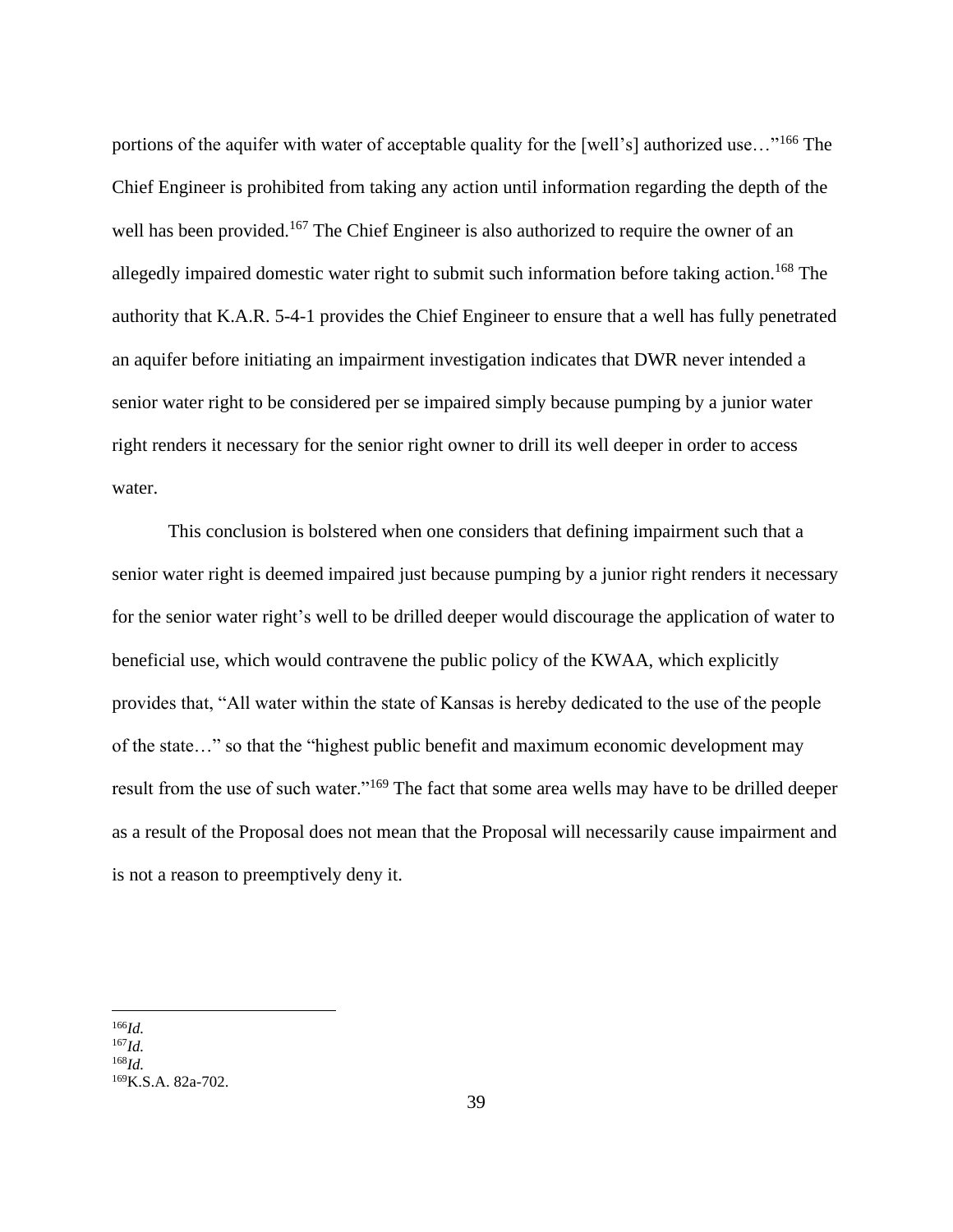portions of the aquifer with water of acceptable quality for the [well's] authorized use..."<sup>166</sup> The Chief Engineer is prohibited from taking any action until information regarding the depth of the well has been provided.<sup>167</sup> The Chief Engineer is also authorized to require the owner of an allegedly impaired domestic water right to submit such information before taking action. <sup>168</sup> The authority that K.A.R. 5-4-1 provides the Chief Engineer to ensure that a well has fully penetrated an aquifer before initiating an impairment investigation indicates that DWR never intended a senior water right to be considered per se impaired simply because pumping by a junior water right renders it necessary for the senior right owner to drill its well deeper in order to access water.

This conclusion is bolstered when one considers that defining impairment such that a senior water right is deemed impaired just because pumping by a junior right renders it necessary for the senior water right's well to be drilled deeper would discourage the application of water to beneficial use, which would contravene the public policy of the KWAA, which explicitly provides that, "All water within the state of Kansas is hereby dedicated to the use of the people of the state…" so that the "highest public benefit and maximum economic development may result from the use of such water."<sup>169</sup> The fact that some area wells may have to be drilled deeper as a result of the Proposal does not mean that the Proposal will necessarily cause impairment and is not a reason to preemptively deny it.

<sup>166</sup>*Id.*

<sup>167</sup>*Id.*

<sup>168</sup>*Id.*

<sup>169</sup>K.S.A. 82a-702.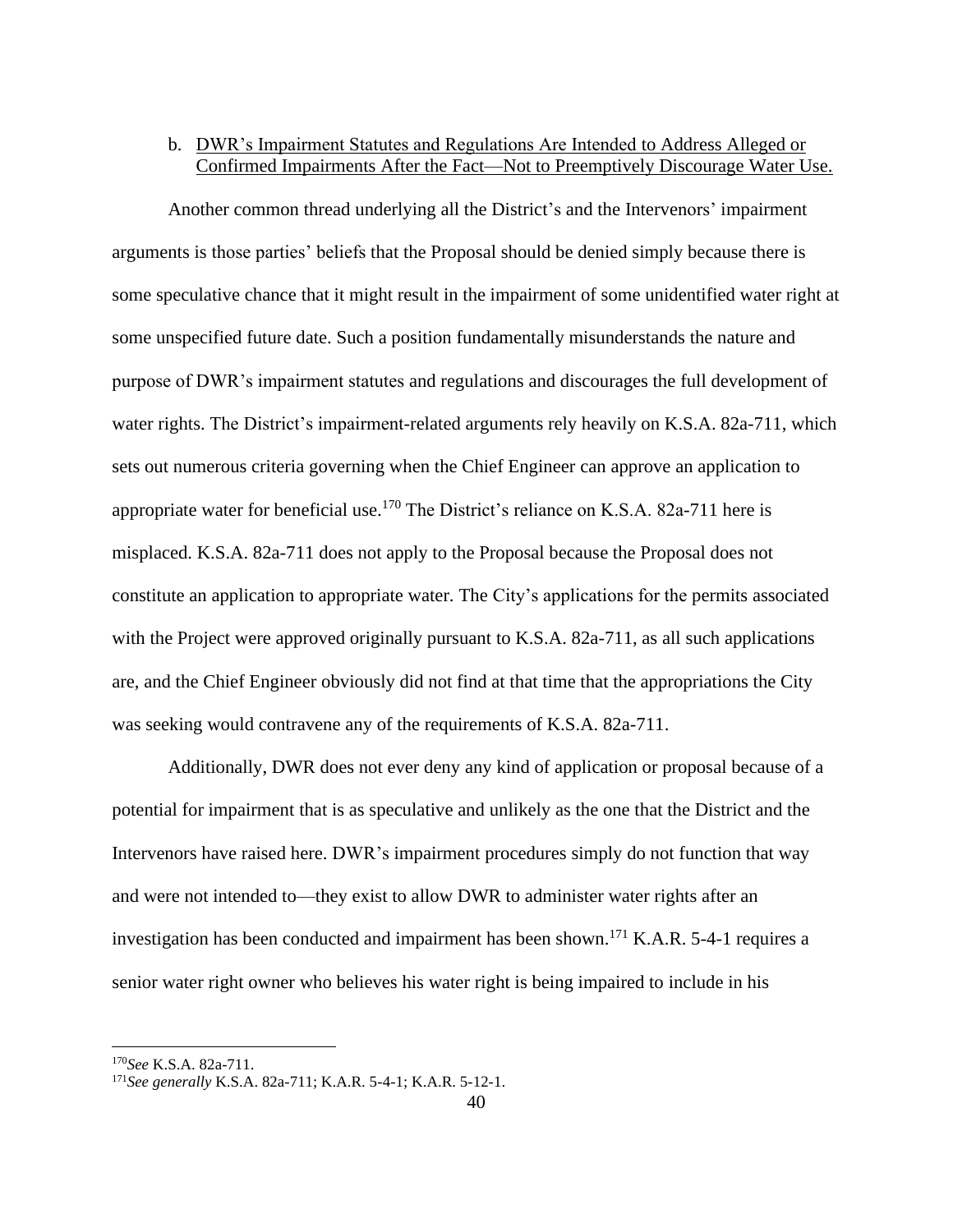# b. DWR's Impairment Statutes and Regulations Are Intended to Address Alleged or Confirmed Impairments After the Fact—Not to Preemptively Discourage Water Use.

Another common thread underlying all the District's and the Intervenors' impairment arguments is those parties' beliefs that the Proposal should be denied simply because there is some speculative chance that it might result in the impairment of some unidentified water right at some unspecified future date. Such a position fundamentally misunderstands the nature and purpose of DWR's impairment statutes and regulations and discourages the full development of water rights. The District's impairment-related arguments rely heavily on K.S.A. 82a-711, which sets out numerous criteria governing when the Chief Engineer can approve an application to appropriate water for beneficial use.<sup>170</sup> The District's reliance on K.S.A. 82a-711 here is misplaced. K.S.A. 82a-711 does not apply to the Proposal because the Proposal does not constitute an application to appropriate water. The City's applications for the permits associated with the Project were approved originally pursuant to K.S.A. 82a-711, as all such applications are, and the Chief Engineer obviously did not find at that time that the appropriations the City was seeking would contravene any of the requirements of K.S.A. 82a-711.

Additionally, DWR does not ever deny any kind of application or proposal because of a potential for impairment that is as speculative and unlikely as the one that the District and the Intervenors have raised here. DWR's impairment procedures simply do not function that way and were not intended to—they exist to allow DWR to administer water rights after an investigation has been conducted and impairment has been shown. <sup>171</sup> K.A.R. 5-4-1 requires a senior water right owner who believes his water right is being impaired to include in his

<sup>170</sup>*See* K.S.A. 82a-711.

<sup>171</sup>*See generally* K.S.A. 82a-711; K.A.R. 5-4-1; K.A.R. 5-12-1.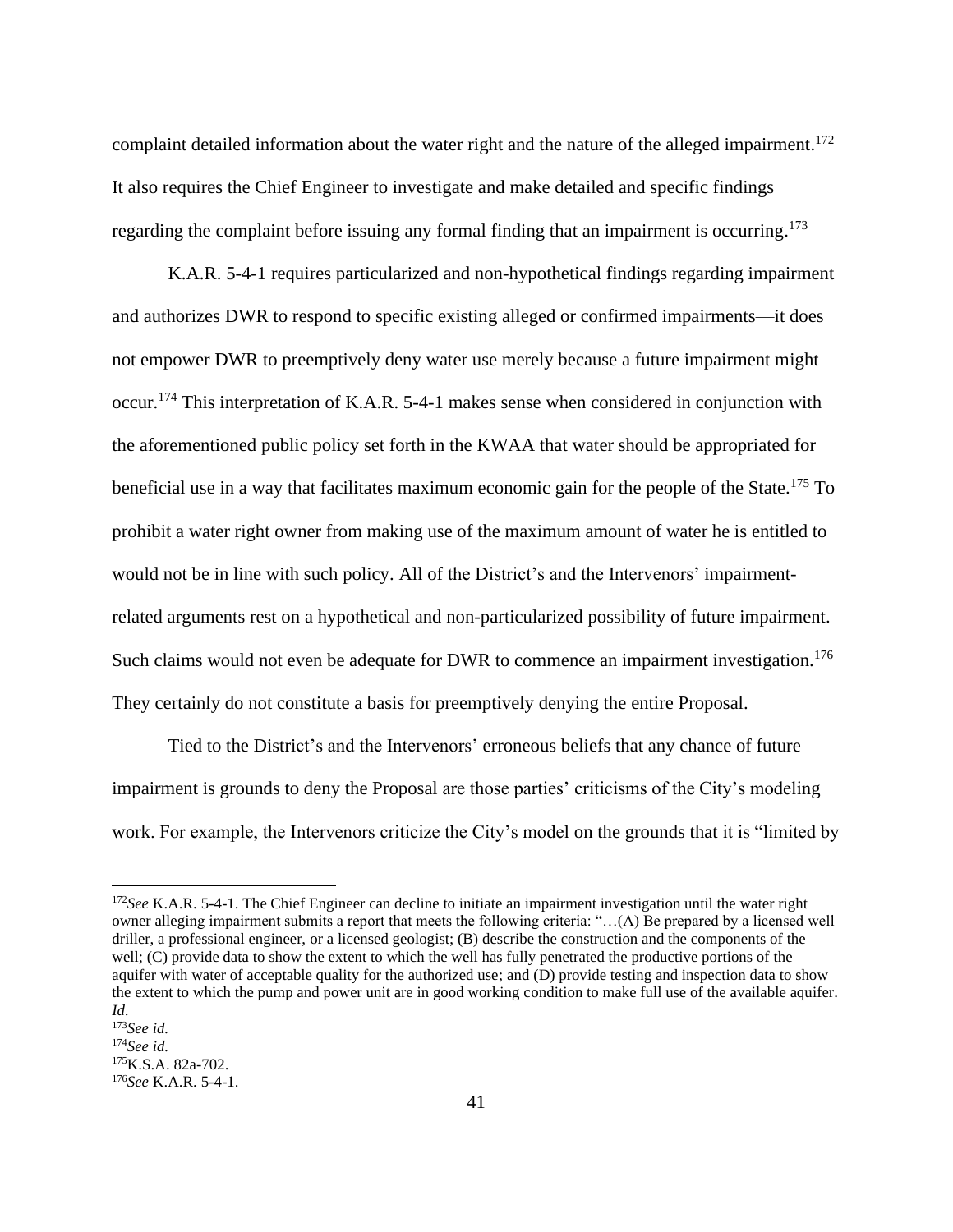complaint detailed information about the water right and the nature of the alleged impairment.<sup>172</sup> It also requires the Chief Engineer to investigate and make detailed and specific findings regarding the complaint before issuing any formal finding that an impairment is occurring.<sup>173</sup>

K.A.R. 5-4-1 requires particularized and non-hypothetical findings regarding impairment and authorizes DWR to respond to specific existing alleged or confirmed impairments—it does not empower DWR to preemptively deny water use merely because a future impairment might occur.<sup>174</sup> This interpretation of K.A.R. 5-4-1 makes sense when considered in conjunction with the aforementioned public policy set forth in the KWAA that water should be appropriated for beneficial use in a way that facilitates maximum economic gain for the people of the State.<sup>175</sup> To prohibit a water right owner from making use of the maximum amount of water he is entitled to would not be in line with such policy. All of the District's and the Intervenors' impairmentrelated arguments rest on a hypothetical and non-particularized possibility of future impairment. Such claims would not even be adequate for DWR to commence an impairment investigation.<sup>176</sup> They certainly do not constitute a basis for preemptively denying the entire Proposal.

Tied to the District's and the Intervenors' erroneous beliefs that any chance of future impairment is grounds to deny the Proposal are those parties' criticisms of the City's modeling work. For example, the Intervenors criticize the City's model on the grounds that it is "limited by

<sup>172</sup>*See* K.A.R. 5-4-1. The Chief Engineer can decline to initiate an impairment investigation until the water right owner alleging impairment submits a report that meets the following criteria: "…(A) Be prepared by a licensed well driller, a professional engineer, or a licensed geologist; (B) describe the construction and the components of the well; (C) provide data to show the extent to which the well has fully penetrated the productive portions of the aquifer with water of acceptable quality for the authorized use; and (D) provide testing and inspection data to show the extent to which the pump and power unit are in good working condition to make full use of the available aquifer. *Id.*

<sup>173</sup>*See id.*

<sup>174</sup>*See id.*

 $175K.S.A. 82a-702.$ 

<sup>176</sup>*See* K.A.R. 5-4-1.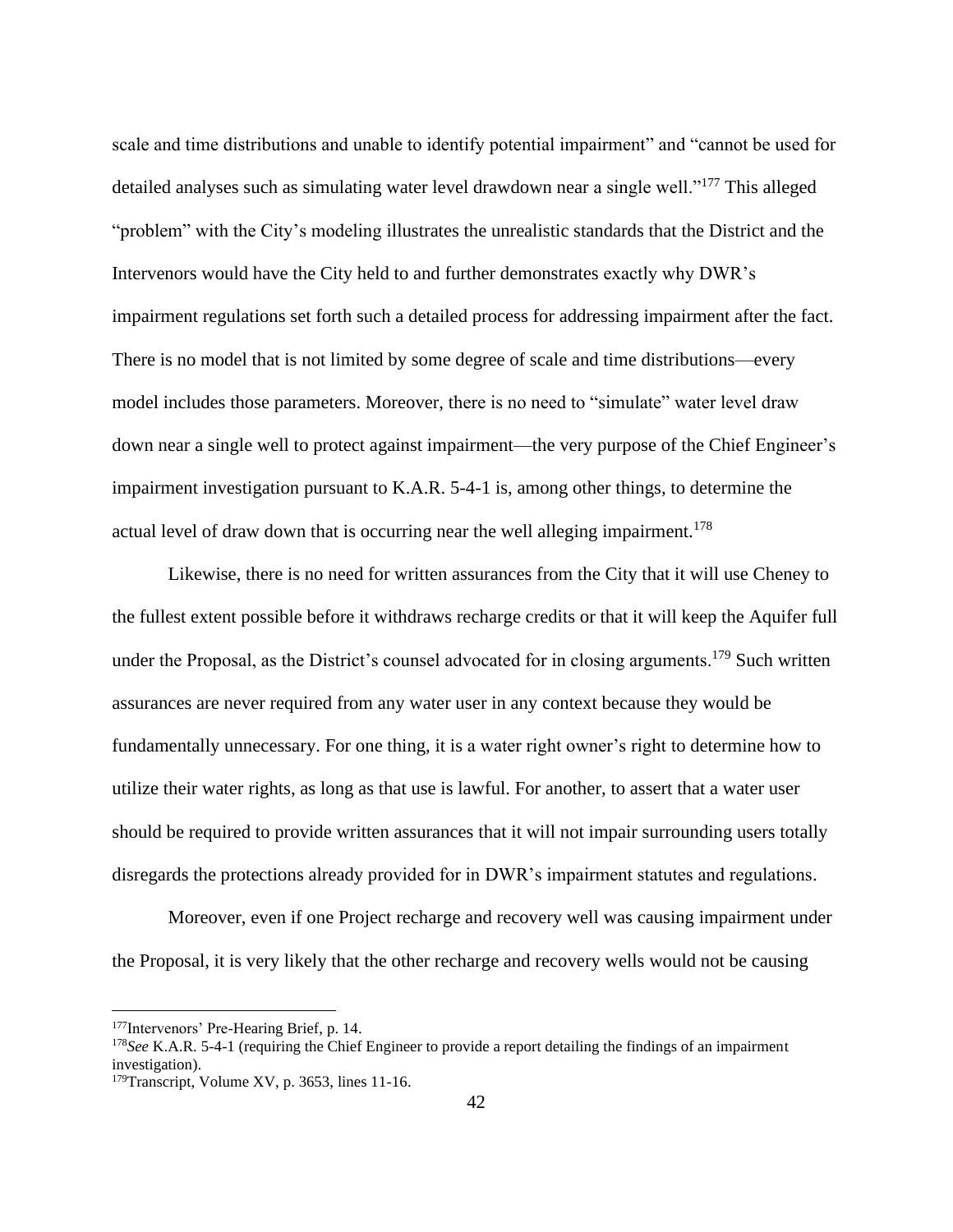scale and time distributions and unable to identify potential impairment" and "cannot be used for detailed analyses such as simulating water level drawdown near a single well."<sup>177</sup> This alleged "problem" with the City's modeling illustrates the unrealistic standards that the District and the Intervenors would have the City held to and further demonstrates exactly why DWR's impairment regulations set forth such a detailed process for addressing impairment after the fact. There is no model that is not limited by some degree of scale and time distributions—every model includes those parameters. Moreover, there is no need to "simulate" water level draw down near a single well to protect against impairment—the very purpose of the Chief Engineer's impairment investigation pursuant to K.A.R. 5-4-1 is, among other things, to determine the actual level of draw down that is occurring near the well alleging impairment.<sup>178</sup>

Likewise, there is no need for written assurances from the City that it will use Cheney to the fullest extent possible before it withdraws recharge credits or that it will keep the Aquifer full under the Proposal, as the District's counsel advocated for in closing arguments.<sup>179</sup> Such written assurances are never required from any water user in any context because they would be fundamentally unnecessary. For one thing, it is a water right owner's right to determine how to utilize their water rights, as long as that use is lawful. For another, to assert that a water user should be required to provide written assurances that it will not impair surrounding users totally disregards the protections already provided for in DWR's impairment statutes and regulations.

Moreover, even if one Project recharge and recovery well was causing impairment under the Proposal, it is very likely that the other recharge and recovery wells would not be causing

<sup>177</sup>Intervenors' Pre-Hearing Brief, p. 14.

<sup>178</sup>*See* K.A.R. 5-4-1 (requiring the Chief Engineer to provide a report detailing the findings of an impairment investigation).

 $179$ Transcript, Volume XV, p. 3653, lines 11-16.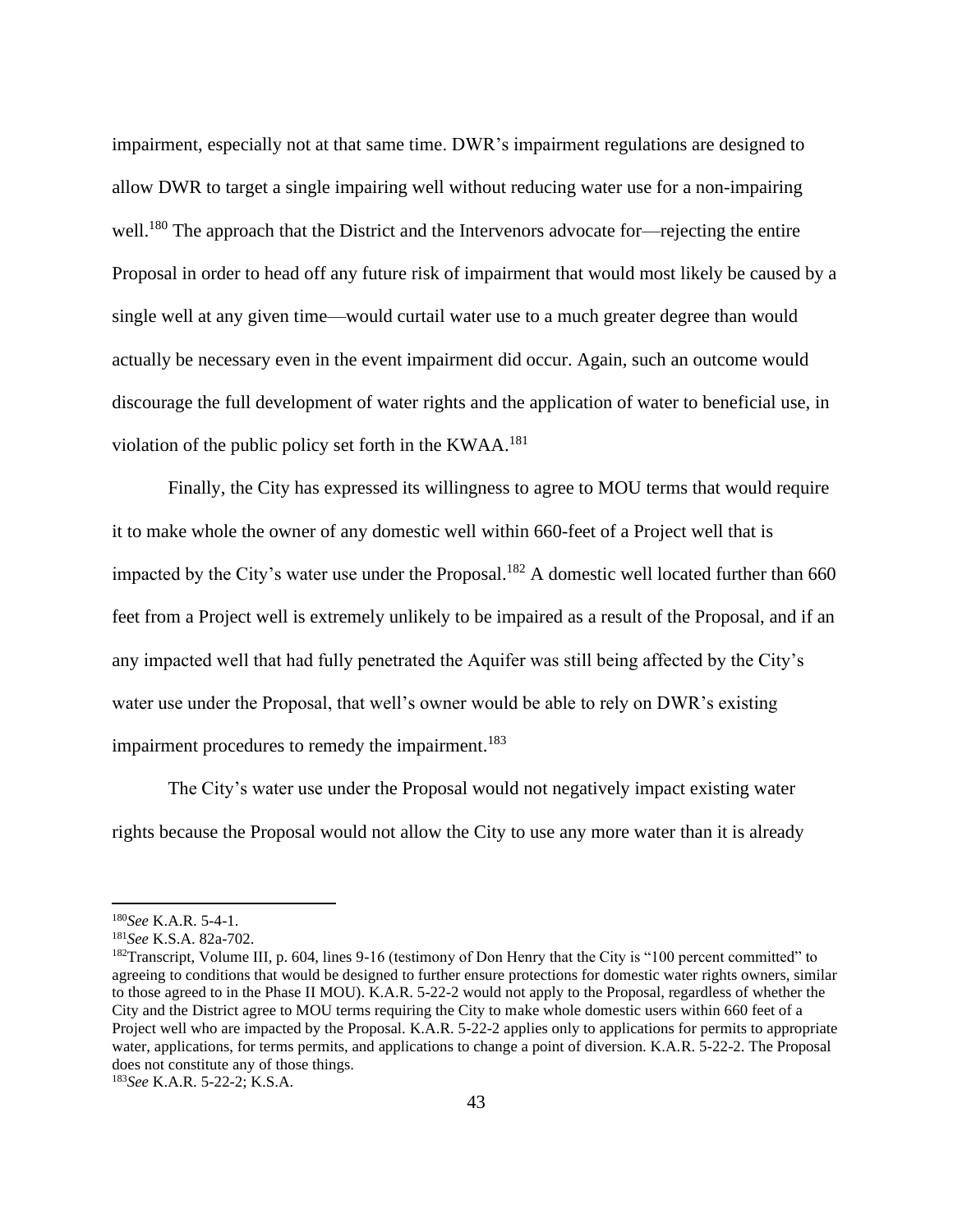impairment, especially not at that same time. DWR's impairment regulations are designed to allow DWR to target a single impairing well without reducing water use for a non-impairing well.<sup>180</sup> The approach that the District and the Intervenors advocate for—rejecting the entire Proposal in order to head off any future risk of impairment that would most likely be caused by a single well at any given time—would curtail water use to a much greater degree than would actually be necessary even in the event impairment did occur. Again, such an outcome would discourage the full development of water rights and the application of water to beneficial use, in violation of the public policy set forth in the KWAA.<sup>181</sup>

Finally, the City has expressed its willingness to agree to MOU terms that would require it to make whole the owner of any domestic well within 660-feet of a Project well that is impacted by the City's water use under the Proposal.<sup>182</sup> A domestic well located further than 660 feet from a Project well is extremely unlikely to be impaired as a result of the Proposal, and if an any impacted well that had fully penetrated the Aquifer was still being affected by the City's water use under the Proposal, that well's owner would be able to rely on DWR's existing impairment procedures to remedy the impairment.<sup>183</sup>

The City's water use under the Proposal would not negatively impact existing water rights because the Proposal would not allow the City to use any more water than it is already

<sup>180</sup>*See* K.A.R. 5-4-1.

<sup>181</sup>*See* K.S.A. 82a-702.

 $182$ Transcript, Volume III, p. 604, lines 9-16 (testimony of Don Henry that the City is "100 percent committed" to agreeing to conditions that would be designed to further ensure protections for domestic water rights owners, similar to those agreed to in the Phase II MOU). K.A.R. 5-22-2 would not apply to the Proposal, regardless of whether the City and the District agree to MOU terms requiring the City to make whole domestic users within 660 feet of a Project well who are impacted by the Proposal. K.A.R. 5-22-2 applies only to applications for permits to appropriate water, applications, for terms permits, and applications to change a point of diversion. K.A.R. 5-22-2. The Proposal does not constitute any of those things.

<sup>183</sup>*See* K.A.R. 5-22-2; K.S.A.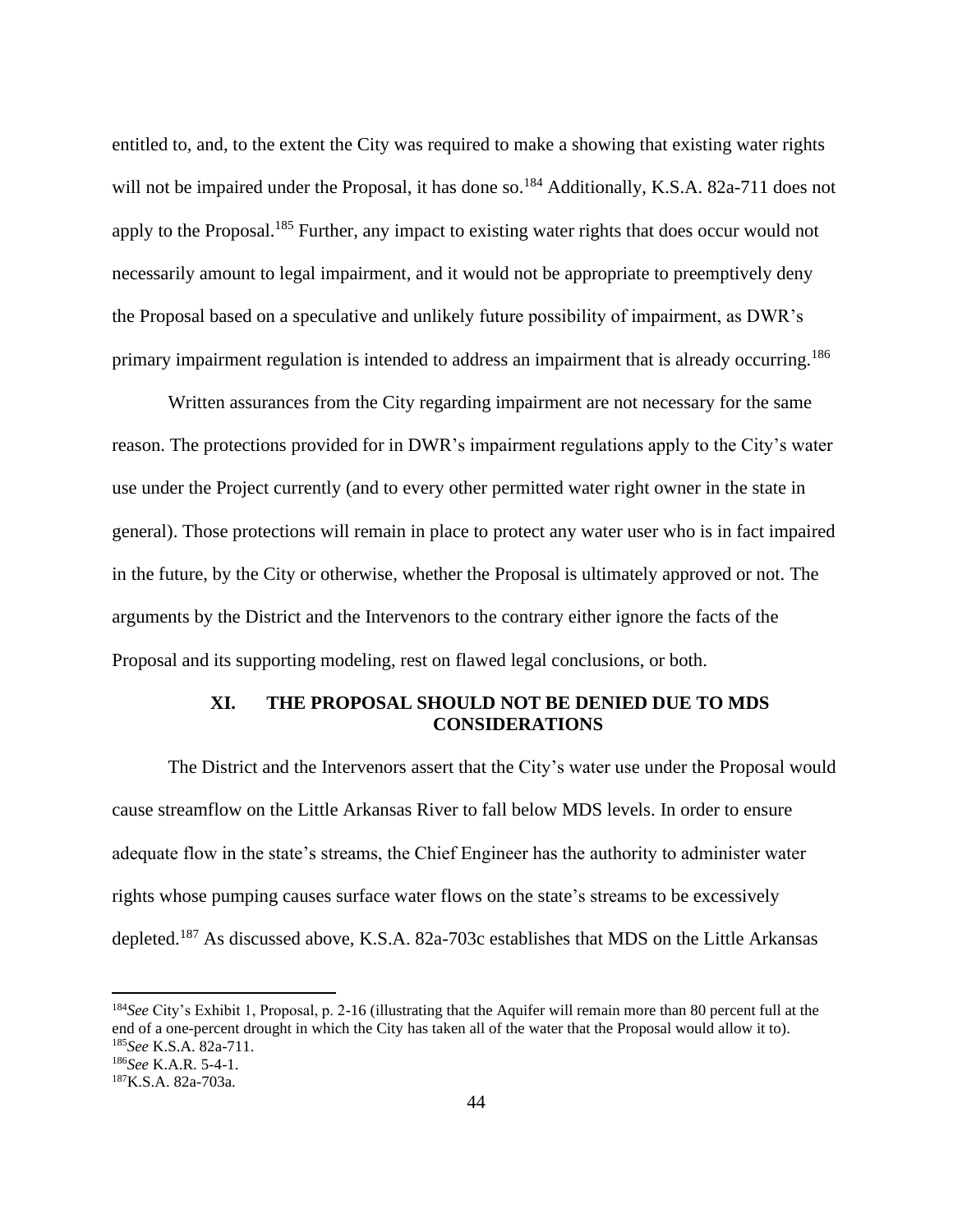entitled to, and, to the extent the City was required to make a showing that existing water rights will not be impaired under the Proposal, it has done so.<sup>184</sup> Additionally, K.S.A. 82a-711 does not apply to the Proposal.<sup>185</sup> Further, any impact to existing water rights that does occur would not necessarily amount to legal impairment, and it would not be appropriate to preemptively deny the Proposal based on a speculative and unlikely future possibility of impairment, as DWR's primary impairment regulation is intended to address an impairment that is already occurring.<sup>186</sup>

Written assurances from the City regarding impairment are not necessary for the same reason. The protections provided for in DWR's impairment regulations apply to the City's water use under the Project currently (and to every other permitted water right owner in the state in general). Those protections will remain in place to protect any water user who is in fact impaired in the future, by the City or otherwise, whether the Proposal is ultimately approved or not. The arguments by the District and the Intervenors to the contrary either ignore the facts of the Proposal and its supporting modeling, rest on flawed legal conclusions, or both.

# **XI. THE PROPOSAL SHOULD NOT BE DENIED DUE TO MDS CONSIDERATIONS**

The District and the Intervenors assert that the City's water use under the Proposal would cause streamflow on the Little Arkansas River to fall below MDS levels. In order to ensure adequate flow in the state's streams, the Chief Engineer has the authority to administer water rights whose pumping causes surface water flows on the state's streams to be excessively depleted.<sup>187</sup> As discussed above, K.S.A. 82a-703c establishes that MDS on the Little Arkansas

<sup>184</sup>*See* City's Exhibit 1, Proposal, p. 2-16 (illustrating that the Aquifer will remain more than 80 percent full at the end of a one-percent drought in which the City has taken all of the water that the Proposal would allow it to). <sup>185</sup>*See* K.S.A. 82a-711.

<sup>186</sup>*See* K.A.R. 5-4-1.

<sup>187</sup>K.S.A. 82a-703a.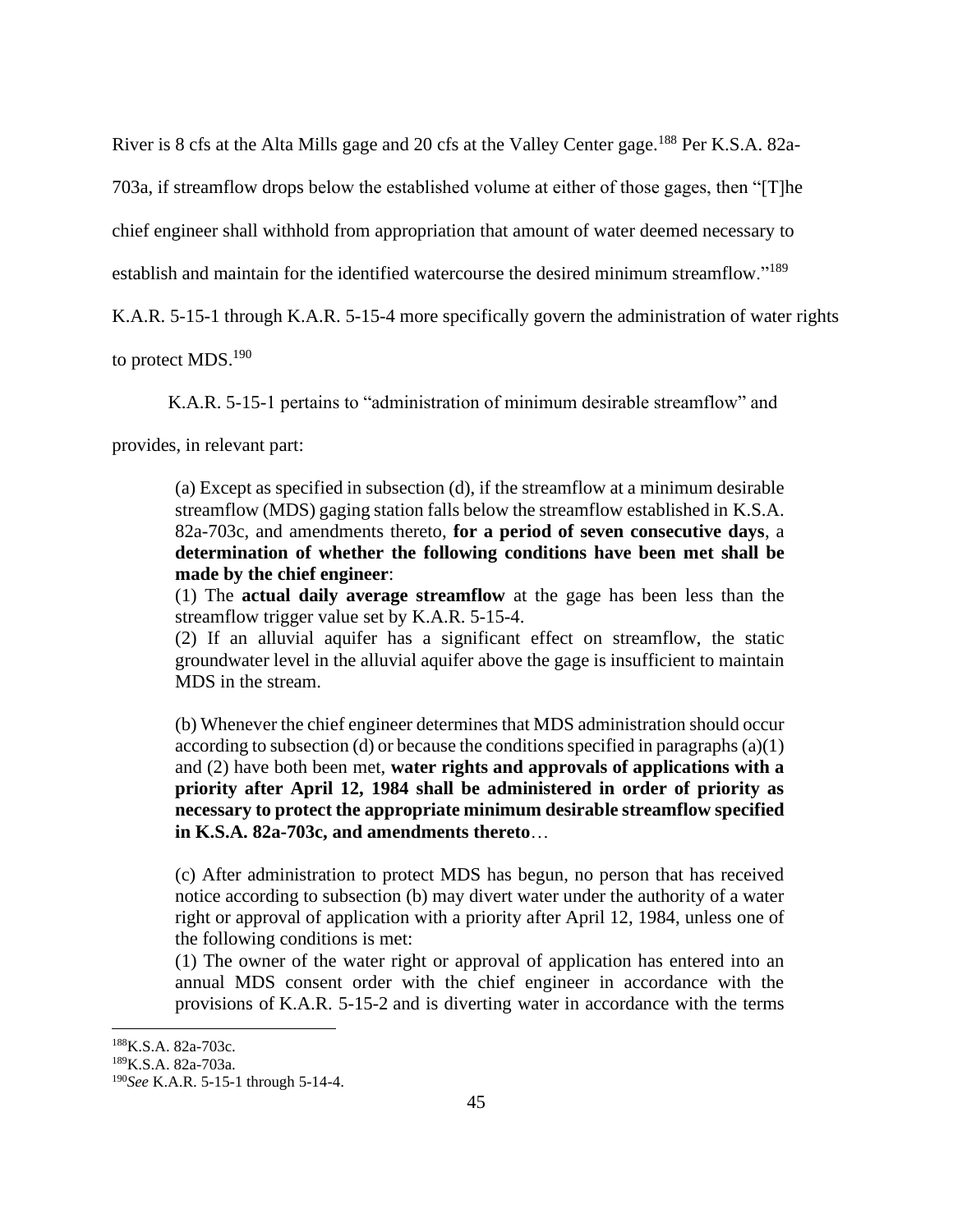River is 8 cfs at the Alta Mills gage and 20 cfs at the Valley Center gage.<sup>188</sup> Per K.S.A. 82a-

703a, if streamflow drops below the established volume at either of those gages, then "[T]he

chief engineer shall withhold from appropriation that amount of water deemed necessary to

establish and maintain for the identified watercourse the desired minimum streamflow."<sup>189</sup>

K.A.R. 5-15-1 through K.A.R. 5-15-4 more specifically govern the administration of water rights

to protect MDS.<sup>190</sup>

K.A.R. 5-15-1 pertains to "administration of minimum desirable streamflow" and

provides, in relevant part:

(a) Except as specified in subsection (d), if the streamflow at a minimum desirable streamflow (MDS) gaging station falls below the streamflow established in K.S.A. 82a-703c, and amendments thereto, **for a period of seven consecutive days**, a **determination of whether the following conditions have been met shall be made by the chief engineer**:

(1) The **actual daily average streamflow** at the gage has been less than the streamflow trigger value set by K.A.R. 5-15-4.

(2) If an alluvial aquifer has a significant effect on streamflow, the static groundwater level in the alluvial aquifer above the gage is insufficient to maintain MDS in the stream.

(b) Whenever the chief engineer determines that MDS administration should occur according to subsection (d) or because the conditions specified in paragraphs  $(a)(1)$ and (2) have both been met, **water rights and approvals of applications with a priority after April 12, 1984 shall be administered in order of priority as necessary to protect the appropriate minimum desirable streamflow specified in K.S.A. 82a-703c, and amendments thereto**…

(c) After administration to protect MDS has begun, no person that has received notice according to subsection (b) may divert water under the authority of a water right or approval of application with a priority after April 12, 1984, unless one of the following conditions is met:

(1) The owner of the water right or approval of application has entered into an annual MDS consent order with the chief engineer in accordance with the provisions of K.A.R. 5-15-2 and is diverting water in accordance with the terms

<sup>188</sup>K.S.A. 82a-703c.

<sup>189</sup>K.S.A. 82a-703a.

<sup>190</sup>*See* K.A.R. 5-15-1 through 5-14-4.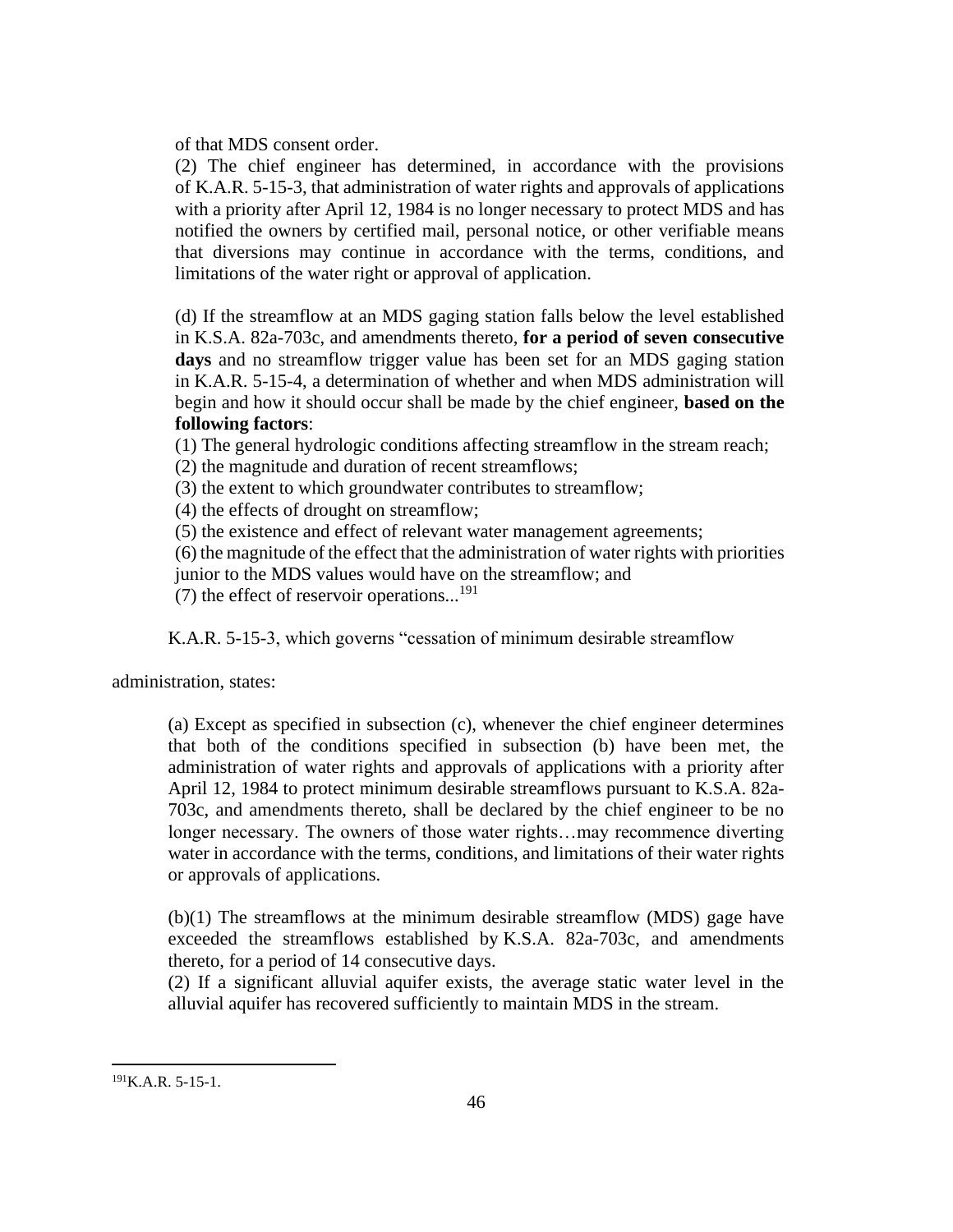of that MDS consent order.

(2) The chief engineer has determined, in accordance with the provisions of K.A.R. 5-15-3, that administration of water rights and approvals of applications with a priority after April 12, 1984 is no longer necessary to protect MDS and has notified the owners by certified mail, personal notice, or other verifiable means that diversions may continue in accordance with the terms, conditions, and limitations of the water right or approval of application.

(d) If the streamflow at an MDS gaging station falls below the level established in K.S.A. 82a-703c, and amendments thereto, **for a period of seven consecutive days** and no streamflow trigger value has been set for an MDS gaging station in K.A.R. 5-15-4, a determination of whether and when MDS administration will begin and how it should occur shall be made by the chief engineer, **based on the following factors**:

(1) The general hydrologic conditions affecting streamflow in the stream reach;

(2) the magnitude and duration of recent streamflows;

(3) the extent to which groundwater contributes to streamflow;

(4) the effects of drought on streamflow;

(5) the existence and effect of relevant water management agreements;

(6) the magnitude of the effect that the administration of water rights with priorities junior to the MDS values would have on the streamflow; and

(7) the effect of reservoir operations...<sup>191</sup>

K.A.R. 5-15-3, which governs "cessation of minimum desirable streamflow

administration, states:

(a) Except as specified in subsection (c), whenever the chief engineer determines that both of the conditions specified in subsection (b) have been met, the administration of water rights and approvals of applications with a priority after April 12, 1984 to protect minimum desirable streamflows pursuant to K.S.A. 82a-703c, and amendments thereto, shall be declared by the chief engineer to be no longer necessary. The owners of those water rights…may recommence diverting water in accordance with the terms, conditions, and limitations of their water rights or approvals of applications.

(b)(1) The streamflows at the minimum desirable streamflow (MDS) gage have exceeded the streamflows established by K.S.A. 82a-703c, and amendments thereto, for a period of 14 consecutive days.

(2) If a significant alluvial aquifer exists, the average static water level in the alluvial aquifer has recovered sufficiently to maintain MDS in the stream.

 $^{191}$ K.A.R. 5-15-1.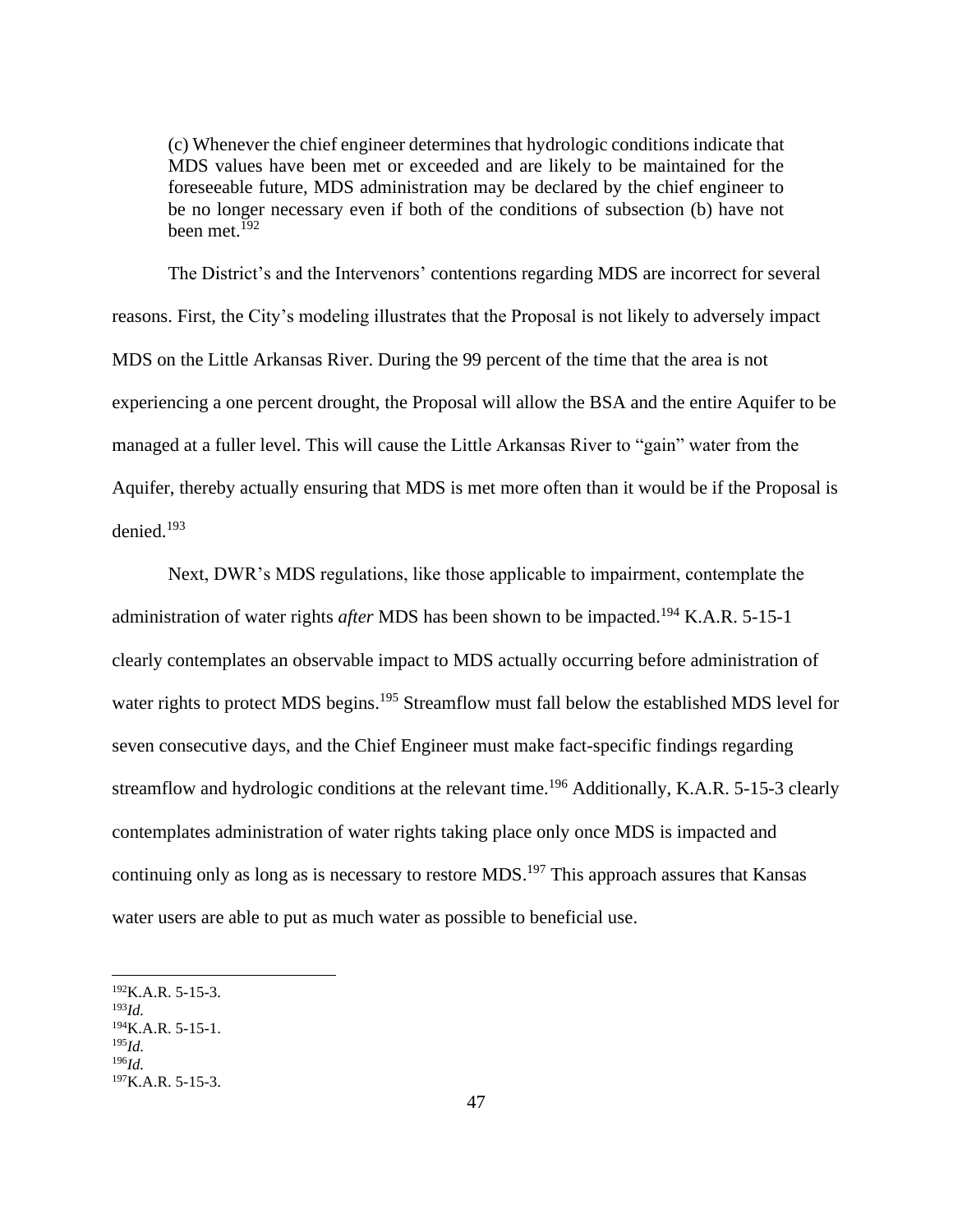(c) Whenever the chief engineer determines that hydrologic conditions indicate that MDS values have been met or exceeded and are likely to be maintained for the foreseeable future, MDS administration may be declared by the chief engineer to be no longer necessary even if both of the conditions of subsection (b) have not been met.<sup>192</sup>

The District's and the Intervenors' contentions regarding MDS are incorrect for several reasons. First, the City's modeling illustrates that the Proposal is not likely to adversely impact MDS on the Little Arkansas River. During the 99 percent of the time that the area is not experiencing a one percent drought, the Proposal will allow the BSA and the entire Aquifer to be managed at a fuller level. This will cause the Little Arkansas River to "gain" water from the Aquifer, thereby actually ensuring that MDS is met more often than it would be if the Proposal is denied. 193

Next, DWR's MDS regulations, like those applicable to impairment, contemplate the administration of water rights *after* MDS has been shown to be impacted.<sup>194</sup> K.A.R. 5-15-1 clearly contemplates an observable impact to MDS actually occurring before administration of water rights to protect MDS begins.<sup>195</sup> Streamflow must fall below the established MDS level for seven consecutive days, and the Chief Engineer must make fact-specific findings regarding streamflow and hydrologic conditions at the relevant time.<sup>196</sup> Additionally, K.A.R. 5-15-3 clearly contemplates administration of water rights taking place only once MDS is impacted and continuing only as long as is necessary to restore MDS.<sup>197</sup> This approach assures that Kansas water users are able to put as much water as possible to beneficial use.

 $^{192}$ K.A.R. 5-15-3.

<sup>193</sup>*Id.* <sup>194</sup>K.A.R. 5-15-1. <sup>195</sup>*Id.*

<sup>196</sup>*Id.*

 $197K.A.R. 5-15-3.$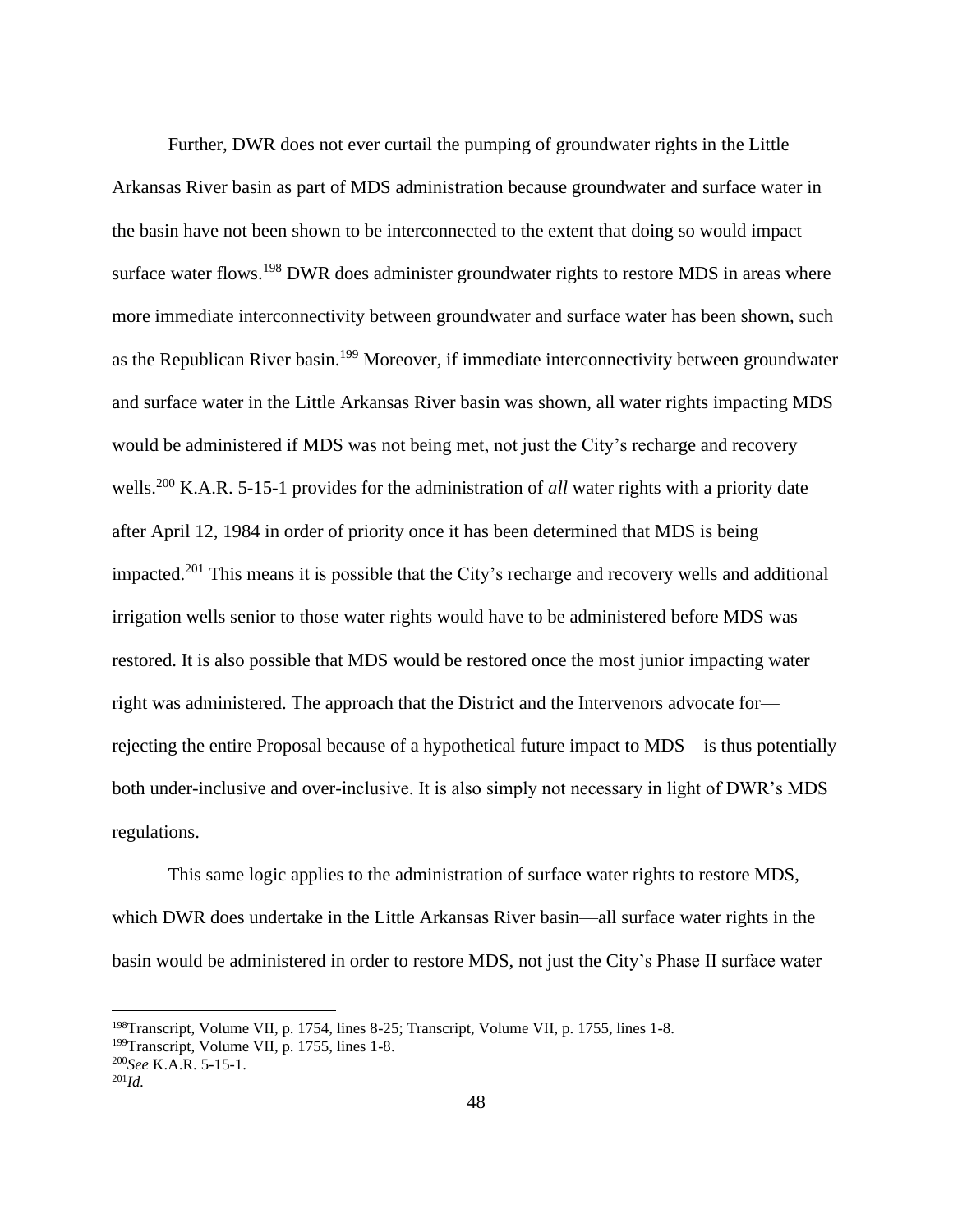Further, DWR does not ever curtail the pumping of groundwater rights in the Little Arkansas River basin as part of MDS administration because groundwater and surface water in the basin have not been shown to be interconnected to the extent that doing so would impact surface water flows.<sup>198</sup> DWR does administer groundwater rights to restore MDS in areas where more immediate interconnectivity between groundwater and surface water has been shown, such as the Republican River basin.<sup>199</sup> Moreover, if immediate interconnectivity between groundwater and surface water in the Little Arkansas River basin was shown, all water rights impacting MDS would be administered if MDS was not being met, not just the City's recharge and recovery wells.<sup>200</sup> K.A.R. 5-15-1 provides for the administration of *all* water rights with a priority date after April 12, 1984 in order of priority once it has been determined that MDS is being impacted.<sup>201</sup> This means it is possible that the City's recharge and recovery wells and additional irrigation wells senior to those water rights would have to be administered before MDS was restored. It is also possible that MDS would be restored once the most junior impacting water right was administered. The approach that the District and the Intervenors advocate for rejecting the entire Proposal because of a hypothetical future impact to MDS—is thus potentially both under-inclusive and over-inclusive. It is also simply not necessary in light of DWR's MDS regulations.

This same logic applies to the administration of surface water rights to restore MDS, which DWR does undertake in the Little Arkansas River basin—all surface water rights in the basin would be administered in order to restore MDS, not just the City's Phase II surface water

<sup>198</sup>Transcript, Volume VII, p. 1754, lines 8-25; Transcript, Volume VII, p. 1755, lines 1-8.

<sup>199</sup>Transcript, Volume VII, p. 1755, lines 1-8.

<sup>200</sup>*See* K.A.R. 5-15-1.

<sup>201</sup>*Id.*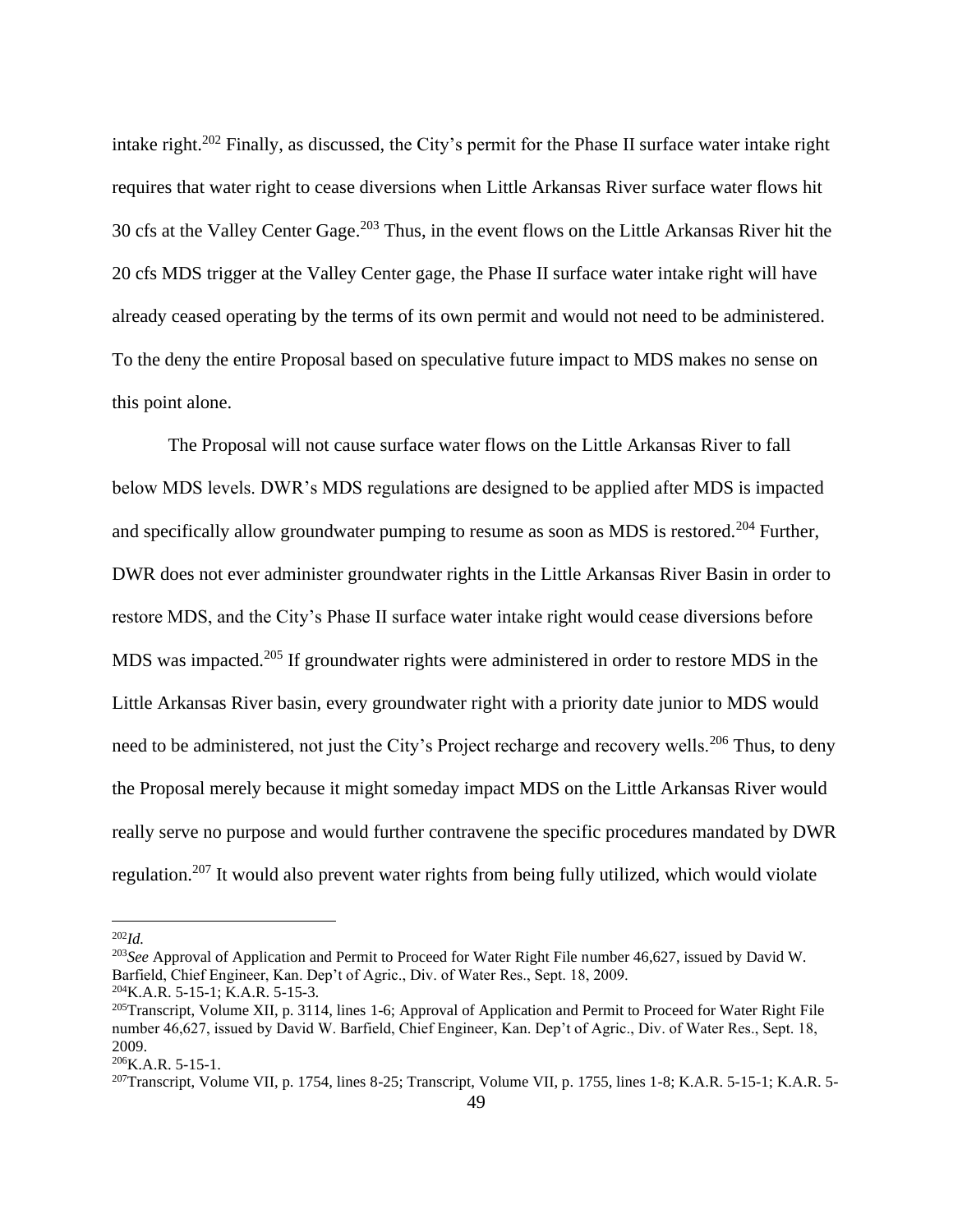intake right. <sup>202</sup> Finally, as discussed, the City's permit for the Phase II surface water intake right requires that water right to cease diversions when Little Arkansas River surface water flows hit 30 cfs at the Valley Center Gage. <sup>203</sup> Thus, in the event flows on the Little Arkansas River hit the 20 cfs MDS trigger at the Valley Center gage, the Phase II surface water intake right will have already ceased operating by the terms of its own permit and would not need to be administered. To the deny the entire Proposal based on speculative future impact to MDS makes no sense on this point alone.

The Proposal will not cause surface water flows on the Little Arkansas River to fall below MDS levels. DWR's MDS regulations are designed to be applied after MDS is impacted and specifically allow groundwater pumping to resume as soon as MDS is restored.<sup>204</sup> Further, DWR does not ever administer groundwater rights in the Little Arkansas River Basin in order to restore MDS, and the City's Phase II surface water intake right would cease diversions before MDS was impacted.<sup>205</sup> If groundwater rights were administered in order to restore MDS in the Little Arkansas River basin, every groundwater right with a priority date junior to MDS would need to be administered, not just the City's Project recharge and recovery wells.<sup>206</sup> Thus, to deny the Proposal merely because it might someday impact MDS on the Little Arkansas River would really serve no purpose and would further contravene the specific procedures mandated by DWR regulation.<sup>207</sup> It would also prevent water rights from being fully utilized, which would violate

<sup>202</sup>*Id.*

<sup>203</sup>*See* Approval of Application and Permit to Proceed for Water Right File number 46,627, issued by David W. Barfield, Chief Engineer, Kan. Dep't of Agric., Div. of Water Res., Sept. 18, 2009.

<sup>204</sup>K.A.R. 5-15-1; K.A.R. 5-15-3.

<sup>&</sup>lt;sup>205</sup>Transcript, Volume XII, p. 3114, lines 1-6; Approval of Application and Permit to Proceed for Water Right File number 46,627, issued by David W. Barfield, Chief Engineer, Kan. Dep't of Agric., Div. of Water Res., Sept. 18, 2009.

<sup>206</sup>K.A.R. 5-15-1.

<sup>&</sup>lt;sup>207</sup>Transcript, Volume VII, p. 1754, lines 8-25; Transcript, Volume VII, p. 1755, lines 1-8; K.A.R. 5-15-1; K.A.R. 5-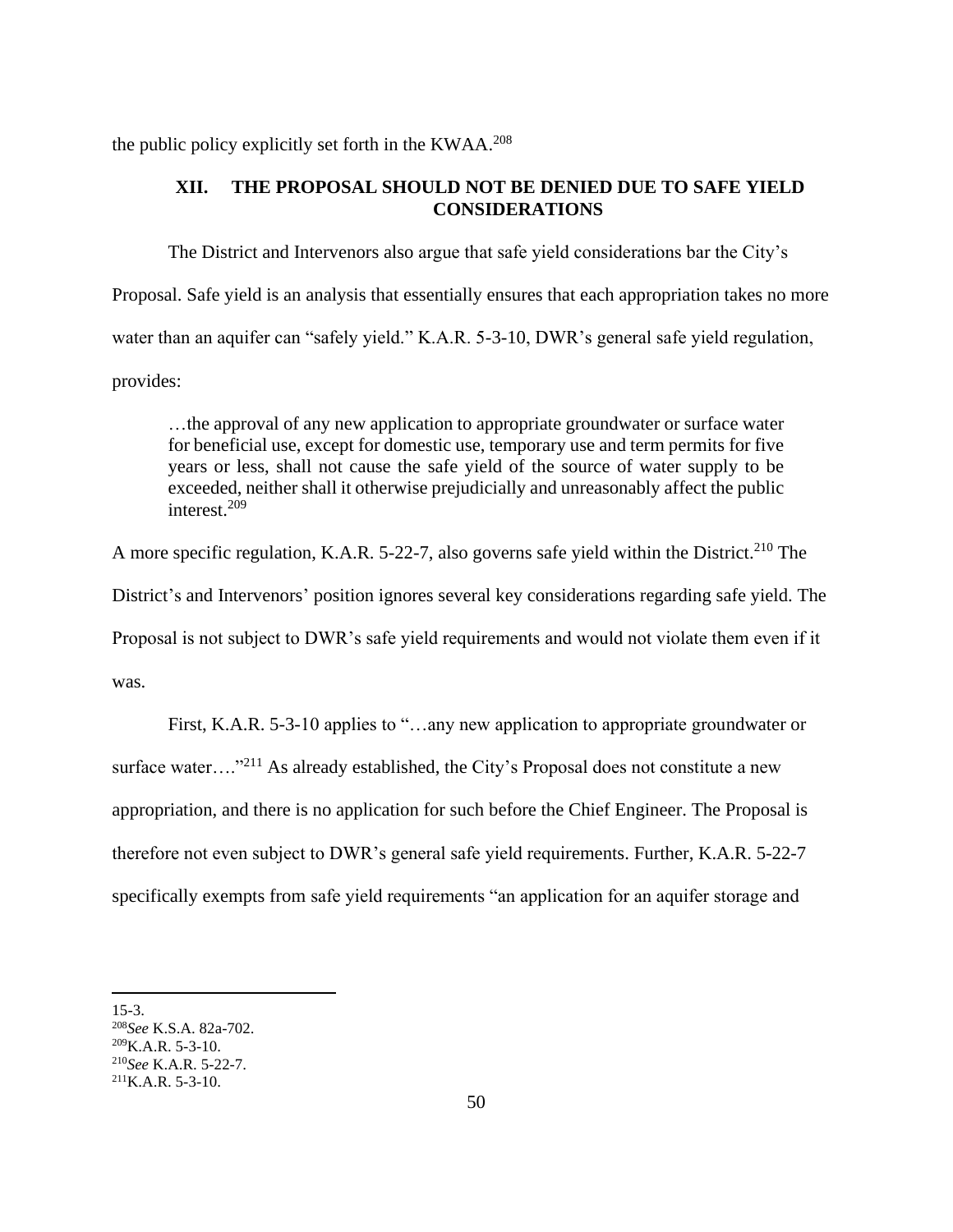the public policy explicitly set forth in the KWAA.<sup>208</sup>

# **XII. THE PROPOSAL SHOULD NOT BE DENIED DUE TO SAFE YIELD CONSIDERATIONS**

The District and Intervenors also argue that safe yield considerations bar the City's Proposal. Safe yield is an analysis that essentially ensures that each appropriation takes no more water than an aquifer can "safely yield." K.A.R. 5-3-10, DWR's general safe yield regulation, provides:

…the approval of any new application to appropriate groundwater or surface water for beneficial use, except for domestic use, temporary use and term permits for five years or less, shall not cause the safe yield of the source of water supply to be exceeded, neither shall it otherwise prejudicially and unreasonably affect the public interest.<sup>209</sup>

A more specific regulation, K.A.R. 5-22-7, also governs safe yield within the District.<sup>210</sup> The

District's and Intervenors' position ignores several key considerations regarding safe yield. The

Proposal is not subject to DWR's safe yield requirements and would not violate them even if it

was.

First, K.A.R. 5-3-10 applies to "…any new application to appropriate groundwater or surface water...."<sup>211</sup> As already established, the City's Proposal does not constitute a new appropriation, and there is no application for such before the Chief Engineer. The Proposal is therefore not even subject to DWR's general safe yield requirements. Further, K.A.R. 5-22-7 specifically exempts from safe yield requirements "an application for an aquifer storage and

<sup>15-3.</sup>

<sup>208</sup>*See* K.S.A. 82a-702.

 $^{209}$ K.A.R. 5-3-10.

<sup>210</sup>*See* K.A.R. 5-22-7.

 $^{211}$ K.A.R. 5-3-10.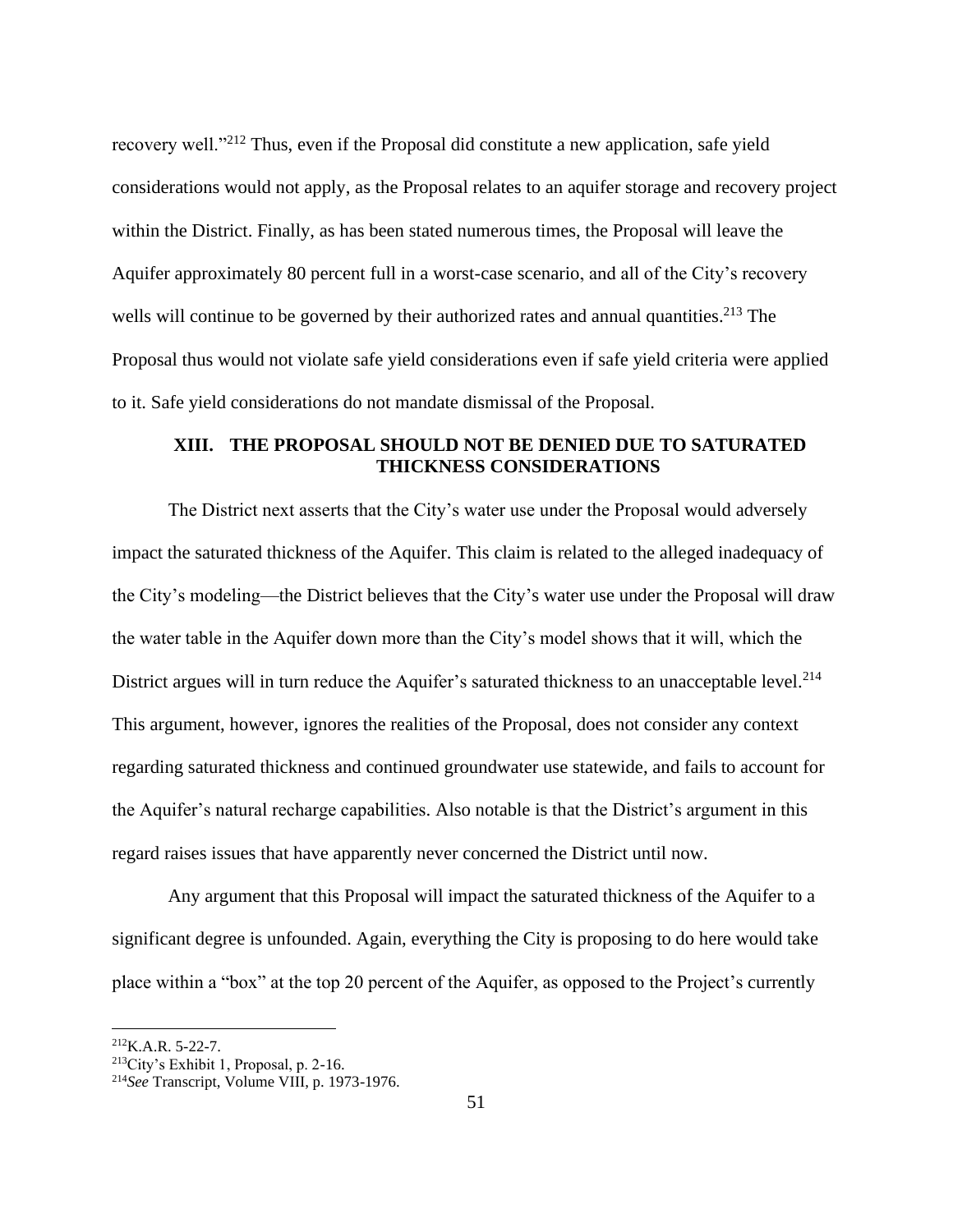recovery well."<sup>212</sup> Thus, even if the Proposal did constitute a new application, safe yield considerations would not apply, as the Proposal relates to an aquifer storage and recovery project within the District. Finally, as has been stated numerous times, the Proposal will leave the Aquifer approximately 80 percent full in a worst-case scenario, and all of the City's recovery wells will continue to be governed by their authorized rates and annual quantities.<sup>213</sup> The Proposal thus would not violate safe yield considerations even if safe yield criteria were applied to it. Safe yield considerations do not mandate dismissal of the Proposal.

# **XIII. THE PROPOSAL SHOULD NOT BE DENIED DUE TO SATURATED THICKNESS CONSIDERATIONS**

The District next asserts that the City's water use under the Proposal would adversely impact the saturated thickness of the Aquifer. This claim is related to the alleged inadequacy of the City's modeling—the District believes that the City's water use under the Proposal will draw the water table in the Aquifer down more than the City's model shows that it will, which the District argues will in turn reduce the Aquifer's saturated thickness to an unacceptable level.<sup>214</sup> This argument, however, ignores the realities of the Proposal, does not consider any context regarding saturated thickness and continued groundwater use statewide, and fails to account for the Aquifer's natural recharge capabilities. Also notable is that the District's argument in this regard raises issues that have apparently never concerned the District until now.

Any argument that this Proposal will impact the saturated thickness of the Aquifer to a significant degree is unfounded. Again, everything the City is proposing to do here would take place within a "box" at the top 20 percent of the Aquifer, as opposed to the Project's currently

 $^{212}$ K.A.R. 5-22-7.

<sup>213</sup>City's Exhibit 1, Proposal, p. 2-16.

<sup>214</sup>*See* Transcript, Volume VIII, p. 1973-1976.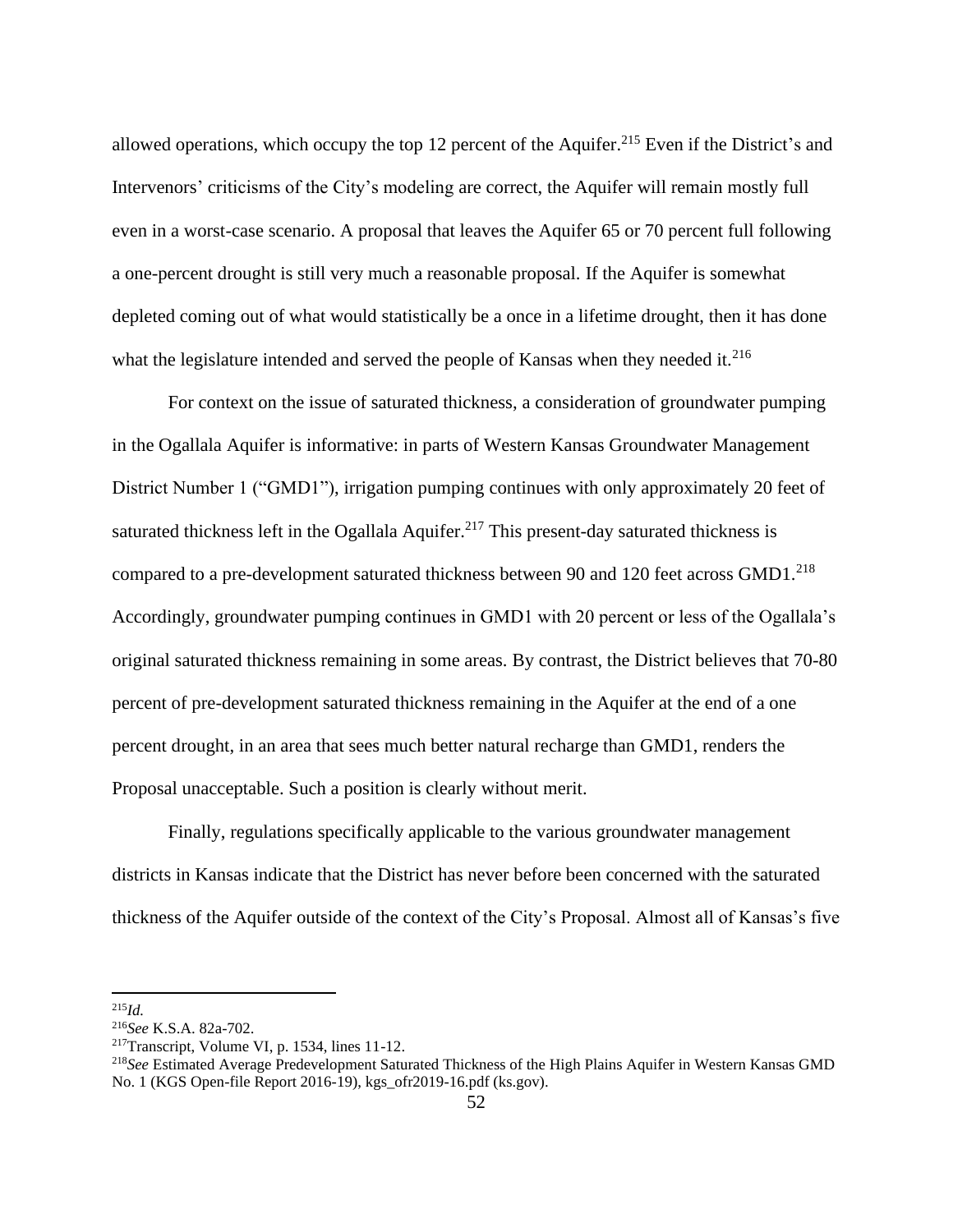allowed operations, which occupy the top 12 percent of the Aquifer.<sup>215</sup> Even if the District's and Intervenors' criticisms of the City's modeling are correct, the Aquifer will remain mostly full even in a worst-case scenario. A proposal that leaves the Aquifer 65 or 70 percent full following a one-percent drought is still very much a reasonable proposal. If the Aquifer is somewhat depleted coming out of what would statistically be a once in a lifetime drought, then it has done what the legislature intended and served the people of Kansas when they needed it.<sup>216</sup>

For context on the issue of saturated thickness, a consideration of groundwater pumping in the Ogallala Aquifer is informative: in parts of Western Kansas Groundwater Management District Number 1 ("GMD1"), irrigation pumping continues with only approximately 20 feet of saturated thickness left in the Ogallala Aquifer.<sup>217</sup> This present-day saturated thickness is compared to a pre-development saturated thickness between 90 and 120 feet across  $GMD1<sup>218</sup>$ Accordingly, groundwater pumping continues in GMD1 with 20 percent or less of the Ogallala's original saturated thickness remaining in some areas. By contrast, the District believes that 70-80 percent of pre-development saturated thickness remaining in the Aquifer at the end of a one percent drought, in an area that sees much better natural recharge than GMD1, renders the Proposal unacceptable. Such a position is clearly without merit.

Finally, regulations specifically applicable to the various groundwater management districts in Kansas indicate that the District has never before been concerned with the saturated thickness of the Aquifer outside of the context of the City's Proposal. Almost all of Kansas's five

<sup>215</sup>*Id.*

<sup>216</sup>*See* K.S.A. 82a-702.

 $217$ Transcript, Volume VI, p. 1534, lines 11-12.

<sup>218</sup>*See* Estimated Average Predevelopment Saturated Thickness of the High Plains Aquifer in Western Kansas GMD No. 1 (KGS Open-file Report 2016-19), kgs\_ofr2019-16.pdf (ks.gov).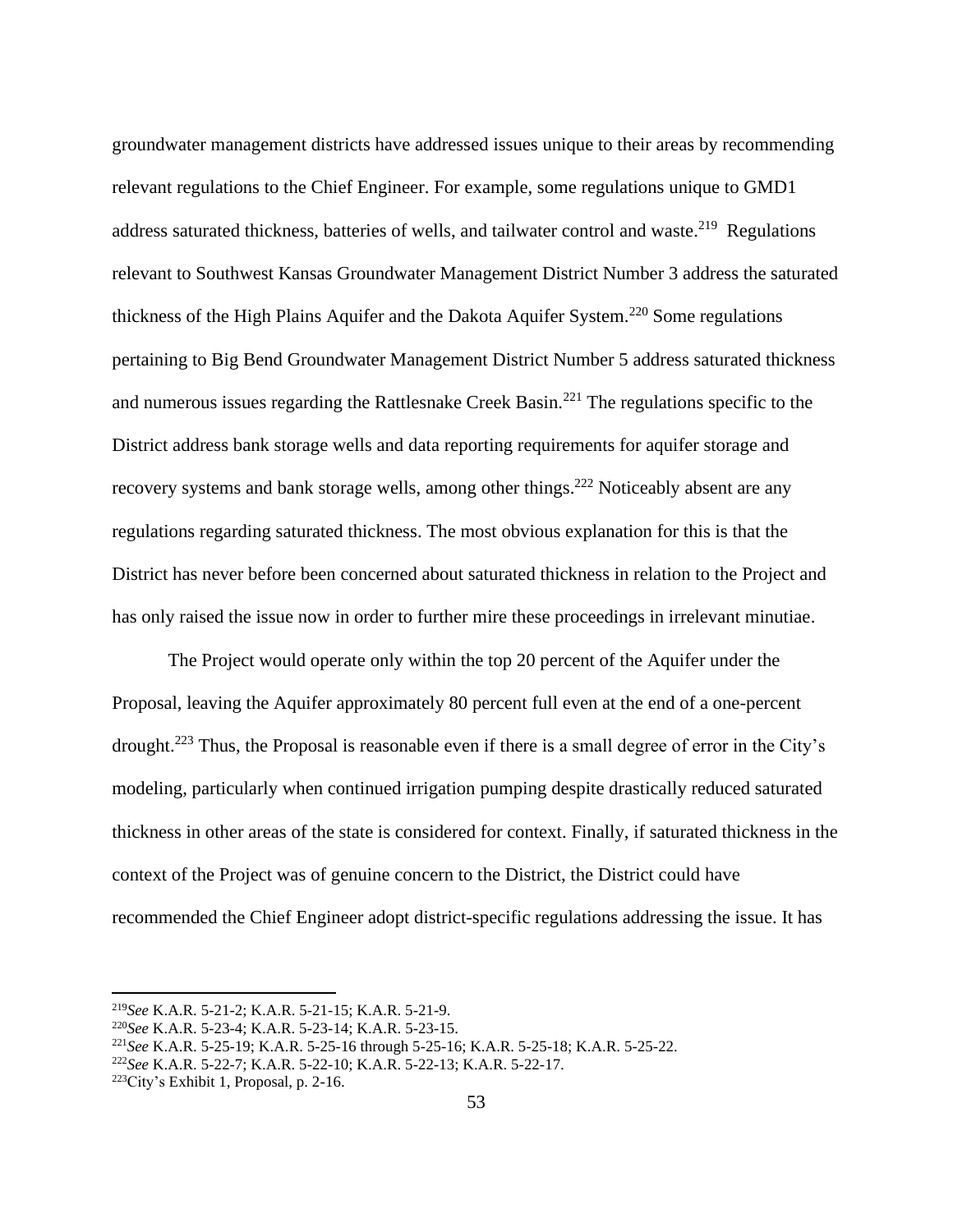groundwater management districts have addressed issues unique to their areas by recommending relevant regulations to the Chief Engineer. For example, some regulations unique to GMD1 address saturated thickness, batteries of wells, and tailwater control and waste.<sup>219</sup> Regulations relevant to Southwest Kansas Groundwater Management District Number 3 address the saturated thickness of the High Plains Aquifer and the Dakota Aquifer System.<sup>220</sup> Some regulations pertaining to Big Bend Groundwater Management District Number 5 address saturated thickness and numerous issues regarding the Rattlesnake Creek Basin.<sup>221</sup> The regulations specific to the District address bank storage wells and data reporting requirements for aquifer storage and recovery systems and bank storage wells, among other things.<sup>222</sup> Noticeably absent are any regulations regarding saturated thickness. The most obvious explanation for this is that the District has never before been concerned about saturated thickness in relation to the Project and has only raised the issue now in order to further mire these proceedings in irrelevant minutiae.

The Project would operate only within the top 20 percent of the Aquifer under the Proposal, leaving the Aquifer approximately 80 percent full even at the end of a one-percent drought.<sup>223</sup> Thus, the Proposal is reasonable even if there is a small degree of error in the City's modeling, particularly when continued irrigation pumping despite drastically reduced saturated thickness in other areas of the state is considered for context. Finally, if saturated thickness in the context of the Project was of genuine concern to the District, the District could have recommended the Chief Engineer adopt district-specific regulations addressing the issue. It has

<sup>219</sup>*See* K.A.R. 5-21-2; K.A.R. 5-21-15; K.A.R. 5-21-9.

<sup>220</sup>*See* K.A.R. 5-23-4; K.A.R. 5-23-14; K.A.R. 5-23-15.

<sup>221</sup>*See* K.A.R. 5-25-19; K.A.R. 5-25-16 through 5-25-16; K.A.R. 5-25-18; K.A.R. 5-25-22.

<sup>222</sup>*See* K.A.R. 5-22-7; K.A.R. 5-22-10; K.A.R. 5-22-13; K.A.R. 5-22-17.

<sup>223</sup>City's Exhibit 1, Proposal, p. 2-16.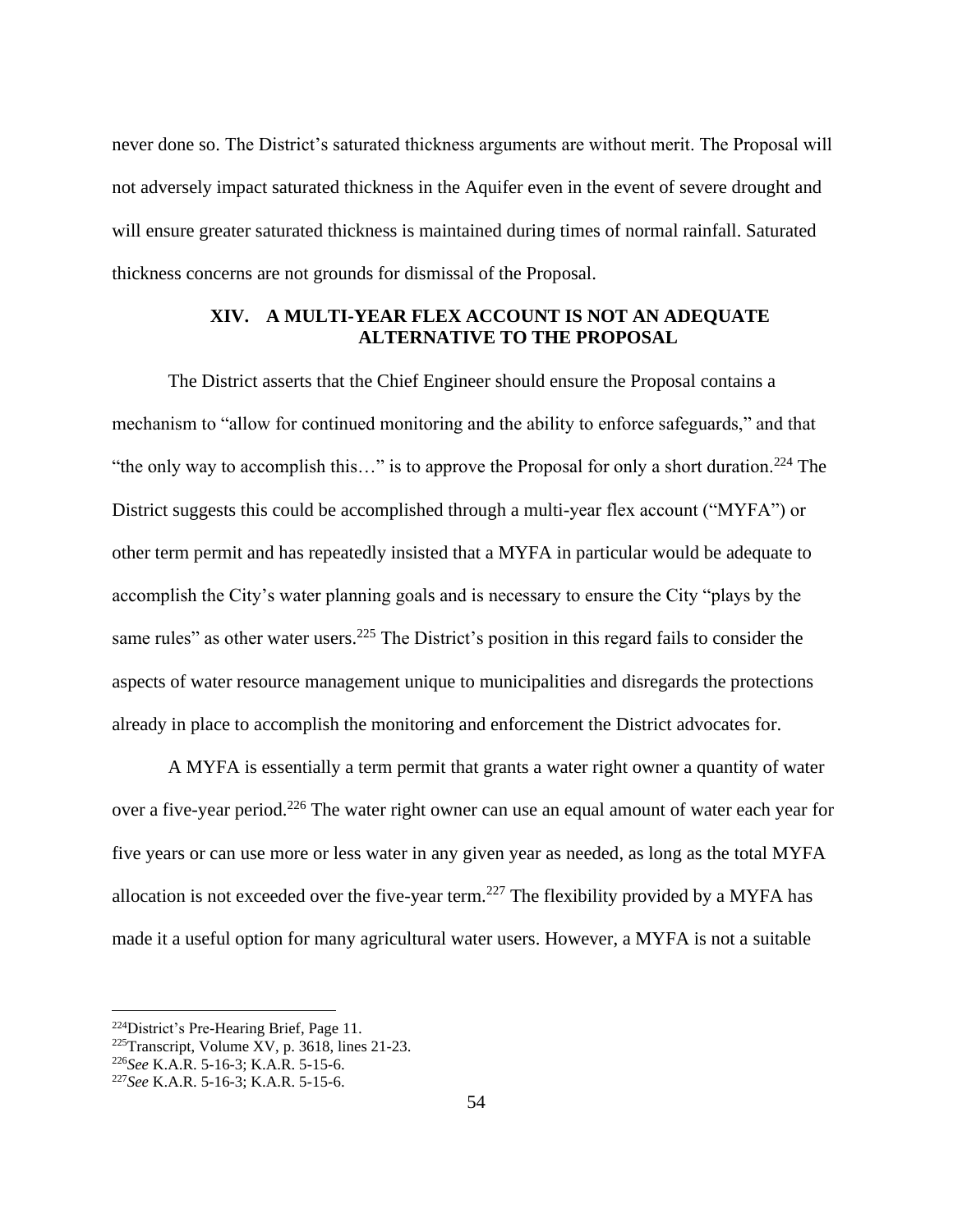never done so. The District's saturated thickness arguments are without merit. The Proposal will not adversely impact saturated thickness in the Aquifer even in the event of severe drought and will ensure greater saturated thickness is maintained during times of normal rainfall. Saturated thickness concerns are not grounds for dismissal of the Proposal.

#### **XIV. A MULTI-YEAR FLEX ACCOUNT IS NOT AN ADEQUATE ALTERNATIVE TO THE PROPOSAL**

The District asserts that the Chief Engineer should ensure the Proposal contains a mechanism to "allow for continued monitoring and the ability to enforce safeguards," and that "the only way to accomplish this..." is to approve the Proposal for only a short duration.<sup>224</sup> The District suggests this could be accomplished through a multi-year flex account ("MYFA") or other term permit and has repeatedly insisted that a MYFA in particular would be adequate to accomplish the City's water planning goals and is necessary to ensure the City "plays by the same rules" as other water users.<sup>225</sup> The District's position in this regard fails to consider the aspects of water resource management unique to municipalities and disregards the protections already in place to accomplish the monitoring and enforcement the District advocates for.

A MYFA is essentially a term permit that grants a water right owner a quantity of water over a five-year period.<sup>226</sup> The water right owner can use an equal amount of water each year for five years or can use more or less water in any given year as needed, as long as the total MYFA allocation is not exceeded over the five-year term.<sup>227</sup> The flexibility provided by a MYFA has made it a useful option for many agricultural water users. However, a MYFA is not a suitable

<sup>224</sup>District's Pre-Hearing Brief, Page 11.

 $225$ Transcript, Volume XV, p. 3618, lines 21-23.

<sup>226</sup>*See* K.A.R. 5-16-3; K.A.R. 5-15-6.

<sup>227</sup>*See* K.A.R. 5-16-3; K.A.R. 5-15-6.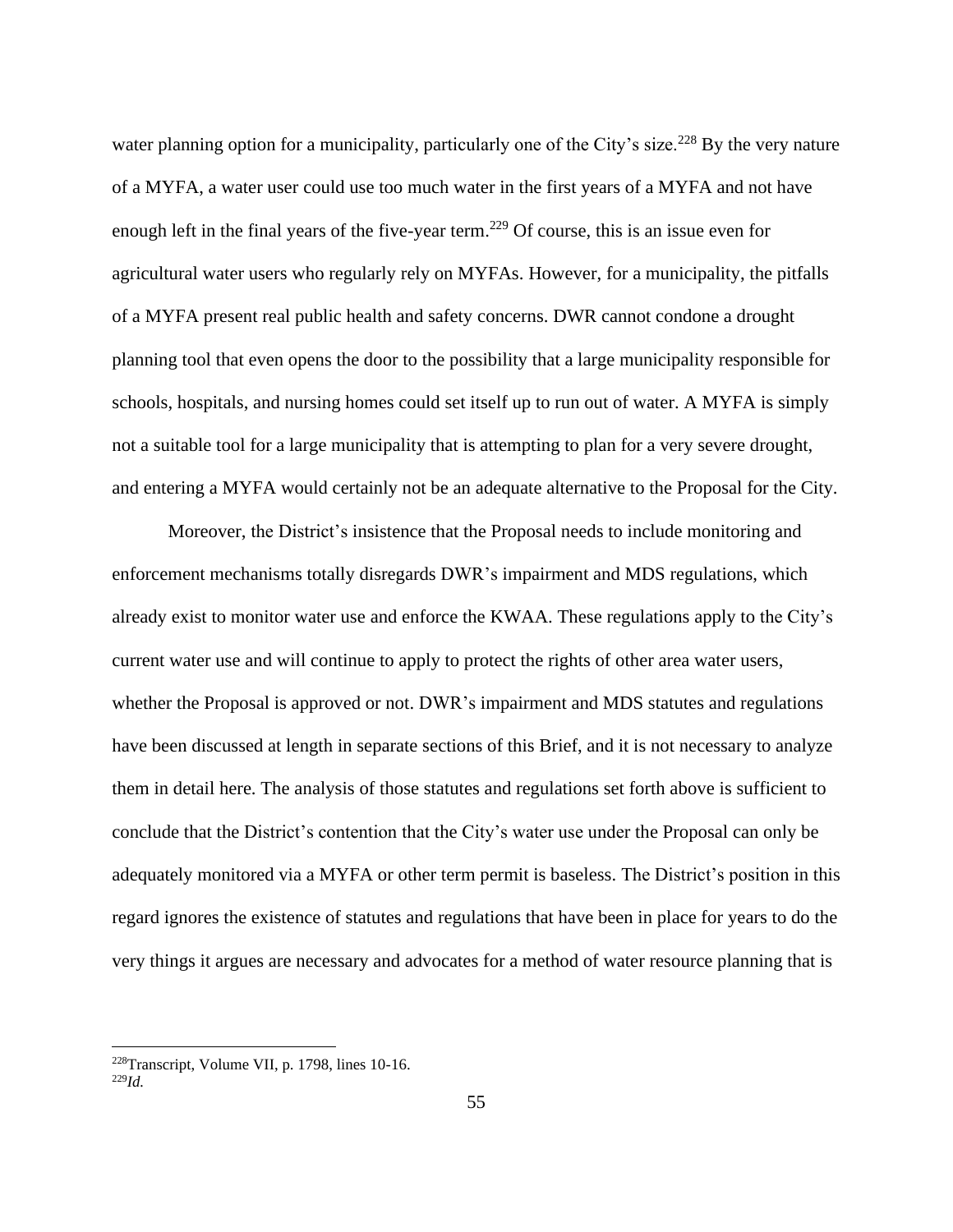water planning option for a municipality, particularly one of the City's size.<sup>228</sup> By the very nature of a MYFA, a water user could use too much water in the first years of a MYFA and not have enough left in the final years of the five-year term.<sup>229</sup> Of course, this is an issue even for agricultural water users who regularly rely on MYFAs. However, for a municipality, the pitfalls of a MYFA present real public health and safety concerns. DWR cannot condone a drought planning tool that even opens the door to the possibility that a large municipality responsible for schools, hospitals, and nursing homes could set itself up to run out of water. A MYFA is simply not a suitable tool for a large municipality that is attempting to plan for a very severe drought, and entering a MYFA would certainly not be an adequate alternative to the Proposal for the City.

Moreover, the District's insistence that the Proposal needs to include monitoring and enforcement mechanisms totally disregards DWR's impairment and MDS regulations, which already exist to monitor water use and enforce the KWAA. These regulations apply to the City's current water use and will continue to apply to protect the rights of other area water users, whether the Proposal is approved or not. DWR's impairment and MDS statutes and regulations have been discussed at length in separate sections of this Brief, and it is not necessary to analyze them in detail here. The analysis of those statutes and regulations set forth above is sufficient to conclude that the District's contention that the City's water use under the Proposal can only be adequately monitored via a MYFA or other term permit is baseless. The District's position in this regard ignores the existence of statutes and regulations that have been in place for years to do the very things it argues are necessary and advocates for a method of water resource planning that is

<sup>228</sup>Transcript, Volume VII, p. 1798, lines 10-16.

<sup>229</sup>*Id.*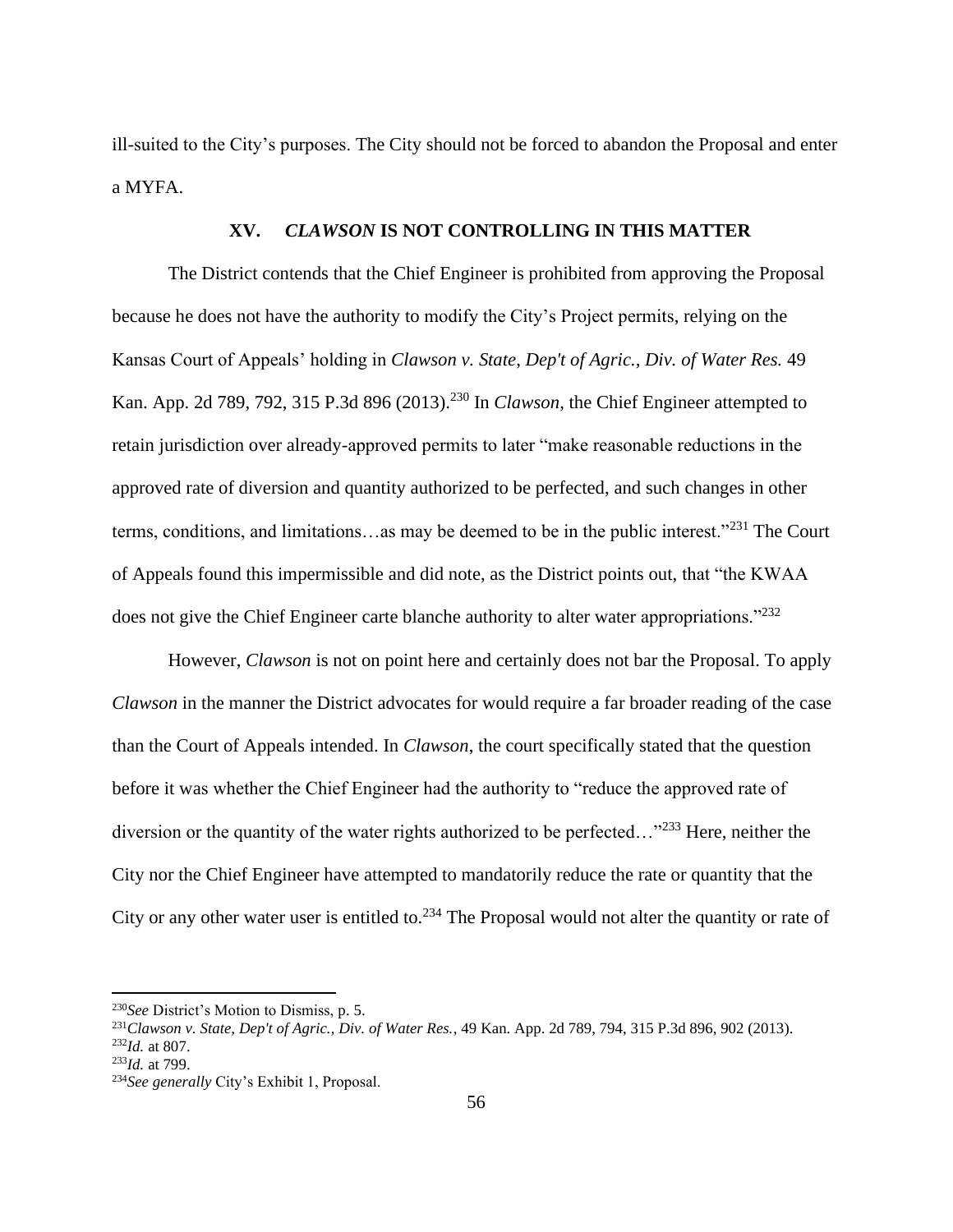ill-suited to the City's purposes. The City should not be forced to abandon the Proposal and enter a MYFA.

# **XV.** *CLAWSON* **IS NOT CONTROLLING IN THIS MATTER**

The District contends that the Chief Engineer is prohibited from approving the Proposal because he does not have the authority to modify the City's Project permits, relying on the Kansas Court of Appeals' holding in *Clawson v. State*, *Dep't of Agric., Div. of Water Res.* 49 Kan. App. 2d 789, 792, 315 P.3d 896 (2013).<sup>230</sup> In *Clawson*, the Chief Engineer attempted to retain jurisdiction over already-approved permits to later "make reasonable reductions in the approved rate of diversion and quantity authorized to be perfected, and such changes in other terms, conditions, and limitations…as may be deemed to be in the public interest."<sup>231</sup> The Court of Appeals found this impermissible and did note, as the District points out, that "the KWAA does not give the Chief Engineer carte blanche authority to alter water appropriations."<sup>232</sup>

However, *Clawson* is not on point here and certainly does not bar the Proposal. To apply *Clawson* in the manner the District advocates for would require a far broader reading of the case than the Court of Appeals intended. In *Clawson*, the court specifically stated that the question before it was whether the Chief Engineer had the authority to "reduce the approved rate of diversion or the quantity of the water rights authorized to be perfected..."<sup>233</sup> Here, neither the City nor the Chief Engineer have attempted to mandatorily reduce the rate or quantity that the City or any other water user is entitled to.<sup>234</sup> The Proposal would not alter the quantity or rate of

<sup>230</sup>*See* District's Motion to Dismiss, p. 5.

<sup>231</sup>*Clawson v. State, Dep't of Agric., Div. of Water Res.*, 49 Kan. App. 2d 789, 794, 315 P.3d 896, 902 (2013). <sup>232</sup>*Id.* at 807.

<sup>233</sup>*Id.* at 799.

<sup>234</sup>*See generally* City's Exhibit 1, Proposal.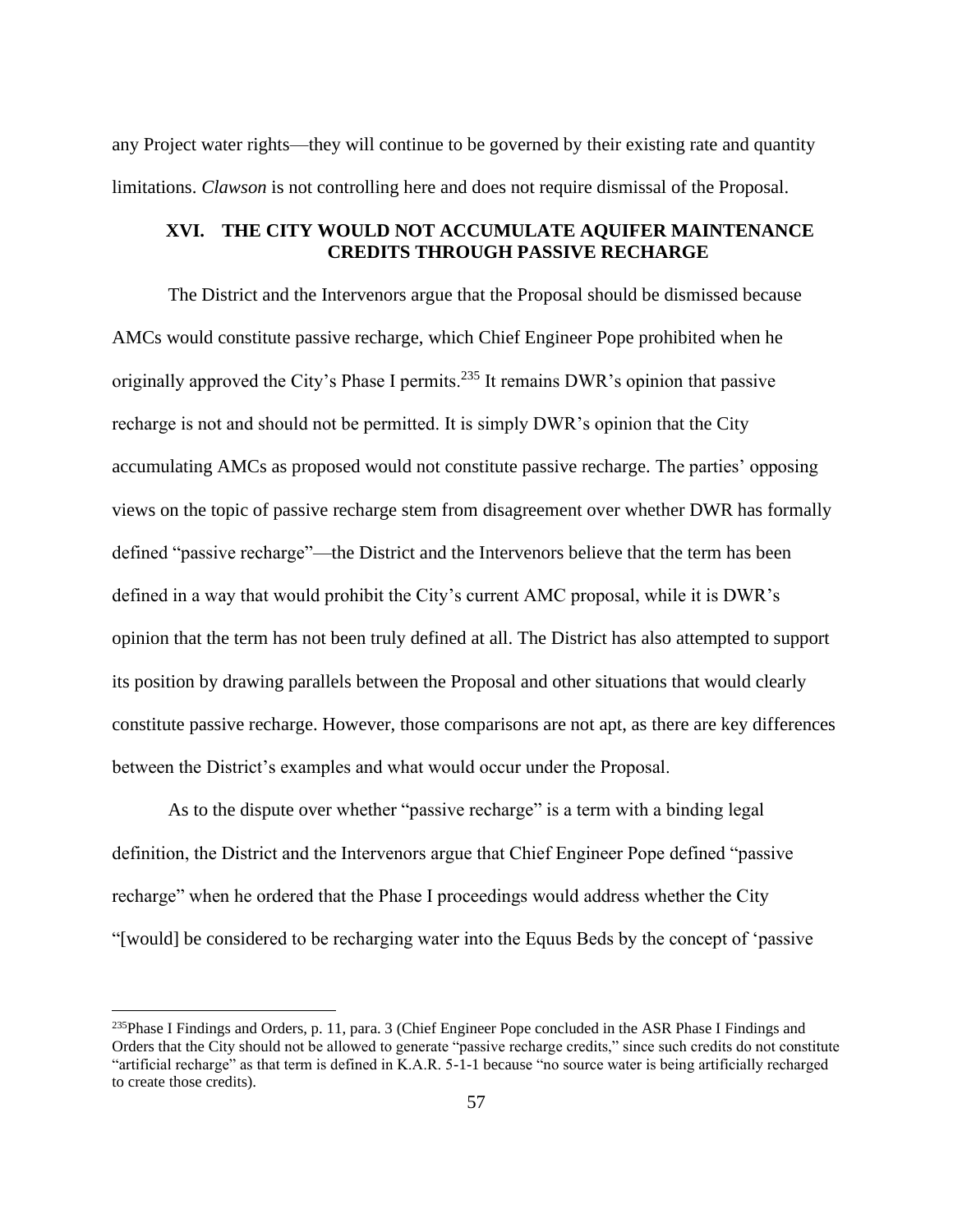any Project water rights—they will continue to be governed by their existing rate and quantity limitations. *Clawson* is not controlling here and does not require dismissal of the Proposal.

# **XVI. THE CITY WOULD NOT ACCUMULATE AQUIFER MAINTENANCE CREDITS THROUGH PASSIVE RECHARGE**

The District and the Intervenors argue that the Proposal should be dismissed because AMCs would constitute passive recharge, which Chief Engineer Pope prohibited when he originally approved the City's Phase I permits.<sup>235</sup> It remains DWR's opinion that passive recharge is not and should not be permitted. It is simply DWR's opinion that the City accumulating AMCs as proposed would not constitute passive recharge. The parties' opposing views on the topic of passive recharge stem from disagreement over whether DWR has formally defined "passive recharge"—the District and the Intervenors believe that the term has been defined in a way that would prohibit the City's current AMC proposal, while it is DWR's opinion that the term has not been truly defined at all. The District has also attempted to support its position by drawing parallels between the Proposal and other situations that would clearly constitute passive recharge. However, those comparisons are not apt, as there are key differences between the District's examples and what would occur under the Proposal.

As to the dispute over whether "passive recharge" is a term with a binding legal definition, the District and the Intervenors argue that Chief Engineer Pope defined "passive recharge" when he ordered that the Phase I proceedings would address whether the City "[would] be considered to be recharging water into the Equus Beds by the concept of 'passive

<sup>&</sup>lt;sup>235</sup>Phase I Findings and Orders, p. 11, para. 3 (Chief Engineer Pope concluded in the ASR Phase I Findings and Orders that the City should not be allowed to generate "passive recharge credits," since such credits do not constitute "artificial recharge" as that term is defined in K.A.R. 5-1-1 because "no source water is being artificially recharged to create those credits).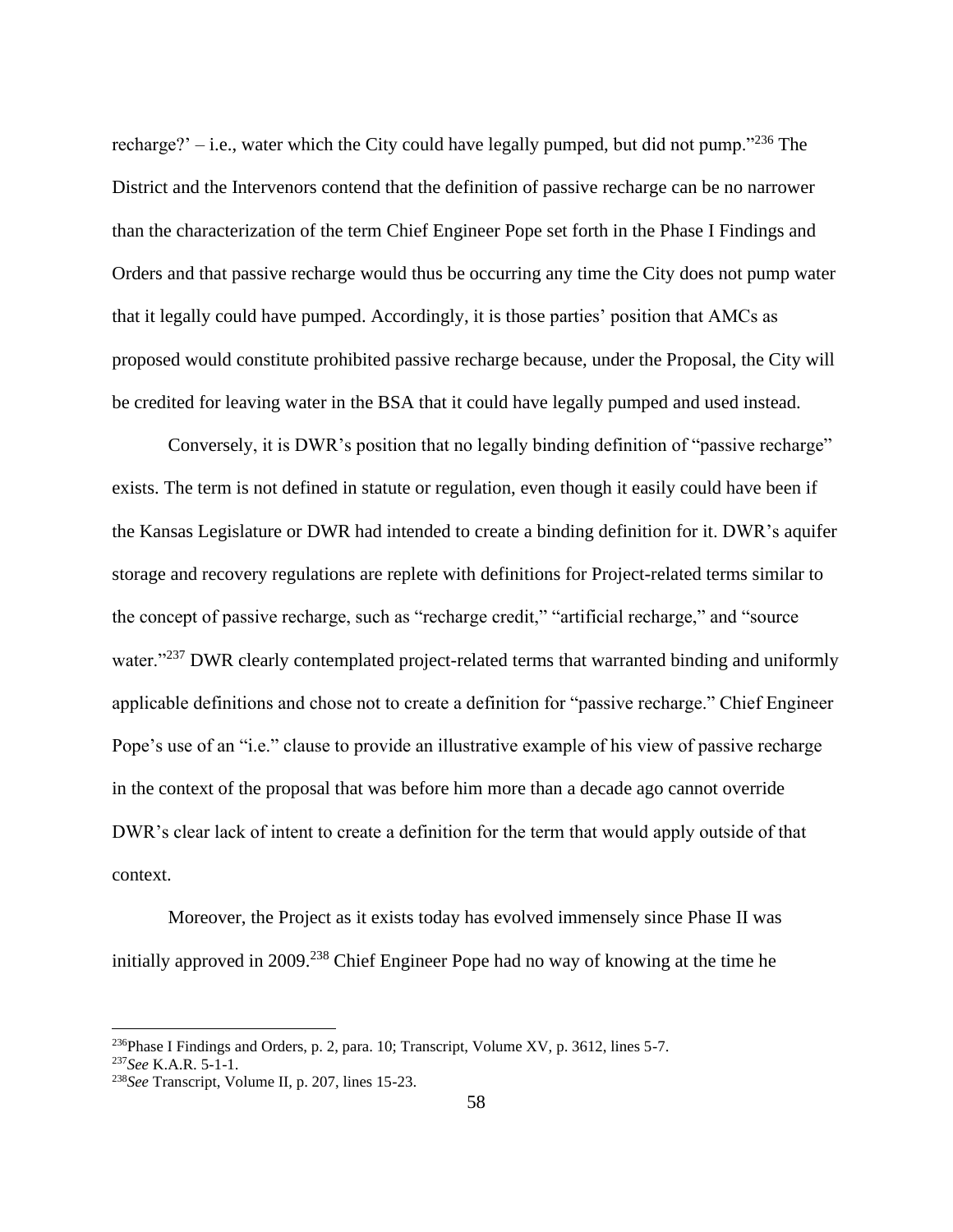recharge?' – i.e., water which the City could have legally pumped, but did not pump. $1236$  The District and the Intervenors contend that the definition of passive recharge can be no narrower than the characterization of the term Chief Engineer Pope set forth in the Phase I Findings and Orders and that passive recharge would thus be occurring any time the City does not pump water that it legally could have pumped. Accordingly, it is those parties' position that AMCs as proposed would constitute prohibited passive recharge because, under the Proposal, the City will be credited for leaving water in the BSA that it could have legally pumped and used instead.

Conversely, it is DWR's position that no legally binding definition of "passive recharge" exists. The term is not defined in statute or regulation, even though it easily could have been if the Kansas Legislature or DWR had intended to create a binding definition for it. DWR's aquifer storage and recovery regulations are replete with definitions for Project-related terms similar to the concept of passive recharge, such as "recharge credit," "artificial recharge," and "source water."<sup>237</sup> DWR clearly contemplated project-related terms that warranted binding and uniformly applicable definitions and chose not to create a definition for "passive recharge." Chief Engineer Pope's use of an "i.e." clause to provide an illustrative example of his view of passive recharge in the context of the proposal that was before him more than a decade ago cannot override DWR's clear lack of intent to create a definition for the term that would apply outside of that context.

Moreover, the Project as it exists today has evolved immensely since Phase II was initially approved in 2009.<sup>238</sup> Chief Engineer Pope had no way of knowing at the time he

<sup>&</sup>lt;sup>236</sup>Phase I Findings and Orders, p. 2, para. 10; Transcript, Volume XV, p. 3612, lines 5-7. <sup>237</sup>*See* K.A.R. 5-1-1.

<sup>238</sup>*See* Transcript, Volume II, p. 207, lines 15-23.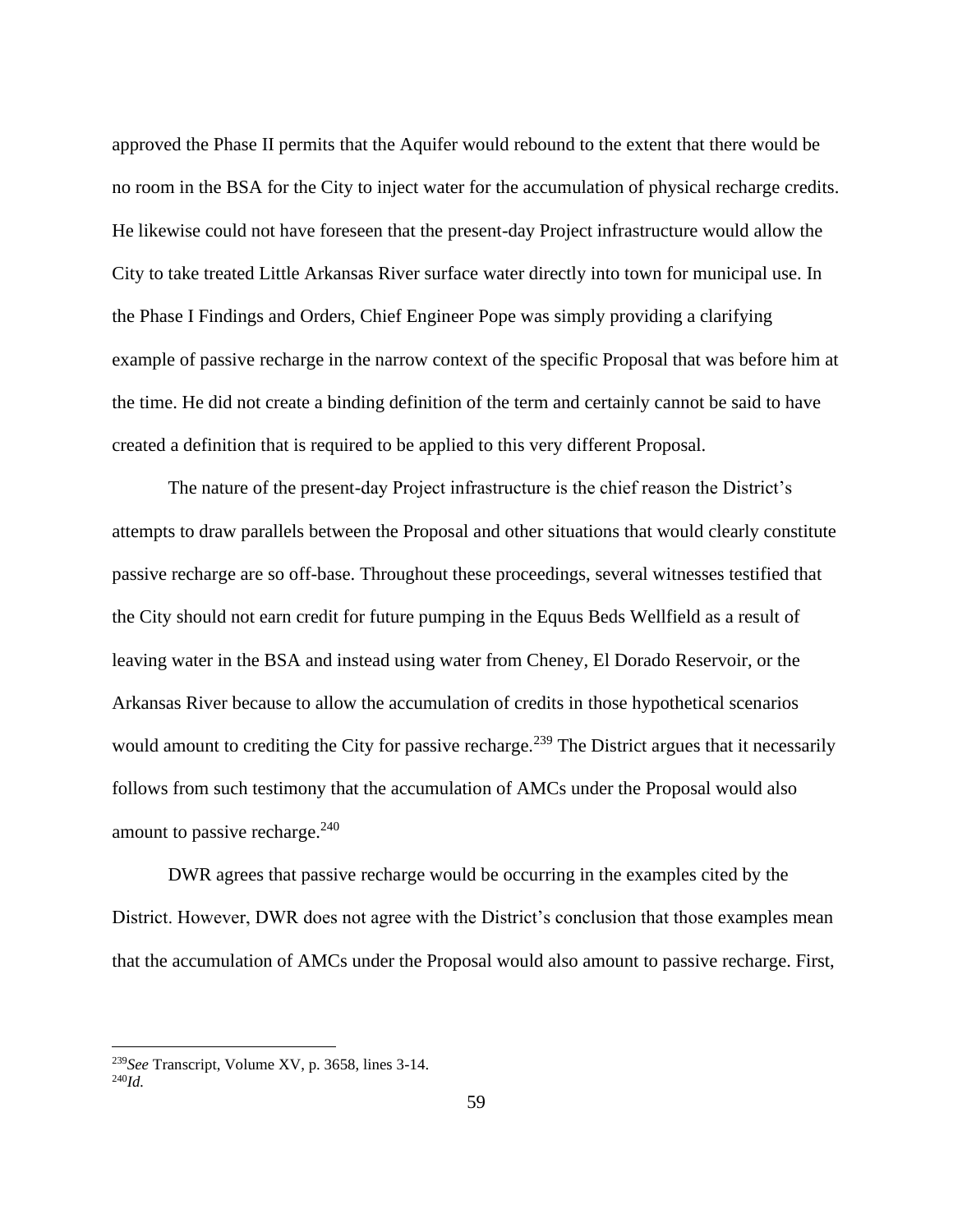approved the Phase II permits that the Aquifer would rebound to the extent that there would be no room in the BSA for the City to inject water for the accumulation of physical recharge credits. He likewise could not have foreseen that the present-day Project infrastructure would allow the City to take treated Little Arkansas River surface water directly into town for municipal use. In the Phase I Findings and Orders, Chief Engineer Pope was simply providing a clarifying example of passive recharge in the narrow context of the specific Proposal that was before him at the time. He did not create a binding definition of the term and certainly cannot be said to have created a definition that is required to be applied to this very different Proposal.

The nature of the present-day Project infrastructure is the chief reason the District's attempts to draw parallels between the Proposal and other situations that would clearly constitute passive recharge are so off-base. Throughout these proceedings, several witnesses testified that the City should not earn credit for future pumping in the Equus Beds Wellfield as a result of leaving water in the BSA and instead using water from Cheney, El Dorado Reservoir, or the Arkansas River because to allow the accumulation of credits in those hypothetical scenarios would amount to crediting the City for passive recharge.<sup>239</sup> The District argues that it necessarily follows from such testimony that the accumulation of AMCs under the Proposal would also amount to passive recharge. $240$ 

DWR agrees that passive recharge would be occurring in the examples cited by the District. However, DWR does not agree with the District's conclusion that those examples mean that the accumulation of AMCs under the Proposal would also amount to passive recharge. First,

<sup>239</sup>*See* Transcript, Volume XV, p. 3658, lines 3-14. 240*Id.*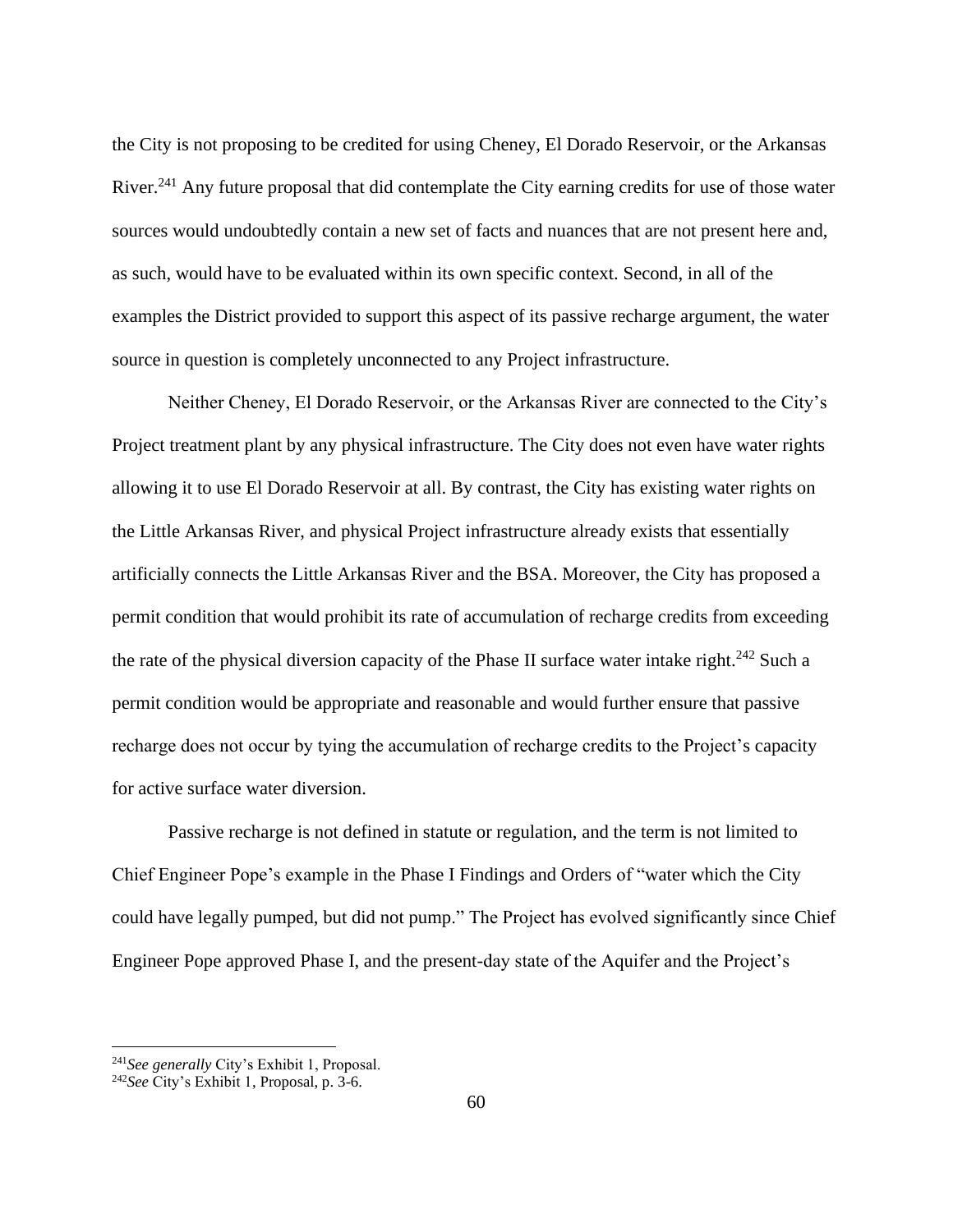the City is not proposing to be credited for using Cheney, El Dorado Reservoir, or the Arkansas River.<sup>241</sup> Any future proposal that did contemplate the City earning credits for use of those water sources would undoubtedly contain a new set of facts and nuances that are not present here and, as such, would have to be evaluated within its own specific context. Second, in all of the examples the District provided to support this aspect of its passive recharge argument, the water source in question is completely unconnected to any Project infrastructure.

Neither Cheney, El Dorado Reservoir, or the Arkansas River are connected to the City's Project treatment plant by any physical infrastructure. The City does not even have water rights allowing it to use El Dorado Reservoir at all. By contrast, the City has existing water rights on the Little Arkansas River, and physical Project infrastructure already exists that essentially artificially connects the Little Arkansas River and the BSA. Moreover, the City has proposed a permit condition that would prohibit its rate of accumulation of recharge credits from exceeding the rate of the physical diversion capacity of the Phase II surface water intake right.<sup>242</sup> Such a permit condition would be appropriate and reasonable and would further ensure that passive recharge does not occur by tying the accumulation of recharge credits to the Project's capacity for active surface water diversion.

Passive recharge is not defined in statute or regulation, and the term is not limited to Chief Engineer Pope's example in the Phase I Findings and Orders of "water which the City could have legally pumped, but did not pump." The Project has evolved significantly since Chief Engineer Pope approved Phase I, and the present-day state of the Aquifer and the Project's

<sup>241</sup>*See generally* City's Exhibit 1, Proposal.

<sup>242</sup>*See* City's Exhibit 1, Proposal, p. 3-6.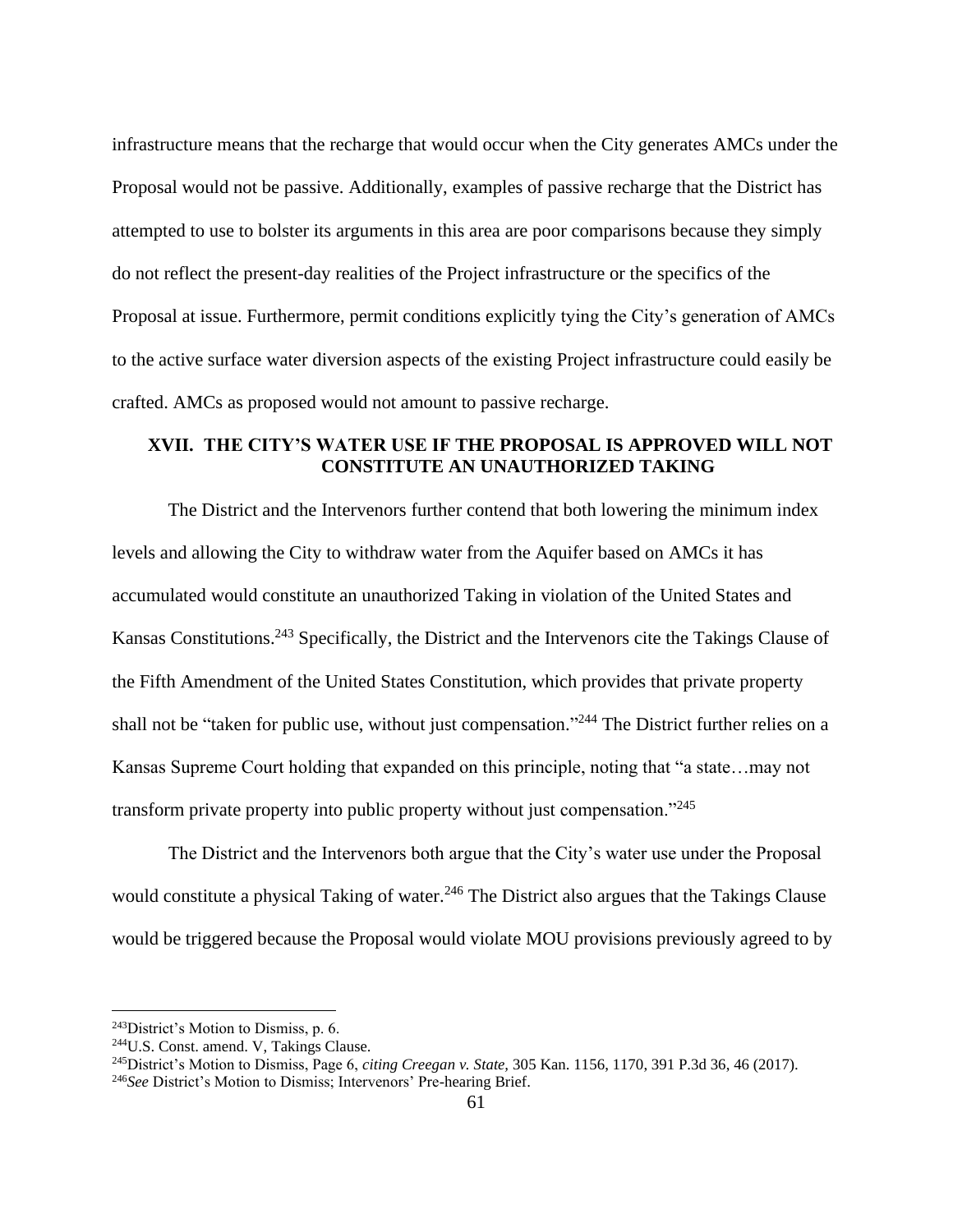infrastructure means that the recharge that would occur when the City generates AMCs under the Proposal would not be passive. Additionally, examples of passive recharge that the District has attempted to use to bolster its arguments in this area are poor comparisons because they simply do not reflect the present-day realities of the Project infrastructure or the specifics of the Proposal at issue. Furthermore, permit conditions explicitly tying the City's generation of AMCs to the active surface water diversion aspects of the existing Project infrastructure could easily be crafted. AMCs as proposed would not amount to passive recharge.

# **XVII. THE CITY'S WATER USE IF THE PROPOSAL IS APPROVED WILL NOT CONSTITUTE AN UNAUTHORIZED TAKING**

The District and the Intervenors further contend that both lowering the minimum index levels and allowing the City to withdraw water from the Aquifer based on AMCs it has accumulated would constitute an unauthorized Taking in violation of the United States and Kansas Constitutions.<sup>243</sup> Specifically, the District and the Intervenors cite the Takings Clause of the Fifth Amendment of the United States Constitution, which provides that private property shall not be "taken for public use, without just compensation."<sup>244</sup> The District further relies on a Kansas Supreme Court holding that expanded on this principle, noting that "a state…may not transform private property into public property without just compensation."<sup>245</sup>

The District and the Intervenors both argue that the City's water use under the Proposal would constitute a physical Taking of water.<sup>246</sup> The District also argues that the Takings Clause would be triggered because the Proposal would violate MOU provisions previously agreed to by

<sup>&</sup>lt;sup>243</sup>District's Motion to Dismiss, p. 6.

<sup>244</sup>U.S. Const. amend. V, Takings Clause.

<sup>245</sup>District's Motion to Dismiss, Page 6, *citing Creegan v. State,* 305 Kan. 1156, 1170, 391 P.3d 36, 46 (2017).

<sup>246</sup>*See* District's Motion to Dismiss; Intervenors' Pre-hearing Brief.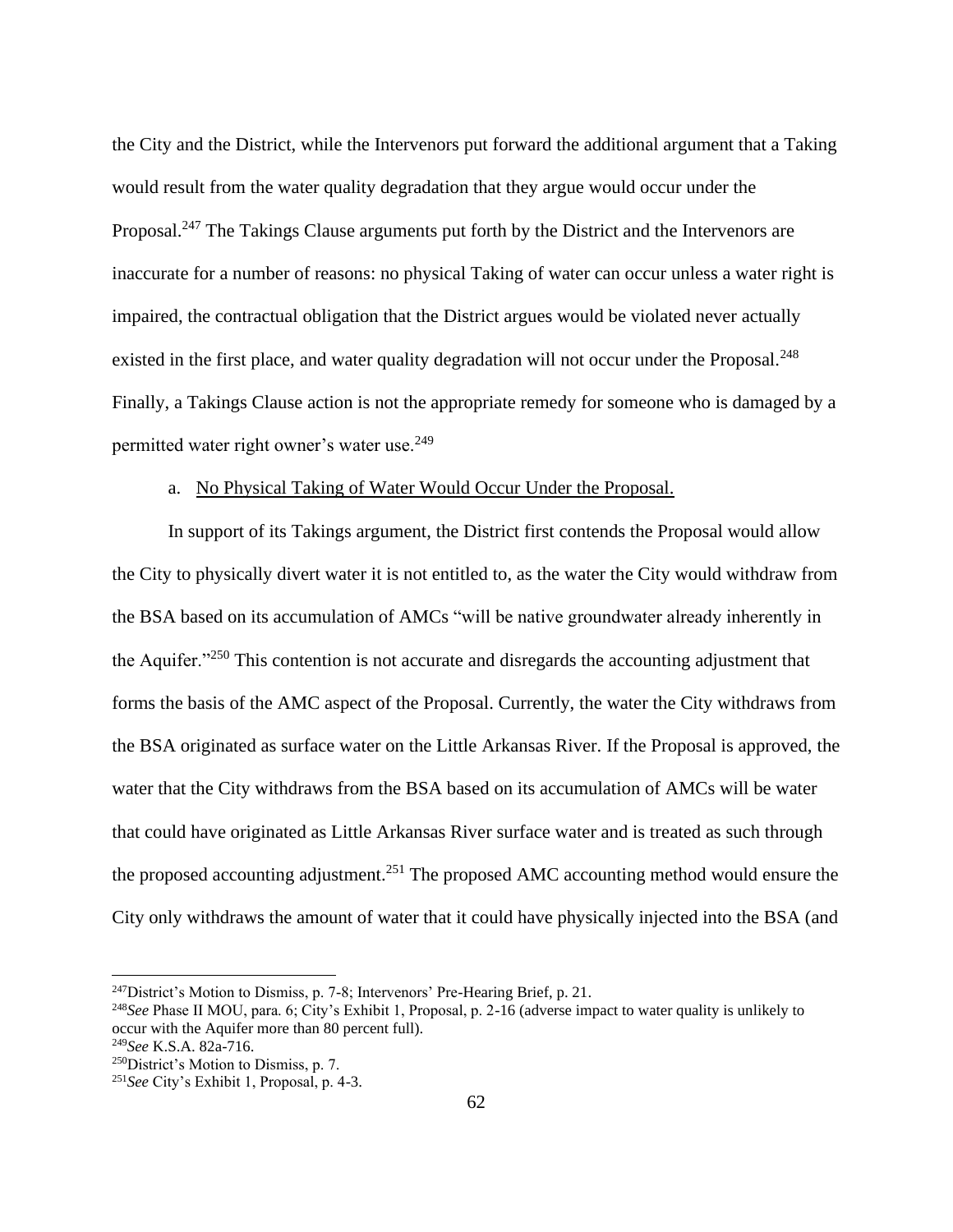the City and the District, while the Intervenors put forward the additional argument that a Taking would result from the water quality degradation that they argue would occur under the Proposal.<sup>247</sup> The Takings Clause arguments put forth by the District and the Intervenors are inaccurate for a number of reasons: no physical Taking of water can occur unless a water right is impaired, the contractual obligation that the District argues would be violated never actually existed in the first place, and water quality degradation will not occur under the Proposal.<sup>248</sup> Finally, a Takings Clause action is not the appropriate remedy for someone who is damaged by a permitted water right owner's water use.<sup>249</sup>

#### a. No Physical Taking of Water Would Occur Under the Proposal.

In support of its Takings argument, the District first contends the Proposal would allow the City to physically divert water it is not entitled to, as the water the City would withdraw from the BSA based on its accumulation of AMCs "will be native groundwater already inherently in the Aquifer."<sup>250</sup> This contention is not accurate and disregards the accounting adjustment that forms the basis of the AMC aspect of the Proposal. Currently, the water the City withdraws from the BSA originated as surface water on the Little Arkansas River. If the Proposal is approved, the water that the City withdraws from the BSA based on its accumulation of AMCs will be water that could have originated as Little Arkansas River surface water and is treated as such through the proposed accounting adjustment.<sup>251</sup> The proposed AMC accounting method would ensure the City only withdraws the amount of water that it could have physically injected into the BSA (and

 $247$ District's Motion to Dismiss, p. 7-8; Intervenors' Pre-Hearing Brief, p. 21.

<sup>248</sup>*See* Phase II MOU, para. 6; City's Exhibit 1, Proposal, p. 2-16 (adverse impact to water quality is unlikely to occur with the Aquifer more than 80 percent full).

<sup>249</sup>*See* K.S.A. 82a-716.

<sup>&</sup>lt;sup>250</sup>District's Motion to Dismiss, p. 7.

<sup>251</sup>*See* City's Exhibit 1, Proposal, p. 4-3.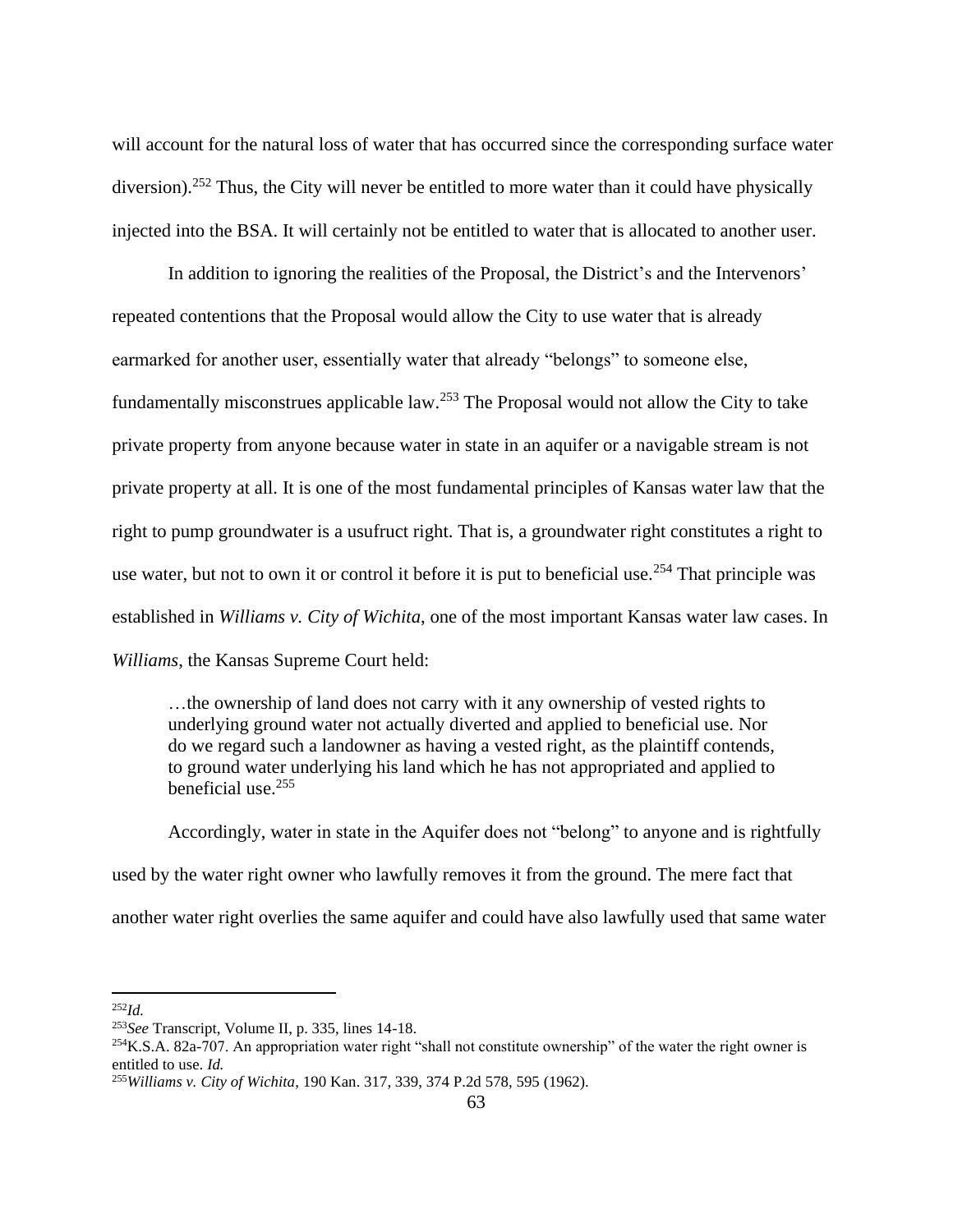will account for the natural loss of water that has occurred since the corresponding surface water diversion).<sup>252</sup> Thus, the City will never be entitled to more water than it could have physically injected into the BSA. It will certainly not be entitled to water that is allocated to another user.

In addition to ignoring the realities of the Proposal, the District's and the Intervenors' repeated contentions that the Proposal would allow the City to use water that is already earmarked for another user, essentially water that already "belongs" to someone else, fundamentally misconstrues applicable law.<sup>253</sup> The Proposal would not allow the City to take private property from anyone because water in state in an aquifer or a navigable stream is not private property at all. It is one of the most fundamental principles of Kansas water law that the right to pump groundwater is a usufruct right. That is, a groundwater right constitutes a right to use water, but not to own it or control it before it is put to beneficial use.<sup>254</sup> That principle was established in *Williams v. City of Wichita*, one of the most important Kansas water law cases. In *Williams*, the Kansas Supreme Court held:

…the ownership of land does not carry with it any ownership of vested rights to underlying ground water not actually diverted and applied to beneficial use. Nor do we regard such a landowner as having a vested right, as the plaintiff contends, to ground water underlying his land which he has not appropriated and applied to beneficial use. 255

Accordingly, water in state in the Aquifer does not "belong" to anyone and is rightfully used by the water right owner who lawfully removes it from the ground. The mere fact that another water right overlies the same aquifer and could have also lawfully used that same water

<sup>252</sup>*Id.*

<sup>253</sup>*See* Transcript, Volume II, p. 335, lines 14-18.

 $^{254}$ K.S.A. 82a-707. An appropriation water right "shall not constitute ownership" of the water the right owner is entitled to use. *Id.*

<sup>255</sup>*Williams v. City of Wichita*, 190 Kan. 317, 339, 374 P.2d 578, 595 (1962).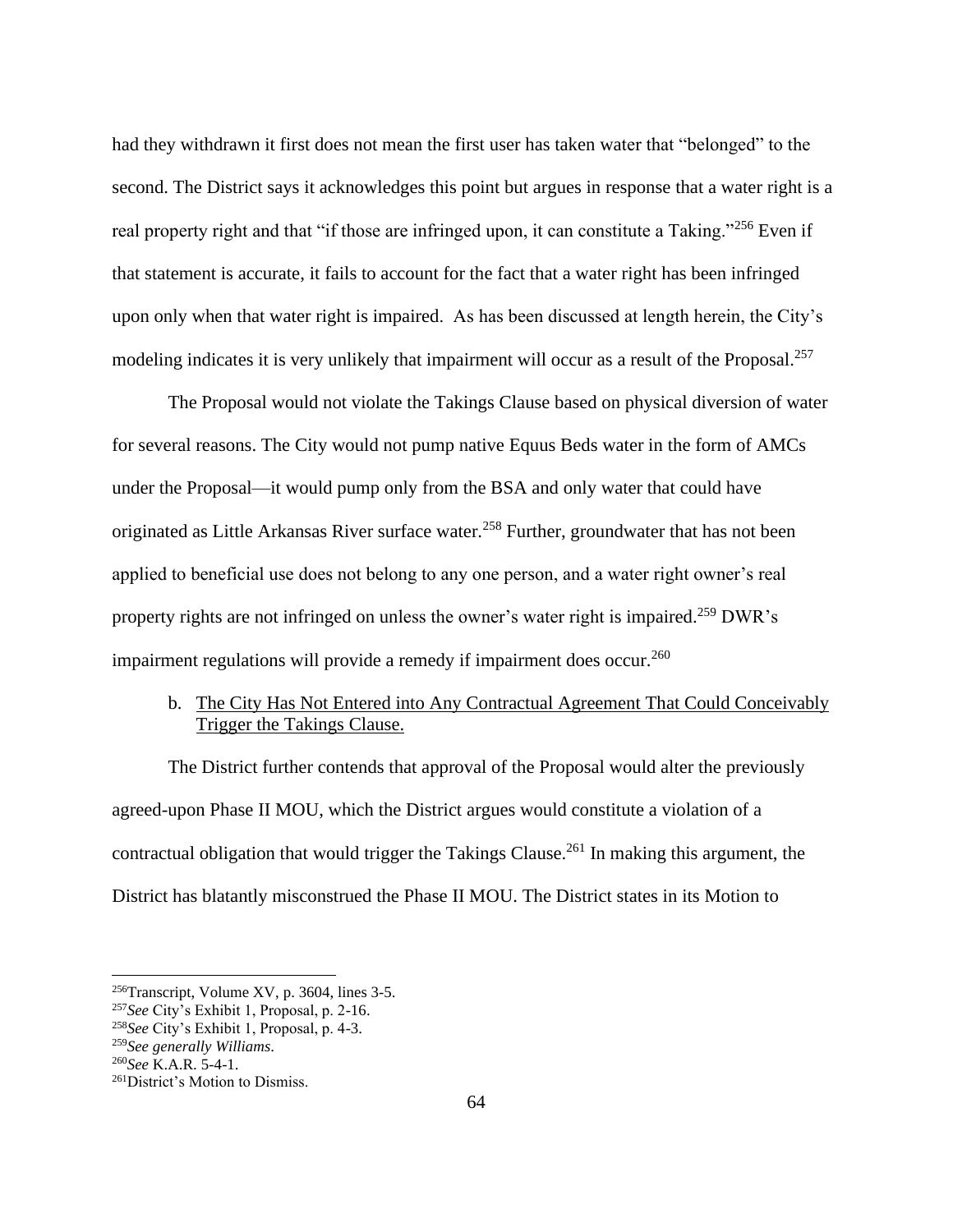had they withdrawn it first does not mean the first user has taken water that "belonged" to the second. The District says it acknowledges this point but argues in response that a water right is a real property right and that "if those are infringed upon, it can constitute a Taking."<sup>256</sup> Even if that statement is accurate, it fails to account for the fact that a water right has been infringed upon only when that water right is impaired. As has been discussed at length herein, the City's modeling indicates it is very unlikely that impairment will occur as a result of the Proposal.<sup>257</sup>

The Proposal would not violate the Takings Clause based on physical diversion of water for several reasons. The City would not pump native Equus Beds water in the form of AMCs under the Proposal—it would pump only from the BSA and only water that could have originated as Little Arkansas River surface water.<sup>258</sup> Further, groundwater that has not been applied to beneficial use does not belong to any one person, and a water right owner's real property rights are not infringed on unless the owner's water right is impaired.<sup>259</sup> DWR's impairment regulations will provide a remedy if impairment does occur.<sup>260</sup>

# b. The City Has Not Entered into Any Contractual Agreement That Could Conceivably Trigger the Takings Clause.

The District further contends that approval of the Proposal would alter the previously agreed-upon Phase II MOU, which the District argues would constitute a violation of a contractual obligation that would trigger the Takings Clause.<sup>261</sup> In making this argument, the District has blatantly misconstrued the Phase II MOU. The District states in its Motion to

<sup>256</sup>Transcript, Volume XV, p. 3604, lines 3-5.

<sup>257</sup>*See* City's Exhibit 1, Proposal, p. 2-16.

<sup>258</sup>*See* City's Exhibit 1, Proposal, p. 4-3.

<sup>259</sup>*See generally Williams*.

<sup>260</sup>*See* K.A.R. 5-4-1.

<sup>261</sup>District's Motion to Dismiss.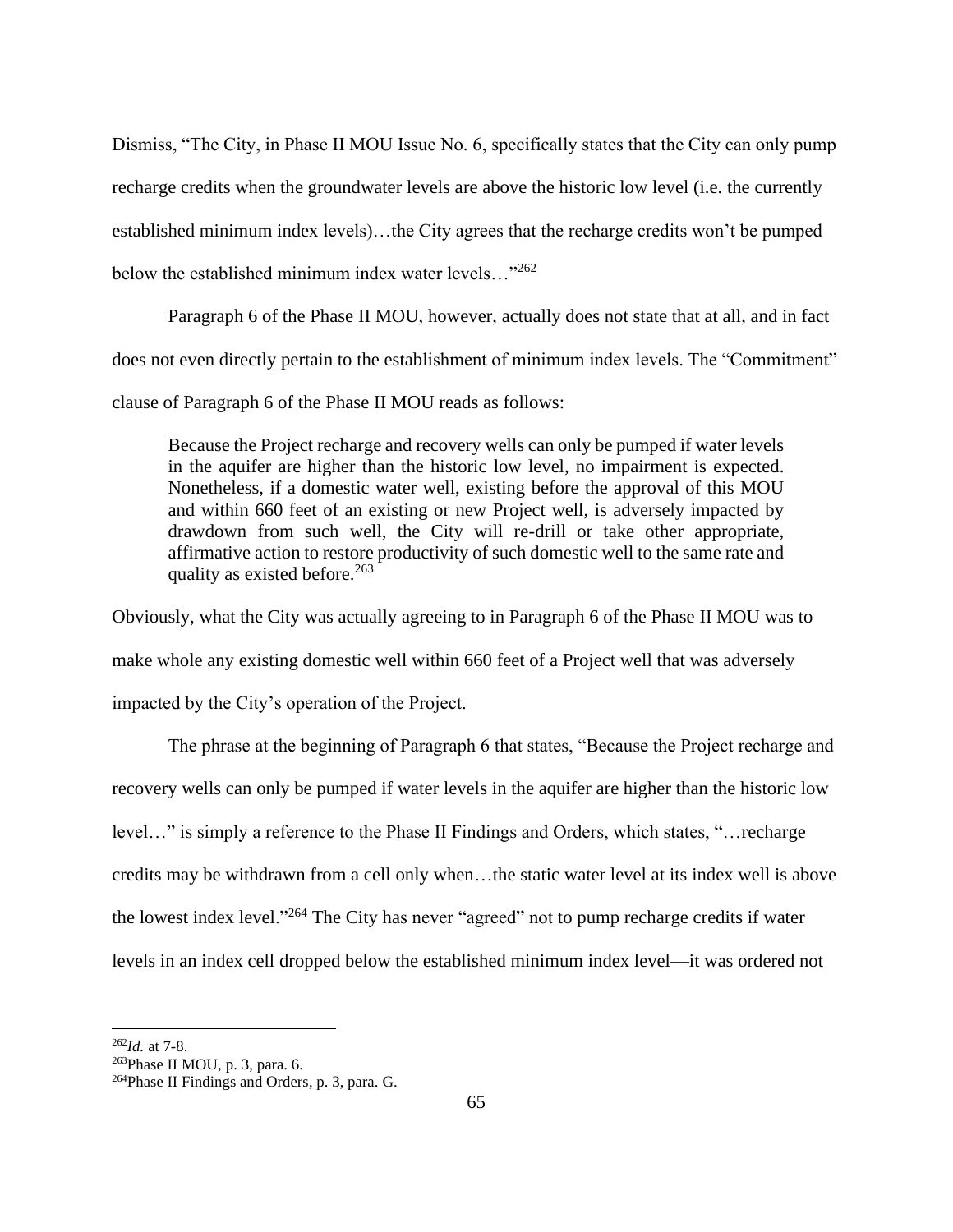Dismiss, "The City, in Phase II MOU Issue No. 6, specifically states that the City can only pump recharge credits when the groundwater levels are above the historic low level (i.e. the currently established minimum index levels)…the City agrees that the recharge credits won't be pumped below the established minimum index water levels..."<sup>262</sup>

Paragraph 6 of the Phase II MOU, however, actually does not state that at all, and in fact does not even directly pertain to the establishment of minimum index levels. The "Commitment" clause of Paragraph 6 of the Phase II MOU reads as follows:

Because the Project recharge and recovery wells can only be pumped if water levels in the aquifer are higher than the historic low level, no impairment is expected. Nonetheless, if a domestic water well, existing before the approval of this MOU and within 660 feet of an existing or new Project well, is adversely impacted by drawdown from such well, the City will re-drill or take other appropriate, affirmative action to restore productivity of such domestic well to the same rate and quality as existed before.<sup>263</sup>

Obviously, what the City was actually agreeing to in Paragraph 6 of the Phase II MOU was to make whole any existing domestic well within 660 feet of a Project well that was adversely impacted by the City's operation of the Project.

The phrase at the beginning of Paragraph 6 that states, "Because the Project recharge and recovery wells can only be pumped if water levels in the aquifer are higher than the historic low level…" is simply a reference to the Phase II Findings and Orders, which states, "…recharge credits may be withdrawn from a cell only when…the static water level at its index well is above the lowest index level."<sup>264</sup> The City has never "agreed" not to pump recharge credits if water levels in an index cell dropped below the established minimum index level—it was ordered not

<sup>262</sup>*Id.* at 7-8.

<sup>263</sup>Phase II MOU, p. 3, para. 6.

<sup>264</sup>Phase II Findings and Orders, p. 3, para. G.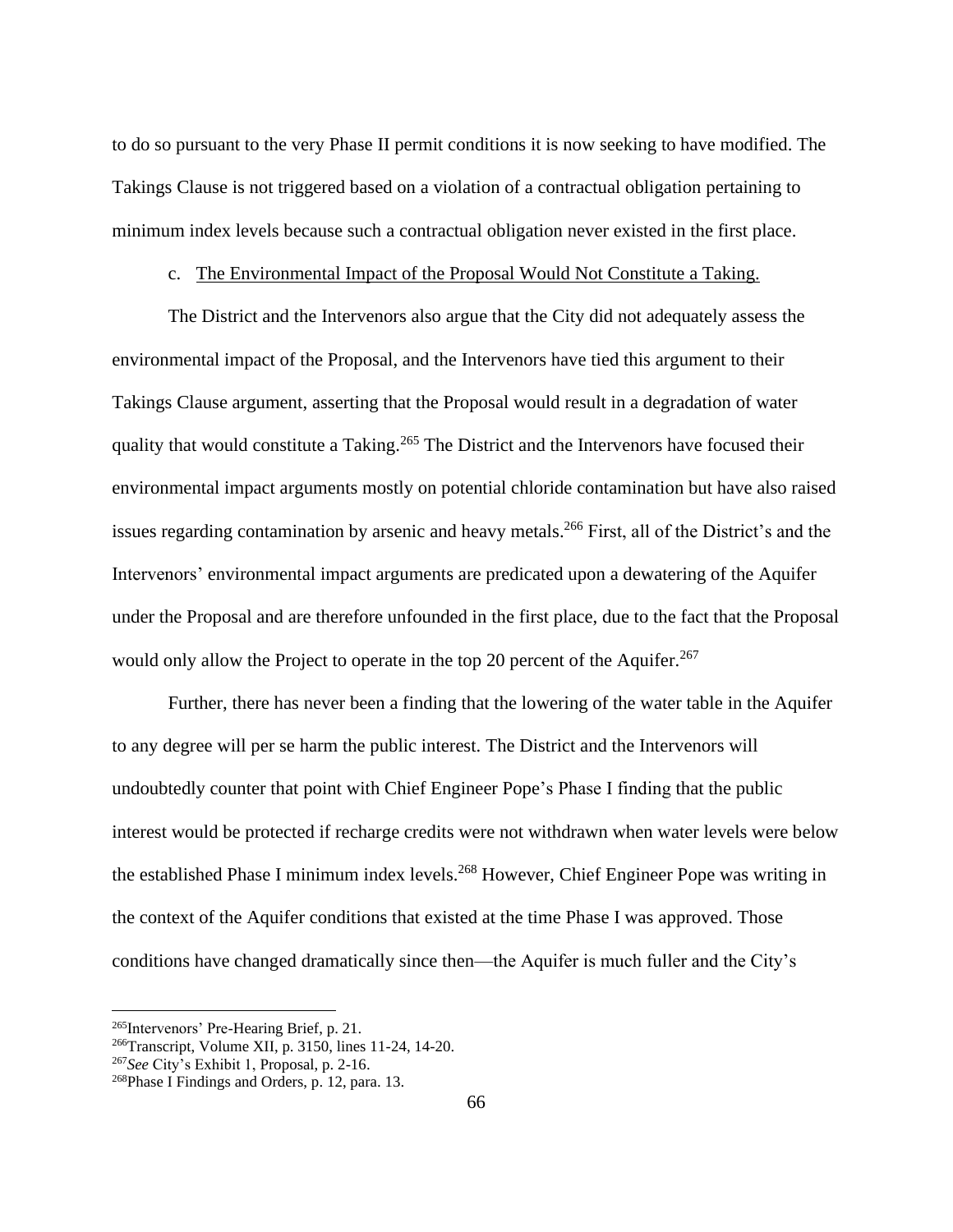to do so pursuant to the very Phase II permit conditions it is now seeking to have modified. The Takings Clause is not triggered based on a violation of a contractual obligation pertaining to minimum index levels because such a contractual obligation never existed in the first place.

#### c. The Environmental Impact of the Proposal Would Not Constitute a Taking.

The District and the Intervenors also argue that the City did not adequately assess the environmental impact of the Proposal, and the Intervenors have tied this argument to their Takings Clause argument, asserting that the Proposal would result in a degradation of water quality that would constitute a Taking.<sup>265</sup> The District and the Intervenors have focused their environmental impact arguments mostly on potential chloride contamination but have also raised issues regarding contamination by arsenic and heavy metals. <sup>266</sup> First, all of the District's and the Intervenors' environmental impact arguments are predicated upon a dewatering of the Aquifer under the Proposal and are therefore unfounded in the first place, due to the fact that the Proposal would only allow the Project to operate in the top 20 percent of the Aquifer.<sup>267</sup>

Further, there has never been a finding that the lowering of the water table in the Aquifer to any degree will per se harm the public interest. The District and the Intervenors will undoubtedly counter that point with Chief Engineer Pope's Phase I finding that the public interest would be protected if recharge credits were not withdrawn when water levels were below the established Phase I minimum index levels.<sup>268</sup> However, Chief Engineer Pope was writing in the context of the Aquifer conditions that existed at the time Phase I was approved. Those conditions have changed dramatically since then—the Aquifer is much fuller and the City's

<sup>265</sup>Intervenors' Pre-Hearing Brief, p. 21.

<sup>266</sup>Transcript, Volume XII, p. 3150, lines 11-24, 14-20.

<sup>267</sup>*See* City's Exhibit 1, Proposal, p. 2-16.

<sup>268</sup>Phase I Findings and Orders, p. 12, para. 13.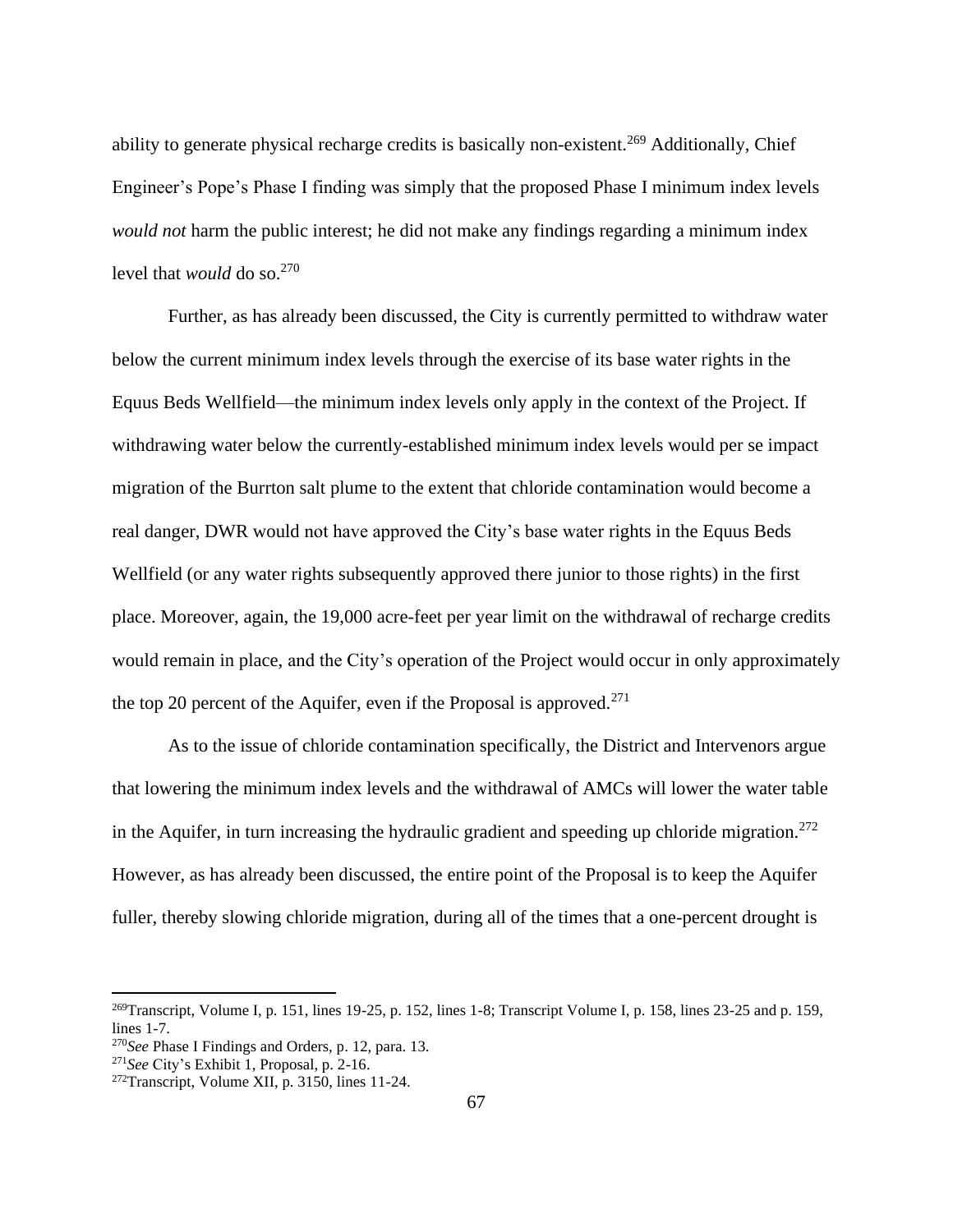ability to generate physical recharge credits is basically non-existent.<sup>269</sup> Additionally, Chief Engineer's Pope's Phase I finding was simply that the proposed Phase I minimum index levels *would not* harm the public interest; he did not make any findings regarding a minimum index level that *would* do so.<sup>270</sup>

Further, as has already been discussed, the City is currently permitted to withdraw water below the current minimum index levels through the exercise of its base water rights in the Equus Beds Wellfield—the minimum index levels only apply in the context of the Project. If withdrawing water below the currently-established minimum index levels would per se impact migration of the Burrton salt plume to the extent that chloride contamination would become a real danger, DWR would not have approved the City's base water rights in the Equus Beds Wellfield (or any water rights subsequently approved there junior to those rights) in the first place. Moreover, again, the 19,000 acre-feet per year limit on the withdrawal of recharge credits would remain in place, and the City's operation of the Project would occur in only approximately the top 20 percent of the Aquifer, even if the Proposal is approved.<sup>271</sup>

As to the issue of chloride contamination specifically, the District and Intervenors argue that lowering the minimum index levels and the withdrawal of AMCs will lower the water table in the Aquifer, in turn increasing the hydraulic gradient and speeding up chloride migration.<sup>272</sup> However, as has already been discussed, the entire point of the Proposal is to keep the Aquifer fuller, thereby slowing chloride migration, during all of the times that a one-percent drought is

<sup>&</sup>lt;sup>269</sup>Transcript, Volume I, p. 151, lines 19-25, p. 152, lines 1-8; Transcript Volume I, p. 158, lines 23-25 and p. 159, lines 1-7.

<sup>270</sup>*See* Phase I Findings and Orders, p. 12, para. 13.

<sup>271</sup>*See* City's Exhibit 1, Proposal, p. 2-16.

<sup>272</sup>Transcript, Volume XII, p. 3150, lines 11-24.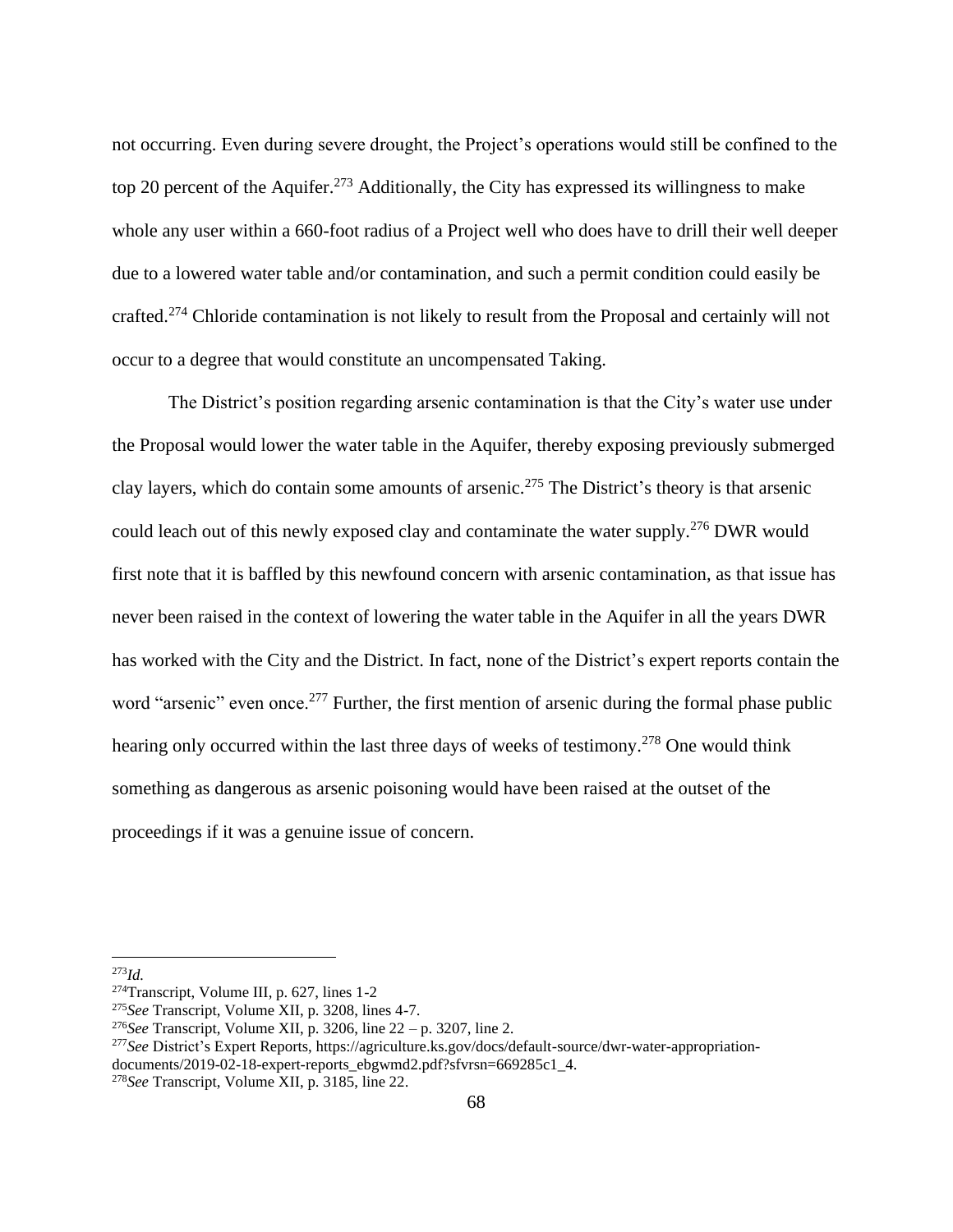not occurring. Even during severe drought, the Project's operations would still be confined to the top 20 percent of the Aquifer.<sup>273</sup> Additionally, the City has expressed its willingness to make whole any user within a 660-foot radius of a Project well who does have to drill their well deeper due to a lowered water table and/or contamination, and such a permit condition could easily be crafted.<sup>274</sup> Chloride contamination is not likely to result from the Proposal and certainly will not occur to a degree that would constitute an uncompensated Taking.

The District's position regarding arsenic contamination is that the City's water use under the Proposal would lower the water table in the Aquifer, thereby exposing previously submerged clay layers, which do contain some amounts of arsenic.<sup>275</sup> The District's theory is that arsenic could leach out of this newly exposed clay and contaminate the water supply.<sup>276</sup> DWR would first note that it is baffled by this newfound concern with arsenic contamination, as that issue has never been raised in the context of lowering the water table in the Aquifer in all the years DWR has worked with the City and the District. In fact, none of the District's expert reports contain the word "arsenic" even once.<sup>277</sup> Further, the first mention of arsenic during the formal phase public hearing only occurred within the last three days of weeks of testimony.<sup>278</sup> One would think something as dangerous as arsenic poisoning would have been raised at the outset of the proceedings if it was a genuine issue of concern.

<sup>273</sup>*Id.*

<sup>&</sup>lt;sup>274</sup>Transcript, Volume III, p. 627, lines  $1-2$ 

<sup>275</sup>*See* Transcript, Volume XII, p. 3208, lines 4-7.

<sup>276</sup>*See* Transcript, Volume XII, p. 3206, line 22 – p. 3207, line 2.

<sup>277</sup>*See* District's Expert Reports, https://agriculture.ks.gov/docs/default-source/dwr-water-appropriationdocuments/2019-02-18-expert-reports\_ebgwmd2.pdf?sfvrsn=669285c1\_4.

<sup>278</sup>*See* Transcript, Volume XII, p. 3185, line 22.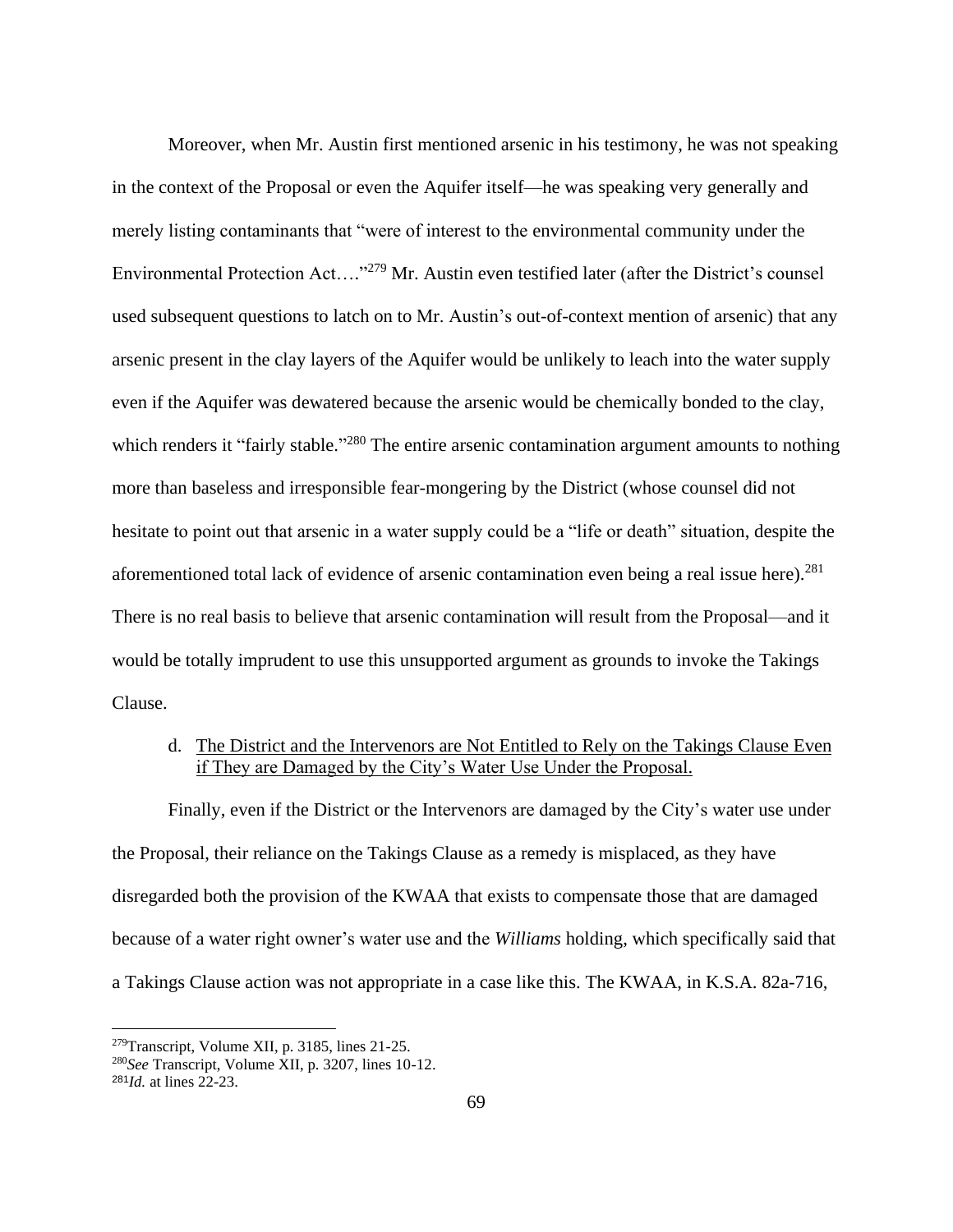Moreover, when Mr. Austin first mentioned arsenic in his testimony, he was not speaking in the context of the Proposal or even the Aquifer itself—he was speaking very generally and merely listing contaminants that "were of interest to the environmental community under the Environmental Protection Act...."<sup>279</sup> Mr. Austin even testified later (after the District's counsel used subsequent questions to latch on to Mr. Austin's out-of-context mention of arsenic) that any arsenic present in the clay layers of the Aquifer would be unlikely to leach into the water supply even if the Aquifer was dewatered because the arsenic would be chemically bonded to the clay, which renders it "fairly stable."<sup>280</sup> The entire arsenic contamination argument amounts to nothing more than baseless and irresponsible fear-mongering by the District (whose counsel did not hesitate to point out that arsenic in a water supply could be a "life or death" situation, despite the aforementioned total lack of evidence of arsenic contamination even being a real issue here).<sup>281</sup> There is no real basis to believe that arsenic contamination will result from the Proposal—and it would be totally imprudent to use this unsupported argument as grounds to invoke the Takings Clause.

# d. The District and the Intervenors are Not Entitled to Rely on the Takings Clause Even if They are Damaged by the City's Water Use Under the Proposal.

Finally, even if the District or the Intervenors are damaged by the City's water use under the Proposal, their reliance on the Takings Clause as a remedy is misplaced, as they have disregarded both the provision of the KWAA that exists to compensate those that are damaged because of a water right owner's water use and the *Williams* holding, which specifically said that a Takings Clause action was not appropriate in a case like this. The KWAA, in K.S.A. 82a-716,

<sup>279</sup>Transcript, Volume XII, p. 3185, lines 21-25.

<sup>280</sup>*See* Transcript, Volume XII, p. 3207, lines 10-12.

<sup>281</sup>*Id.* at lines 22-23.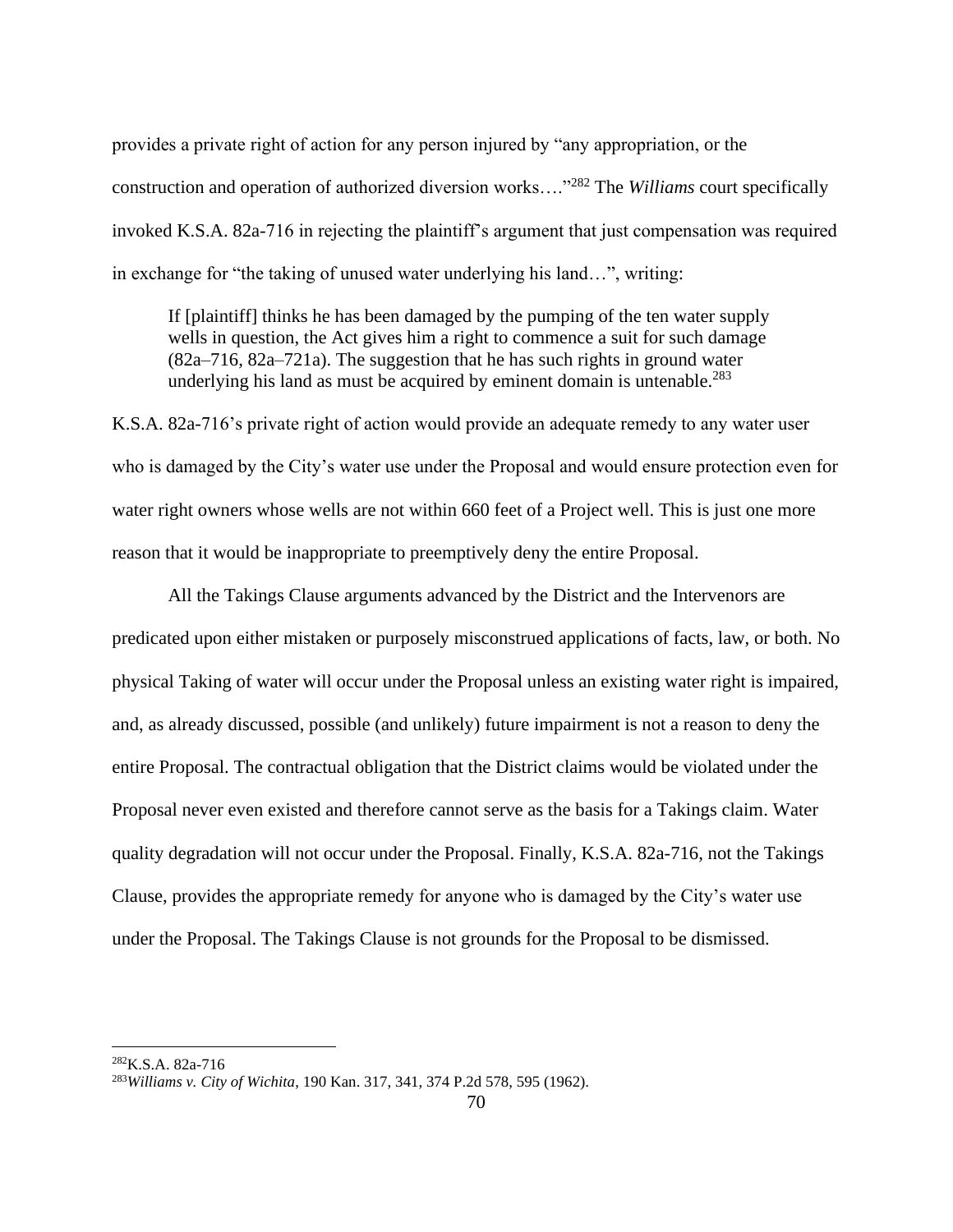provides a private right of action for any person injured by "any appropriation, or the construction and operation of authorized diversion works…."<sup>282</sup> The *Williams* court specifically invoked K.S.A. 82a-716 in rejecting the plaintiff's argument that just compensation was required in exchange for "the taking of unused water underlying his land…", writing:

If [plaintiff] thinks he has been damaged by the pumping of the ten water supply wells in question, the Act gives him a right to commence a suit for such damage (82a–716, 82a–721a). The suggestion that he has such rights in ground water underlying his land as must be acquired by eminent domain is untenable.<sup>283</sup>

K.S.A. 82a-716's private right of action would provide an adequate remedy to any water user who is damaged by the City's water use under the Proposal and would ensure protection even for water right owners whose wells are not within 660 feet of a Project well. This is just one more reason that it would be inappropriate to preemptively deny the entire Proposal.

All the Takings Clause arguments advanced by the District and the Intervenors are predicated upon either mistaken or purposely misconstrued applications of facts, law, or both. No physical Taking of water will occur under the Proposal unless an existing water right is impaired, and, as already discussed, possible (and unlikely) future impairment is not a reason to deny the entire Proposal. The contractual obligation that the District claims would be violated under the Proposal never even existed and therefore cannot serve as the basis for a Takings claim. Water quality degradation will not occur under the Proposal. Finally, K.S.A. 82a-716, not the Takings Clause, provides the appropriate remedy for anyone who is damaged by the City's water use under the Proposal. The Takings Clause is not grounds for the Proposal to be dismissed.

 $^{282}$ K.S.A. 82a-716

<sup>283</sup>*Williams v. City of Wichita*, 190 Kan. 317, 341, 374 P.2d 578, 595 (1962).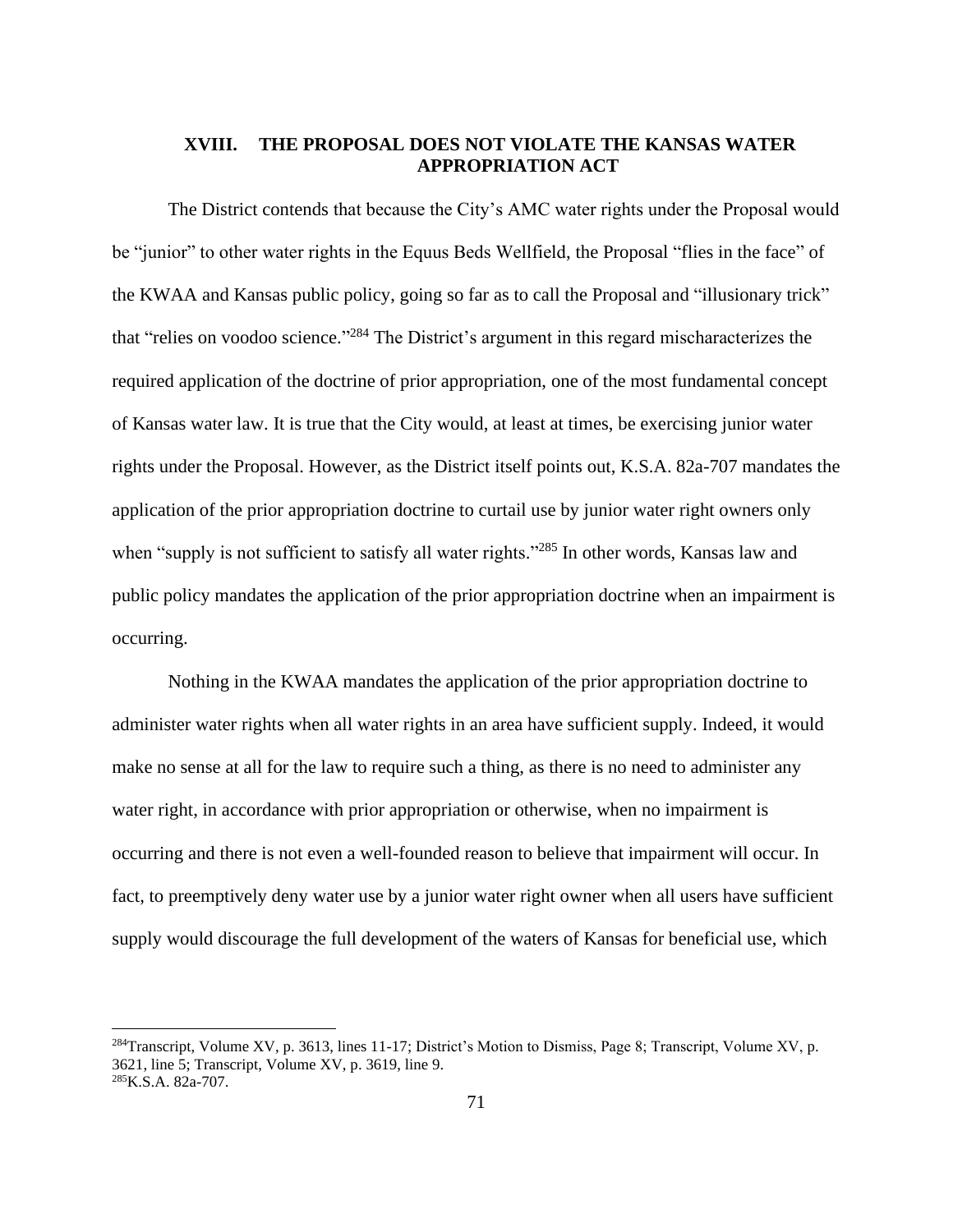# **XVIII. THE PROPOSAL DOES NOT VIOLATE THE KANSAS WATER APPROPRIATION ACT**

The District contends that because the City's AMC water rights under the Proposal would be "junior" to other water rights in the Equus Beds Wellfield, the Proposal "flies in the face" of the KWAA and Kansas public policy, going so far as to call the Proposal and "illusionary trick" that "relies on voodoo science."<sup>284</sup> The District's argument in this regard mischaracterizes the required application of the doctrine of prior appropriation, one of the most fundamental concept of Kansas water law. It is true that the City would, at least at times, be exercising junior water rights under the Proposal. However, as the District itself points out, K.S.A. 82a-707 mandates the application of the prior appropriation doctrine to curtail use by junior water right owners only when "supply is not sufficient to satisfy all water rights."<sup>285</sup> In other words, Kansas law and public policy mandates the application of the prior appropriation doctrine when an impairment is occurring.

Nothing in the KWAA mandates the application of the prior appropriation doctrine to administer water rights when all water rights in an area have sufficient supply. Indeed, it would make no sense at all for the law to require such a thing, as there is no need to administer any water right, in accordance with prior appropriation or otherwise, when no impairment is occurring and there is not even a well-founded reason to believe that impairment will occur. In fact, to preemptively deny water use by a junior water right owner when all users have sufficient supply would discourage the full development of the waters of Kansas for beneficial use, which

<sup>&</sup>lt;sup>284</sup>Transcript, Volume XV, p. 3613, lines 11-17; District's Motion to Dismiss, Page 8; Transcript, Volume XV, p. 3621, line 5; Transcript, Volume XV, p. 3619, line 9. 285K.S.A. 82a-707.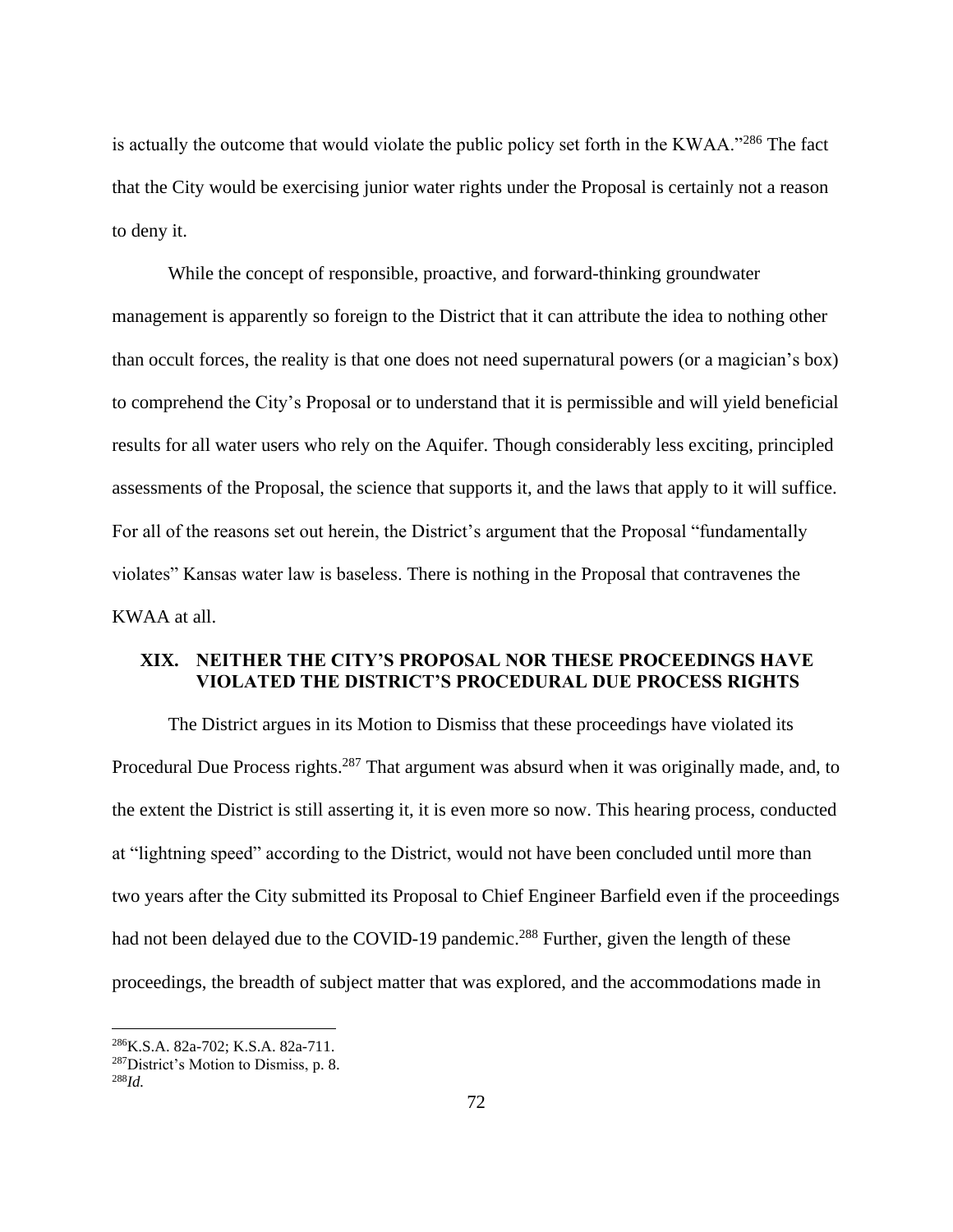is actually the outcome that would violate the public policy set forth in the KWAA."<sup>286</sup> The fact that the City would be exercising junior water rights under the Proposal is certainly not a reason to deny it.

While the concept of responsible, proactive, and forward-thinking groundwater management is apparently so foreign to the District that it can attribute the idea to nothing other than occult forces, the reality is that one does not need supernatural powers (or a magician's box) to comprehend the City's Proposal or to understand that it is permissible and will yield beneficial results for all water users who rely on the Aquifer. Though considerably less exciting, principled assessments of the Proposal, the science that supports it, and the laws that apply to it will suffice. For all of the reasons set out herein, the District's argument that the Proposal "fundamentally violates" Kansas water law is baseless. There is nothing in the Proposal that contravenes the KWAA at all.

# **XIX. NEITHER THE CITY'S PROPOSAL NOR THESE PROCEEDINGS HAVE VIOLATED THE DISTRICT'S PROCEDURAL DUE PROCESS RIGHTS**

The District argues in its Motion to Dismiss that these proceedings have violated its Procedural Due Process rights.<sup>287</sup> That argument was absurd when it was originally made, and, to the extent the District is still asserting it, it is even more so now. This hearing process, conducted at "lightning speed" according to the District, would not have been concluded until more than two years after the City submitted its Proposal to Chief Engineer Barfield even if the proceedings had not been delayed due to the COVID-19 pandemic.<sup>288</sup> Further, given the length of these proceedings, the breadth of subject matter that was explored, and the accommodations made in

<sup>286</sup>K.S.A. 82a-702; K.S.A. 82a-711.

<sup>287</sup>District's Motion to Dismiss, p. 8.

<sup>288</sup>*Id.*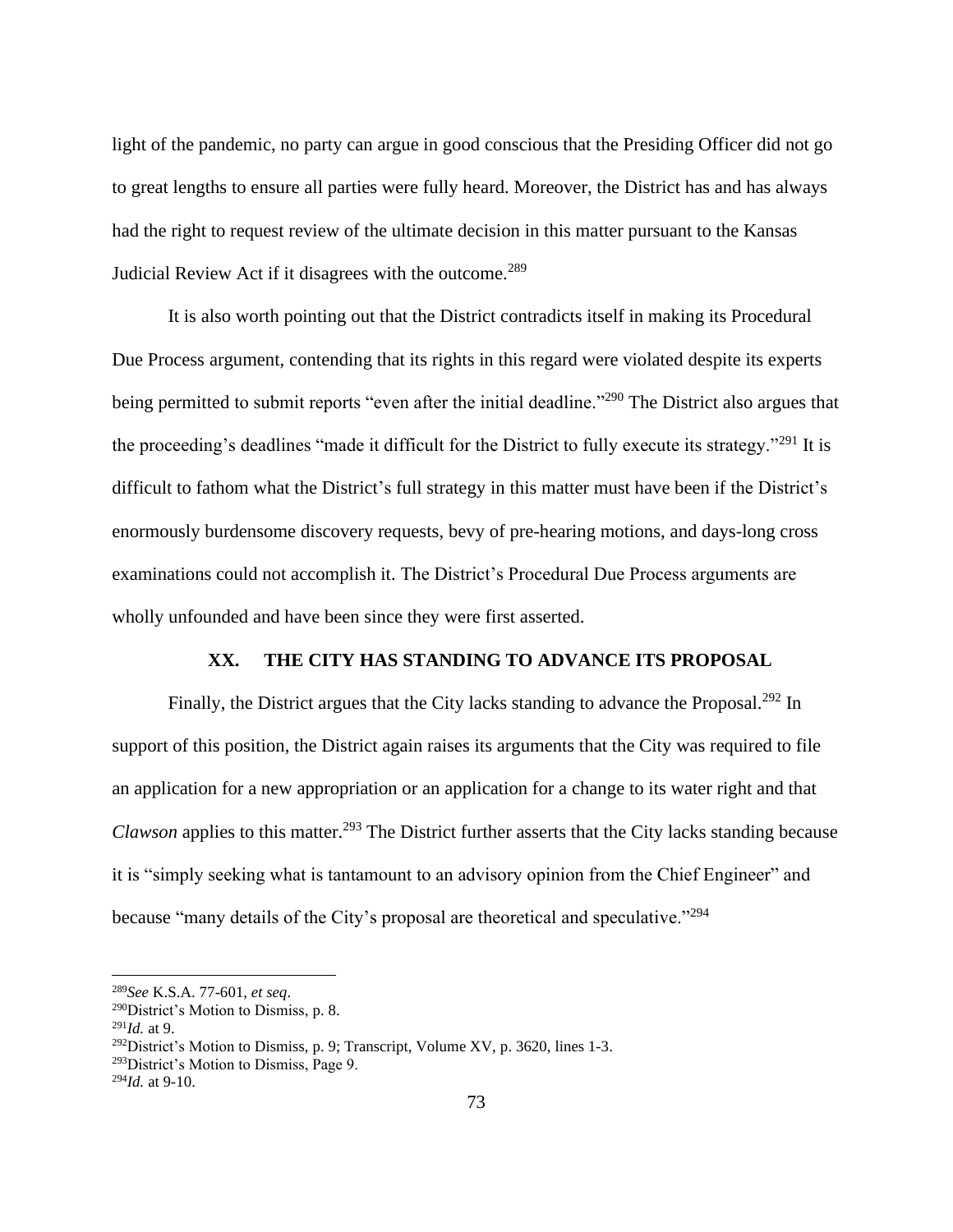light of the pandemic, no party can argue in good conscious that the Presiding Officer did not go to great lengths to ensure all parties were fully heard. Moreover, the District has and has always had the right to request review of the ultimate decision in this matter pursuant to the Kansas Judicial Review Act if it disagrees with the outcome.<sup>289</sup>

It is also worth pointing out that the District contradicts itself in making its Procedural Due Process argument, contending that its rights in this regard were violated despite its experts being permitted to submit reports "even after the initial deadline."<sup>290</sup> The District also argues that the proceeding's deadlines "made it difficult for the District to fully execute its strategy."<sup>291</sup> It is difficult to fathom what the District's full strategy in this matter must have been if the District's enormously burdensome discovery requests, bevy of pre-hearing motions, and days-long cross examinations could not accomplish it. The District's Procedural Due Process arguments are wholly unfounded and have been since they were first asserted.

### **XX. THE CITY HAS STANDING TO ADVANCE ITS PROPOSAL**

Finally, the District argues that the City lacks standing to advance the Proposal.<sup>292</sup> In support of this position, the District again raises its arguments that the City was required to file an application for a new appropriation or an application for a change to its water right and that *Clawson* applies to this matter.<sup>293</sup> The District further asserts that the City lacks standing because it is "simply seeking what is tantamount to an advisory opinion from the Chief Engineer" and because "many details of the City's proposal are theoretical and speculative."<sup>294</sup>

<sup>289</sup>*See* K.S.A. 77-601, *et seq*.

<sup>290</sup>District's Motion to Dismiss, p. 8.

<sup>291</sup>*Id.* at 9.

 $292$ District's Motion to Dismiss, p. 9; Transcript, Volume XV, p. 3620, lines 1-3.

<sup>&</sup>lt;sup>293</sup>District's Motion to Dismiss, Page 9.

<sup>294</sup>*Id.* at 9-10.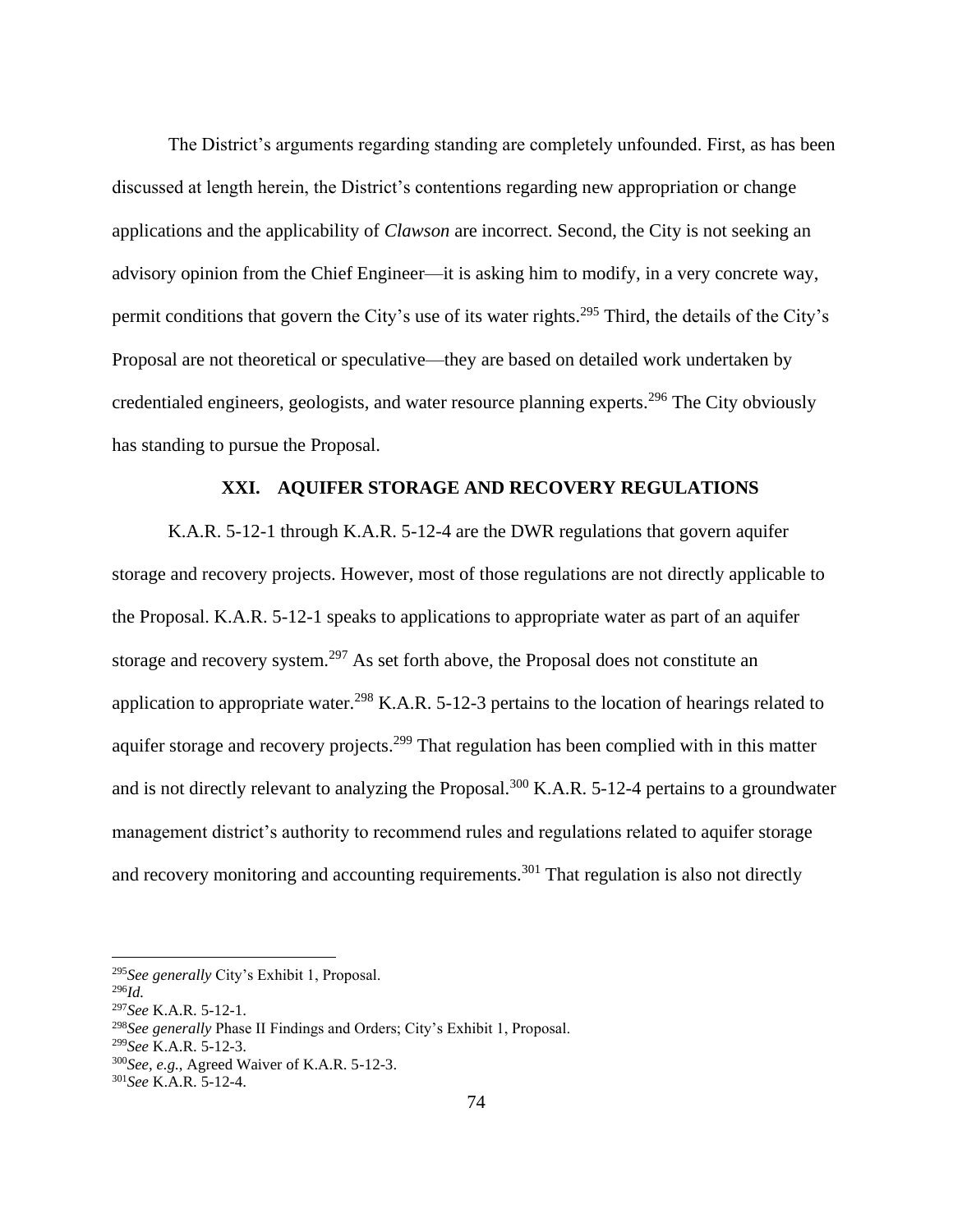The District's arguments regarding standing are completely unfounded. First, as has been discussed at length herein, the District's contentions regarding new appropriation or change applications and the applicability of *Clawson* are incorrect. Second, the City is not seeking an advisory opinion from the Chief Engineer—it is asking him to modify, in a very concrete way, permit conditions that govern the City's use of its water rights.<sup>295</sup> Third, the details of the City's Proposal are not theoretical or speculative—they are based on detailed work undertaken by credentialed engineers, geologists, and water resource planning experts.<sup>296</sup> The City obviously has standing to pursue the Proposal.

### **XXI. AQUIFER STORAGE AND RECOVERY REGULATIONS**

K.A.R. 5-12-1 through K.A.R. 5-12-4 are the DWR regulations that govern aquifer storage and recovery projects. However, most of those regulations are not directly applicable to the Proposal. K.A.R. 5-12-1 speaks to applications to appropriate water as part of an aquifer storage and recovery system.<sup>297</sup> As set forth above, the Proposal does not constitute an application to appropriate water.<sup>298</sup> K.A.R. 5-12-3 pertains to the location of hearings related to aquifer storage and recovery projects.<sup>299</sup> That regulation has been complied with in this matter and is not directly relevant to analyzing the Proposal.<sup>300</sup> K.A.R. 5-12-4 pertains to a groundwater management district's authority to recommend rules and regulations related to aquifer storage and recovery monitoring and accounting requirements.<sup>301</sup> That regulation is also not directly

<sup>295</sup>*See generally* City's Exhibit 1, Proposal.

<sup>296</sup>*Id.*

<sup>297</sup>*See* K.A.R. 5-12-1.

<sup>298</sup>*See generally* Phase II Findings and Orders; City's Exhibit 1, Proposal.

<sup>299</sup>*See* K.A.R. 5-12-3.

<sup>300</sup>*See, e.g.*, Agreed Waiver of K.A.R. 5-12-3.

<sup>301</sup>*See* K.A.R. 5-12-4.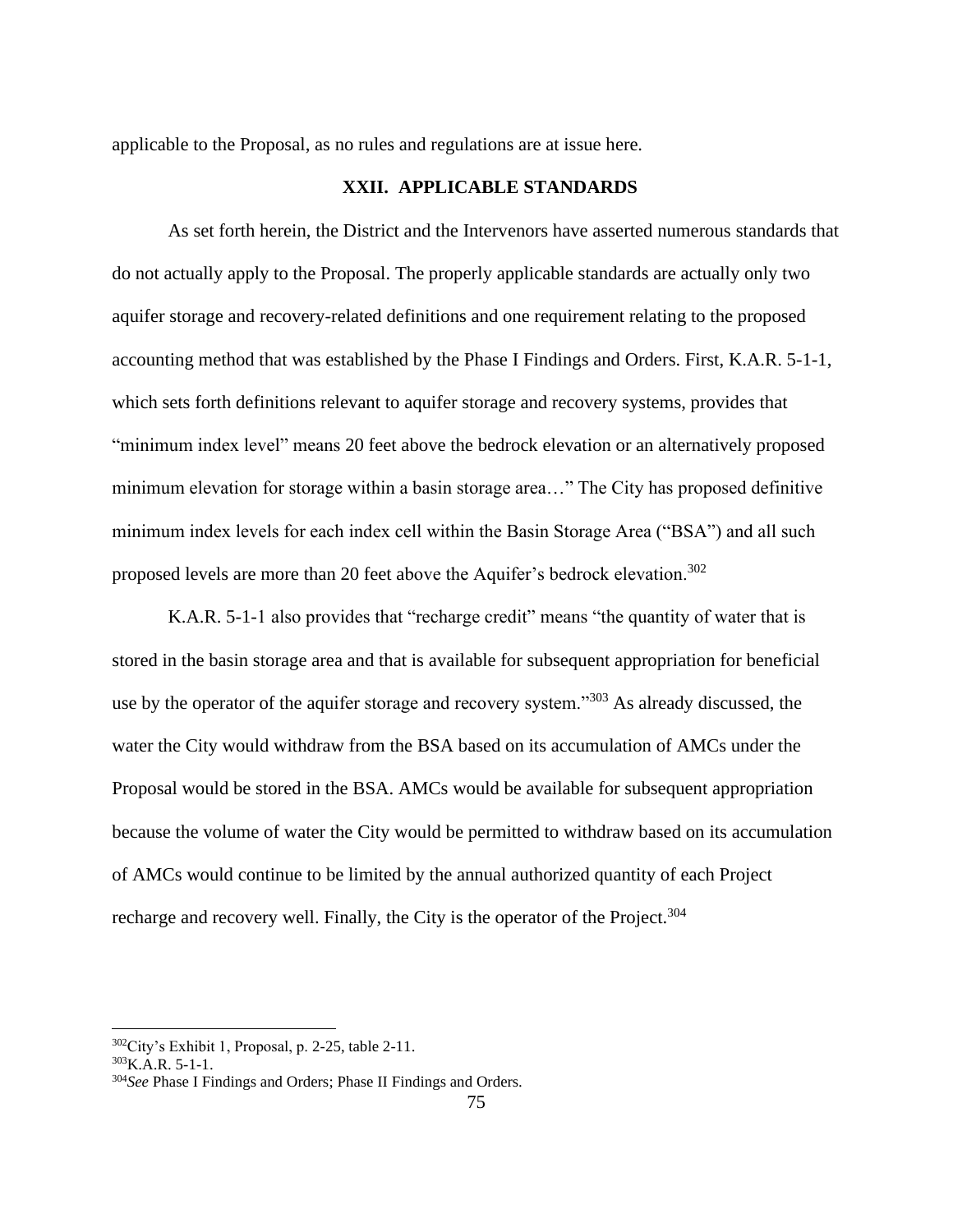applicable to the Proposal, as no rules and regulations are at issue here.

### **XXII. APPLICABLE STANDARDS**

As set forth herein, the District and the Intervenors have asserted numerous standards that do not actually apply to the Proposal. The properly applicable standards are actually only two aquifer storage and recovery-related definitions and one requirement relating to the proposed accounting method that was established by the Phase I Findings and Orders. First, K.A.R. 5-1-1, which sets forth definitions relevant to aquifer storage and recovery systems, provides that "minimum index level" means 20 feet above the bedrock elevation or an alternatively proposed minimum elevation for storage within a basin storage area…" The City has proposed definitive minimum index levels for each index cell within the Basin Storage Area ("BSA") and all such proposed levels are more than 20 feet above the Aquifer's bedrock elevation.<sup>302</sup>

K.A.R. 5-1-1 also provides that "recharge credit" means "the quantity of water that is stored in the basin storage area and that is available for subsequent appropriation for beneficial use by the operator of the aquifer storage and recovery system."<sup>303</sup> As already discussed, the water the City would withdraw from the BSA based on its accumulation of AMCs under the Proposal would be stored in the BSA. AMCs would be available for subsequent appropriation because the volume of water the City would be permitted to withdraw based on its accumulation of AMCs would continue to be limited by the annual authorized quantity of each Project recharge and recovery well. Finally, the City is the operator of the Project.<sup>304</sup>

 $302$ City's Exhibit 1, Proposal, p. 2-25, table 2-11.

 $303$ K.A.R. 5-1-1.

<sup>304</sup>*See* Phase I Findings and Orders; Phase II Findings and Orders.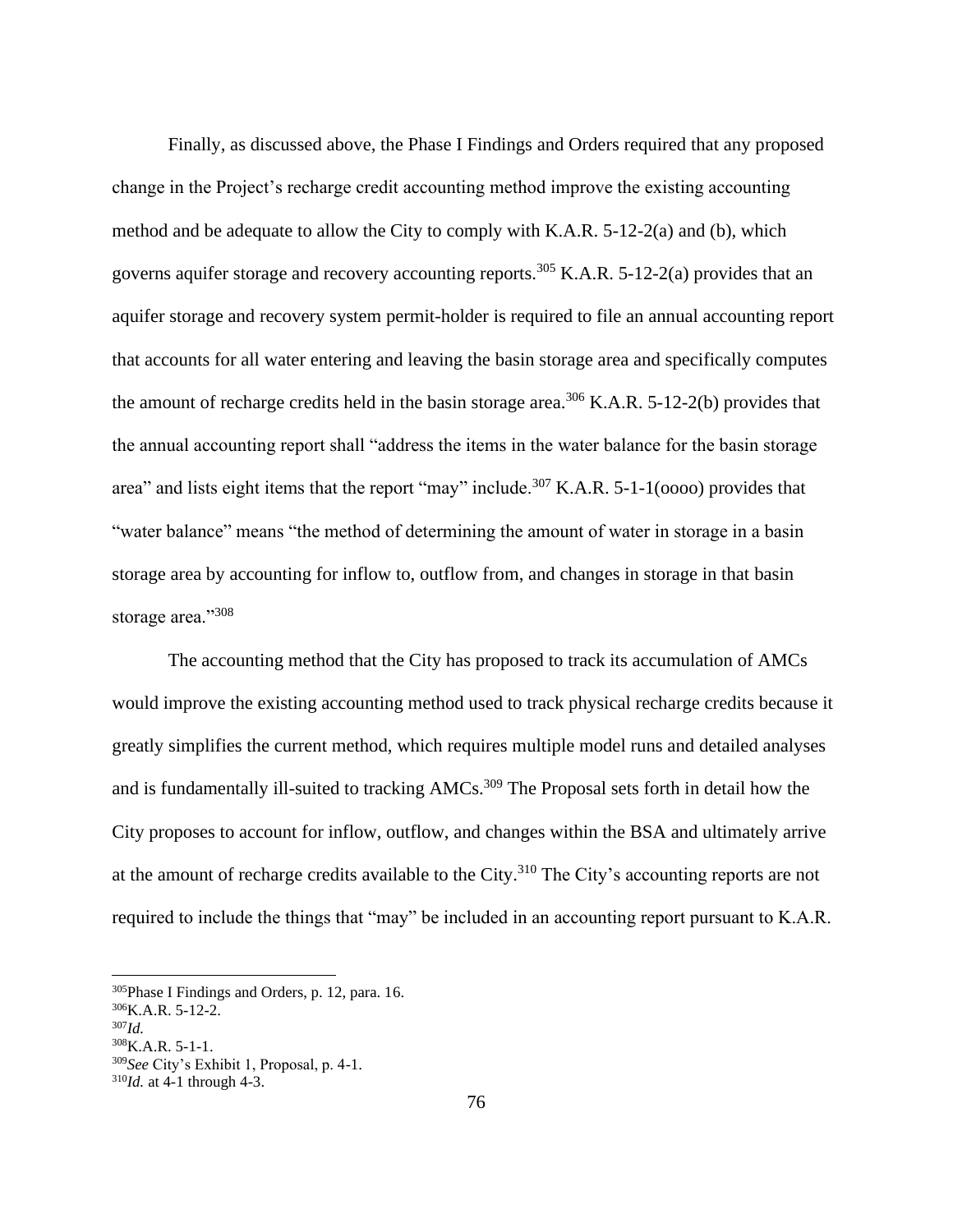Finally, as discussed above, the Phase I Findings and Orders required that any proposed change in the Project's recharge credit accounting method improve the existing accounting method and be adequate to allow the City to comply with K.A.R. 5-12-2(a) and (b), which governs aquifer storage and recovery accounting reports.<sup>305</sup> K.A.R. 5-12-2(a) provides that an aquifer storage and recovery system permit-holder is required to file an annual accounting report that accounts for all water entering and leaving the basin storage area and specifically computes the amount of recharge credits held in the basin storage area.<sup>306</sup> K.A.R. 5-12-2(b) provides that the annual accounting report shall "address the items in the water balance for the basin storage area" and lists eight items that the report "may" include.<sup>307</sup> K.A.R. 5-1-1( $0000$ ) provides that "water balance" means "the method of determining the amount of water in storage in a basin storage area by accounting for inflow to, outflow from, and changes in storage in that basin storage area."308

The accounting method that the City has proposed to track its accumulation of AMCs would improve the existing accounting method used to track physical recharge credits because it greatly simplifies the current method, which requires multiple model runs and detailed analyses and is fundamentally ill-suited to tracking AMCs.<sup>309</sup> The Proposal sets forth in detail how the City proposes to account for inflow, outflow, and changes within the BSA and ultimately arrive at the amount of recharge credits available to the City.<sup>310</sup> The City's accounting reports are not required to include the things that "may" be included in an accounting report pursuant to K.A.R.

<sup>305</sup>Phase I Findings and Orders, p. 12, para. 16.

<sup>306</sup>K.A.R. 5-12-2.

<sup>307</sup>*Id.*

 $308$ K.A.R. 5-1-1.

<sup>309</sup>*See* City's Exhibit 1, Proposal, p. 4-1.

<sup>310</sup>*Id.* at 4-1 through 4-3.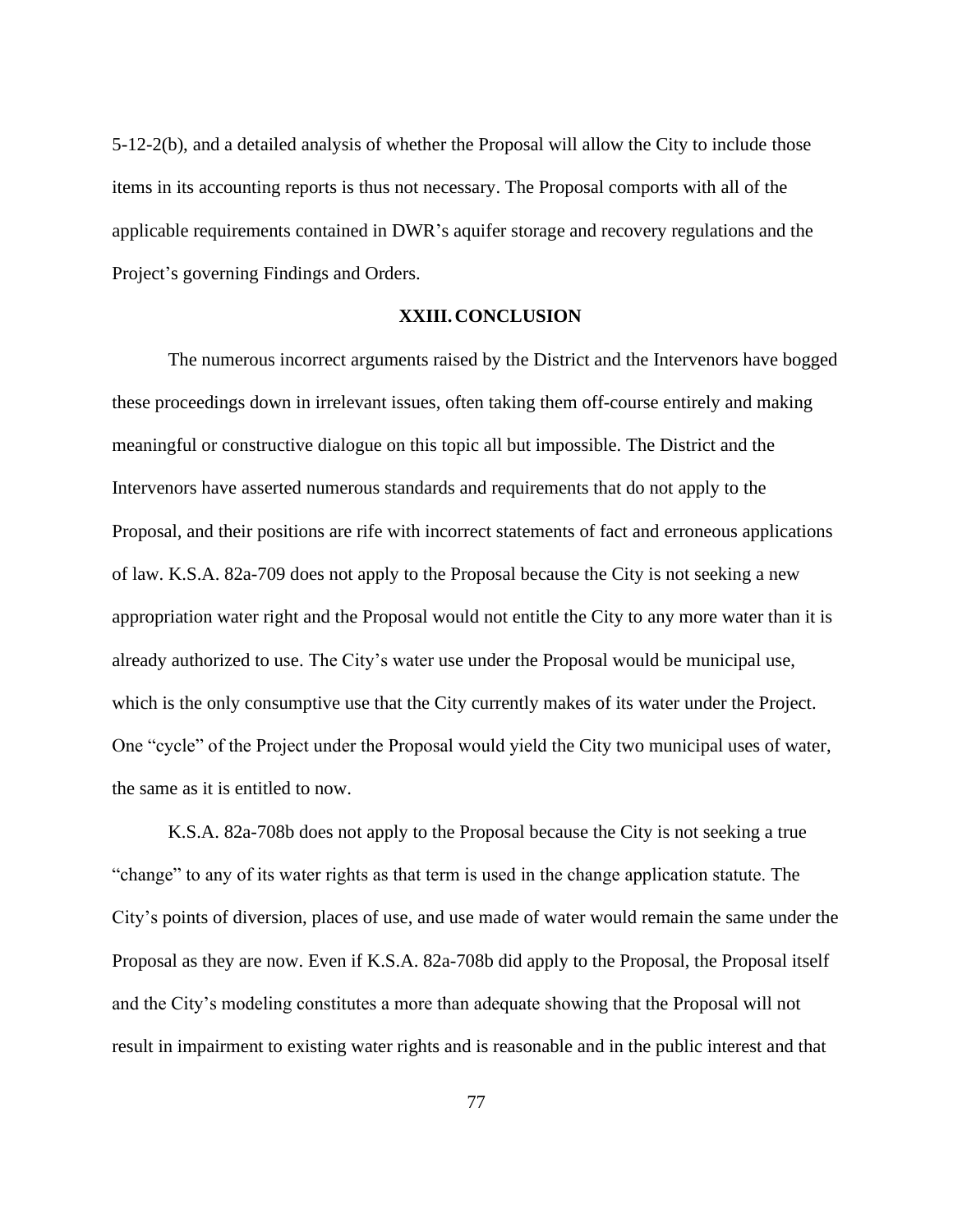5-12-2(b), and a detailed analysis of whether the Proposal will allow the City to include those items in its accounting reports is thus not necessary. The Proposal comports with all of the applicable requirements contained in DWR's aquifer storage and recovery regulations and the Project's governing Findings and Orders.

#### **XXIII.CONCLUSION**

The numerous incorrect arguments raised by the District and the Intervenors have bogged these proceedings down in irrelevant issues, often taking them off-course entirely and making meaningful or constructive dialogue on this topic all but impossible. The District and the Intervenors have asserted numerous standards and requirements that do not apply to the Proposal, and their positions are rife with incorrect statements of fact and erroneous applications of law. K.S.A. 82a-709 does not apply to the Proposal because the City is not seeking a new appropriation water right and the Proposal would not entitle the City to any more water than it is already authorized to use. The City's water use under the Proposal would be municipal use, which is the only consumptive use that the City currently makes of its water under the Project. One "cycle" of the Project under the Proposal would yield the City two municipal uses of water, the same as it is entitled to now.

K.S.A. 82a-708b does not apply to the Proposal because the City is not seeking a true "change" to any of its water rights as that term is used in the change application statute. The City's points of diversion, places of use, and use made of water would remain the same under the Proposal as they are now. Even if K.S.A. 82a-708b did apply to the Proposal, the Proposal itself and the City's modeling constitutes a more than adequate showing that the Proposal will not result in impairment to existing water rights and is reasonable and in the public interest and that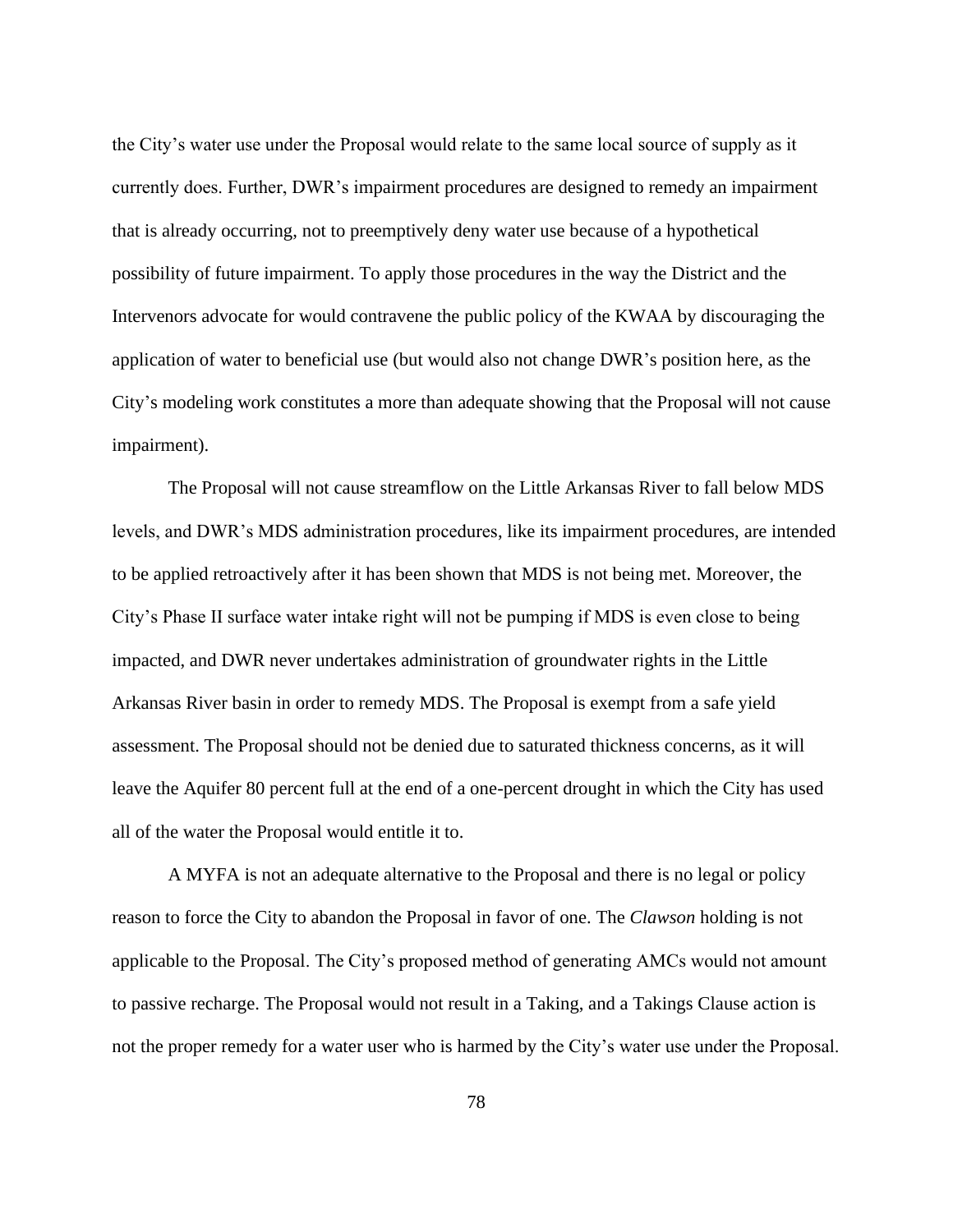the City's water use under the Proposal would relate to the same local source of supply as it currently does. Further, DWR's impairment procedures are designed to remedy an impairment that is already occurring, not to preemptively deny water use because of a hypothetical possibility of future impairment. To apply those procedures in the way the District and the Intervenors advocate for would contravene the public policy of the KWAA by discouraging the application of water to beneficial use (but would also not change DWR's position here, as the City's modeling work constitutes a more than adequate showing that the Proposal will not cause impairment).

The Proposal will not cause streamflow on the Little Arkansas River to fall below MDS levels, and DWR's MDS administration procedures, like its impairment procedures, are intended to be applied retroactively after it has been shown that MDS is not being met. Moreover, the City's Phase II surface water intake right will not be pumping if MDS is even close to being impacted, and DWR never undertakes administration of groundwater rights in the Little Arkansas River basin in order to remedy MDS. The Proposal is exempt from a safe yield assessment. The Proposal should not be denied due to saturated thickness concerns, as it will leave the Aquifer 80 percent full at the end of a one-percent drought in which the City has used all of the water the Proposal would entitle it to.

A MYFA is not an adequate alternative to the Proposal and there is no legal or policy reason to force the City to abandon the Proposal in favor of one. The *Clawson* holding is not applicable to the Proposal. The City's proposed method of generating AMCs would not amount to passive recharge. The Proposal would not result in a Taking, and a Takings Clause action is not the proper remedy for a water user who is harmed by the City's water use under the Proposal.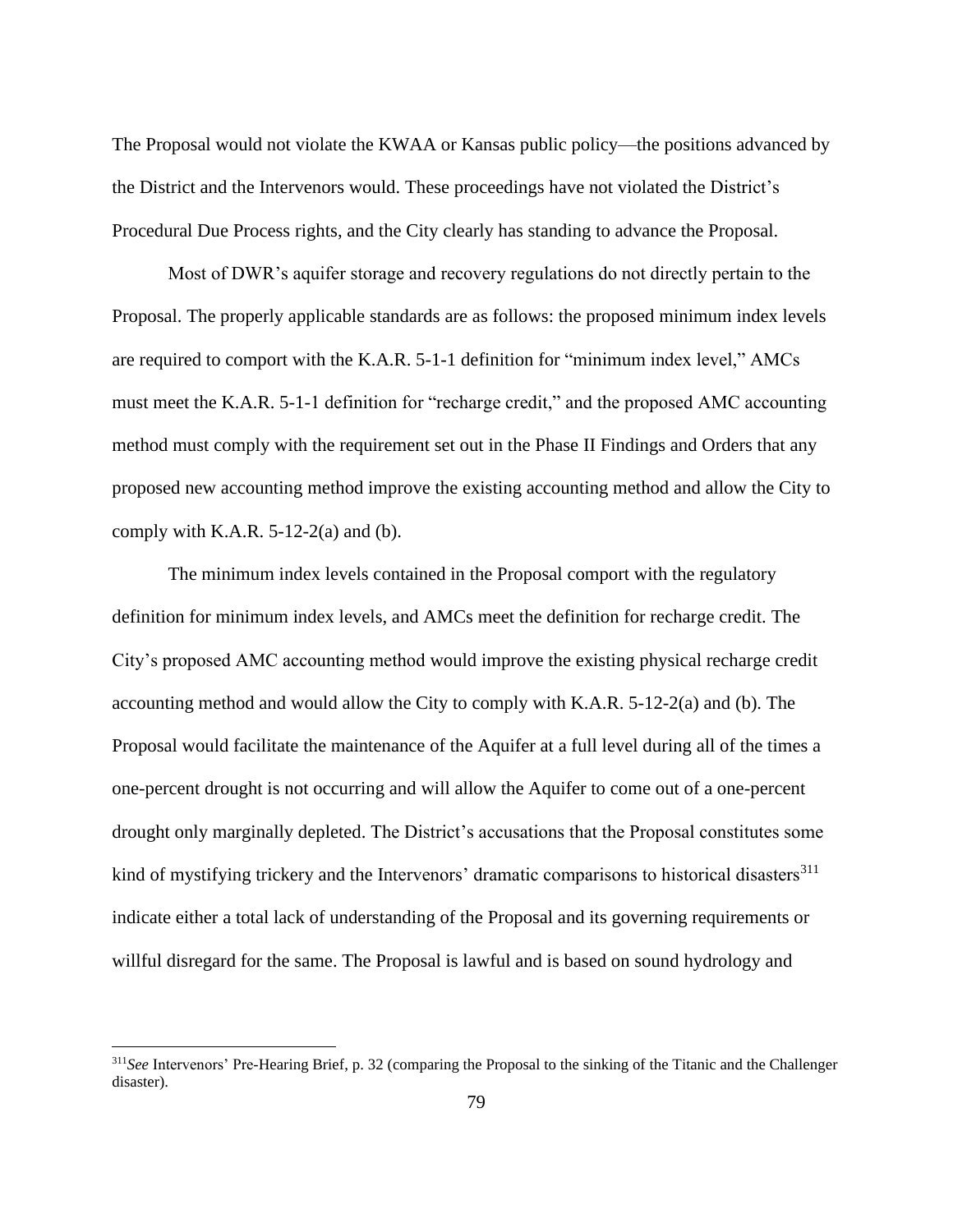The Proposal would not violate the KWAA or Kansas public policy—the positions advanced by the District and the Intervenors would. These proceedings have not violated the District's Procedural Due Process rights, and the City clearly has standing to advance the Proposal.

Most of DWR's aquifer storage and recovery regulations do not directly pertain to the Proposal. The properly applicable standards are as follows: the proposed minimum index levels are required to comport with the K.A.R. 5-1-1 definition for "minimum index level," AMCs must meet the K.A.R. 5-1-1 definition for "recharge credit," and the proposed AMC accounting method must comply with the requirement set out in the Phase II Findings and Orders that any proposed new accounting method improve the existing accounting method and allow the City to comply with K.A.R.  $5-12-2(a)$  and (b).

The minimum index levels contained in the Proposal comport with the regulatory definition for minimum index levels, and AMCs meet the definition for recharge credit. The City's proposed AMC accounting method would improve the existing physical recharge credit accounting method and would allow the City to comply with K.A.R. 5-12-2(a) and (b). The Proposal would facilitate the maintenance of the Aquifer at a full level during all of the times a one-percent drought is not occurring and will allow the Aquifer to come out of a one-percent drought only marginally depleted. The District's accusations that the Proposal constitutes some kind of mystifying trickery and the Intervenors' dramatic comparisons to historical disasters $^{311}$ indicate either a total lack of understanding of the Proposal and its governing requirements or willful disregard for the same. The Proposal is lawful and is based on sound hydrology and

<sup>311</sup>*See* Intervenors' Pre-Hearing Brief, p. 32 (comparing the Proposal to the sinking of the Titanic and the Challenger disaster).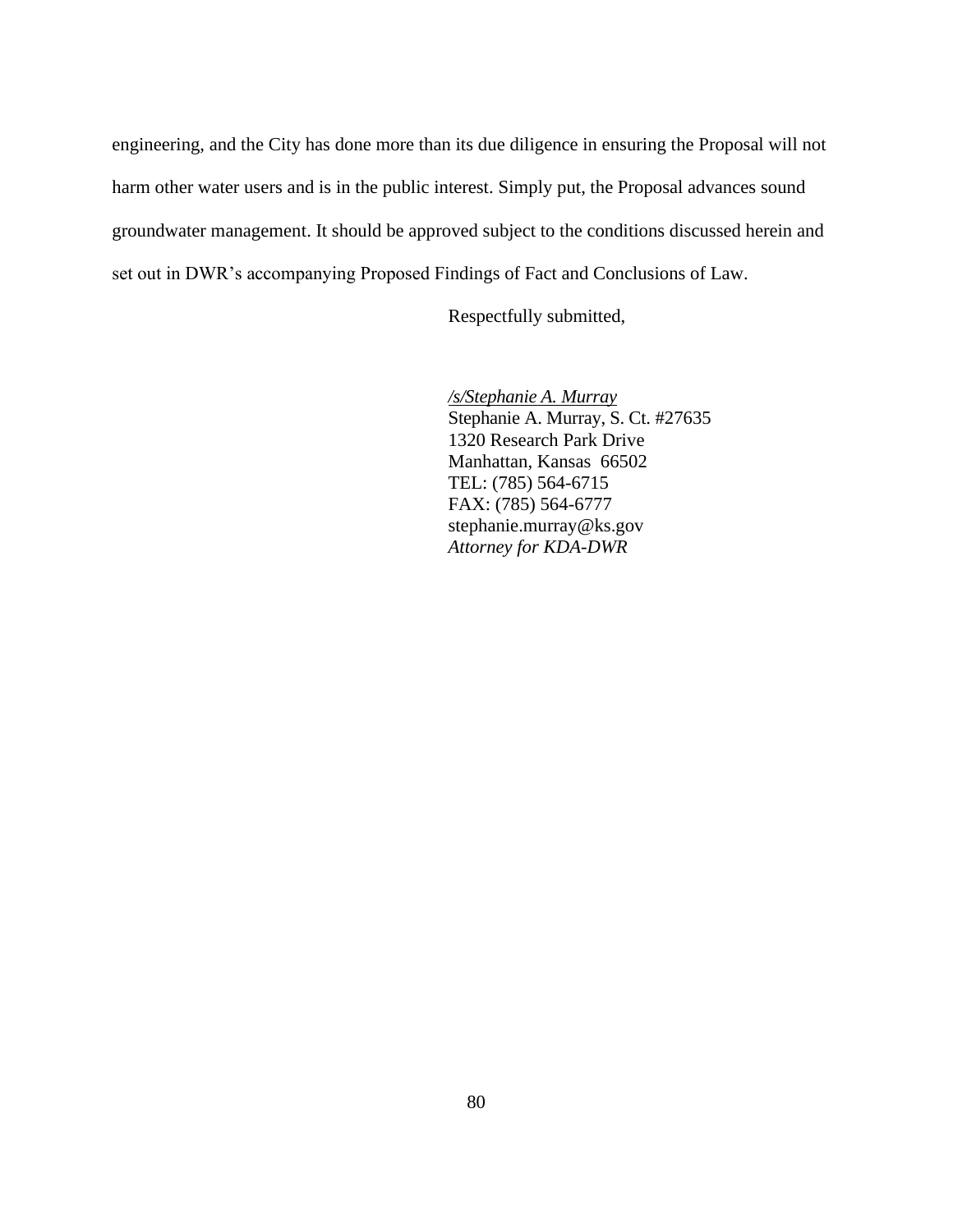engineering, and the City has done more than its due diligence in ensuring the Proposal will not harm other water users and is in the public interest. Simply put, the Proposal advances sound groundwater management. It should be approved subject to the conditions discussed herein and set out in DWR's accompanying Proposed Findings of Fact and Conclusions of Law.

Respectfully submitted,

*/s/Stephanie A. Murray*  Stephanie A. Murray, S. Ct. #27635 1320 Research Park Drive Manhattan, Kansas 66502 TEL: (785) 564-6715 FAX: (785) 564-6777 stephanie.murray@ks.gov *Attorney for KDA-DWR*